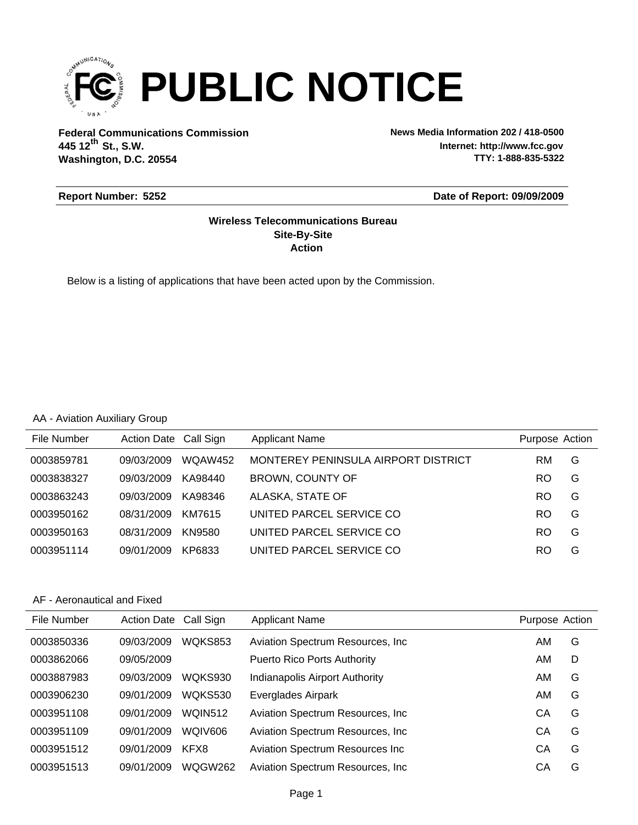

**Federal Communications Commission News Media Information 202 / 418-0500 Washington, D.C. 20554 th 445 12 St., S.W.**

**Internet: http://www.fcc.gov TTY: 1-888-835-5322**

#### **Report Number: 5252**

#### **Date of Report: 09/09/2009**

#### **Action Site-By-Site Wireless Telecommunications Bureau**

Below is a listing of applications that have been acted upon by the Commission.

#### AA - Aviation Auxiliary Group

| File Number | Action Date Call Sign |                | <b>Applicant Name</b>               | Purpose Action |   |
|-------------|-----------------------|----------------|-------------------------------------|----------------|---|
| 0003859781  | 09/03/2009            | <b>WOAW452</b> | MONTEREY PENINSULA AIRPORT DISTRICT | RM.            | G |
| 0003838327  | 09/03/2009            | KA98440        | BROWN, COUNTY OF                    | RO.            | G |
| 0003863243  | 09/03/2009            | KA98346        | ALASKA, STATE OF                    | RO.            | G |
| 0003950162  | 08/31/2009            | KM7615         | UNITED PARCEL SERVICE CO            | RO.            | G |
| 0003950163  | 08/31/2009            | KN9580         | UNITED PARCEL SERVICE CO            | <b>RO</b>      | G |
| 0003951114  | 09/01/2009            | KP6833         | UNITED PARCEL SERVICE CO            | RO             | G |

#### AF - Aeronautical and Fixed

| File Number | <b>Action Date</b> | Call Sign      | <b>Applicant Name</b>                   | Purpose Action |   |
|-------------|--------------------|----------------|-----------------------------------------|----------------|---|
| 0003850336  | 09/03/2009         | <b>WOKS853</b> | Aviation Spectrum Resources, Inc.       | AM             | G |
| 0003862066  | 09/05/2009         |                | <b>Puerto Rico Ports Authority</b>      | AM             | D |
| 0003887983  | 09/03/2009         | WQKS930        | Indianapolis Airport Authority          | AM             | G |
| 0003906230  | 09/01/2009         | <b>WOKS530</b> | Everglades Airpark                      | AM             | G |
| 0003951108  | 09/01/2009         | <b>WQIN512</b> | Aviation Spectrum Resources, Inc.       | CА             | G |
| 0003951109  | 09/01/2009         | WQIV606        | Aviation Spectrum Resources, Inc.       | CА             | G |
| 0003951512  | 09/01/2009         | KFX8           | <b>Aviation Spectrum Resources Inc.</b> | CА             | G |
| 0003951513  | 09/01/2009         | WQGW262        | Aviation Spectrum Resources, Inc.       | CА             | G |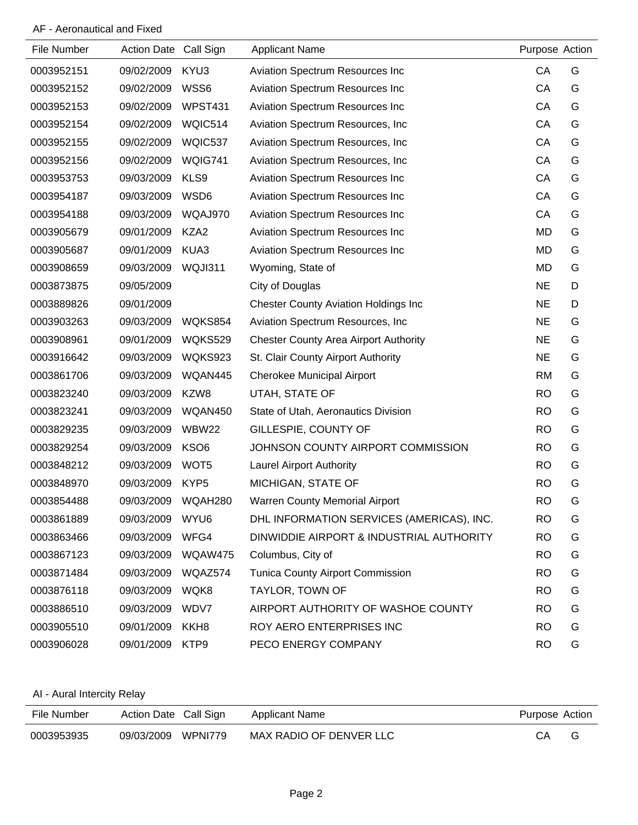## AF - Aeronautical and Fixed

| File Number | Action Date Call Sign |                  | <b>Applicant Name</b>                        | Purpose Action |   |
|-------------|-----------------------|------------------|----------------------------------------------|----------------|---|
|             |                       |                  |                                              |                |   |
| 0003952151  | 09/02/2009            | KYU3             | <b>Aviation Spectrum Resources Inc</b>       | CA             | G |
| 0003952152  | 09/02/2009            | WSS6             | Aviation Spectrum Resources Inc              | CA             | G |
| 0003952153  | 09/02/2009            | <b>WPST431</b>   | Aviation Spectrum Resources Inc              | CA             | G |
| 0003952154  | 09/02/2009            | WQIC514          | Aviation Spectrum Resources, Inc.            | CA             | G |
| 0003952155  | 09/02/2009            | WQIC537          | Aviation Spectrum Resources, Inc.            | CA             | G |
| 0003952156  | 09/02/2009            | WQIG741          | Aviation Spectrum Resources, Inc.            | CA             | G |
| 0003953753  | 09/03/2009            | KLS9             | Aviation Spectrum Resources Inc              | CA             | G |
| 0003954187  | 09/03/2009            | WSD6             | Aviation Spectrum Resources Inc              | CA             | G |
| 0003954188  | 09/03/2009            | WQAJ970          | Aviation Spectrum Resources Inc              | CA             | G |
| 0003905679  | 09/01/2009            | KZA2             | Aviation Spectrum Resources Inc              | <b>MD</b>      | G |
| 0003905687  | 09/01/2009            | KUA3             | Aviation Spectrum Resources Inc              | <b>MD</b>      | G |
| 0003908659  | 09/03/2009            | WQJI311          | Wyoming, State of                            | MD             | G |
| 0003873875  | 09/05/2009            |                  | City of Douglas                              | <b>NE</b>      | D |
| 0003889826  | 09/01/2009            |                  | <b>Chester County Aviation Holdings Inc</b>  | <b>NE</b>      | D |
| 0003903263  | 09/03/2009            | WQKS854          | Aviation Spectrum Resources, Inc.            | <b>NE</b>      | G |
| 0003908961  | 09/01/2009            | WQKS529          | <b>Chester County Area Airport Authority</b> | <b>NE</b>      | G |
| 0003916642  | 09/03/2009            | WQKS923          | St. Clair County Airport Authority           | <b>NE</b>      | G |
| 0003861706  | 09/03/2009            | WQAN445          | <b>Cherokee Municipal Airport</b>            | <b>RM</b>      | G |
| 0003823240  | 09/03/2009            | KZW8             | UTAH, STATE OF                               | <b>RO</b>      | G |
| 0003823241  | 09/03/2009            | WQAN450          | State of Utah, Aeronautics Division          | <b>RO</b>      | G |
| 0003829235  | 09/03/2009            | WBW22            | GILLESPIE, COUNTY OF                         | <b>RO</b>      | G |
| 0003829254  | 09/03/2009            | KSO <sub>6</sub> | JOHNSON COUNTY AIRPORT COMMISSION            | <b>RO</b>      | G |
| 0003848212  | 09/03/2009            | WOT <sub>5</sub> | <b>Laurel Airport Authority</b>              | <b>RO</b>      | G |
| 0003848970  | 09/03/2009            | KYP <sub>5</sub> | MICHIGAN, STATE OF                           | <b>RO</b>      | G |
| 0003854488  | 09/03/2009            | WQAH280          | <b>Warren County Memorial Airport</b>        | <b>RO</b>      | G |
| 0003861889  | 09/03/2009 WYU6       |                  | DHL INFORMATION SERVICES (AMERICAS), INC.    | <b>RO</b>      | G |
| 0003863466  | 09/03/2009 WFG4       |                  | DINWIDDIE AIRPORT & INDUSTRIAL AUTHORITY     | <b>RO</b>      | G |
| 0003867123  | 09/03/2009            | WQAW475          | Columbus, City of                            | <b>RO</b>      | G |
| 0003871484  | 09/03/2009 WQAZ574    |                  | <b>Tunica County Airport Commission</b>      | <b>RO</b>      | G |
| 0003876118  | 09/03/2009            | WQK8             | <b>TAYLOR, TOWN OF</b>                       | <b>RO</b>      | G |
| 0003886510  | 09/03/2009            | WDV7             | AIRPORT AUTHORITY OF WASHOE COUNTY           | <b>RO</b>      | G |
| 0003905510  | 09/01/2009 KKH8       |                  | ROY AERO ENTERPRISES INC                     | <b>RO</b>      | G |
| 0003906028  | 09/01/2009            | KTP9             | PECO ENERGY COMPANY                          | <b>RO</b>      | G |

AI - Aural Intercity Relay

| File Number | Action Date Call Sign | Applicant Name          | Purpose Action |  |
|-------------|-----------------------|-------------------------|----------------|--|
| 0003953935  | 09/03/2009 WPNI779    | MAX RADIO OF DENVER LLC | CА             |  |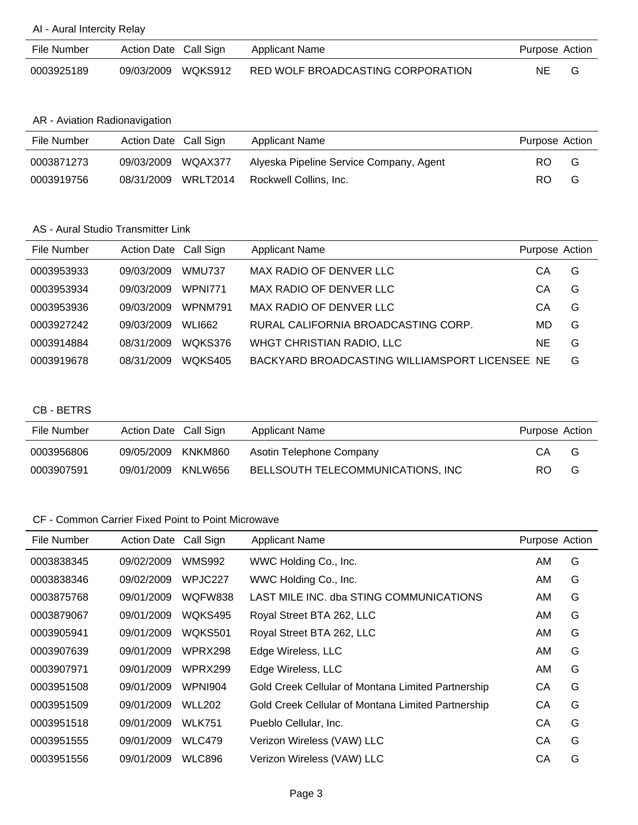#### AI - Aural Intercity Relay

| File Number | Action Date Call Sign | Applicant Name                    | Purpose Action |  |
|-------------|-----------------------|-----------------------------------|----------------|--|
| 0003925189  | 09/03/2009 WQKS912    | RED WOLF BROADCASTING CORPORATION | <b>NE</b>      |  |

## AR - Aviation Radionavigation

| File Number | Action Date Call Sign |                     | Applicant Name                          | Purpose Action |   |
|-------------|-----------------------|---------------------|-----------------------------------------|----------------|---|
| 0003871273  | 09/03/2009 WQAX377    |                     | Alyeska Pipeline Service Company, Agent | RO.            | G |
| 0003919756  |                       | 08/31/2009 WRLT2014 | Rockwell Collins, Inc.                  | RO.            | G |

#### AS - Aural Studio Transmitter Link

| File Number | Action Date Call Sign |               | <b>Applicant Name</b>                           | Purpose Action |   |
|-------------|-----------------------|---------------|-------------------------------------------------|----------------|---|
| 0003953933  | 09/03/2009            | <b>WMU737</b> | MAX RADIO OF DENVER LLC                         | CА             | G |
| 0003953934  | 09/03/2009            | WPNI771       | MAX RADIO OF DENVER LLC                         | CА             | G |
| 0003953936  | 09/03/2009            | WPNM791       | MAX RADIO OF DENVER LLC                         | CА             | G |
| 0003927242  | 09/03/2009            | <b>WLI662</b> | RURAL CALIFORNIA BROADCASTING CORP.             | MD             | G |
| 0003914884  | 08/31/2009            | WQKS376       | WHGT CHRISTIAN RADIO, LLC                       | NE             | G |
| 0003919678  | 08/31/2009            | WOKS405       | BACKYARD BROADCASTING WILLIAMSPORT LICENSEE. NE |                | G |

#### CB - BETRS

| File Number | Action Date Call Sign |         | Applicant Name                    | Purpose Action |   |
|-------------|-----------------------|---------|-----------------------------------|----------------|---|
| 0003956806  | 09/05/2009            | KNKM860 | Asotin Telephone Company          | СA             | G |
| 0003907591  | 09/01/2009            | KNLW656 | BELLSOUTH TELECOMMUNICATIONS, INC | RO.            | G |

| File Number | <b>Action Date</b> | Call Sign      | <b>Applicant Name</b>                              | Purpose Action |   |
|-------------|--------------------|----------------|----------------------------------------------------|----------------|---|
| 0003838345  | 09/02/2009         | WMS992         | WWC Holding Co., Inc.                              | AM             | G |
| 0003838346  | 09/02/2009         | WPJC227        | WWC Holding Co., Inc.                              | AM             | G |
| 0003875768  | 09/01/2009         | WQFW838        | LAST MILE INC. dba STING COMMUNICATIONS            | AM             | G |
| 0003879067  | 09/01/2009         | WQKS495        | Royal Street BTA 262, LLC                          | AM             | G |
| 0003905941  | 09/01/2009         | <b>WOKS501</b> | Royal Street BTA 262, LLC                          | AM             | G |
| 0003907639  | 09/01/2009         | WPRX298        | Edge Wireless, LLC                                 | AM             | G |
| 0003907971  | 09/01/2009         | WPRX299        | Edge Wireless, LLC                                 | AM             | G |
| 0003951508  | 09/01/2009         | WPNI904        | Gold Creek Cellular of Montana Limited Partnership | CA             | G |
| 0003951509  | 09/01/2009         | <b>WLL202</b>  | Gold Creek Cellular of Montana Limited Partnership | CA             | G |
| 0003951518  | 09/01/2009         | <b>WLK751</b>  | Pueblo Cellular, Inc.                              | СA             | G |
| 0003951555  | 09/01/2009         | <b>WLC479</b>  | Verizon Wireless (VAW) LLC                         | СA             | G |
| 0003951556  | 09/01/2009         | <b>WLC896</b>  | Verizon Wireless (VAW) LLC                         | CА             | G |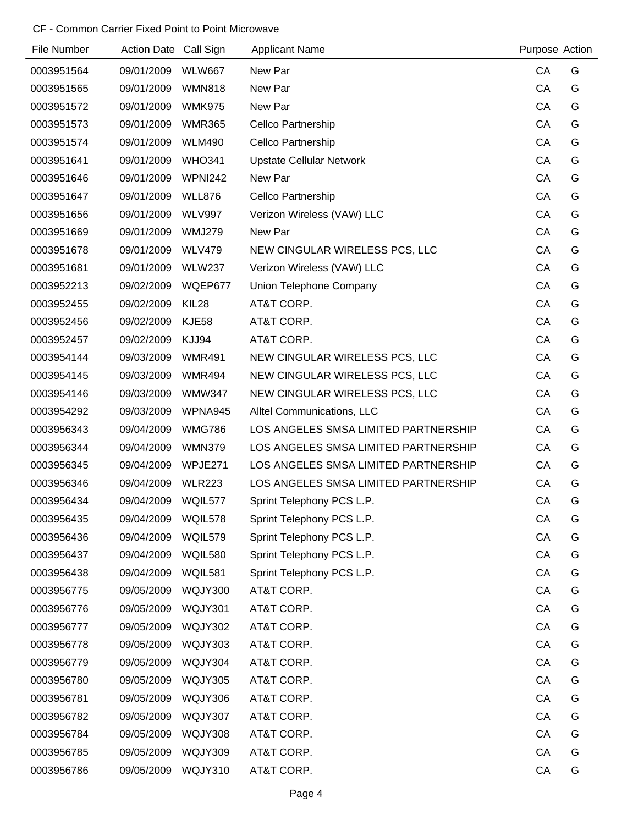| File Number | Action Date Call Sign |                | <b>Applicant Name</b>                | Purpose Action |   |
|-------------|-----------------------|----------------|--------------------------------------|----------------|---|
| 0003951564  | 09/01/2009            | <b>WLW667</b>  | New Par                              | CA             | G |
| 0003951565  | 09/01/2009            | <b>WMN818</b>  | New Par                              | CA             | G |
| 0003951572  | 09/01/2009            | <b>WMK975</b>  | New Par                              | CA             | G |
| 0003951573  | 09/01/2009            | <b>WMR365</b>  | Cellco Partnership                   | CA             | G |
| 0003951574  | 09/01/2009            | <b>WLM490</b>  | Cellco Partnership                   | CA             | G |
| 0003951641  | 09/01/2009            | <b>WHO341</b>  | <b>Upstate Cellular Network</b>      | CA             | G |
| 0003951646  | 09/01/2009            | <b>WPNI242</b> | New Par                              | CA             | G |
| 0003951647  | 09/01/2009            | <b>WLL876</b>  | Cellco Partnership                   | CA             | G |
| 0003951656  | 09/01/2009            | <b>WLV997</b>  | Verizon Wireless (VAW) LLC           | CA             | G |
| 0003951669  | 09/01/2009            | <b>WMJ279</b>  | New Par                              | CA             | G |
| 0003951678  | 09/01/2009            | <b>WLV479</b>  | NEW CINGULAR WIRELESS PCS, LLC       | CA             | G |
| 0003951681  | 09/01/2009            | <b>WLW237</b>  | Verizon Wireless (VAW) LLC           | CA             | G |
| 0003952213  | 09/02/2009            | WQEP677        | Union Telephone Company              | CA             | G |
| 0003952455  | 09/02/2009            | KIL28          | AT&T CORP.                           | CA             | G |
| 0003952456  | 09/02/2009            | <b>KJE58</b>   | AT&T CORP.                           | CA             | G |
| 0003952457  | 09/02/2009            | KJJ94          | AT&T CORP.                           | CA             | G |
| 0003954144  | 09/03/2009            | <b>WMR491</b>  | NEW CINGULAR WIRELESS PCS, LLC       | CA             | G |
| 0003954145  | 09/03/2009            | <b>WMR494</b>  | NEW CINGULAR WIRELESS PCS, LLC       | CA             | G |
| 0003954146  | 09/03/2009            | <b>WMW347</b>  | NEW CINGULAR WIRELESS PCS, LLC       | CA             | G |
| 0003954292  | 09/03/2009            | WPNA945        | Alltel Communications, LLC           | CA             | G |
| 0003956343  | 09/04/2009            | <b>WMG786</b>  | LOS ANGELES SMSA LIMITED PARTNERSHIP | CA             | G |
| 0003956344  | 09/04/2009            | <b>WMN379</b>  | LOS ANGELES SMSA LIMITED PARTNERSHIP | CA             | G |
| 0003956345  | 09/04/2009            | WPJE271        | LOS ANGELES SMSA LIMITED PARTNERSHIP | CA             | G |
| 0003956346  | 09/04/2009            | <b>WLR223</b>  | LOS ANGELES SMSA LIMITED PARTNERSHIP | CA             | G |
| 0003956434  | 09/04/2009            | WQIL577        | Sprint Telephony PCS L.P.            | CA             | G |
| 0003956435  | 09/04/2009            | WQIL578        | Sprint Telephony PCS L.P.            | CA             | G |
| 0003956436  | 09/04/2009            | WQIL579        | Sprint Telephony PCS L.P.            | CA             | G |
| 0003956437  | 09/04/2009            | WQIL580        | Sprint Telephony PCS L.P.            | CA             | G |
| 0003956438  | 09/04/2009            | WQIL581        | Sprint Telephony PCS L.P.            | CA             | G |
| 0003956775  | 09/05/2009            | <b>WQJY300</b> | AT&T CORP.                           | CA             | G |
| 0003956776  | 09/05/2009            | WQJY301        | AT&T CORP.                           | CA             | G |
| 0003956777  | 09/05/2009            | <b>WQJY302</b> | AT&T CORP.                           | CA             | G |
| 0003956778  | 09/05/2009            | WQJY303        | AT&T CORP.                           | CA             | G |
| 0003956779  | 09/05/2009            | WQJY304        | AT&T CORP.                           | CA             | G |
| 0003956780  | 09/05/2009            | WQJY305        | AT&T CORP.                           | CA             | G |
| 0003956781  | 09/05/2009            | WQJY306        | AT&T CORP.                           | CA             | G |
| 0003956782  | 09/05/2009            | WQJY307        | AT&T CORP.                           | CA             | G |
| 0003956784  | 09/05/2009            | WQJY308        | AT&T CORP.                           | CA             | G |
| 0003956785  | 09/05/2009            | WQJY309        | AT&T CORP.                           | CA             | G |
| 0003956786  | 09/05/2009            | WQJY310        | AT&T CORP.                           | CA             | G |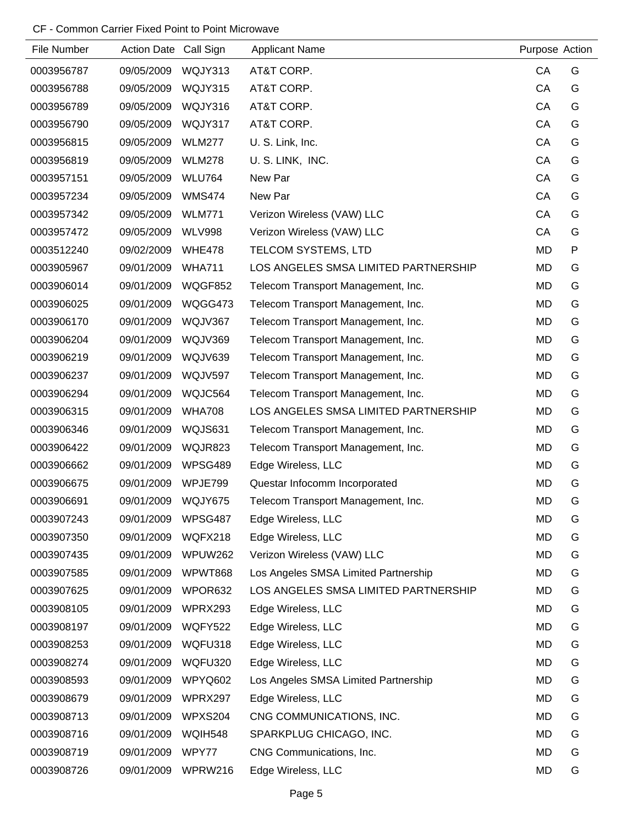| File Number | Action Date Call Sign |                | <b>Applicant Name</b>                | Purpose Action |   |
|-------------|-----------------------|----------------|--------------------------------------|----------------|---|
| 0003956787  | 09/05/2009            | WQJY313        | AT&T CORP.                           | CA             | G |
| 0003956788  | 09/05/2009            | WQJY315        | AT&T CORP.                           | CA             | G |
| 0003956789  | 09/05/2009            | WQJY316        | AT&T CORP.                           | CA             | G |
| 0003956790  | 09/05/2009            | WQJY317        | AT&T CORP.                           | CA             | G |
| 0003956815  | 09/05/2009            | <b>WLM277</b>  | U. S. Link, Inc.                     | CA             | G |
| 0003956819  | 09/05/2009            | <b>WLM278</b>  | U.S. LINK, INC.                      | CA             | G |
| 0003957151  | 09/05/2009            | <b>WLU764</b>  | New Par                              | CA             | G |
| 0003957234  | 09/05/2009            | <b>WMS474</b>  | New Par                              | CA             | G |
| 0003957342  | 09/05/2009            | <b>WLM771</b>  | Verizon Wireless (VAW) LLC           | CA             | G |
| 0003957472  | 09/05/2009            | <b>WLV998</b>  | Verizon Wireless (VAW) LLC           | CA             | G |
| 0003512240  | 09/02/2009            | <b>WHE478</b>  | TELCOM SYSTEMS, LTD                  | <b>MD</b>      | P |
| 0003905967  | 09/01/2009            | <b>WHA711</b>  | LOS ANGELES SMSA LIMITED PARTNERSHIP | <b>MD</b>      | G |
| 0003906014  | 09/01/2009            | WQGF852        | Telecom Transport Management, Inc.   | <b>MD</b>      | G |
| 0003906025  | 09/01/2009            | WQGG473        | Telecom Transport Management, Inc.   | <b>MD</b>      | G |
| 0003906170  | 09/01/2009            | WQJV367        | Telecom Transport Management, Inc.   | <b>MD</b>      | G |
| 0003906204  | 09/01/2009            | WQJV369        | Telecom Transport Management, Inc.   | <b>MD</b>      | G |
| 0003906219  | 09/01/2009            | WQJV639        | Telecom Transport Management, Inc.   | MD             | G |
| 0003906237  | 09/01/2009            | <b>WQJV597</b> | Telecom Transport Management, Inc.   | <b>MD</b>      | G |
| 0003906294  | 09/01/2009            | WQJC564        | Telecom Transport Management, Inc.   | <b>MD</b>      | G |
| 0003906315  | 09/01/2009            | <b>WHA708</b>  | LOS ANGELES SMSA LIMITED PARTNERSHIP | <b>MD</b>      | G |
| 0003906346  | 09/01/2009            | WQJS631        | Telecom Transport Management, Inc.   | <b>MD</b>      | G |
| 0003906422  | 09/01/2009            | WQJR823        | Telecom Transport Management, Inc.   | <b>MD</b>      | G |
| 0003906662  | 09/01/2009            | WPSG489        | Edge Wireless, LLC                   | <b>MD</b>      | G |
| 0003906675  | 09/01/2009            | WPJE799        | Questar Infocomm Incorporated        | <b>MD</b>      | G |
| 0003906691  | 09/01/2009            | WQJY675        | Telecom Transport Management, Inc.   | <b>MD</b>      | G |
| 0003907243  | 09/01/2009            | WPSG487        | Edge Wireless, LLC                   | MD             | G |
| 0003907350  | 09/01/2009            | WQFX218        | Edge Wireless, LLC                   | <b>MD</b>      | G |
| 0003907435  | 09/01/2009            | WPUW262        | Verizon Wireless (VAW) LLC           | <b>MD</b>      | G |
| 0003907585  | 09/01/2009            | WPWT868        | Los Angeles SMSA Limited Partnership | <b>MD</b>      | G |
| 0003907625  | 09/01/2009            | WPOR632        | LOS ANGELES SMSA LIMITED PARTNERSHIP | MD             | G |
| 0003908105  | 09/01/2009            | WPRX293        | Edge Wireless, LLC                   | <b>MD</b>      | G |
| 0003908197  | 09/01/2009            | <b>WQFY522</b> | Edge Wireless, LLC                   | MD             | G |
| 0003908253  | 09/01/2009            | WQFU318        | Edge Wireless, LLC                   | <b>MD</b>      | G |
| 0003908274  | 09/01/2009            | WQFU320        | Edge Wireless, LLC                   | <b>MD</b>      | G |
| 0003908593  | 09/01/2009            | WPYQ602        | Los Angeles SMSA Limited Partnership | <b>MD</b>      | G |
| 0003908679  | 09/01/2009            | WPRX297        | Edge Wireless, LLC                   | <b>MD</b>      | G |
| 0003908713  | 09/01/2009            | WPXS204        | CNG COMMUNICATIONS, INC.             | MD             | G |
| 0003908716  | 09/01/2009            | WQIH548        | SPARKPLUG CHICAGO, INC.              | <b>MD</b>      | G |
| 0003908719  | 09/01/2009            | WPY77          | CNG Communications, Inc.             | <b>MD</b>      | G |
| 0003908726  | 09/01/2009            | WPRW216        | Edge Wireless, LLC                   | <b>MD</b>      | G |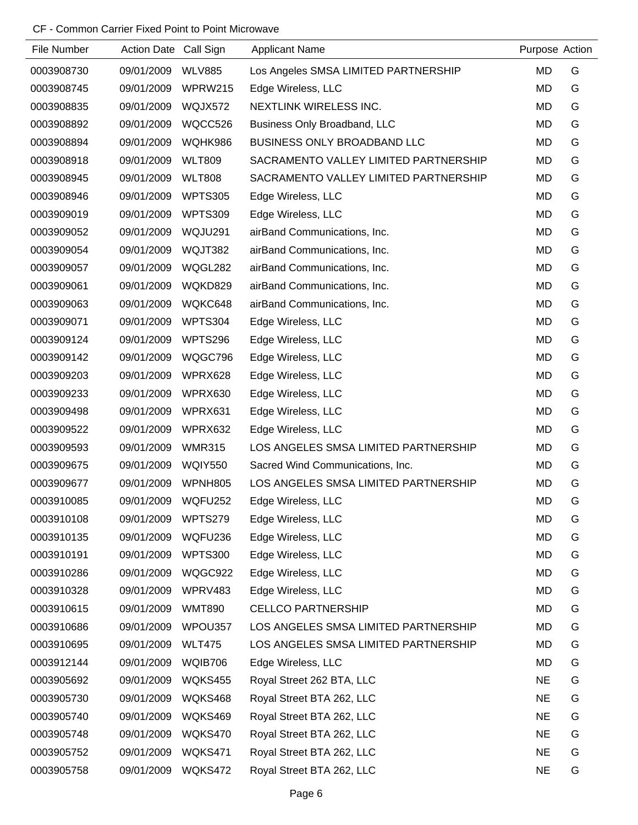| File Number | Action Date Call Sign |                | <b>Applicant Name</b>                 | Purpose Action |   |
|-------------|-----------------------|----------------|---------------------------------------|----------------|---|
| 0003908730  | 09/01/2009            | <b>WLV885</b>  | Los Angeles SMSA LIMITED PARTNERSHIP  | <b>MD</b>      | G |
| 0003908745  | 09/01/2009            | WPRW215        | Edge Wireless, LLC                    | MD             | G |
| 0003908835  | 09/01/2009            | WQJX572        | NEXTLINK WIRELESS INC.                | MD             | G |
| 0003908892  | 09/01/2009            | WQCC526        | Business Only Broadband, LLC          | <b>MD</b>      | G |
| 0003908894  | 09/01/2009            | WQHK986        | BUSINESS ONLY BROADBAND LLC           | <b>MD</b>      | G |
| 0003908918  | 09/01/2009            | <b>WLT809</b>  | SACRAMENTO VALLEY LIMITED PARTNERSHIP | <b>MD</b>      | G |
| 0003908945  | 09/01/2009            | <b>WLT808</b>  | SACRAMENTO VALLEY LIMITED PARTNERSHIP | <b>MD</b>      | G |
| 0003908946  | 09/01/2009            | <b>WPTS305</b> | Edge Wireless, LLC                    | <b>MD</b>      | G |
| 0003909019  | 09/01/2009            | <b>WPTS309</b> | Edge Wireless, LLC                    | <b>MD</b>      | G |
| 0003909052  | 09/01/2009            | WQJU291        | airBand Communications, Inc.          | MD             | G |
| 0003909054  | 09/01/2009            | WQJT382        | airBand Communications, Inc.          | <b>MD</b>      | G |
| 0003909057  | 09/01/2009            | WQGL282        | airBand Communications, Inc.          | <b>MD</b>      | G |
| 0003909061  | 09/01/2009            | WQKD829        | airBand Communications, Inc.          | <b>MD</b>      | G |
| 0003909063  | 09/01/2009            | WQKC648        | airBand Communications, Inc.          | <b>MD</b>      | G |
| 0003909071  | 09/01/2009            | WPTS304        | Edge Wireless, LLC                    | MD             | G |
| 0003909124  | 09/01/2009            | WPTS296        | Edge Wireless, LLC                    | <b>MD</b>      | G |
| 0003909142  | 09/01/2009            | WQGC796        | Edge Wireless, LLC                    | <b>MD</b>      | G |
| 0003909203  | 09/01/2009            | WPRX628        | Edge Wireless, LLC                    | <b>MD</b>      | G |
| 0003909233  | 09/01/2009            | WPRX630        | Edge Wireless, LLC                    | MD             | G |
| 0003909498  | 09/01/2009            | WPRX631        | Edge Wireless, LLC                    | <b>MD</b>      | G |
| 0003909522  | 09/01/2009            | WPRX632        | Edge Wireless, LLC                    | <b>MD</b>      | G |
| 0003909593  | 09/01/2009            | <b>WMR315</b>  | LOS ANGELES SMSA LIMITED PARTNERSHIP  | <b>MD</b>      | G |
| 0003909675  | 09/01/2009            | <b>WQIY550</b> | Sacred Wind Communications, Inc.      | <b>MD</b>      | G |
| 0003909677  | 09/01/2009            | WPNH805        | LOS ANGELES SMSA LIMITED PARTNERSHIP  | <b>MD</b>      | G |
| 0003910085  | 09/01/2009            | WQFU252        | Edge Wireless, LLC                    | MD             | G |
| 0003910108  | 09/01/2009            | WPTS279        | Edge Wireless, LLC                    | <b>MD</b>      | G |
| 0003910135  | 09/01/2009            | WQFU236        | Edge Wireless, LLC                    | <b>MD</b>      | G |
| 0003910191  | 09/01/2009            | <b>WPTS300</b> | Edge Wireless, LLC                    | <b>MD</b>      | G |
| 0003910286  | 09/01/2009            | WQGC922        | Edge Wireless, LLC                    | <b>MD</b>      | G |
| 0003910328  | 09/01/2009            | WPRV483        | Edge Wireless, LLC                    | MD             | G |
| 0003910615  | 09/01/2009            | <b>WMT890</b>  | <b>CELLCO PARTNERSHIP</b>             | <b>MD</b>      | G |
| 0003910686  | 09/01/2009            | WPOU357        | LOS ANGELES SMSA LIMITED PARTNERSHIP  | MD             | G |
| 0003910695  | 09/01/2009            | <b>WLT475</b>  | LOS ANGELES SMSA LIMITED PARTNERSHIP  | <b>MD</b>      | G |
| 0003912144  | 09/01/2009            | WQIB706        | Edge Wireless, LLC                    | MD             | G |
| 0003905692  | 09/01/2009            | WQKS455        | Royal Street 262 BTA, LLC             | <b>NE</b>      | G |
| 0003905730  | 09/01/2009            | WQKS468        | Royal Street BTA 262, LLC             | <b>NE</b>      | G |
| 0003905740  | 09/01/2009            | WQKS469        | Royal Street BTA 262, LLC             | <b>NE</b>      | G |
| 0003905748  | 09/01/2009            | WQKS470        | Royal Street BTA 262, LLC             | <b>NE</b>      | G |
| 0003905752  | 09/01/2009            | WQKS471        | Royal Street BTA 262, LLC             | <b>NE</b>      | G |
| 0003905758  | 09/01/2009            | WQKS472        | Royal Street BTA 262, LLC             | <b>NE</b>      | G |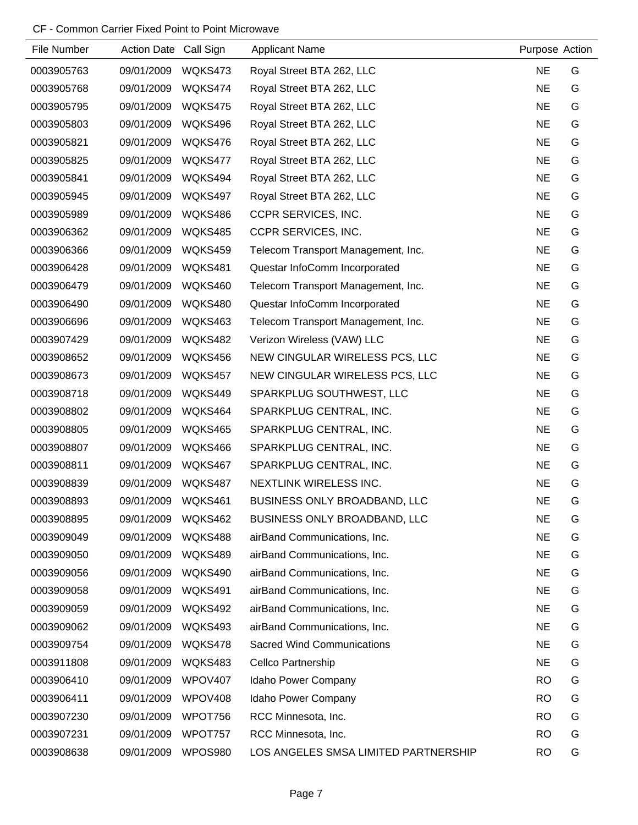| File Number | Action Date Call Sign |                | <b>Applicant Name</b>                | Purpose Action |   |
|-------------|-----------------------|----------------|--------------------------------------|----------------|---|
| 0003905763  | 09/01/2009            | WQKS473        | Royal Street BTA 262, LLC            | <b>NE</b>      | G |
| 0003905768  | 09/01/2009            | WQKS474        | Royal Street BTA 262, LLC            | <b>NE</b>      | G |
| 0003905795  | 09/01/2009            | WQKS475        | Royal Street BTA 262, LLC            | <b>NE</b>      | G |
| 0003905803  | 09/01/2009            | WQKS496        | Royal Street BTA 262, LLC            | <b>NE</b>      | G |
| 0003905821  | 09/01/2009            | WQKS476        | Royal Street BTA 262, LLC            | <b>NE</b>      | G |
| 0003905825  | 09/01/2009            | WQKS477        | Royal Street BTA 262, LLC            | <b>NE</b>      | G |
| 0003905841  | 09/01/2009            | WQKS494        | Royal Street BTA 262, LLC            | <b>NE</b>      | G |
| 0003905945  | 09/01/2009            | WQKS497        | Royal Street BTA 262, LLC            | <b>NE</b>      | G |
| 0003905989  | 09/01/2009            | WQKS486        | CCPR SERVICES, INC.                  | <b>NE</b>      | G |
| 0003906362  | 09/01/2009            | WQKS485        | CCPR SERVICES, INC.                  | <b>NE</b>      | G |
| 0003906366  | 09/01/2009            | WQKS459        | Telecom Transport Management, Inc.   | <b>NE</b>      | G |
| 0003906428  | 09/01/2009            | WQKS481        | Questar InfoComm Incorporated        | <b>NE</b>      | G |
| 0003906479  | 09/01/2009            | WQKS460        | Telecom Transport Management, Inc.   | <b>NE</b>      | G |
| 0003906490  | 09/01/2009            | WQKS480        | Questar InfoComm Incorporated        | <b>NE</b>      | G |
| 0003906696  | 09/01/2009            | WQKS463        | Telecom Transport Management, Inc.   | <b>NE</b>      | G |
| 0003907429  | 09/01/2009            | WQKS482        | Verizon Wireless (VAW) LLC           | <b>NE</b>      | G |
| 0003908652  | 09/01/2009            | WQKS456        | NEW CINGULAR WIRELESS PCS, LLC       | <b>NE</b>      | G |
| 0003908673  | 09/01/2009            | WQKS457        | NEW CINGULAR WIRELESS PCS, LLC       | <b>NE</b>      | G |
| 0003908718  | 09/01/2009            | WQKS449        | SPARKPLUG SOUTHWEST, LLC             | <b>NE</b>      | G |
| 0003908802  | 09/01/2009            | WQKS464        | SPARKPLUG CENTRAL, INC.              | <b>NE</b>      | G |
| 0003908805  | 09/01/2009            | WQKS465        | SPARKPLUG CENTRAL, INC.              | <b>NE</b>      | G |
| 0003908807  | 09/01/2009            | WQKS466        | SPARKPLUG CENTRAL, INC.              | <b>NE</b>      | G |
| 0003908811  | 09/01/2009            | WQKS467        | SPARKPLUG CENTRAL, INC.              | <b>NE</b>      | G |
| 0003908839  | 09/01/2009            | WQKS487        | NEXTLINK WIRELESS INC.               | <b>NE</b>      | G |
| 0003908893  | 09/01/2009            | WQKS461        | BUSINESS ONLY BROADBAND, LLC         | <b>NE</b>      | G |
| 0003908895  | 09/01/2009            | WQKS462        | <b>BUSINESS ONLY BROADBAND, LLC</b>  | <b>NE</b>      | G |
| 0003909049  | 09/01/2009            | WQKS488        | airBand Communications, Inc.         | <b>NE</b>      | G |
| 0003909050  | 09/01/2009            | WQKS489        | airBand Communications, Inc.         | <b>NE</b>      | G |
| 0003909056  | 09/01/2009            | WQKS490        | airBand Communications, Inc.         | <b>NE</b>      | G |
| 0003909058  | 09/01/2009            | WQKS491        | airBand Communications, Inc.         | <b>NE</b>      | G |
| 0003909059  | 09/01/2009            | WQKS492        | airBand Communications, Inc.         | <b>NE</b>      | G |
| 0003909062  | 09/01/2009            | WQKS493        | airBand Communications, Inc.         | <b>NE</b>      | G |
| 0003909754  | 09/01/2009            | WQKS478        | <b>Sacred Wind Communications</b>    | <b>NE</b>      | G |
| 0003911808  | 09/01/2009            | WQKS483        | Cellco Partnership                   | <b>NE</b>      | G |
| 0003906410  | 09/01/2009            | WPOV407        | Idaho Power Company                  | <b>RO</b>      | G |
| 0003906411  | 09/01/2009            | WPOV408        | Idaho Power Company                  | <b>RO</b>      | G |
| 0003907230  | 09/01/2009            | WPOT756        | RCC Minnesota, Inc.                  | <b>RO</b>      | G |
| 0003907231  | 09/01/2009            | WPOT757        | RCC Minnesota, Inc.                  | <b>RO</b>      | G |
| 0003908638  | 09/01/2009            | <b>WPOS980</b> | LOS ANGELES SMSA LIMITED PARTNERSHIP | <b>RO</b>      | G |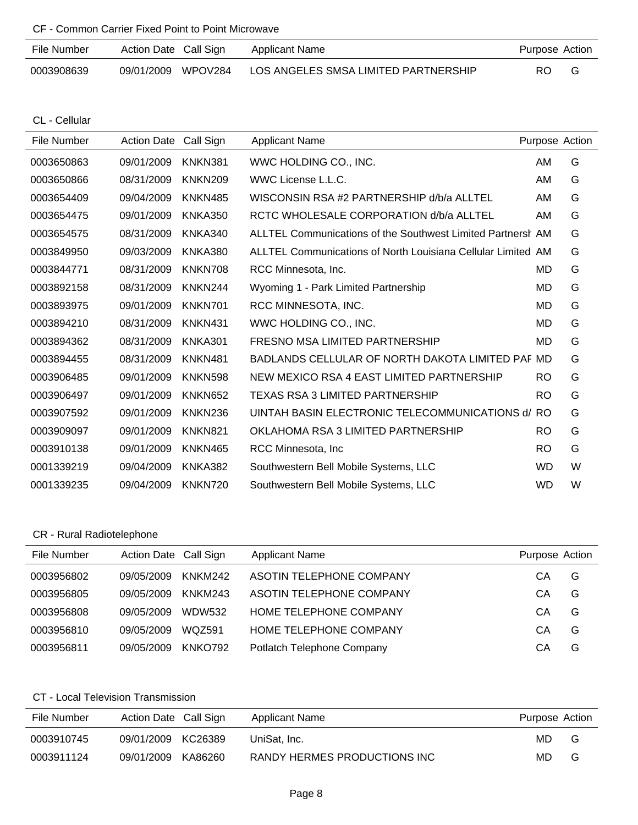| CF - Common Carrier Fixed Point to Point Microwave |  |  |
|----------------------------------------------------|--|--|
|----------------------------------------------------|--|--|

| File Number | Action Date Call Sign |         | <b>Applicant Name</b>                | Purpose Action |   |
|-------------|-----------------------|---------|--------------------------------------|----------------|---|
| 0003908639  | 09/01/2009            | WPOV284 | LOS ANGELES SMSA LIMITED PARTNERSHIP | RO.            | G |

CL - Cellular

| File Number | <b>Action Date</b> | Call Sign      | <b>Applicant Name</b>                                        | Purpose Action |   |
|-------------|--------------------|----------------|--------------------------------------------------------------|----------------|---|
| 0003650863  | 09/01/2009         | KNKN381        | WWC HOLDING CO., INC.                                        | AM             | G |
| 0003650866  | 08/31/2009         | <b>KNKN209</b> | WWC License L.L.C.                                           | AM             | G |
| 0003654409  | 09/04/2009         | KNKN485        | WISCONSIN RSA #2 PARTNERSHIP d/b/a ALLTEL                    | AM             | G |
| 0003654475  | 09/01/2009         | <b>KNKA350</b> | RCTC WHOLESALE CORPORATION d/b/a ALLTEL                      | AM             | G |
| 0003654575  | 08/31/2009         | KNKA340        | ALLTEL Communications of the Southwest Limited Partnersh AM  |                | G |
| 0003849950  | 09/03/2009         | <b>KNKA380</b> | ALLTEL Communications of North Louisiana Cellular Limited AM |                | G |
| 0003844771  | 08/31/2009         | KNKN708        | RCC Minnesota, Inc.                                          | MD             | G |
| 0003892158  | 08/31/2009         | KNKN244        | Wyoming 1 - Park Limited Partnership                         | MD             | G |
| 0003893975  | 09/01/2009         | KNKN701        | RCC MINNESOTA, INC.                                          | MD             | G |
| 0003894210  | 08/31/2009         | KNKN431        | WWC HOLDING CO., INC.                                        | MD             | G |
| 0003894362  | 08/31/2009         | KNKA301        | FRESNO MSA LIMITED PARTNERSHIP                               | MD             | G |
| 0003894455  | 08/31/2009         | KNKN481        | BADLANDS CELLULAR OF NORTH DAKOTA LIMITED PAF MD             |                | G |
| 0003906485  | 09/01/2009         | <b>KNKN598</b> | NEW MEXICO RSA 4 EAST LIMITED PARTNERSHIP                    | RO             | G |
| 0003906497  | 09/01/2009         | <b>KNKN652</b> | TEXAS RSA 3 LIMITED PARTNERSHIP                              | <b>RO</b>      | G |
| 0003907592  | 09/01/2009         | KNKN236        | UINTAH BASIN ELECTRONIC TELECOMMUNICATIONS d/                | <b>RO</b>      | G |
| 0003909097  | 09/01/2009         | KNKN821        | OKLAHOMA RSA 3 LIMITED PARTNERSHIP                           | <b>RO</b>      | G |
| 0003910138  | 09/01/2009         | KNKN465        | RCC Minnesota, Inc.                                          | <b>RO</b>      | G |
| 0001339219  | 09/04/2009         | KNKA382        | Southwestern Bell Mobile Systems, LLC                        | <b>WD</b>      | W |
| 0001339235  | 09/04/2009         | KNKN720        | Southwestern Bell Mobile Systems, LLC                        | <b>WD</b>      | W |

## CR - Rural Radiotelephone

| File Number | Action Date Call Sign |               | <b>Applicant Name</b>      | Purpose Action |   |
|-------------|-----------------------|---------------|----------------------------|----------------|---|
| 0003956802  | 09/05/2009            | KNKM242       | ASOTIN TELEPHONE COMPANY   | CА             | G |
| 0003956805  | 09/05/2009            | KNKM243       | ASOTIN TELEPHONE COMPANY   | CА             | G |
| 0003956808  | 09/05/2009            | <b>WDW532</b> | HOME TELEPHONE COMPANY     | CА             | G |
| 0003956810  | 09/05/2009            | <b>WOZ591</b> | HOME TELEPHONE COMPANY     | CА             | G |
| 0003956811  | 09/05/2009            | KNKO792       | Potlatch Telephone Company | CА             | G |

## CT - Local Television Transmission

| File Number | Action Date Call Sign | Applicant Name               | Purpose Action |   |
|-------------|-----------------------|------------------------------|----------------|---|
| 0003910745  | 09/01/2009 KC26389    | UniSat. Inc.                 | MD.            | G |
| 0003911124  | 09/01/2009<br>KA86260 | RANDY HERMES PRODUCTIONS INC | MD.            | G |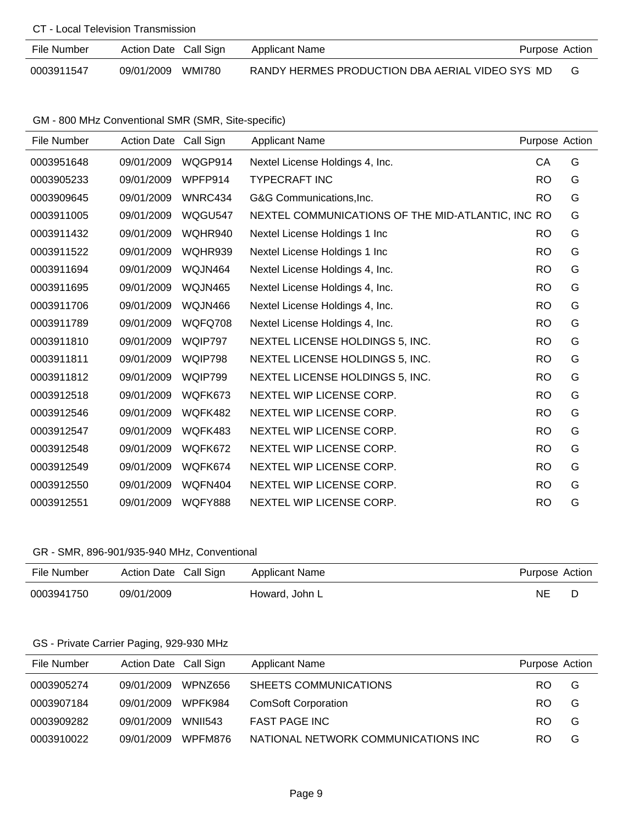#### CT - Local Television Transmission

| File Number | Action Date Call Sign | Applicant Name                                  | Purpose Action |  |
|-------------|-----------------------|-------------------------------------------------|----------------|--|
| 0003911547  | 09/01/2009 WMI780     | RANDY HERMES PRODUCTION DBA AERIAL VIDEO SYS MD |                |  |

GM - 800 MHz Conventional SMR (SMR, Site-specific)

| File Number | <b>Action Date</b> | Call Sign      | <b>Applicant Name</b>                             | Purpose Action |   |
|-------------|--------------------|----------------|---------------------------------------------------|----------------|---|
| 0003951648  | 09/01/2009         | WQGP914        | Nextel License Holdings 4, Inc.                   | CA             | G |
| 0003905233  | 09/01/2009         | WPFP914        | <b>TYPECRAFT INC</b>                              | <b>RO</b>      | G |
| 0003909645  | 09/01/2009         | WNRC434        | G&G Communications, Inc.                          | <b>RO</b>      | G |
| 0003911005  | 09/01/2009         | WQGU547        | NEXTEL COMMUNICATIONS OF THE MID-ATLANTIC, INC RO |                | G |
| 0003911432  | 09/01/2009         | WQHR940        | Nextel License Holdings 1 Inc                     | <b>RO</b>      | G |
| 0003911522  | 09/01/2009         | WQHR939        | Nextel License Holdings 1 Inc                     | <b>RO</b>      | G |
| 0003911694  | 09/01/2009         | WQJN464        | Nextel License Holdings 4, Inc.                   | <b>RO</b>      | G |
| 0003911695  | 09/01/2009         | WQJN465        | Nextel License Holdings 4, Inc.                   | <b>RO</b>      | G |
| 0003911706  | 09/01/2009         | WQJN466        | Nextel License Holdings 4, Inc.                   | <b>RO</b>      | G |
| 0003911789  | 09/01/2009         | WQFQ708        | Nextel License Holdings 4, Inc.                   | <b>RO</b>      | G |
| 0003911810  | 09/01/2009         | WQIP797        | NEXTEL LICENSE HOLDINGS 5, INC.                   | <b>RO</b>      | G |
| 0003911811  | 09/01/2009         | WQIP798        | NEXTEL LICENSE HOLDINGS 5, INC.                   | <b>RO</b>      | G |
| 0003911812  | 09/01/2009         | WQIP799        | NEXTEL LICENSE HOLDINGS 5, INC.                   | <b>RO</b>      | G |
| 0003912518  | 09/01/2009         | WQFK673        | NEXTEL WIP LICENSE CORP.                          | <b>RO</b>      | G |
| 0003912546  | 09/01/2009         | WQFK482        | NEXTEL WIP LICENSE CORP.                          | <b>RO</b>      | G |
| 0003912547  | 09/01/2009         | WQFK483        | NEXTEL WIP LICENSE CORP.                          | <b>RO</b>      | G |
| 0003912548  | 09/01/2009         | WQFK672        | NEXTEL WIP LICENSE CORP.                          | <b>RO</b>      | G |
| 0003912549  | 09/01/2009         | WQFK674        | NEXTEL WIP LICENSE CORP.                          | <b>RO</b>      | G |
| 0003912550  | 09/01/2009         | WQFN404        | NEXTEL WIP LICENSE CORP.                          | <b>RO</b>      | G |
| 0003912551  | 09/01/2009         | <b>WQFY888</b> | NEXTEL WIP LICENSE CORP.                          | <b>RO</b>      | G |

## GR - SMR, 896-901/935-940 MHz, Conventional

| File Number | Action Date Call Sign | Applicant Name | Purpose Action |  |
|-------------|-----------------------|----------------|----------------|--|
| 0003941750  | 09/01/2009            | Howard, John L | ΝE             |  |

## GS - Private Carrier Paging, 929-930 MHz

| File Number | Action Date Call Sign |                | Applicant Name                      | Purpose Action |   |
|-------------|-----------------------|----------------|-------------------------------------|----------------|---|
| 0003905274  | 09/01/2009            | WPNZ656        | SHEETS COMMUNICATIONS               | RO.            | G |
| 0003907184  | 09/01/2009            | WPFK984        | <b>ComSoft Corporation</b>          | RO.            | G |
| 0003909282  | 09/01/2009            | <b>WNII543</b> | <b>FAST PAGE INC</b>                | RO.            | G |
| 0003910022  | 09/01/2009            | WPFM876        | NATIONAL NETWORK COMMUNICATIONS INC | RO.            | G |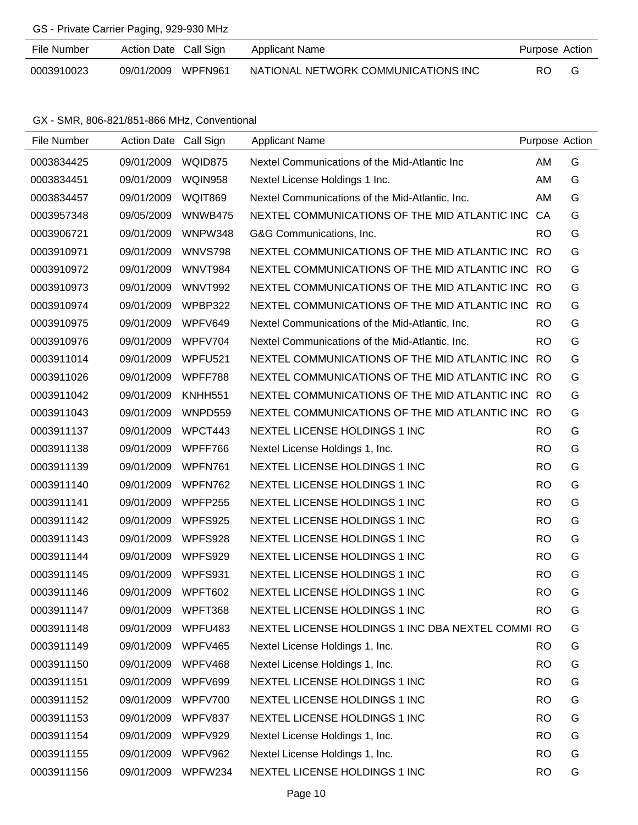# GS - Private Carrier Paging, 929-930 MHz

| File Number | Action Date Call Sign | Applicant Name                      | Purpose Action |  |
|-------------|-----------------------|-------------------------------------|----------------|--|
| 0003910023  | 09/01/2009 WPFN961    | NATIONAL NETWORK COMMUNICATIONS INC | RO.            |  |

GX - SMR, 806-821/851-866 MHz, Conventional

| File Number | <b>Action Date</b> | Call Sign      | <b>Applicant Name</b>                             |           | Purpose Action |
|-------------|--------------------|----------------|---------------------------------------------------|-----------|----------------|
| 0003834425  | 09/01/2009         | WQID875        | Nextel Communications of the Mid-Atlantic Inc     | AM        | G              |
| 0003834451  | 09/01/2009         | <b>WQIN958</b> | Nextel License Holdings 1 Inc.                    | AM        | G              |
| 0003834457  | 09/01/2009         | <b>WQIT869</b> | Nextel Communications of the Mid-Atlantic, Inc.   | AM        | G              |
| 0003957348  | 09/05/2009         | WNWB475        | NEXTEL COMMUNICATIONS OF THE MID ATLANTIC INC     | CA        | G              |
| 0003906721  | 09/01/2009         | WNPW348        | G&G Communications, Inc.                          | <b>RO</b> | G              |
| 0003910971  | 09/01/2009         | <b>WNVS798</b> | NEXTEL COMMUNICATIONS OF THE MID ATLANTIC INC     | <b>RO</b> | G              |
| 0003910972  | 09/01/2009         | WNVT984        | NEXTEL COMMUNICATIONS OF THE MID ATLANTIC INC RO  |           | G              |
| 0003910973  | 09/01/2009         | WNVT992        | NEXTEL COMMUNICATIONS OF THE MID ATLANTIC INC RO  |           | G              |
| 0003910974  | 09/01/2009         | WPBP322        | NEXTEL COMMUNICATIONS OF THE MID ATLANTIC INC     | <b>RO</b> | G              |
| 0003910975  | 09/01/2009         | WPFV649        | Nextel Communications of the Mid-Atlantic, Inc.   | <b>RO</b> | G              |
| 0003910976  | 09/01/2009         | WPFV704        | Nextel Communications of the Mid-Atlantic, Inc.   | <b>RO</b> | G              |
| 0003911014  | 09/01/2009         | WPFU521        | NEXTEL COMMUNICATIONS OF THE MID ATLANTIC INC     | <b>RO</b> | G              |
| 0003911026  | 09/01/2009         | WPFF788        | NEXTEL COMMUNICATIONS OF THE MID ATLANTIC INC     | <b>RO</b> | G              |
| 0003911042  | 09/01/2009         | <b>KNHH551</b> | NEXTEL COMMUNICATIONS OF THE MID ATLANTIC INC RO  |           | G              |
| 0003911043  | 09/01/2009         | WNPD559        | NEXTEL COMMUNICATIONS OF THE MID ATLANTIC INC     | - RO      | G              |
| 0003911137  | 09/01/2009         | WPCT443        | NEXTEL LICENSE HOLDINGS 1 INC                     | <b>RO</b> | G              |
| 0003911138  | 09/01/2009         | WPFF766        | Nextel License Holdings 1, Inc.                   | <b>RO</b> | G              |
| 0003911139  | 09/01/2009         | WPFN761        | NEXTEL LICENSE HOLDINGS 1 INC                     | <b>RO</b> | G              |
| 0003911140  | 09/01/2009         | WPFN762        | NEXTEL LICENSE HOLDINGS 1 INC                     | <b>RO</b> | G              |
| 0003911141  | 09/01/2009         | WPFP255        | NEXTEL LICENSE HOLDINGS 1 INC                     | <b>RO</b> | G              |
| 0003911142  | 09/01/2009         | <b>WPFS925</b> | NEXTEL LICENSE HOLDINGS 1 INC                     | <b>RO</b> | G              |
| 0003911143  | 09/01/2009         | WPFS928        | NEXTEL LICENSE HOLDINGS 1 INC                     | <b>RO</b> | G              |
| 0003911144  | 09/01/2009         | <b>WPFS929</b> | NEXTEL LICENSE HOLDINGS 1 INC                     | <b>RO</b> | G              |
| 0003911145  | 09/01/2009         | WPFS931        | NEXTEL LICENSE HOLDINGS 1 INC                     | <b>RO</b> | G              |
| 0003911146  | 09/01/2009         | WPFT602        | NEXTEL LICENSE HOLDINGS 1 INC                     | <b>RO</b> | G              |
| 0003911147  | 09/01/2009         | WPFT368        | NEXTEL LICENSE HOLDINGS 1 INC                     | <b>RO</b> | G              |
| 0003911148  | 09/01/2009         | WPFU483        | NEXTEL LICENSE HOLDINGS 1 INC DBA NEXTEL COMMI RO |           | G              |
| 0003911149  | 09/01/2009         | WPFV465        | Nextel License Holdings 1, Inc.                   | <b>RO</b> | G              |
| 0003911150  | 09/01/2009         | WPFV468        | Nextel License Holdings 1, Inc.                   | <b>RO</b> | G              |
| 0003911151  | 09/01/2009         | WPFV699        | NEXTEL LICENSE HOLDINGS 1 INC                     | <b>RO</b> | G              |
| 0003911152  | 09/01/2009         | WPFV700        | NEXTEL LICENSE HOLDINGS 1 INC                     | <b>RO</b> | G              |
| 0003911153  | 09/01/2009         | WPFV837        | NEXTEL LICENSE HOLDINGS 1 INC                     | <b>RO</b> | G              |
| 0003911154  | 09/01/2009         | WPFV929        | Nextel License Holdings 1, Inc.                   | <b>RO</b> | G              |
| 0003911155  | 09/01/2009         | WPFV962        | Nextel License Holdings 1, Inc.                   | <b>RO</b> | G              |
| 0003911156  | 09/01/2009         | WPFW234        | NEXTEL LICENSE HOLDINGS 1 INC                     | <b>RO</b> | G              |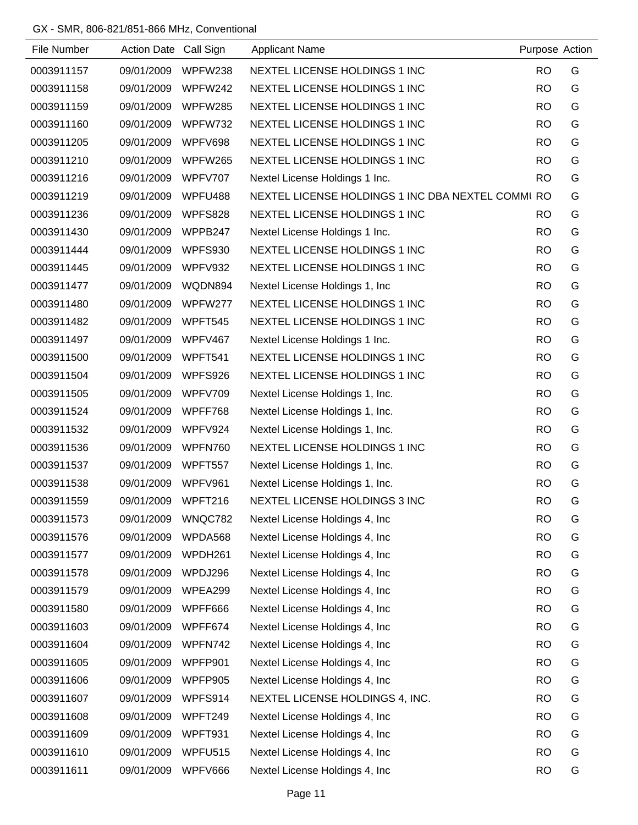## GX - SMR, 806-821/851-866 MHz, Conventional

| File Number | Action Date Call Sign |                | <b>Applicant Name</b>                             | Purpose Action |   |
|-------------|-----------------------|----------------|---------------------------------------------------|----------------|---|
| 0003911157  | 09/01/2009            | WPFW238        | NEXTEL LICENSE HOLDINGS 1 INC                     | <b>RO</b>      | G |
| 0003911158  | 09/01/2009            | WPFW242        | NEXTEL LICENSE HOLDINGS 1 INC                     | <b>RO</b>      | G |
| 0003911159  | 09/01/2009            | WPFW285        | NEXTEL LICENSE HOLDINGS 1 INC                     | <b>RO</b>      | G |
| 0003911160  | 09/01/2009            | WPFW732        | NEXTEL LICENSE HOLDINGS 1 INC                     | <b>RO</b>      | G |
| 0003911205  | 09/01/2009            | WPFV698        | NEXTEL LICENSE HOLDINGS 1 INC                     | <b>RO</b>      | G |
| 0003911210  | 09/01/2009            | WPFW265        | NEXTEL LICENSE HOLDINGS 1 INC                     | <b>RO</b>      | G |
| 0003911216  | 09/01/2009            | <b>WPFV707</b> | Nextel License Holdings 1 Inc.                    | <b>RO</b>      | G |
| 0003911219  | 09/01/2009            | WPFU488        | NEXTEL LICENSE HOLDINGS 1 INC DBA NEXTEL COMMI RO |                | G |
| 0003911236  | 09/01/2009            | <b>WPFS828</b> | NEXTEL LICENSE HOLDINGS 1 INC                     | <b>RO</b>      | G |
| 0003911430  | 09/01/2009            | WPPB247        | Nextel License Holdings 1 Inc.                    | <b>RO</b>      | G |
| 0003911444  | 09/01/2009            | WPFS930        | NEXTEL LICENSE HOLDINGS 1 INC                     | <b>RO</b>      | G |
| 0003911445  | 09/01/2009            | WPFV932        | NEXTEL LICENSE HOLDINGS 1 INC                     | <b>RO</b>      | G |
| 0003911477  | 09/01/2009            | WQDN894        | Nextel License Holdings 1, Inc.                   | <b>RO</b>      | G |
| 0003911480  | 09/01/2009            | WPFW277        | NEXTEL LICENSE HOLDINGS 1 INC                     | <b>RO</b>      | G |
| 0003911482  | 09/01/2009            | WPFT545        | NEXTEL LICENSE HOLDINGS 1 INC                     | <b>RO</b>      | G |
| 0003911497  | 09/01/2009            | WPFV467        | Nextel License Holdings 1 Inc.                    | <b>RO</b>      | G |
| 0003911500  | 09/01/2009            | WPFT541        | NEXTEL LICENSE HOLDINGS 1 INC                     | <b>RO</b>      | G |
| 0003911504  | 09/01/2009            | WPFS926        | NEXTEL LICENSE HOLDINGS 1 INC                     | <b>RO</b>      | G |
| 0003911505  | 09/01/2009            | WPFV709        | Nextel License Holdings 1, Inc.                   | <b>RO</b>      | G |
| 0003911524  | 09/01/2009            | WPFF768        | Nextel License Holdings 1, Inc.                   | <b>RO</b>      | G |
| 0003911532  | 09/01/2009            | WPFV924        | Nextel License Holdings 1, Inc.                   | <b>RO</b>      | G |
| 0003911536  | 09/01/2009            | WPFN760        | NEXTEL LICENSE HOLDINGS 1 INC                     | <b>RO</b>      | G |
| 0003911537  | 09/01/2009            | WPFT557        | Nextel License Holdings 1, Inc.                   | <b>RO</b>      | G |
| 0003911538  | 09/01/2009            | WPFV961        | Nextel License Holdings 1, Inc.                   | <b>RO</b>      | G |
| 0003911559  | 09/01/2009            | WPFT216        | NEXTEL LICENSE HOLDINGS 3 INC                     | <b>RO</b>      | G |
| 0003911573  | 09/01/2009            | WNQC782        | Nextel License Holdings 4, Inc.                   | <b>RO</b>      | G |
| 0003911576  | 09/01/2009            | WPDA568        | Nextel License Holdings 4, Inc.                   | <b>RO</b>      | G |
| 0003911577  | 09/01/2009            | WPDH261        | Nextel License Holdings 4, Inc.                   | <b>RO</b>      | G |
| 0003911578  | 09/01/2009            | WPDJ296        | Nextel License Holdings 4, Inc.                   | <b>RO</b>      | G |
| 0003911579  | 09/01/2009            | WPEA299        | Nextel License Holdings 4, Inc.                   | <b>RO</b>      | G |
| 0003911580  | 09/01/2009            | WPFF666        | Nextel License Holdings 4, Inc.                   | <b>RO</b>      | G |
| 0003911603  | 09/01/2009            | WPFF674        | Nextel License Holdings 4, Inc.                   | <b>RO</b>      | G |
| 0003911604  | 09/01/2009            | WPFN742        | Nextel License Holdings 4, Inc.                   | <b>RO</b>      | G |
| 0003911605  | 09/01/2009            | WPFP901        | Nextel License Holdings 4, Inc.                   | <b>RO</b>      | G |
| 0003911606  | 09/01/2009            | WPFP905        | Nextel License Holdings 4, Inc.                   | <b>RO</b>      | G |
| 0003911607  | 09/01/2009            | WPFS914        | NEXTEL LICENSE HOLDINGS 4, INC.                   | <b>RO</b>      | G |
| 0003911608  | 09/01/2009            | WPFT249        | Nextel License Holdings 4, Inc.                   | <b>RO</b>      | G |
| 0003911609  | 09/01/2009            | WPFT931        | Nextel License Holdings 4, Inc.                   | <b>RO</b>      | G |
| 0003911610  | 09/01/2009            | WPFU515        | Nextel License Holdings 4, Inc.                   | <b>RO</b>      | G |
| 0003911611  | 09/01/2009            | WPFV666        | Nextel License Holdings 4, Inc.                   | <b>RO</b>      | G |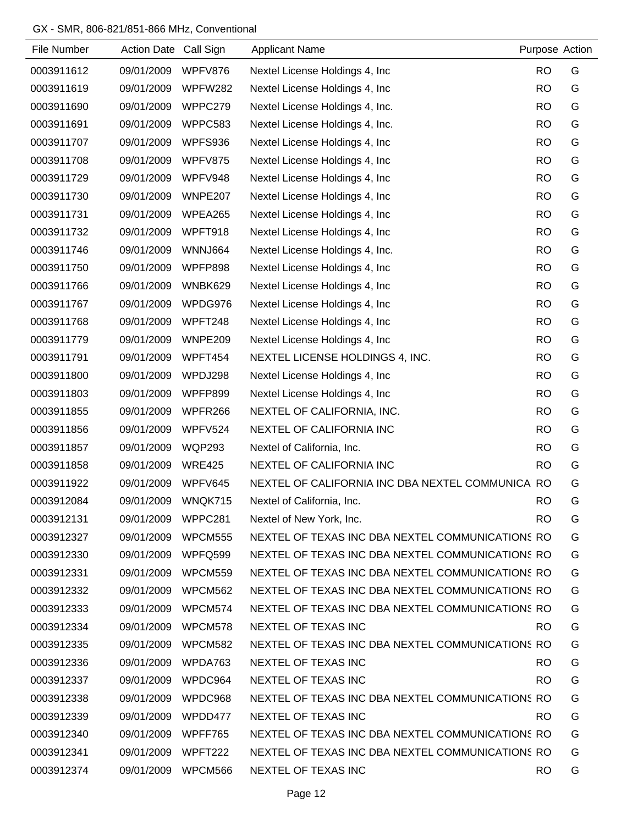## GX - SMR, 806-821/851-866 MHz, Conventional

| File Number | <b>Action Date</b> | Call Sign      | <b>Applicant Name</b>                            | Purpose Action |   |
|-------------|--------------------|----------------|--------------------------------------------------|----------------|---|
| 0003911612  | 09/01/2009         | WPFV876        | Nextel License Holdings 4, Inc.                  | <b>RO</b>      | G |
| 0003911619  | 09/01/2009         | WPFW282        | Nextel License Holdings 4, Inc                   | <b>RO</b>      | G |
| 0003911690  | 09/01/2009         | WPPC279        | Nextel License Holdings 4, Inc.                  | <b>RO</b>      | G |
| 0003911691  | 09/01/2009         | WPPC583        | Nextel License Holdings 4, Inc.                  | <b>RO</b>      | G |
| 0003911707  | 09/01/2009         | WPFS936        | Nextel License Holdings 4, Inc                   | <b>RO</b>      | G |
| 0003911708  | 09/01/2009         | WPFV875        | Nextel License Holdings 4, Inc                   | <b>RO</b>      | G |
| 0003911729  | 09/01/2009         | WPFV948        | Nextel License Holdings 4, Inc.                  | <b>RO</b>      | G |
| 0003911730  | 09/01/2009         | WNPE207        | Nextel License Holdings 4, Inc                   | <b>RO</b>      | G |
| 0003911731  | 09/01/2009         | WPEA265        | Nextel License Holdings 4, Inc                   | <b>RO</b>      | G |
| 0003911732  | 09/01/2009         | WPFT918        | Nextel License Holdings 4, Inc                   | <b>RO</b>      | G |
| 0003911746  | 09/01/2009         | <b>WNNJ664</b> | Nextel License Holdings 4, Inc.                  | <b>RO</b>      | G |
| 0003911750  | 09/01/2009         | WPFP898        | Nextel License Holdings 4, Inc                   | <b>RO</b>      | G |
| 0003911766  | 09/01/2009         | WNBK629        | Nextel License Holdings 4, Inc.                  | <b>RO</b>      | G |
| 0003911767  | 09/01/2009         | WPDG976        | Nextel License Holdings 4, Inc.                  | <b>RO</b>      | G |
| 0003911768  | 09/01/2009         | WPFT248        | Nextel License Holdings 4, Inc.                  | <b>RO</b>      | G |
| 0003911779  | 09/01/2009         | WNPE209        | Nextel License Holdings 4, Inc                   | <b>RO</b>      | G |
| 0003911791  | 09/01/2009         | WPFT454        | NEXTEL LICENSE HOLDINGS 4, INC.                  | <b>RO</b>      | G |
| 0003911800  | 09/01/2009         | WPDJ298        | Nextel License Holdings 4, Inc.                  | <b>RO</b>      | G |
| 0003911803  | 09/01/2009         | WPFP899        | Nextel License Holdings 4, Inc                   | <b>RO</b>      | G |
| 0003911855  | 09/01/2009         | WPFR266        | NEXTEL OF CALIFORNIA, INC.                       | <b>RO</b>      | G |
| 0003911856  | 09/01/2009         | WPFV524        | NEXTEL OF CALIFORNIA INC                         | <b>RO</b>      | G |
| 0003911857  | 09/01/2009         | <b>WQP293</b>  | Nextel of California, Inc.                       | <b>RO</b>      | G |
| 0003911858  | 09/01/2009         | <b>WRE425</b>  | NEXTEL OF CALIFORNIA INC                         | <b>RO</b>      | G |
| 0003911922  | 09/01/2009         | WPFV645        | NEXTEL OF CALIFORNIA INC DBA NEXTEL COMMUNICA RO |                | G |
| 0003912084  | 09/01/2009         | WNQK715        | Nextel of California, Inc.                       | <b>RO</b>      | G |
| 0003912131  | 09/01/2009         | WPPC281        | Nextel of New York, Inc.                         | <b>RO</b>      | G |
| 0003912327  | 09/01/2009         | WPCM555        | NEXTEL OF TEXAS INC DBA NEXTEL COMMUNICATIONS RO |                | G |
| 0003912330  | 09/01/2009         | WPFQ599        | NEXTEL OF TEXAS INC DBA NEXTEL COMMUNICATIONS RO |                | G |
| 0003912331  | 09/01/2009         | WPCM559        | NEXTEL OF TEXAS INC DBA NEXTEL COMMUNICATIONS RO |                | G |
| 0003912332  | 09/01/2009         | WPCM562        | NEXTEL OF TEXAS INC DBA NEXTEL COMMUNICATIONS RO |                | G |
| 0003912333  | 09/01/2009         | WPCM574        | NEXTEL OF TEXAS INC DBA NEXTEL COMMUNICATIONS RO |                | G |
| 0003912334  | 09/01/2009         | WPCM578        | NEXTEL OF TEXAS INC                              | RO.            | G |
| 0003912335  | 09/01/2009         | WPCM582        | NEXTEL OF TEXAS INC DBA NEXTEL COMMUNICATIONS RO |                | G |
| 0003912336  | 09/01/2009         | WPDA763        | NEXTEL OF TEXAS INC                              | RO.            | G |
| 0003912337  | 09/01/2009         | WPDC964        | NEXTEL OF TEXAS INC                              | <b>RO</b>      | G |
| 0003912338  | 09/01/2009         | WPDC968        | NEXTEL OF TEXAS INC DBA NEXTEL COMMUNICATIONS RO |                | G |
| 0003912339  | 09/01/2009         | WPDD477        | NEXTEL OF TEXAS INC                              | RO.            | G |
| 0003912340  | 09/01/2009         | WPFF765        | NEXTEL OF TEXAS INC DBA NEXTEL COMMUNICATIONS RO |                | G |
| 0003912341  | 09/01/2009         | WPFT222        | NEXTEL OF TEXAS INC DBA NEXTEL COMMUNICATIONS RO |                | G |
| 0003912374  | 09/01/2009 WPCM566 |                | NEXTEL OF TEXAS INC                              | RO.            | G |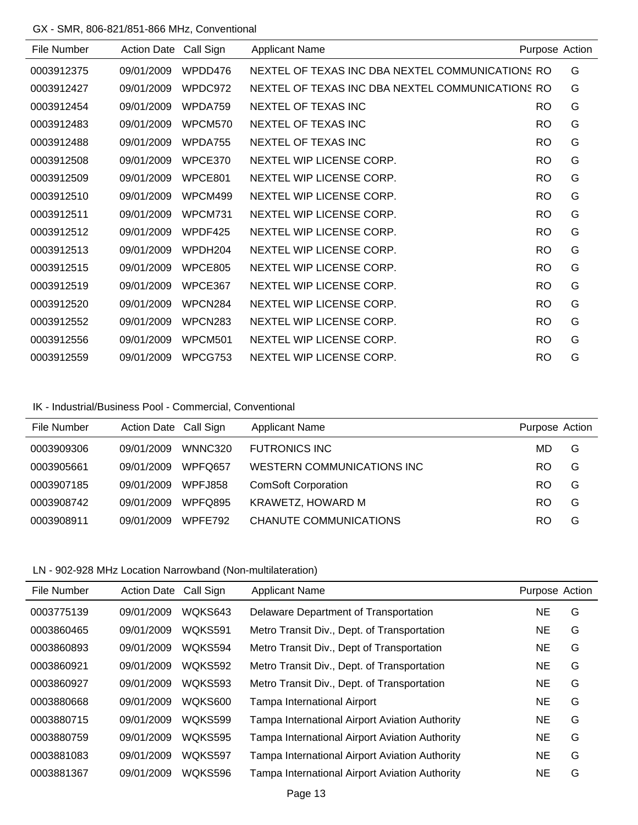#### GX - SMR, 806-821/851-866 MHz, Conventional

|            | Call Sign | <b>Applicant Name</b>    | Purpose Action |                                                                                                      |
|------------|-----------|--------------------------|----------------|------------------------------------------------------------------------------------------------------|
| 09/01/2009 | WPDD476   |                          |                | G                                                                                                    |
| 09/01/2009 | WPDC972   |                          |                | G                                                                                                    |
| 09/01/2009 | WPDA759   | NEXTEL OF TEXAS INC      | RO.            | G                                                                                                    |
| 09/01/2009 | WPCM570   | NEXTEL OF TEXAS INC      | <b>RO</b>      | G                                                                                                    |
| 09/01/2009 | WPDA755   | NEXTEL OF TEXAS INC      | <b>RO</b>      | G                                                                                                    |
| 09/01/2009 | WPCE370   | NEXTEL WIP LICENSE CORP. | <b>RO</b>      | G                                                                                                    |
| 09/01/2009 | WPCE801   | NEXTEL WIP LICENSE CORP. | <b>RO</b>      | G                                                                                                    |
| 09/01/2009 | WPCM499   | NEXTEL WIP LICENSE CORP. | <b>RO</b>      | G                                                                                                    |
| 09/01/2009 | WPCM731   | NEXTEL WIP LICENSE CORP. | <b>RO</b>      | G                                                                                                    |
| 09/01/2009 | WPDF425   | NEXTEL WIP LICENSE CORP. | <b>RO</b>      | G                                                                                                    |
| 09/01/2009 | WPDH204   | NEXTEL WIP LICENSE CORP. | <b>RO</b>      | G                                                                                                    |
| 09/01/2009 | WPCE805   | NEXTEL WIP LICENSE CORP. | RO.            | G                                                                                                    |
| 09/01/2009 | WPCE367   | NEXTEL WIP LICENSE CORP. | <b>RO</b>      | G                                                                                                    |
| 09/01/2009 | WPCN284   | NEXTEL WIP LICENSE CORP. | <b>RO</b>      | G                                                                                                    |
| 09/01/2009 | WPCN283   | NEXTEL WIP LICENSE CORP. | <b>RO</b>      | G                                                                                                    |
| 09/01/2009 | WPCM501   | NEXTEL WIP LICENSE CORP. | RO.            | G                                                                                                    |
| 09/01/2009 | WPCG753   | NEXTEL WIP LICENSE CORP. | RO             | G                                                                                                    |
|            |           | <b>Action Date</b>       |                | NEXTEL OF TEXAS INC DBA NEXTEL COMMUNICATIONS RO<br>NEXTEL OF TEXAS INC DBA NEXTEL COMMUNICATIONS RO |

#### IK - Industrial/Business Pool - Commercial, Conventional

| File Number | Action Date Call Sign |                     | <b>Applicant Name</b>      | Purpose Action |   |
|-------------|-----------------------|---------------------|----------------------------|----------------|---|
| 0003909306  | 09/01/2009            | WNNC320             | <b>FUTRONICS INC</b>       | MD.            | G |
| 0003905661  | 09/01/2009            | WPFO <sub>657</sub> | WESTERN COMMUNICATIONS INC | RO             | G |
| 0003907185  | 09/01/2009            | <b>WPFJ858</b>      | <b>ComSoft Corporation</b> | RO             | G |
| 0003908742  | 09/01/2009            | WPFQ895             | KRAWETZ, HOWARD M          | RO             | G |
| 0003908911  | 09/01/2009            | WPFF792             | CHANUTE COMMUNICATIONS     | RO             | G |

## LN - 902-928 MHz Location Narrowband (Non-multilateration)

| File Number | <b>Action Date</b> | Call Sign      | <b>Applicant Name</b>                          | Purpose Action |   |
|-------------|--------------------|----------------|------------------------------------------------|----------------|---|
| 0003775139  | 09/01/2009         | WQKS643        | Delaware Department of Transportation          | NE.            | G |
| 0003860465  | 09/01/2009         | WQKS591        | Metro Transit Div., Dept. of Transportation    | <b>NE</b>      | G |
| 0003860893  | 09/01/2009         | WQKS594        | Metro Transit Div., Dept of Transportation     | NE             | G |
| 0003860921  | 09/01/2009         | <b>WOKS592</b> | Metro Transit Div., Dept. of Transportation    | NE             | G |
| 0003860927  | 09/01/2009         | <b>WOKS593</b> | Metro Transit Div., Dept. of Transportation    | NE.            | G |
| 0003880668  | 09/01/2009         | WOKS600        | Tampa International Airport                    | <b>NE</b>      | G |
| 0003880715  | 09/01/2009         | WQKS599        | Tampa International Airport Aviation Authority | NE.            | G |
| 0003880759  | 09/01/2009         | <b>WOKS595</b> | Tampa International Airport Aviation Authority | <b>NE</b>      | G |
| 0003881083  | 09/01/2009         | WQKS597        | Tampa International Airport Aviation Authority | <b>NE</b>      | G |
| 0003881367  | 09/01/2009         | WQKS596        | Tampa International Airport Aviation Authority | NE             | G |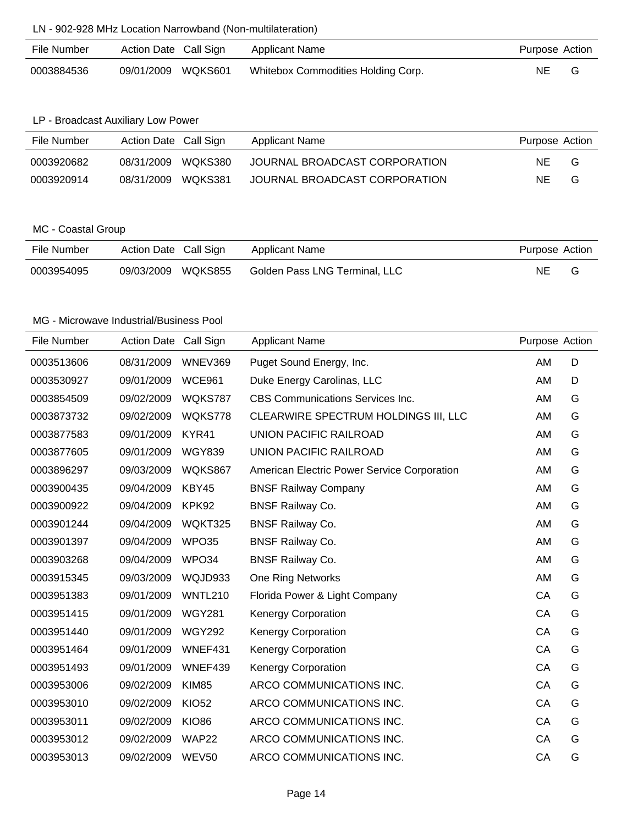## LN - 902-928 MHz Location Narrowband (Non-multilateration)

| File Number | Action Date Call Sign | Applicant Name                     | Purpose Action |  |
|-------------|-----------------------|------------------------------------|----------------|--|
| 0003884536  | 09/01/2009 WQKS601    | Whitebox Commodities Holding Corp. | NE.            |  |

#### LP - Broadcast Auxiliary Low Power

| File Number | Action Date Call Sign |         | Applicant Name                | Purpose Action |   |
|-------------|-----------------------|---------|-------------------------------|----------------|---|
| 0003920682  | 08/31/2009            | WOKS380 | JOURNAL BROADCAST CORPORATION | NE.            | G |
| 0003920914  | 08/31/2009            | WOKS381 | JOURNAL BROADCAST CORPORATION | NF.            | G |

## MC - Coastal Group

| File Number | Action Date Call Sign |         | Applicant Name                | Purpose Action |  |
|-------------|-----------------------|---------|-------------------------------|----------------|--|
| 0003954095  | 09/03/2009            | WQKS855 | Golden Pass LNG Terminal, LLC | <b>NE</b>      |  |

| File Number | <b>Action Date</b> | Call Sign      | <b>Applicant Name</b>                       | Purpose Action |   |
|-------------|--------------------|----------------|---------------------------------------------|----------------|---|
| 0003513606  | 08/31/2009         | WNEV369        | Puget Sound Energy, Inc.                    | AM             | D |
| 0003530927  | 09/01/2009         | <b>WCE961</b>  | Duke Energy Carolinas, LLC                  | AM             | D |
| 0003854509  | 09/02/2009         | WQKS787        | <b>CBS Communications Services Inc.</b>     | AM             | G |
| 0003873732  | 09/02/2009         | WQKS778        | CLEARWIRE SPECTRUM HOLDINGS III, LLC        | AM             | G |
| 0003877583  | 09/01/2009         | KYR41          | <b>UNION PACIFIC RAILROAD</b>               | AM             | G |
| 0003877605  | 09/01/2009         | <b>WGY839</b>  | <b>UNION PACIFIC RAILROAD</b>               | <b>AM</b>      | G |
| 0003896297  | 09/03/2009         | WQKS867        | American Electric Power Service Corporation | <b>AM</b>      | G |
| 0003900435  | 09/04/2009         | KBY45          | <b>BNSF Railway Company</b>                 | AM             | G |
| 0003900922  | 09/04/2009         | KPK92          | <b>BNSF Railway Co.</b>                     | <b>AM</b>      | G |
| 0003901244  | 09/04/2009         | WQKT325        | <b>BNSF Railway Co.</b>                     | <b>AM</b>      | G |
| 0003901397  | 09/04/2009         | WPO35          | <b>BNSF Railway Co.</b>                     | AM             | G |
| 0003903268  | 09/04/2009         | WPO34          | <b>BNSF Railway Co.</b>                     | <b>AM</b>      | G |
| 0003915345  | 09/03/2009         | WQJD933        | <b>One Ring Networks</b>                    | AM             | G |
| 0003951383  | 09/01/2009         | <b>WNTL210</b> | Florida Power & Light Company               | CA             | G |
| 0003951415  | 09/01/2009         | <b>WGY281</b>  | <b>Kenergy Corporation</b>                  | CA             | G |
| 0003951440  | 09/01/2009         | <b>WGY292</b>  | <b>Kenergy Corporation</b>                  | CA             | G |
| 0003951464  | 09/01/2009         | WNEF431        | Kenergy Corporation                         | CA             | G |
| 0003951493  | 09/01/2009         | WNEF439        | <b>Kenergy Corporation</b>                  | CA             | G |
| 0003953006  | 09/02/2009         | <b>KIM85</b>   | ARCO COMMUNICATIONS INC.                    | CA             | G |
| 0003953010  | 09/02/2009         | <b>KIO52</b>   | ARCO COMMUNICATIONS INC.                    | CA             | G |
| 0003953011  | 09/02/2009         | <b>KIO86</b>   | ARCO COMMUNICATIONS INC.                    | CA             | G |
| 0003953012  | 09/02/2009         | WAP22          | ARCO COMMUNICATIONS INC.                    | CA             | G |
| 0003953013  | 09/02/2009         | <b>WEV50</b>   | ARCO COMMUNICATIONS INC.                    | CA             | G |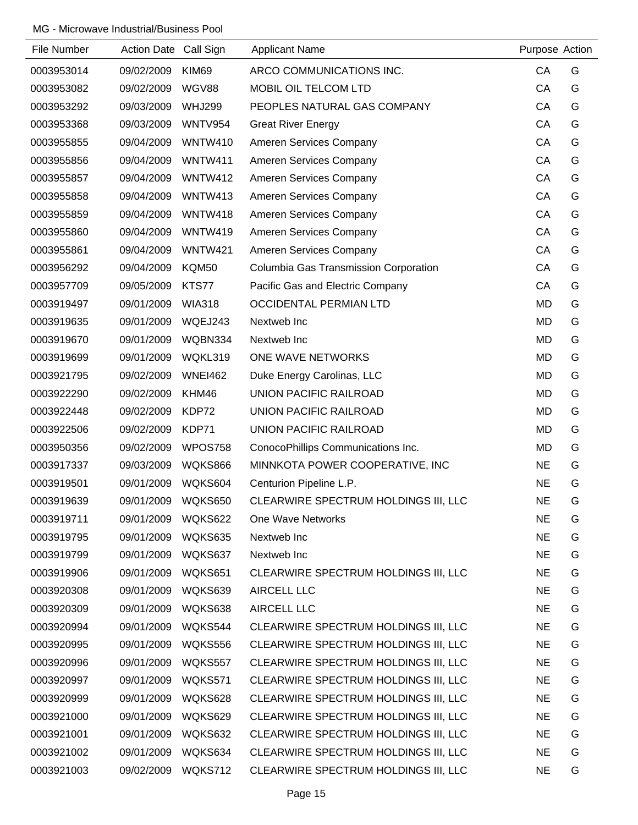| File Number | Action Date Call Sign |                | <b>Applicant Name</b>                 | Purpose Action |   |
|-------------|-----------------------|----------------|---------------------------------------|----------------|---|
| 0003953014  | 09/02/2009            | KIM69          | ARCO COMMUNICATIONS INC.              | CA             | G |
| 0003953082  | 09/02/2009            | <b>WGV88</b>   | MOBIL OIL TELCOM LTD                  | CA             | G |
| 0003953292  | 09/03/2009            | <b>WHJ299</b>  | PEOPLES NATURAL GAS COMPANY           | CA             | G |
| 0003953368  | 09/03/2009            | <b>WNTV954</b> | <b>Great River Energy</b>             | CA             | G |
| 0003955855  | 09/04/2009            | <b>WNTW410</b> | Ameren Services Company               | CA             | G |
| 0003955856  | 09/04/2009            | WNTW411        | Ameren Services Company               | CA             | G |
| 0003955857  | 09/04/2009            | <b>WNTW412</b> | Ameren Services Company               | CA             | G |
| 0003955858  | 09/04/2009            | <b>WNTW413</b> | Ameren Services Company               | CA             | G |
| 0003955859  | 09/04/2009            | WNTW418        | Ameren Services Company               | CA             | G |
| 0003955860  | 09/04/2009            | <b>WNTW419</b> | Ameren Services Company               | CA             | G |
| 0003955861  | 09/04/2009            | <b>WNTW421</b> | Ameren Services Company               | CA             | G |
| 0003956292  | 09/04/2009            | KQM50          | Columbia Gas Transmission Corporation | CA             | G |
| 0003957709  | 09/05/2009            | KTS77          | Pacific Gas and Electric Company      | CA             | G |
| 0003919497  | 09/01/2009            | <b>WIA318</b>  | <b>OCCIDENTAL PERMIAN LTD</b>         | <b>MD</b>      | G |
| 0003919635  | 09/01/2009            | WQEJ243        | Nextweb Inc                           | <b>MD</b>      | G |
| 0003919670  | 09/01/2009            | WQBN334        | Nextweb Inc                           | <b>MD</b>      | G |
| 0003919699  | 09/01/2009            | WQKL319        | ONE WAVE NETWORKS                     | <b>MD</b>      | G |
| 0003921795  | 09/02/2009            | <b>WNEI462</b> | Duke Energy Carolinas, LLC            | <b>MD</b>      | G |
| 0003922290  | 09/02/2009            | KHM46          | <b>UNION PACIFIC RAILROAD</b>         | <b>MD</b>      | G |
| 0003922448  | 09/02/2009            | KDP72          | UNION PACIFIC RAILROAD                | <b>MD</b>      | G |
| 0003922506  | 09/02/2009            | KDP71          | UNION PACIFIC RAILROAD                | <b>MD</b>      | G |
| 0003950356  | 09/02/2009            | WPOS758        | ConocoPhillips Communications Inc.    | MD             | G |
| 0003917337  | 09/03/2009            | <b>WQKS866</b> | MINNKOTA POWER COOPERATIVE, INC       | <b>NE</b>      | G |
| 0003919501  | 09/01/2009            | WQKS604        | Centurion Pipeline L.P.               | <b>NE</b>      | G |
| 0003919639  | 09/01/2009            | WQKS650        | CLEARWIRE SPECTRUM HOLDINGS III, LLC  | $\sf NE$       | G |
| 0003919711  | 09/01/2009            | WQKS622        | One Wave Networks                     | <b>NE</b>      | G |
| 0003919795  | 09/01/2009            | WQKS635        | Nextweb Inc                           | <b>NE</b>      | G |
| 0003919799  | 09/01/2009            | WQKS637        | Nextweb Inc                           | <b>NE</b>      | G |
| 0003919906  | 09/01/2009            | WQKS651        | CLEARWIRE SPECTRUM HOLDINGS III, LLC  | <b>NE</b>      | G |
| 0003920308  | 09/01/2009            | WQKS639        | AIRCELL LLC                           | <b>NE</b>      | G |
| 0003920309  | 09/01/2009            | WQKS638        | <b>AIRCELL LLC</b>                    | <b>NE</b>      | G |
| 0003920994  | 09/01/2009            | WQKS544        | CLEARWIRE SPECTRUM HOLDINGS III, LLC  | <b>NE</b>      | G |
| 0003920995  | 09/01/2009            | WQKS556        | CLEARWIRE SPECTRUM HOLDINGS III, LLC  | <b>NE</b>      | G |
| 0003920996  | 09/01/2009            | WQKS557        | CLEARWIRE SPECTRUM HOLDINGS III, LLC  | <b>NE</b>      | G |
| 0003920997  | 09/01/2009            | WQKS571        | CLEARWIRE SPECTRUM HOLDINGS III, LLC  | <b>NE</b>      | G |
| 0003920999  | 09/01/2009            | WQKS628        | CLEARWIRE SPECTRUM HOLDINGS III, LLC  | <b>NE</b>      | G |
| 0003921000  | 09/01/2009            | WQKS629        | CLEARWIRE SPECTRUM HOLDINGS III, LLC  | <b>NE</b>      | G |
| 0003921001  | 09/01/2009            | WQKS632        | CLEARWIRE SPECTRUM HOLDINGS III, LLC  | <b>NE</b>      | G |
| 0003921002  | 09/01/2009            | WQKS634        | CLEARWIRE SPECTRUM HOLDINGS III, LLC  | <b>NE</b>      | G |
| 0003921003  | 09/02/2009            | WQKS712        | CLEARWIRE SPECTRUM HOLDINGS III, LLC  | <b>NE</b>      | G |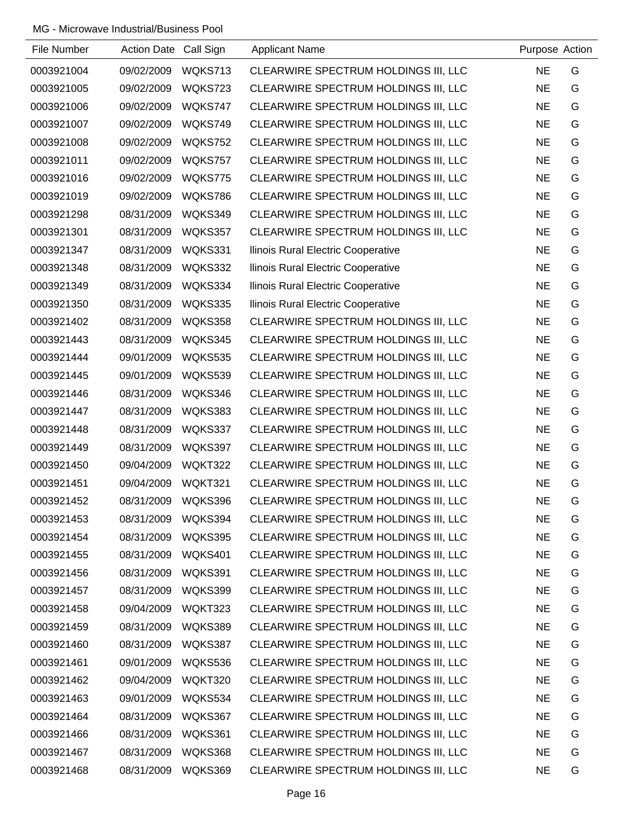| File Number | Action Date Call Sign |         | <b>Applicant Name</b>                | Purpose Action |   |
|-------------|-----------------------|---------|--------------------------------------|----------------|---|
| 0003921004  | 09/02/2009            | WQKS713 | CLEARWIRE SPECTRUM HOLDINGS III, LLC | <b>NE</b>      | G |
| 0003921005  | 09/02/2009            | WQKS723 | CLEARWIRE SPECTRUM HOLDINGS III, LLC | <b>NE</b>      | G |
| 0003921006  | 09/02/2009            | WQKS747 | CLEARWIRE SPECTRUM HOLDINGS III, LLC | <b>NE</b>      | G |
| 0003921007  | 09/02/2009            | WQKS749 | CLEARWIRE SPECTRUM HOLDINGS III, LLC | <b>NE</b>      | G |
| 0003921008  | 09/02/2009            | WQKS752 | CLEARWIRE SPECTRUM HOLDINGS III, LLC | <b>NE</b>      | G |
| 0003921011  | 09/02/2009            | WQKS757 | CLEARWIRE SPECTRUM HOLDINGS III, LLC | <b>NE</b>      | G |
| 0003921016  | 09/02/2009            | WQKS775 | CLEARWIRE SPECTRUM HOLDINGS III, LLC | <b>NE</b>      | G |
| 0003921019  | 09/02/2009            | WQKS786 | CLEARWIRE SPECTRUM HOLDINGS III, LLC | <b>NE</b>      | G |
| 0003921298  | 08/31/2009            | WQKS349 | CLEARWIRE SPECTRUM HOLDINGS III, LLC | <b>NE</b>      | G |
| 0003921301  | 08/31/2009            | WQKS357 | CLEARWIRE SPECTRUM HOLDINGS III, LLC | <b>NE</b>      | G |
| 0003921347  | 08/31/2009            | WQKS331 | Ilinois Rural Electric Cooperative   | <b>NE</b>      | G |
| 0003921348  | 08/31/2009            | WQKS332 | Ilinois Rural Electric Cooperative   | <b>NE</b>      | G |
| 0003921349  | 08/31/2009            | WQKS334 | Ilinois Rural Electric Cooperative   | <b>NE</b>      | G |
| 0003921350  | 08/31/2009            | WQKS335 | Ilinois Rural Electric Cooperative   | <b>NE</b>      | G |
| 0003921402  | 08/31/2009            | WQKS358 | CLEARWIRE SPECTRUM HOLDINGS III, LLC | <b>NE</b>      | G |
| 0003921443  | 08/31/2009            | WQKS345 | CLEARWIRE SPECTRUM HOLDINGS III, LLC | <b>NE</b>      | G |
| 0003921444  | 09/01/2009            | WQKS535 | CLEARWIRE SPECTRUM HOLDINGS III, LLC | <b>NE</b>      | G |
| 0003921445  | 09/01/2009            | WQKS539 | CLEARWIRE SPECTRUM HOLDINGS III, LLC | <b>NE</b>      | G |
| 0003921446  | 08/31/2009            | WQKS346 | CLEARWIRE SPECTRUM HOLDINGS III, LLC | <b>NE</b>      | G |
| 0003921447  | 08/31/2009            | WQKS383 | CLEARWIRE SPECTRUM HOLDINGS III, LLC | <b>NE</b>      | G |
| 0003921448  | 08/31/2009            | WQKS337 | CLEARWIRE SPECTRUM HOLDINGS III, LLC | <b>NE</b>      | G |
| 0003921449  | 08/31/2009            | WQKS397 | CLEARWIRE SPECTRUM HOLDINGS III, LLC | <b>NE</b>      | G |
| 0003921450  | 09/04/2009            | WQKT322 | CLEARWIRE SPECTRUM HOLDINGS III, LLC | <b>NE</b>      | G |
| 0003921451  | 09/04/2009            | WQKT321 | CLEARWIRE SPECTRUM HOLDINGS III, LLC | <b>NE</b>      | G |
| 0003921452  | 08/31/2009            | WQKS396 | CLEARWIRE SPECTRUM HOLDINGS III, LLC | <b>NE</b>      | G |
| 0003921453  | 08/31/2009            | WQKS394 | CLEARWIRE SPECTRUM HOLDINGS III, LLC | <b>NE</b>      | G |
| 0003921454  | 08/31/2009            | WQKS395 | CLEARWIRE SPECTRUM HOLDINGS III, LLC | <b>NE</b>      | G |
| 0003921455  | 08/31/2009            | WQKS401 | CLEARWIRE SPECTRUM HOLDINGS III, LLC | <b>NE</b>      | G |
| 0003921456  | 08/31/2009            | WQKS391 | CLEARWIRE SPECTRUM HOLDINGS III, LLC | <b>NE</b>      | G |
| 0003921457  | 08/31/2009            | WQKS399 | CLEARWIRE SPECTRUM HOLDINGS III, LLC | <b>NE</b>      | G |
| 0003921458  | 09/04/2009            | WQKT323 | CLEARWIRE SPECTRUM HOLDINGS III, LLC | <b>NE</b>      | G |
| 0003921459  | 08/31/2009            | WQKS389 | CLEARWIRE SPECTRUM HOLDINGS III, LLC | <b>NE</b>      | G |
| 0003921460  | 08/31/2009            | WQKS387 | CLEARWIRE SPECTRUM HOLDINGS III, LLC | <b>NE</b>      | G |
| 0003921461  | 09/01/2009            | WQKS536 | CLEARWIRE SPECTRUM HOLDINGS III, LLC | <b>NE</b>      | G |
| 0003921462  | 09/04/2009            | WQKT320 | CLEARWIRE SPECTRUM HOLDINGS III, LLC | <b>NE</b>      | G |
| 0003921463  | 09/01/2009            | WQKS534 | CLEARWIRE SPECTRUM HOLDINGS III, LLC | <b>NE</b>      | G |
| 0003921464  | 08/31/2009            | WQKS367 | CLEARWIRE SPECTRUM HOLDINGS III, LLC | <b>NE</b>      | G |
| 0003921466  | 08/31/2009            | WQKS361 | CLEARWIRE SPECTRUM HOLDINGS III, LLC | <b>NE</b>      | G |
| 0003921467  | 08/31/2009            | WQKS368 | CLEARWIRE SPECTRUM HOLDINGS III, LLC | <b>NE</b>      | G |
| 0003921468  | 08/31/2009            | WQKS369 | CLEARWIRE SPECTRUM HOLDINGS III, LLC | <b>NE</b>      | G |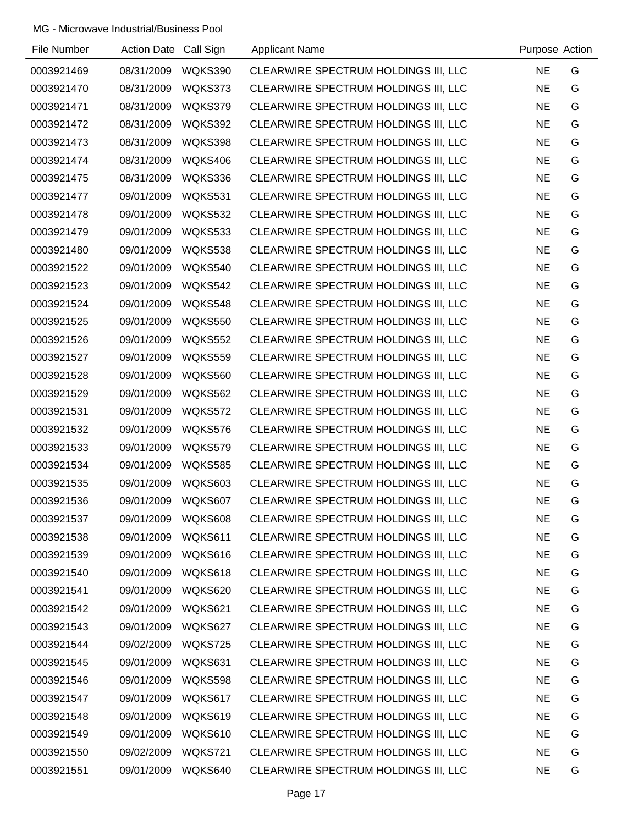| File Number | Action Date Call Sign |                | <b>Applicant Name</b>                | Purpose Action |   |
|-------------|-----------------------|----------------|--------------------------------------|----------------|---|
| 0003921469  | 08/31/2009            | WQKS390        | CLEARWIRE SPECTRUM HOLDINGS III, LLC | <b>NE</b>      | G |
| 0003921470  | 08/31/2009            | WQKS373        | CLEARWIRE SPECTRUM HOLDINGS III, LLC | <b>NE</b>      | G |
| 0003921471  | 08/31/2009            | WQKS379        | CLEARWIRE SPECTRUM HOLDINGS III, LLC | <b>NE</b>      | G |
| 0003921472  | 08/31/2009            | WQKS392        | CLEARWIRE SPECTRUM HOLDINGS III, LLC | <b>NE</b>      | G |
| 0003921473  | 08/31/2009            | WQKS398        | CLEARWIRE SPECTRUM HOLDINGS III, LLC | <b>NE</b>      | G |
| 0003921474  | 08/31/2009            | WQKS406        | CLEARWIRE SPECTRUM HOLDINGS III, LLC | <b>NE</b>      | G |
| 0003921475  | 08/31/2009            | WQKS336        | CLEARWIRE SPECTRUM HOLDINGS III, LLC | <b>NE</b>      | G |
| 0003921477  | 09/01/2009            | WQKS531        | CLEARWIRE SPECTRUM HOLDINGS III, LLC | <b>NE</b>      | G |
| 0003921478  | 09/01/2009            | WQKS532        | CLEARWIRE SPECTRUM HOLDINGS III, LLC | <b>NE</b>      | G |
| 0003921479  | 09/01/2009            | WQKS533        | CLEARWIRE SPECTRUM HOLDINGS III, LLC | <b>NE</b>      | G |
| 0003921480  | 09/01/2009            | WQKS538        | CLEARWIRE SPECTRUM HOLDINGS III, LLC | <b>NE</b>      | G |
| 0003921522  | 09/01/2009            | WQKS540        | CLEARWIRE SPECTRUM HOLDINGS III, LLC | <b>NE</b>      | G |
| 0003921523  | 09/01/2009            | WQKS542        | CLEARWIRE SPECTRUM HOLDINGS III, LLC | <b>NE</b>      | G |
| 0003921524  | 09/01/2009            | WQKS548        | CLEARWIRE SPECTRUM HOLDINGS III, LLC | <b>NE</b>      | G |
| 0003921525  | 09/01/2009            | <b>WQKS550</b> | CLEARWIRE SPECTRUM HOLDINGS III, LLC | <b>NE</b>      | G |
| 0003921526  | 09/01/2009            | <b>WQKS552</b> | CLEARWIRE SPECTRUM HOLDINGS III, LLC | <b>NE</b>      | G |
| 0003921527  | 09/01/2009            | WQKS559        | CLEARWIRE SPECTRUM HOLDINGS III, LLC | <b>NE</b>      | G |
| 0003921528  | 09/01/2009            | WQKS560        | CLEARWIRE SPECTRUM HOLDINGS III, LLC | <b>NE</b>      | G |
| 0003921529  | 09/01/2009            | WQKS562        | CLEARWIRE SPECTRUM HOLDINGS III, LLC | <b>NE</b>      | G |
| 0003921531  | 09/01/2009            | WQKS572        | CLEARWIRE SPECTRUM HOLDINGS III, LLC | <b>NE</b>      | G |
| 0003921532  | 09/01/2009            | WQKS576        | CLEARWIRE SPECTRUM HOLDINGS III, LLC | <b>NE</b>      | G |
| 0003921533  | 09/01/2009            | WQKS579        | CLEARWIRE SPECTRUM HOLDINGS III, LLC | <b>NE</b>      | G |
| 0003921534  | 09/01/2009            | <b>WQKS585</b> | CLEARWIRE SPECTRUM HOLDINGS III, LLC | <b>NE</b>      | G |
| 0003921535  | 09/01/2009            | WQKS603        | CLEARWIRE SPECTRUM HOLDINGS III, LLC | <b>NE</b>      | G |
| 0003921536  | 09/01/2009            | WQKS607        | CLEARWIRE SPECTRUM HOLDINGS III, LLC | <b>NE</b>      | G |
| 0003921537  | 09/01/2009            | WQKS608        | CLEARWIRE SPECTRUM HOLDINGS III, LLC | <b>NE</b>      | G |
| 0003921538  | 09/01/2009            | WQKS611        | CLEARWIRE SPECTRUM HOLDINGS III, LLC | <b>NE</b>      | G |
| 0003921539  | 09/01/2009            | WQKS616        | CLEARWIRE SPECTRUM HOLDINGS III, LLC | <b>NE</b>      | G |
| 0003921540  | 09/01/2009            | WQKS618        | CLEARWIRE SPECTRUM HOLDINGS III, LLC | <b>NE</b>      | G |
| 0003921541  | 09/01/2009            | WQKS620        | CLEARWIRE SPECTRUM HOLDINGS III, LLC | <b>NE</b>      | G |
| 0003921542  | 09/01/2009            | WQKS621        | CLEARWIRE SPECTRUM HOLDINGS III, LLC | <b>NE</b>      | G |
| 0003921543  | 09/01/2009            | WQKS627        | CLEARWIRE SPECTRUM HOLDINGS III, LLC | <b>NE</b>      | G |
| 0003921544  | 09/02/2009            | WQKS725        | CLEARWIRE SPECTRUM HOLDINGS III, LLC | <b>NE</b>      | G |
| 0003921545  | 09/01/2009            | WQKS631        | CLEARWIRE SPECTRUM HOLDINGS III, LLC | <b>NE</b>      | G |
| 0003921546  | 09/01/2009            | WQKS598        | CLEARWIRE SPECTRUM HOLDINGS III, LLC | <b>NE</b>      | G |
| 0003921547  | 09/01/2009            | WQKS617        | CLEARWIRE SPECTRUM HOLDINGS III, LLC | <b>NE</b>      | G |
| 0003921548  | 09/01/2009            | WQKS619        | CLEARWIRE SPECTRUM HOLDINGS III, LLC | <b>NE</b>      | G |
| 0003921549  | 09/01/2009            | WQKS610        | CLEARWIRE SPECTRUM HOLDINGS III, LLC | <b>NE</b>      | G |
| 0003921550  | 09/02/2009            | WQKS721        | CLEARWIRE SPECTRUM HOLDINGS III, LLC | <b>NE</b>      | G |
| 0003921551  | 09/01/2009            | WQKS640        | CLEARWIRE SPECTRUM HOLDINGS III, LLC | <b>NE</b>      | G |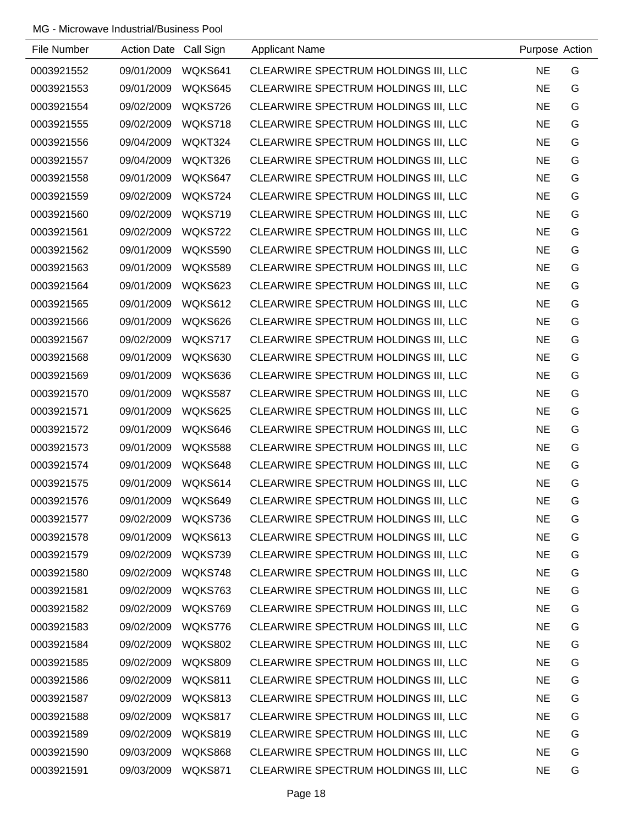| File Number | Action Date Call Sign |                | <b>Applicant Name</b>                | Purpose Action |   |
|-------------|-----------------------|----------------|--------------------------------------|----------------|---|
| 0003921552  | 09/01/2009            | WQKS641        | CLEARWIRE SPECTRUM HOLDINGS III, LLC | <b>NE</b>      | G |
| 0003921553  | 09/01/2009            | WQKS645        | CLEARWIRE SPECTRUM HOLDINGS III, LLC | <b>NE</b>      | G |
| 0003921554  | 09/02/2009            | WQKS726        | CLEARWIRE SPECTRUM HOLDINGS III, LLC | <b>NE</b>      | G |
| 0003921555  | 09/02/2009            | WQKS718        | CLEARWIRE SPECTRUM HOLDINGS III, LLC | <b>NE</b>      | G |
| 0003921556  | 09/04/2009            | WQKT324        | CLEARWIRE SPECTRUM HOLDINGS III, LLC | <b>NE</b>      | G |
| 0003921557  | 09/04/2009            | WQKT326        | CLEARWIRE SPECTRUM HOLDINGS III, LLC | <b>NE</b>      | G |
| 0003921558  | 09/01/2009            | WQKS647        | CLEARWIRE SPECTRUM HOLDINGS III, LLC | <b>NE</b>      | G |
| 0003921559  | 09/02/2009            | WQKS724        | CLEARWIRE SPECTRUM HOLDINGS III, LLC | <b>NE</b>      | G |
| 0003921560  | 09/02/2009            | WQKS719        | CLEARWIRE SPECTRUM HOLDINGS III, LLC | <b>NE</b>      | G |
| 0003921561  | 09/02/2009            | WQKS722        | CLEARWIRE SPECTRUM HOLDINGS III, LLC | <b>NE</b>      | G |
| 0003921562  | 09/01/2009            | WQKS590        | CLEARWIRE SPECTRUM HOLDINGS III, LLC | <b>NE</b>      | G |
| 0003921563  | 09/01/2009            | WQKS589        | CLEARWIRE SPECTRUM HOLDINGS III, LLC | <b>NE</b>      | G |
| 0003921564  | 09/01/2009            | WQKS623        | CLEARWIRE SPECTRUM HOLDINGS III, LLC | <b>NE</b>      | G |
| 0003921565  | 09/01/2009            | WQKS612        | CLEARWIRE SPECTRUM HOLDINGS III, LLC | <b>NE</b>      | G |
| 0003921566  | 09/01/2009            | WQKS626        | CLEARWIRE SPECTRUM HOLDINGS III, LLC | <b>NE</b>      | G |
| 0003921567  | 09/02/2009            | WQKS717        | CLEARWIRE SPECTRUM HOLDINGS III, LLC | <b>NE</b>      | G |
| 0003921568  | 09/01/2009            | WQKS630        | CLEARWIRE SPECTRUM HOLDINGS III, LLC | <b>NE</b>      | G |
| 0003921569  | 09/01/2009            | WQKS636        | CLEARWIRE SPECTRUM HOLDINGS III, LLC | <b>NE</b>      | G |
| 0003921570  | 09/01/2009            | WQKS587        | CLEARWIRE SPECTRUM HOLDINGS III, LLC | <b>NE</b>      | G |
| 0003921571  | 09/01/2009            | WQKS625        | CLEARWIRE SPECTRUM HOLDINGS III, LLC | <b>NE</b>      | G |
| 0003921572  | 09/01/2009            | WQKS646        | CLEARWIRE SPECTRUM HOLDINGS III, LLC | <b>NE</b>      | G |
| 0003921573  | 09/01/2009            | <b>WQKS588</b> | CLEARWIRE SPECTRUM HOLDINGS III, LLC | <b>NE</b>      | G |
| 0003921574  | 09/01/2009            | WQKS648        | CLEARWIRE SPECTRUM HOLDINGS III, LLC | <b>NE</b>      | G |
| 0003921575  | 09/01/2009            | WQKS614        | CLEARWIRE SPECTRUM HOLDINGS III, LLC | <b>NE</b>      | G |
| 0003921576  | 09/01/2009            | WQKS649        | CLEARWIRE SPECTRUM HOLDINGS III, LLC | <b>NE</b>      | G |
| 0003921577  | 09/02/2009            | WQKS736        | CLEARWIRE SPECTRUM HOLDINGS III, LLC | <b>NE</b>      | G |
| 0003921578  | 09/01/2009            | WQKS613        | CLEARWIRE SPECTRUM HOLDINGS III, LLC | <b>NE</b>      | G |
| 0003921579  | 09/02/2009            | WQKS739        | CLEARWIRE SPECTRUM HOLDINGS III, LLC | <b>NE</b>      | G |
| 0003921580  | 09/02/2009            | WQKS748        | CLEARWIRE SPECTRUM HOLDINGS III, LLC | <b>NE</b>      | G |
| 0003921581  | 09/02/2009            | WQKS763        | CLEARWIRE SPECTRUM HOLDINGS III, LLC | <b>NE</b>      | G |
| 0003921582  | 09/02/2009            | WQKS769        | CLEARWIRE SPECTRUM HOLDINGS III, LLC | <b>NE</b>      | G |
| 0003921583  | 09/02/2009            | WQKS776        | CLEARWIRE SPECTRUM HOLDINGS III, LLC | <b>NE</b>      | G |
| 0003921584  | 09/02/2009            | <b>WQKS802</b> | CLEARWIRE SPECTRUM HOLDINGS III, LLC | <b>NE</b>      | G |
| 0003921585  | 09/02/2009            | WQKS809        | CLEARWIRE SPECTRUM HOLDINGS III, LLC | <b>NE</b>      | G |
| 0003921586  | 09/02/2009            | WQKS811        | CLEARWIRE SPECTRUM HOLDINGS III, LLC | <b>NE</b>      | G |
| 0003921587  | 09/02/2009            | WQKS813        | CLEARWIRE SPECTRUM HOLDINGS III, LLC | <b>NE</b>      | G |
| 0003921588  | 09/02/2009            | WQKS817        | CLEARWIRE SPECTRUM HOLDINGS III, LLC | <b>NE</b>      | G |
| 0003921589  | 09/02/2009            | WQKS819        | CLEARWIRE SPECTRUM HOLDINGS III, LLC | <b>NE</b>      | G |
| 0003921590  | 09/03/2009            | WQKS868        | CLEARWIRE SPECTRUM HOLDINGS III, LLC | <b>NE</b>      | G |
| 0003921591  | 09/03/2009            | WQKS871        | CLEARWIRE SPECTRUM HOLDINGS III, LLC | <b>NE</b>      | G |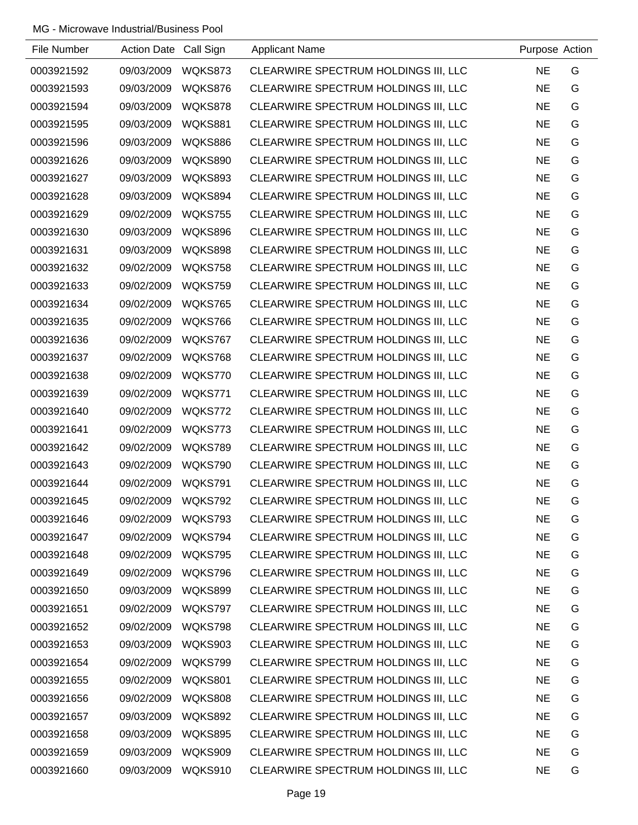| File Number | Action Date Call Sign |                | <b>Applicant Name</b>                | Purpose Action |   |
|-------------|-----------------------|----------------|--------------------------------------|----------------|---|
| 0003921592  | 09/03/2009            | WQKS873        | CLEARWIRE SPECTRUM HOLDINGS III, LLC | <b>NE</b>      | G |
| 0003921593  | 09/03/2009            | WQKS876        | CLEARWIRE SPECTRUM HOLDINGS III, LLC | <b>NE</b>      | G |
| 0003921594  | 09/03/2009            | WQKS878        | CLEARWIRE SPECTRUM HOLDINGS III, LLC | <b>NE</b>      | G |
| 0003921595  | 09/03/2009            | WQKS881        | CLEARWIRE SPECTRUM HOLDINGS III, LLC | <b>NE</b>      | G |
| 0003921596  | 09/03/2009            | WQKS886        | CLEARWIRE SPECTRUM HOLDINGS III, LLC | <b>NE</b>      | G |
| 0003921626  | 09/03/2009            | WQKS890        | CLEARWIRE SPECTRUM HOLDINGS III, LLC | <b>NE</b>      | G |
| 0003921627  | 09/03/2009            | WQKS893        | CLEARWIRE SPECTRUM HOLDINGS III, LLC | <b>NE</b>      | G |
| 0003921628  | 09/03/2009            | WQKS894        | CLEARWIRE SPECTRUM HOLDINGS III, LLC | <b>NE</b>      | G |
| 0003921629  | 09/02/2009            | WQKS755        | CLEARWIRE SPECTRUM HOLDINGS III, LLC | <b>NE</b>      | G |
| 0003921630  | 09/03/2009            | WQKS896        | CLEARWIRE SPECTRUM HOLDINGS III, LLC | <b>NE</b>      | G |
| 0003921631  | 09/03/2009            | WQKS898        | CLEARWIRE SPECTRUM HOLDINGS III, LLC | <b>NE</b>      | G |
| 0003921632  | 09/02/2009            | WQKS758        | CLEARWIRE SPECTRUM HOLDINGS III, LLC | <b>NE</b>      | G |
| 0003921633  | 09/02/2009            | WQKS759        | CLEARWIRE SPECTRUM HOLDINGS III, LLC | <b>NE</b>      | G |
| 0003921634  | 09/02/2009            | WQKS765        | CLEARWIRE SPECTRUM HOLDINGS III, LLC | <b>NE</b>      | G |
| 0003921635  | 09/02/2009            | WQKS766        | CLEARWIRE SPECTRUM HOLDINGS III, LLC | <b>NE</b>      | G |
| 0003921636  | 09/02/2009            | WQKS767        | CLEARWIRE SPECTRUM HOLDINGS III, LLC | <b>NE</b>      | G |
| 0003921637  | 09/02/2009            | WQKS768        | CLEARWIRE SPECTRUM HOLDINGS III, LLC | <b>NE</b>      | G |
| 0003921638  | 09/02/2009            | WQKS770        | CLEARWIRE SPECTRUM HOLDINGS III, LLC | <b>NE</b>      | G |
| 0003921639  | 09/02/2009            | WQKS771        | CLEARWIRE SPECTRUM HOLDINGS III, LLC | <b>NE</b>      | G |
| 0003921640  | 09/02/2009            | WQKS772        | CLEARWIRE SPECTRUM HOLDINGS III, LLC | <b>NE</b>      | G |
| 0003921641  | 09/02/2009            | WQKS773        | CLEARWIRE SPECTRUM HOLDINGS III, LLC | <b>NE</b>      | G |
| 0003921642  | 09/02/2009            | WQKS789        | CLEARWIRE SPECTRUM HOLDINGS III, LLC | <b>NE</b>      | G |
| 0003921643  | 09/02/2009            | WQKS790        | CLEARWIRE SPECTRUM HOLDINGS III, LLC | <b>NE</b>      | G |
| 0003921644  | 09/02/2009            | WQKS791        | CLEARWIRE SPECTRUM HOLDINGS III, LLC | <b>NE</b>      | G |
| 0003921645  | 09/02/2009            | WQKS792        | CLEARWIRE SPECTRUM HOLDINGS III, LLC | <b>NE</b>      | G |
| 0003921646  | 09/02/2009            | WQKS793        | CLEARWIRE SPECTRUM HOLDINGS III, LLC | <b>NE</b>      | G |
| 0003921647  | 09/02/2009            | WQKS794        | CLEARWIRE SPECTRUM HOLDINGS III, LLC | <b>NE</b>      | G |
| 0003921648  | 09/02/2009            | WQKS795        | CLEARWIRE SPECTRUM HOLDINGS III, LLC | <b>NE</b>      | G |
| 0003921649  | 09/02/2009            | WQKS796        | CLEARWIRE SPECTRUM HOLDINGS III, LLC | <b>NE</b>      | G |
| 0003921650  | 09/03/2009            | WQKS899        | CLEARWIRE SPECTRUM HOLDINGS III, LLC | <b>NE</b>      | G |
| 0003921651  | 09/02/2009            | WQKS797        | CLEARWIRE SPECTRUM HOLDINGS III, LLC | <b>NE</b>      | G |
| 0003921652  | 09/02/2009            | WQKS798        | CLEARWIRE SPECTRUM HOLDINGS III, LLC | <b>NE</b>      | G |
| 0003921653  | 09/03/2009            | WQKS903        | CLEARWIRE SPECTRUM HOLDINGS III, LLC | <b>NE</b>      | G |
| 0003921654  | 09/02/2009            | WQKS799        | CLEARWIRE SPECTRUM HOLDINGS III, LLC | <b>NE</b>      | G |
| 0003921655  | 09/02/2009            | WQKS801        | CLEARWIRE SPECTRUM HOLDINGS III, LLC | <b>NE</b>      | G |
| 0003921656  | 09/02/2009            | WQKS808        | CLEARWIRE SPECTRUM HOLDINGS III, LLC | <b>NE</b>      | G |
| 0003921657  | 09/03/2009            | WQKS892        | CLEARWIRE SPECTRUM HOLDINGS III, LLC | <b>NE</b>      | G |
| 0003921658  | 09/03/2009            | <b>WQKS895</b> | CLEARWIRE SPECTRUM HOLDINGS III, LLC | <b>NE</b>      | G |
| 0003921659  | 09/03/2009            | WQKS909        | CLEARWIRE SPECTRUM HOLDINGS III, LLC | <b>NE</b>      | G |
| 0003921660  | 09/03/2009            | WQKS910        | CLEARWIRE SPECTRUM HOLDINGS III, LLC | <b>NE</b>      | G |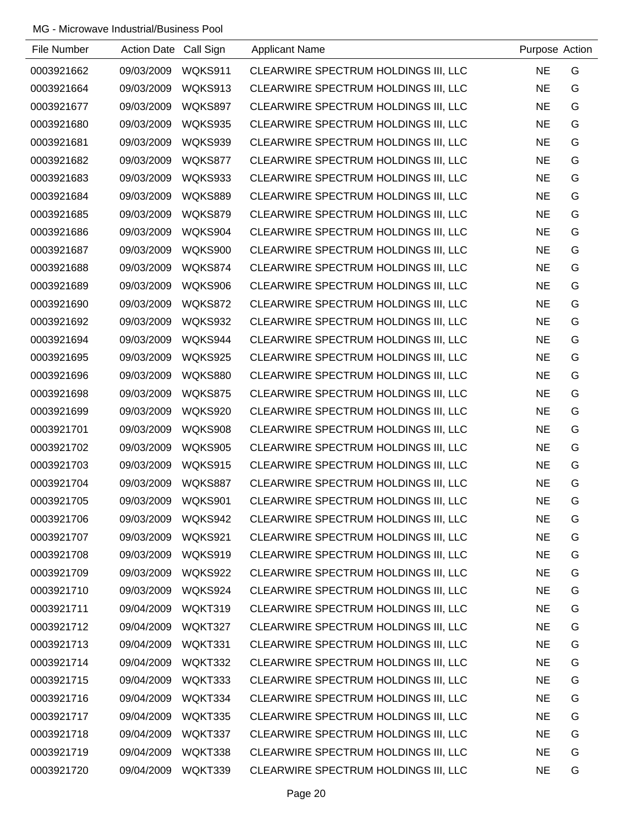| File Number | Action Date Call Sign |                | <b>Applicant Name</b>                | Purpose Action |   |
|-------------|-----------------------|----------------|--------------------------------------|----------------|---|
| 0003921662  | 09/03/2009            | WQKS911        | CLEARWIRE SPECTRUM HOLDINGS III, LLC | <b>NE</b>      | G |
| 0003921664  | 09/03/2009            | WQKS913        | CLEARWIRE SPECTRUM HOLDINGS III, LLC | <b>NE</b>      | G |
| 0003921677  | 09/03/2009            | WQKS897        | CLEARWIRE SPECTRUM HOLDINGS III, LLC | <b>NE</b>      | G |
| 0003921680  | 09/03/2009            | WQKS935        | CLEARWIRE SPECTRUM HOLDINGS III, LLC | <b>NE</b>      | G |
| 0003921681  | 09/03/2009            | WQKS939        | CLEARWIRE SPECTRUM HOLDINGS III, LLC | <b>NE</b>      | G |
| 0003921682  | 09/03/2009            | WQKS877        | CLEARWIRE SPECTRUM HOLDINGS III, LLC | <b>NE</b>      | G |
| 0003921683  | 09/03/2009            | WQKS933        | CLEARWIRE SPECTRUM HOLDINGS III, LLC | <b>NE</b>      | G |
| 0003921684  | 09/03/2009            | WQKS889        | CLEARWIRE SPECTRUM HOLDINGS III, LLC | <b>NE</b>      | G |
| 0003921685  | 09/03/2009            | WQKS879        | CLEARWIRE SPECTRUM HOLDINGS III, LLC | <b>NE</b>      | G |
| 0003921686  | 09/03/2009            | WQKS904        | CLEARWIRE SPECTRUM HOLDINGS III, LLC | <b>NE</b>      | G |
| 0003921687  | 09/03/2009            | WQKS900        | CLEARWIRE SPECTRUM HOLDINGS III, LLC | <b>NE</b>      | G |
| 0003921688  | 09/03/2009            | WQKS874        | CLEARWIRE SPECTRUM HOLDINGS III, LLC | <b>NE</b>      | G |
| 0003921689  | 09/03/2009            | WQKS906        | CLEARWIRE SPECTRUM HOLDINGS III, LLC | <b>NE</b>      | G |
| 0003921690  | 09/03/2009            | WQKS872        | CLEARWIRE SPECTRUM HOLDINGS III, LLC | <b>NE</b>      | G |
| 0003921692  | 09/03/2009            | WQKS932        | CLEARWIRE SPECTRUM HOLDINGS III, LLC | <b>NE</b>      | G |
| 0003921694  | 09/03/2009            | WQKS944        | CLEARWIRE SPECTRUM HOLDINGS III, LLC | <b>NE</b>      | G |
| 0003921695  | 09/03/2009            | WQKS925        | CLEARWIRE SPECTRUM HOLDINGS III, LLC | <b>NE</b>      | G |
| 0003921696  | 09/03/2009            | <b>WQKS880</b> | CLEARWIRE SPECTRUM HOLDINGS III, LLC | <b>NE</b>      | G |
| 0003921698  | 09/03/2009            | WQKS875        | CLEARWIRE SPECTRUM HOLDINGS III, LLC | <b>NE</b>      | G |
| 0003921699  | 09/03/2009            | WQKS920        | CLEARWIRE SPECTRUM HOLDINGS III, LLC | <b>NE</b>      | G |
| 0003921701  | 09/03/2009            | WQKS908        | CLEARWIRE SPECTRUM HOLDINGS III, LLC | <b>NE</b>      | G |
| 0003921702  | 09/03/2009            | WQKS905        | CLEARWIRE SPECTRUM HOLDINGS III, LLC | <b>NE</b>      | G |
| 0003921703  | 09/03/2009            | WQKS915        | CLEARWIRE SPECTRUM HOLDINGS III, LLC | <b>NE</b>      | G |
| 0003921704  | 09/03/2009            | <b>WQKS887</b> | CLEARWIRE SPECTRUM HOLDINGS III, LLC | <b>NE</b>      | G |
| 0003921705  | 09/03/2009            | WQKS901        | CLEARWIRE SPECTRUM HOLDINGS III, LLC | <b>NE</b>      | G |
| 0003921706  | 09/03/2009            | WQKS942        | CLEARWIRE SPECTRUM HOLDINGS III, LLC | <b>NE</b>      | G |
| 0003921707  | 09/03/2009            | WQKS921        | CLEARWIRE SPECTRUM HOLDINGS III, LLC | <b>NE</b>      | G |
| 0003921708  | 09/03/2009            | WQKS919        | CLEARWIRE SPECTRUM HOLDINGS III, LLC | <b>NE</b>      | G |
| 0003921709  | 09/03/2009            | WQKS922        | CLEARWIRE SPECTRUM HOLDINGS III, LLC | <b>NE</b>      | G |
| 0003921710  | 09/03/2009            | WQKS924        | CLEARWIRE SPECTRUM HOLDINGS III, LLC | <b>NE</b>      | G |
| 0003921711  | 09/04/2009            | WQKT319        | CLEARWIRE SPECTRUM HOLDINGS III, LLC | <b>NE</b>      | G |
| 0003921712  | 09/04/2009            | WQKT327        | CLEARWIRE SPECTRUM HOLDINGS III, LLC | <b>NE</b>      | G |
| 0003921713  | 09/04/2009            | WQKT331        | CLEARWIRE SPECTRUM HOLDINGS III, LLC | <b>NE</b>      | G |
| 0003921714  | 09/04/2009            | WQKT332        | CLEARWIRE SPECTRUM HOLDINGS III, LLC | <b>NE</b>      | G |
| 0003921715  | 09/04/2009            | WQKT333        | CLEARWIRE SPECTRUM HOLDINGS III, LLC | <b>NE</b>      | G |
| 0003921716  | 09/04/2009            | WQKT334        | CLEARWIRE SPECTRUM HOLDINGS III, LLC | <b>NE</b>      | G |
| 0003921717  | 09/04/2009            | WQKT335        | CLEARWIRE SPECTRUM HOLDINGS III, LLC | <b>NE</b>      | G |
| 0003921718  | 09/04/2009            | WQKT337        | CLEARWIRE SPECTRUM HOLDINGS III, LLC | <b>NE</b>      | G |
| 0003921719  | 09/04/2009            | WQKT338        | CLEARWIRE SPECTRUM HOLDINGS III, LLC | <b>NE</b>      | G |
| 0003921720  | 09/04/2009            | WQKT339        | CLEARWIRE SPECTRUM HOLDINGS III, LLC | <b>NE</b>      | G |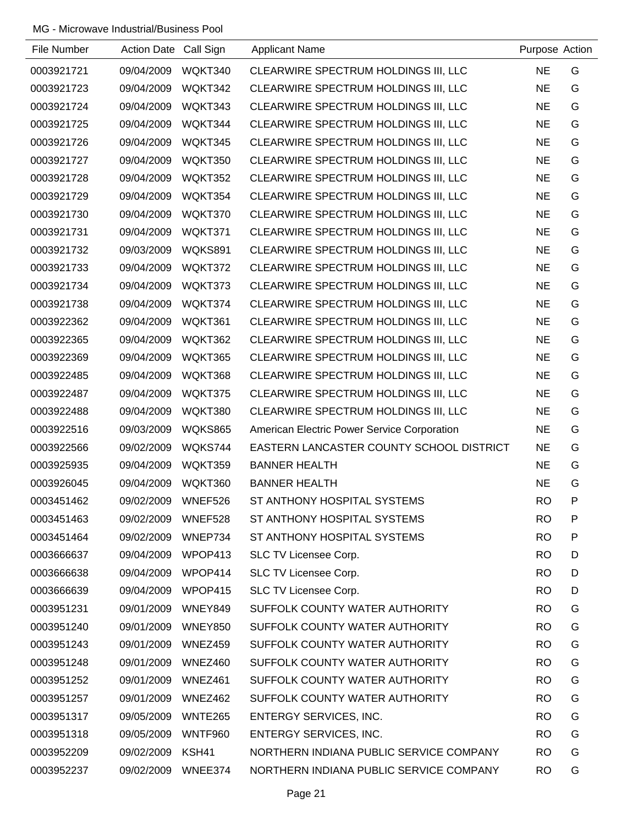| File Number | Action Date Call Sign |                | <b>Applicant Name</b>                       | Purpose Action |              |
|-------------|-----------------------|----------------|---------------------------------------------|----------------|--------------|
| 0003921721  | 09/04/2009            | WQKT340        | CLEARWIRE SPECTRUM HOLDINGS III, LLC        | <b>NE</b>      | G            |
| 0003921723  | 09/04/2009            | WQKT342        | CLEARWIRE SPECTRUM HOLDINGS III, LLC        | <b>NE</b>      | G            |
| 0003921724  | 09/04/2009            | WQKT343        | CLEARWIRE SPECTRUM HOLDINGS III, LLC        | <b>NE</b>      | G            |
| 0003921725  | 09/04/2009            | WQKT344        | CLEARWIRE SPECTRUM HOLDINGS III, LLC        | <b>NE</b>      | G            |
| 0003921726  | 09/04/2009            | WQKT345        | CLEARWIRE SPECTRUM HOLDINGS III, LLC        | <b>NE</b>      | G            |
| 0003921727  | 09/04/2009            | WQKT350        | CLEARWIRE SPECTRUM HOLDINGS III, LLC        | <b>NE</b>      | G            |
| 0003921728  | 09/04/2009            | WQKT352        | CLEARWIRE SPECTRUM HOLDINGS III, LLC        | <b>NE</b>      | G            |
| 0003921729  | 09/04/2009            | WQKT354        | CLEARWIRE SPECTRUM HOLDINGS III, LLC        | <b>NE</b>      | G            |
| 0003921730  | 09/04/2009            | WQKT370        | CLEARWIRE SPECTRUM HOLDINGS III, LLC        | <b>NE</b>      | G            |
| 0003921731  | 09/04/2009            | WQKT371        | CLEARWIRE SPECTRUM HOLDINGS III, LLC        | <b>NE</b>      | G            |
| 0003921732  | 09/03/2009            | WQKS891        | CLEARWIRE SPECTRUM HOLDINGS III, LLC        | <b>NE</b>      | G            |
| 0003921733  | 09/04/2009            | WQKT372        | CLEARWIRE SPECTRUM HOLDINGS III, LLC        | <b>NE</b>      | G            |
| 0003921734  | 09/04/2009            | WQKT373        | CLEARWIRE SPECTRUM HOLDINGS III, LLC        | <b>NE</b>      | G            |
| 0003921738  | 09/04/2009            | WQKT374        | CLEARWIRE SPECTRUM HOLDINGS III, LLC        | <b>NE</b>      | G            |
| 0003922362  | 09/04/2009            | WQKT361        | CLEARWIRE SPECTRUM HOLDINGS III, LLC        | <b>NE</b>      | G            |
| 0003922365  | 09/04/2009            | WQKT362        | CLEARWIRE SPECTRUM HOLDINGS III, LLC        | <b>NE</b>      | G            |
| 0003922369  | 09/04/2009            | WQKT365        | CLEARWIRE SPECTRUM HOLDINGS III, LLC        | <b>NE</b>      | G            |
| 0003922485  | 09/04/2009            | WQKT368        | CLEARWIRE SPECTRUM HOLDINGS III, LLC        | <b>NE</b>      | G            |
| 0003922487  | 09/04/2009            | WQKT375        | CLEARWIRE SPECTRUM HOLDINGS III, LLC        | <b>NE</b>      | G            |
| 0003922488  | 09/04/2009            | WQKT380        | CLEARWIRE SPECTRUM HOLDINGS III, LLC        | <b>NE</b>      | G            |
| 0003922516  | 09/03/2009            | <b>WQKS865</b> | American Electric Power Service Corporation | <b>NE</b>      | G            |
| 0003922566  | 09/02/2009            | WQKS744        | EASTERN LANCASTER COUNTY SCHOOL DISTRICT    | <b>NE</b>      | G            |
| 0003925935  | 09/04/2009            | WQKT359        | <b>BANNER HEALTH</b>                        | <b>NE</b>      | G            |
| 0003926045  | 09/04/2009            | WQKT360        | <b>BANNER HEALTH</b>                        | <b>NE</b>      | G            |
| 0003451462  | 09/02/2009            | WNEF526        | ST ANTHONY HOSPITAL SYSTEMS                 | <b>RO</b>      | P            |
| 0003451463  | 09/02/2009            | WNEF528        | ST ANTHONY HOSPITAL SYSTEMS                 | <b>RO</b>      | $\mathsf{P}$ |
| 0003451464  | 09/02/2009            | WNEP734        | ST ANTHONY HOSPITAL SYSTEMS                 | <b>RO</b>      | P            |
| 0003666637  | 09/04/2009            | WPOP413        | SLC TV Licensee Corp.                       | <b>RO</b>      | D            |
| 0003666638  | 09/04/2009            | WPOP414        | SLC TV Licensee Corp.                       | <b>RO</b>      | D            |
| 0003666639  | 09/04/2009            | WPOP415        | SLC TV Licensee Corp.                       | <b>RO</b>      | D            |
| 0003951231  | 09/01/2009            | WNEY849        | SUFFOLK COUNTY WATER AUTHORITY              | <b>RO</b>      | G            |
| 0003951240  | 09/01/2009            | <b>WNEY850</b> | SUFFOLK COUNTY WATER AUTHORITY              | <b>RO</b>      | G            |
| 0003951243  | 09/01/2009            | WNEZ459        | SUFFOLK COUNTY WATER AUTHORITY              | <b>RO</b>      | G            |
| 0003951248  | 09/01/2009            | WNEZ460        | SUFFOLK COUNTY WATER AUTHORITY              | <b>RO</b>      | G            |
| 0003951252  | 09/01/2009            | WNEZ461        | SUFFOLK COUNTY WATER AUTHORITY              | <b>RO</b>      | G            |
| 0003951257  | 09/01/2009            | WNEZ462        | SUFFOLK COUNTY WATER AUTHORITY              | <b>RO</b>      | G            |
| 0003951317  | 09/05/2009            | WNTE265        | <b>ENTERGY SERVICES, INC.</b>               | <b>RO</b>      | G            |
| 0003951318  | 09/05/2009            | <b>WNTF960</b> | <b>ENTERGY SERVICES, INC.</b>               | <b>RO</b>      | G            |
| 0003952209  | 09/02/2009            | KSH41          | NORTHERN INDIANA PUBLIC SERVICE COMPANY     | <b>RO</b>      | G            |
| 0003952237  | 09/02/2009            | WNEE374        | NORTHERN INDIANA PUBLIC SERVICE COMPANY     | <b>RO</b>      | G            |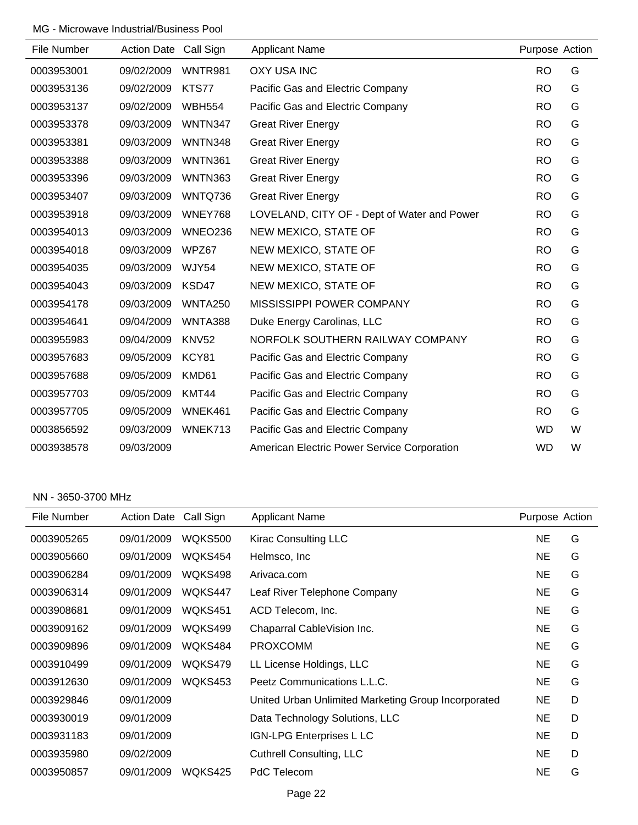| File Number | <b>Action Date</b> | Call Sign      | <b>Applicant Name</b>                       | Purpose Action |   |
|-------------|--------------------|----------------|---------------------------------------------|----------------|---|
| 0003953001  | 09/02/2009         | WNTR981        | <b>OXY USA INC</b>                          | <b>RO</b>      | G |
| 0003953136  | 09/02/2009         | KTS77          | Pacific Gas and Electric Company            | <b>RO</b>      | G |
| 0003953137  | 09/02/2009         | <b>WBH554</b>  | Pacific Gas and Electric Company            | <b>RO</b>      | G |
| 0003953378  | 09/03/2009         | WNTN347        | <b>Great River Energy</b>                   | <b>RO</b>      | G |
| 0003953381  | 09/03/2009         | <b>WNTN348</b> | <b>Great River Energy</b>                   | <b>RO</b>      | G |
| 0003953388  | 09/03/2009         | <b>WNTN361</b> | <b>Great River Energy</b>                   | <b>RO</b>      | G |
| 0003953396  | 09/03/2009         | <b>WNTN363</b> | <b>Great River Energy</b>                   | <b>RO</b>      | G |
| 0003953407  | 09/03/2009         | WNTQ736        | <b>Great River Energy</b>                   | <b>RO</b>      | G |
| 0003953918  | 09/03/2009         | WNEY768        | LOVELAND, CITY OF - Dept of Water and Power | <b>RO</b>      | G |
| 0003954013  | 09/03/2009         | WNEO236        | NEW MEXICO, STATE OF                        | <b>RO</b>      | G |
| 0003954018  | 09/03/2009         | WPZ67          | NEW MEXICO, STATE OF                        | <b>RO</b>      | G |
| 0003954035  | 09/03/2009         | WJY54          | NEW MEXICO, STATE OF                        | <b>RO</b>      | G |
| 0003954043  | 09/03/2009         | KSD47          | NEW MEXICO, STATE OF                        | <b>RO</b>      | G |
| 0003954178  | 09/03/2009         | <b>WNTA250</b> | MISSISSIPPI POWER COMPANY                   | <b>RO</b>      | G |
| 0003954641  | 09/04/2009         | WNTA388        | Duke Energy Carolinas, LLC                  | <b>RO</b>      | G |
| 0003955983  | 09/04/2009         | <b>KNV52</b>   | NORFOLK SOUTHERN RAILWAY COMPANY            | <b>RO</b>      | G |
| 0003957683  | 09/05/2009         | KCY81          | Pacific Gas and Electric Company            | <b>RO</b>      | G |
| 0003957688  | 09/05/2009         | KMD61          | Pacific Gas and Electric Company            | <b>RO</b>      | G |
| 0003957703  | 09/05/2009         | KMT44          | Pacific Gas and Electric Company            | <b>RO</b>      | G |
| 0003957705  | 09/05/2009         | WNEK461        | Pacific Gas and Electric Company            | <b>RO</b>      | G |
| 0003856592  | 09/03/2009         | WNEK713        | Pacific Gas and Electric Company            | <b>WD</b>      | W |
| 0003938578  | 09/03/2009         |                | American Electric Power Service Corporation | <b>WD</b>      | W |

#### NN - 3650-3700 MHz

| File Number | <b>Action Date</b> | Call Sign | <b>Applicant Name</b>                               | Purpose Action |   |
|-------------|--------------------|-----------|-----------------------------------------------------|----------------|---|
| 0003905265  | 09/01/2009         | WQKS500   | Kirac Consulting LLC                                | <b>NE</b>      | G |
| 0003905660  | 09/01/2009         | WQKS454   | Helmsco, Inc                                        | <b>NE</b>      | G |
| 0003906284  | 09/01/2009         | WQKS498   | Arivaca.com                                         | <b>NE</b>      | G |
| 0003906314  | 09/01/2009         | WQKS447   | Leaf River Telephone Company                        | <b>NE</b>      | G |
| 0003908681  | 09/01/2009         | WQKS451   | ACD Telecom, Inc.                                   | <b>NE</b>      | G |
| 0003909162  | 09/01/2009         | WQKS499   | Chaparral CableVision Inc.                          | <b>NE</b>      | G |
| 0003909896  | 09/01/2009         | WQKS484   | <b>PROXCOMM</b>                                     | <b>NE</b>      | G |
| 0003910499  | 09/01/2009         | WQKS479   | LL License Holdings, LLC                            | <b>NE</b>      | G |
| 0003912630  | 09/01/2009         | WQKS453   | Peetz Communications L.L.C.                         | <b>NE</b>      | G |
| 0003929846  | 09/01/2009         |           | United Urban Unlimited Marketing Group Incorporated | <b>NE</b>      | D |
| 0003930019  | 09/01/2009         |           | Data Technology Solutions, LLC                      | <b>NE</b>      | D |
| 0003931183  | 09/01/2009         |           | IGN-LPG Enterprises L LC                            | <b>NE</b>      | D |
| 0003935980  | 09/02/2009         |           | <b>Cuthrell Consulting, LLC</b>                     | <b>NE</b>      | D |
| 0003950857  | 09/01/2009         | WQKS425   | PdC Telecom                                         | <b>NE</b>      | G |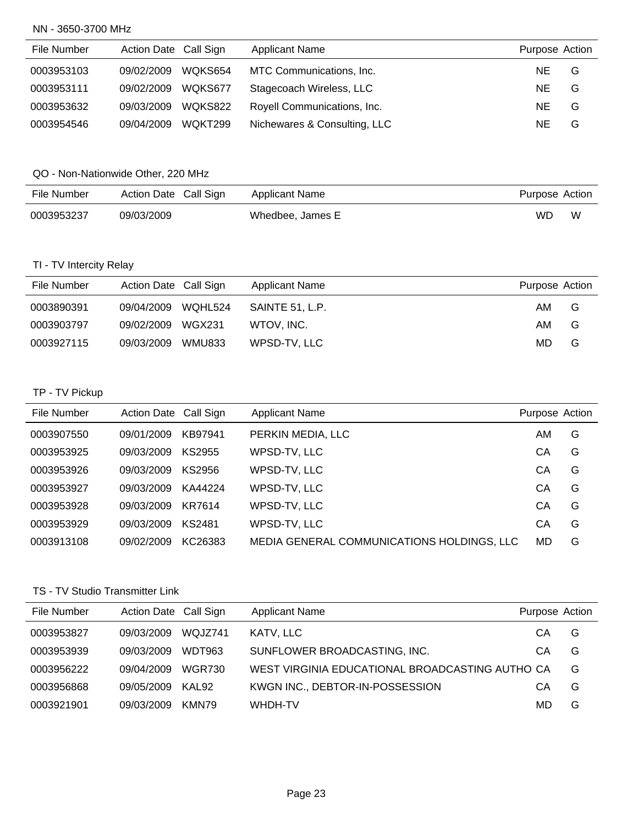#### NN - 3650-3700 MHz

| File Number | Action Date Call Sign |         | <b>Applicant Name</b>        | Purpose Action |   |
|-------------|-----------------------|---------|------------------------------|----------------|---|
| 0003953103  | 09/02/2009            | WQKS654 | MTC Communications, Inc.     | NE.            | G |
| 0003953111  | 09/02/2009            | WQKS677 | Stagecoach Wireless, LLC     | NE.            | G |
| 0003953632  | 09/03/2009            | WQKS822 | Royell Communications, Inc.  | NE.            | G |
| 0003954546  | 09/04/2009            | WQKT299 | Nichewares & Consulting, LLC | NE.            | G |

## QO - Non-Nationwide Other, 220 MHz

| File Number | Action Date Call Sign | Applicant Name   | Purpose Action |   |
|-------------|-----------------------|------------------|----------------|---|
| 0003953237  | 09/03/2009            | Whedbee, James E | WD             | W |

## TI - TV Intercity Relay

| File Number | Action Date Call Sign |        | <b>Applicant Name</b> | Purpose Action |   |
|-------------|-----------------------|--------|-----------------------|----------------|---|
| 0003890391  | 09/04/2009 WQHL524    |        | SAINTE 51. L.P.       | AM             | G |
| 0003903797  | 09/02/2009            | WGX231 | WTOV. INC.            | AM             | G |
| 0003927115  | 09/03/2009            | WMU833 | WPSD-TV, LLC          | MD.            | G |

## TP - TV Pickup

| File Number | Action Date Call Sign |         | <b>Applicant Name</b>                      | Purpose Action |   |
|-------------|-----------------------|---------|--------------------------------------------|----------------|---|
| 0003907550  | 09/01/2009            | KB97941 | PERKIN MEDIA, LLC                          | AM             | G |
| 0003953925  | 09/03/2009            | KS2955  | WPSD-TV, LLC                               | СA             | G |
| 0003953926  | 09/03/2009            | KS2956  | WPSD-TV, LLC                               | CА             | G |
| 0003953927  | 09/03/2009            | KA44224 | WPSD-TV, LLC                               | СA             | G |
| 0003953928  | 09/03/2009            | KR7614  | WPSD-TV, LLC                               | СA             | G |
| 0003953929  | 09/03/2009            | KS2481  | WPSD-TV, LLC                               | СA             | G |
| 0003913108  | 09/02/2009            | KC26383 | MEDIA GENERAL COMMUNICATIONS HOLDINGS, LLC | MD             | G |

## TS - TV Studio Transmitter Link

| File Number | Action Date Call Sign |               | <b>Applicant Name</b>                           | Purpose Action |   |
|-------------|-----------------------|---------------|-------------------------------------------------|----------------|---|
| 0003953827  | 09/03/2009            | WQJZ741       | KATV, LLC                                       | CА             | G |
| 0003953939  | 09/03/2009            | WDT963        | SUNFLOWER BROADCASTING, INC.                    | CА             | G |
| 0003956222  | 09/04/2009            | <b>WGR730</b> | WEST VIRGINIA EDUCATIONAL BROADCASTING AUTHO CA |                | G |
| 0003956868  | 09/05/2009            | KAL92         | KWGN INC., DEBTOR-IN-POSSESSION                 | CА             | G |
| 0003921901  | 09/03/2009            | KMN79         | WHDH-TV                                         | MD             | G |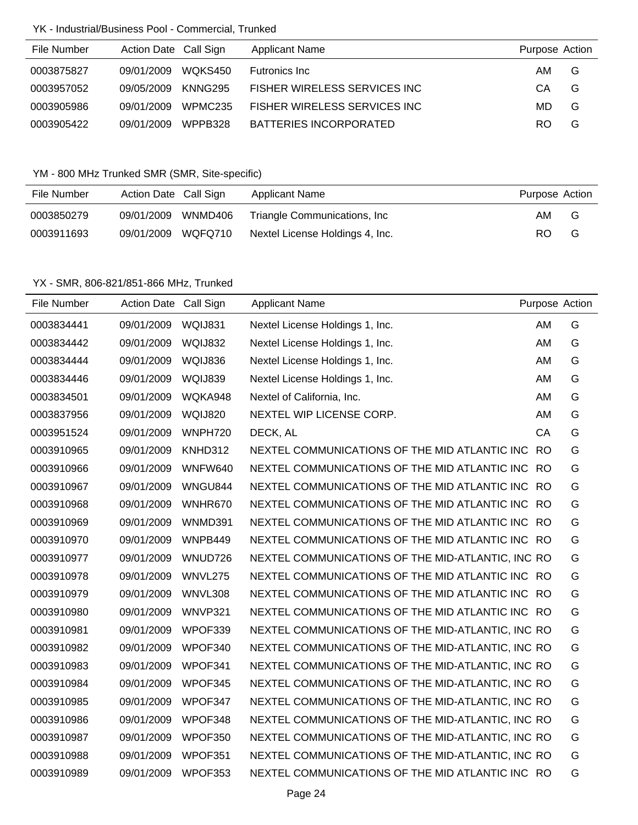## YK - Industrial/Business Pool - Commercial, Trunked

| File Number | Action Date Call Sign |         | <b>Applicant Name</b>        | Purpose Action |   |
|-------------|-----------------------|---------|------------------------------|----------------|---|
| 0003875827  | 09/01/2009            | WOKS450 | Futronics Inc.               | AM.            | G |
| 0003957052  | 09/05/2009            | KNNG295 | FISHER WIRELESS SERVICES INC | CA             | G |
| 0003905986  | 09/01/2009            | WPMC235 | FISHER WIRELESS SERVICES INC | MD.            | G |
| 0003905422  | 09/01/2009            | WPPB328 | BATTERIES INCORPORATED       | RO.            | G |

## YM - 800 MHz Trunked SMR (SMR, Site-specific)

| File Number | Action Date Call Sign |         | <b>Applicant Name</b>           | Purpose Action |   |
|-------------|-----------------------|---------|---------------------------------|----------------|---|
| 0003850279  | 09/01/2009            | WNMD406 | Triangle Communications, Inc.   | AM.            | G |
| 0003911693  | 09/01/2009            | WQFQ710 | Nextel License Holdings 4, Inc. | RO.            | G |

| File Number | Action Date Call Sign |                | <b>Applicant Name</b>                             | Purpose Action |   |
|-------------|-----------------------|----------------|---------------------------------------------------|----------------|---|
| 0003834441  | 09/01/2009            | WQIJ831        | Nextel License Holdings 1, Inc.                   | AM             | G |
| 0003834442  | 09/01/2009            | WQIJ832        | Nextel License Holdings 1, Inc.                   | AM             | G |
| 0003834444  | 09/01/2009            | WQIJ836        | Nextel License Holdings 1, Inc.                   | AM             | G |
| 0003834446  | 09/01/2009            | WQIJ839        | Nextel License Holdings 1, Inc.                   | AM             | G |
| 0003834501  | 09/01/2009            | WQKA948        | Nextel of California, Inc.                        | AM             | G |
| 0003837956  | 09/01/2009            | <b>WQIJ820</b> | NEXTEL WIP LICENSE CORP.                          | AM             | G |
| 0003951524  | 09/01/2009            | WNPH720        | DECK, AL                                          | CA             | G |
| 0003910965  | 09/01/2009            | KNHD312        | NEXTEL COMMUNICATIONS OF THE MID ATLANTIC INC RO  |                | G |
| 0003910966  | 09/01/2009            | WNFW640        | NEXTEL COMMUNICATIONS OF THE MID ATLANTIC INC RO  |                | G |
| 0003910967  | 09/01/2009            | WNGU844        | NEXTEL COMMUNICATIONS OF THE MID ATLANTIC INC RO  |                | G |
| 0003910968  | 09/01/2009            | WNHR670        | NEXTEL COMMUNICATIONS OF THE MID ATLANTIC INC RO  |                | G |
| 0003910969  | 09/01/2009            | WNMD391        | NEXTEL COMMUNICATIONS OF THE MID ATLANTIC INC RO  |                | G |
| 0003910970  | 09/01/2009            | WNPB449        | NEXTEL COMMUNICATIONS OF THE MID ATLANTIC INC RO  |                | G |
| 0003910977  | 09/01/2009            | WNUD726        | NEXTEL COMMUNICATIONS OF THE MID-ATLANTIC, INC RO |                | G |
| 0003910978  | 09/01/2009            | WNVL275        | NEXTEL COMMUNICATIONS OF THE MID ATLANTIC INC RO  |                | G |
| 0003910979  | 09/01/2009            | WNVL308        | NEXTEL COMMUNICATIONS OF THE MID ATLANTIC INC RO  |                | G |
| 0003910980  | 09/01/2009            | WNVP321        | NEXTEL COMMUNICATIONS OF THE MID ATLANTIC INC RO  |                | G |
| 0003910981  | 09/01/2009            | WPOF339        | NEXTEL COMMUNICATIONS OF THE MID-ATLANTIC, INC RO |                | G |
| 0003910982  | 09/01/2009            | WPOF340        | NEXTEL COMMUNICATIONS OF THE MID-ATLANTIC, INC RO |                | G |
| 0003910983  | 09/01/2009            | WPOF341        | NEXTEL COMMUNICATIONS OF THE MID-ATLANTIC, INC RO |                | G |
| 0003910984  | 09/01/2009            | WPOF345        | NEXTEL COMMUNICATIONS OF THE MID-ATLANTIC, INC RO |                | G |
| 0003910985  | 09/01/2009            | WPOF347        | NEXTEL COMMUNICATIONS OF THE MID-ATLANTIC, INC RO |                | G |
| 0003910986  | 09/01/2009            | WPOF348        | NEXTEL COMMUNICATIONS OF THE MID-ATLANTIC, INC RO |                | G |
| 0003910987  | 09/01/2009            | WPOF350        | NEXTEL COMMUNICATIONS OF THE MID-ATLANTIC, INC RO |                | G |
| 0003910988  | 09/01/2009            | WPOF351        | NEXTEL COMMUNICATIONS OF THE MID-ATLANTIC, INC RO |                | G |
| 0003910989  | 09/01/2009            | WPOF353        | NEXTEL COMMUNICATIONS OF THE MID ATLANTIC INC RO  |                | G |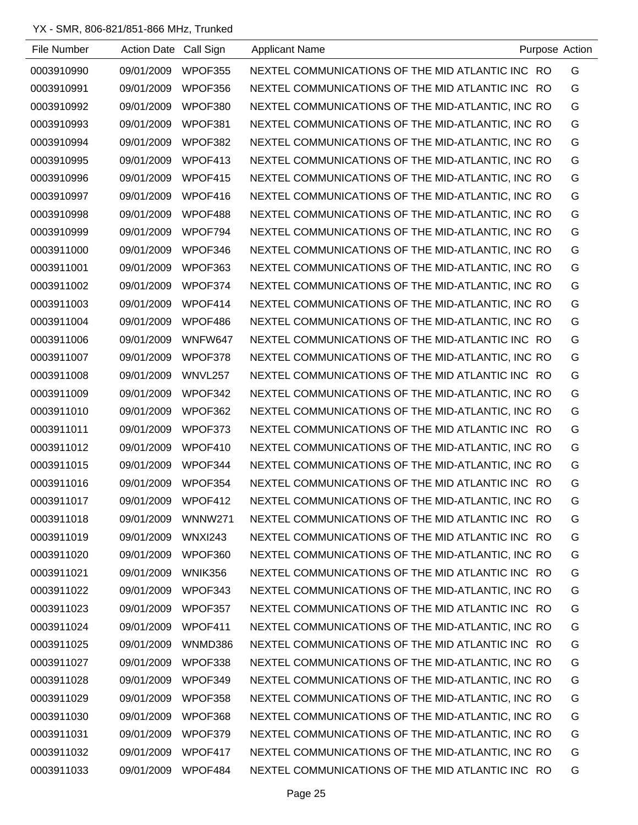| File Number | Action Date Call Sign |                | <b>Applicant Name</b>                             | Purpose Action |
|-------------|-----------------------|----------------|---------------------------------------------------|----------------|
| 0003910990  | 09/01/2009            | WPOF355        | NEXTEL COMMUNICATIONS OF THE MID ATLANTIC INC RO  | G              |
| 0003910991  | 09/01/2009            | WPOF356        | NEXTEL COMMUNICATIONS OF THE MID ATLANTIC INC RO  | G              |
| 0003910992  | 09/01/2009            | WPOF380        | NEXTEL COMMUNICATIONS OF THE MID-ATLANTIC, INC RO | G              |
| 0003910993  | 09/01/2009            | WPOF381        | NEXTEL COMMUNICATIONS OF THE MID-ATLANTIC, INC RO | G              |
| 0003910994  | 09/01/2009            | WPOF382        | NEXTEL COMMUNICATIONS OF THE MID-ATLANTIC, INC RO | G              |
| 0003910995  | 09/01/2009            | WPOF413        | NEXTEL COMMUNICATIONS OF THE MID-ATLANTIC, INC RO | G              |
| 0003910996  | 09/01/2009            | WPOF415        | NEXTEL COMMUNICATIONS OF THE MID-ATLANTIC, INC RO | G              |
| 0003910997  | 09/01/2009            | WPOF416        | NEXTEL COMMUNICATIONS OF THE MID-ATLANTIC, INC RO | G              |
| 0003910998  | 09/01/2009            | WPOF488        | NEXTEL COMMUNICATIONS OF THE MID-ATLANTIC, INC RO | G              |
| 0003910999  | 09/01/2009            | WPOF794        | NEXTEL COMMUNICATIONS OF THE MID-ATLANTIC, INC RO | G              |
| 0003911000  | 09/01/2009            | WPOF346        | NEXTEL COMMUNICATIONS OF THE MID-ATLANTIC, INC RO | G              |
| 0003911001  | 09/01/2009            | WPOF363        | NEXTEL COMMUNICATIONS OF THE MID-ATLANTIC, INC RO | G              |
| 0003911002  | 09/01/2009            | WPOF374        | NEXTEL COMMUNICATIONS OF THE MID-ATLANTIC, INC RO | G              |
| 0003911003  | 09/01/2009            | WPOF414        | NEXTEL COMMUNICATIONS OF THE MID-ATLANTIC, INC RO | G              |
| 0003911004  | 09/01/2009            | WPOF486        | NEXTEL COMMUNICATIONS OF THE MID-ATLANTIC, INC RO | G              |
| 0003911006  | 09/01/2009            | WNFW647        | NEXTEL COMMUNICATIONS OF THE MID-ATLANTIC INC RO  | G              |
| 0003911007  | 09/01/2009            | WPOF378        | NEXTEL COMMUNICATIONS OF THE MID-ATLANTIC, INC RO | G              |
| 0003911008  | 09/01/2009            | WNVL257        | NEXTEL COMMUNICATIONS OF THE MID ATLANTIC INC RO  | G              |
| 0003911009  | 09/01/2009            | WPOF342        | NEXTEL COMMUNICATIONS OF THE MID-ATLANTIC, INC RO | G              |
| 0003911010  | 09/01/2009            | WPOF362        | NEXTEL COMMUNICATIONS OF THE MID-ATLANTIC, INC RO | G              |
| 0003911011  | 09/01/2009            | WPOF373        | NEXTEL COMMUNICATIONS OF THE MID ATLANTIC INC RO  | G              |
| 0003911012  | 09/01/2009            | WPOF410        | NEXTEL COMMUNICATIONS OF THE MID-ATLANTIC, INC RO | G              |
| 0003911015  | 09/01/2009            | WPOF344        | NEXTEL COMMUNICATIONS OF THE MID-ATLANTIC, INC RO | G              |
| 0003911016  | 09/01/2009            | WPOF354        | NEXTEL COMMUNICATIONS OF THE MID ATLANTIC INC RO  | G              |
| 0003911017  | 09/01/2009            | WPOF412        | NEXTEL COMMUNICATIONS OF THE MID-ATLANTIC, INC RO | G              |
| 0003911018  | 09/01/2009            | <b>WNNW271</b> | NEXTEL COMMUNICATIONS OF THE MID ATLANTIC INC RO  | G              |
| 0003911019  | 09/01/2009            | <b>WNXI243</b> | NEXTEL COMMUNICATIONS OF THE MID ATLANTIC INC RO  | G              |
| 0003911020  | 09/01/2009            | WPOF360        | NEXTEL COMMUNICATIONS OF THE MID-ATLANTIC, INC RO | G              |
| 0003911021  | 09/01/2009            | WNIK356        | NEXTEL COMMUNICATIONS OF THE MID ATLANTIC INC RO  | G              |
| 0003911022  | 09/01/2009            | WPOF343        | NEXTEL COMMUNICATIONS OF THE MID-ATLANTIC, INC RO | G              |
| 0003911023  | 09/01/2009            | WPOF357        | NEXTEL COMMUNICATIONS OF THE MID ATLANTIC INC RO  | G              |
| 0003911024  | 09/01/2009            | WPOF411        | NEXTEL COMMUNICATIONS OF THE MID-ATLANTIC, INC RO | G              |
| 0003911025  | 09/01/2009            | WNMD386        | NEXTEL COMMUNICATIONS OF THE MID ATLANTIC INC RO  | G              |
| 0003911027  | 09/01/2009            | WPOF338        | NEXTEL COMMUNICATIONS OF THE MID-ATLANTIC, INC RO | G              |
| 0003911028  | 09/01/2009            | WPOF349        | NEXTEL COMMUNICATIONS OF THE MID-ATLANTIC, INC RO | G              |
| 0003911029  | 09/01/2009            | WPOF358        | NEXTEL COMMUNICATIONS OF THE MID-ATLANTIC, INC RO | G              |
| 0003911030  | 09/01/2009            | WPOF368        | NEXTEL COMMUNICATIONS OF THE MID-ATLANTIC, INC RO | G              |
| 0003911031  | 09/01/2009            | WPOF379        | NEXTEL COMMUNICATIONS OF THE MID-ATLANTIC, INC RO | G              |
| 0003911032  | 09/01/2009            | WPOF417        | NEXTEL COMMUNICATIONS OF THE MID-ATLANTIC, INC RO | G              |
| 0003911033  | 09/01/2009            | WPOF484        | NEXTEL COMMUNICATIONS OF THE MID ATLANTIC INC RO  | G              |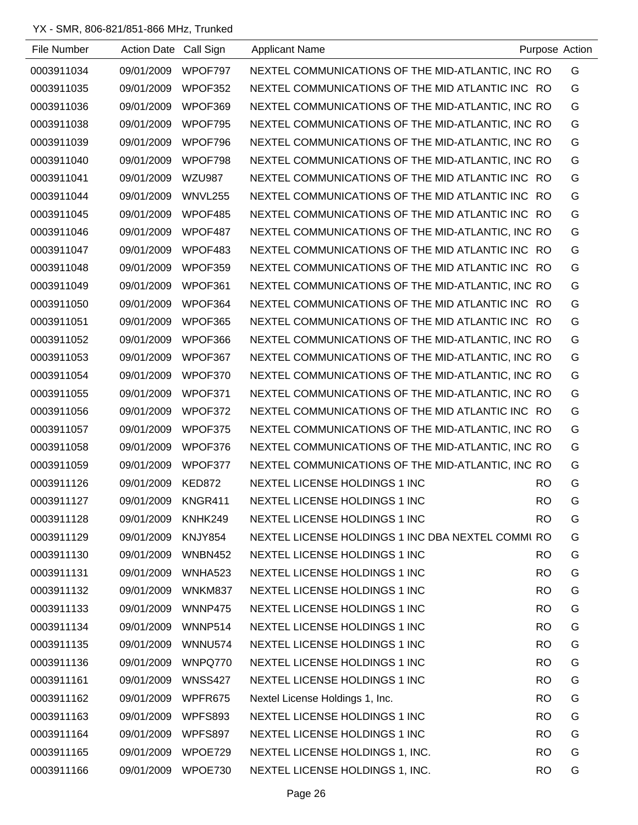| File Number | Action Date Call Sign |                | <b>Applicant Name</b>                             | Purpose Action |   |
|-------------|-----------------------|----------------|---------------------------------------------------|----------------|---|
| 0003911034  | 09/01/2009            | WPOF797        | NEXTEL COMMUNICATIONS OF THE MID-ATLANTIC, INC RO |                | G |
| 0003911035  | 09/01/2009            | WPOF352        | NEXTEL COMMUNICATIONS OF THE MID ATLANTIC INC RO  |                | G |
| 0003911036  | 09/01/2009            | WPOF369        | NEXTEL COMMUNICATIONS OF THE MID-ATLANTIC, INC RO |                | G |
| 0003911038  | 09/01/2009            | WPOF795        | NEXTEL COMMUNICATIONS OF THE MID-ATLANTIC, INC RO |                | G |
| 0003911039  | 09/01/2009            | WPOF796        | NEXTEL COMMUNICATIONS OF THE MID-ATLANTIC, INC RO |                | G |
| 0003911040  | 09/01/2009            | WPOF798        | NEXTEL COMMUNICATIONS OF THE MID-ATLANTIC, INC RO |                | G |
| 0003911041  | 09/01/2009            | <b>WZU987</b>  | NEXTEL COMMUNICATIONS OF THE MID ATLANTIC INC RO  |                | G |
| 0003911044  | 09/01/2009            | WNVL255        | NEXTEL COMMUNICATIONS OF THE MID ATLANTIC INC RO  |                | G |
| 0003911045  | 09/01/2009            | WPOF485        | NEXTEL COMMUNICATIONS OF THE MID ATLANTIC INC RO  |                | G |
| 0003911046  | 09/01/2009            | WPOF487        | NEXTEL COMMUNICATIONS OF THE MID-ATLANTIC, INC RO |                | G |
| 0003911047  | 09/01/2009            | WPOF483        | NEXTEL COMMUNICATIONS OF THE MID ATLANTIC INC RO  |                | G |
| 0003911048  | 09/01/2009            | WPOF359        | NEXTEL COMMUNICATIONS OF THE MID ATLANTIC INC RO  |                | G |
| 0003911049  | 09/01/2009            | WPOF361        | NEXTEL COMMUNICATIONS OF THE MID-ATLANTIC, INC RO |                | G |
| 0003911050  | 09/01/2009            | WPOF364        | NEXTEL COMMUNICATIONS OF THE MID ATLANTIC INC RO  |                | G |
| 0003911051  | 09/01/2009            | WPOF365        | NEXTEL COMMUNICATIONS OF THE MID ATLANTIC INC RO  |                | G |
| 0003911052  | 09/01/2009            | WPOF366        | NEXTEL COMMUNICATIONS OF THE MID-ATLANTIC, INC RO |                | G |
| 0003911053  | 09/01/2009            | WPOF367        | NEXTEL COMMUNICATIONS OF THE MID-ATLANTIC, INC RO |                | G |
| 0003911054  | 09/01/2009            | WPOF370        | NEXTEL COMMUNICATIONS OF THE MID-ATLANTIC, INC RO |                | G |
| 0003911055  | 09/01/2009            | WPOF371        | NEXTEL COMMUNICATIONS OF THE MID-ATLANTIC, INC RO |                | G |
| 0003911056  | 09/01/2009            | WPOF372        | NEXTEL COMMUNICATIONS OF THE MID ATLANTIC INC RO  |                | G |
| 0003911057  | 09/01/2009            | WPOF375        | NEXTEL COMMUNICATIONS OF THE MID-ATLANTIC, INC RO |                | G |
| 0003911058  | 09/01/2009            | WPOF376        | NEXTEL COMMUNICATIONS OF THE MID-ATLANTIC, INC RO |                | G |
| 0003911059  | 09/01/2009            | WPOF377        | NEXTEL COMMUNICATIONS OF THE MID-ATLANTIC, INC RO |                | G |
| 0003911126  | 09/01/2009            | KED872         | NEXTEL LICENSE HOLDINGS 1 INC                     | <b>RO</b>      | G |
| 0003911127  | 09/01/2009            | KNGR411        | NEXTEL LICENSE HOLDINGS 1 INC                     | <b>RO</b>      | G |
| 0003911128  | 09/01/2009            | KNHK249        | NEXTEL LICENSE HOLDINGS 1 INC                     | <b>RO</b>      | G |
| 0003911129  | 09/01/2009 KNJY854    |                | NEXTEL LICENSE HOLDINGS 1 INC DBA NEXTEL COMMI RO |                | G |
| 0003911130  | 09/01/2009            | WNBN452        | NEXTEL LICENSE HOLDINGS 1 INC                     | RO.            | G |
| 0003911131  | 09/01/2009            | WNHA523        | NEXTEL LICENSE HOLDINGS 1 INC                     | <b>RO</b>      | G |
| 0003911132  | 09/01/2009            | WNKM837        | NEXTEL LICENSE HOLDINGS 1 INC                     | <b>RO</b>      | G |
| 0003911133  | 09/01/2009            | WNNP475        | NEXTEL LICENSE HOLDINGS 1 INC                     | <b>RO</b>      | G |
| 0003911134  | 09/01/2009            | WNNP514        | NEXTEL LICENSE HOLDINGS 1 INC                     | <b>RO</b>      | G |
| 0003911135  | 09/01/2009            | WNNU574        | NEXTEL LICENSE HOLDINGS 1 INC                     | <b>RO</b>      | G |
| 0003911136  | 09/01/2009            | WNPQ770        | NEXTEL LICENSE HOLDINGS 1 INC                     | <b>RO</b>      | G |
| 0003911161  | 09/01/2009            | <b>WNSS427</b> | NEXTEL LICENSE HOLDINGS 1 INC                     | RO.            | G |
| 0003911162  | 09/01/2009            | WPFR675        | Nextel License Holdings 1, Inc.                   | <b>RO</b>      | G |
| 0003911163  | 09/01/2009            | WPFS893        | NEXTEL LICENSE HOLDINGS 1 INC                     | <b>RO</b>      | G |
| 0003911164  | 09/01/2009            | WPFS897        | NEXTEL LICENSE HOLDINGS 1 INC                     | <b>RO</b>      | G |
| 0003911165  | 09/01/2009            | WPOE729        | NEXTEL LICENSE HOLDINGS 1, INC.                   | <b>RO</b>      | G |
| 0003911166  | 09/01/2009            | WPOE730        | NEXTEL LICENSE HOLDINGS 1, INC.                   | <b>RO</b>      | G |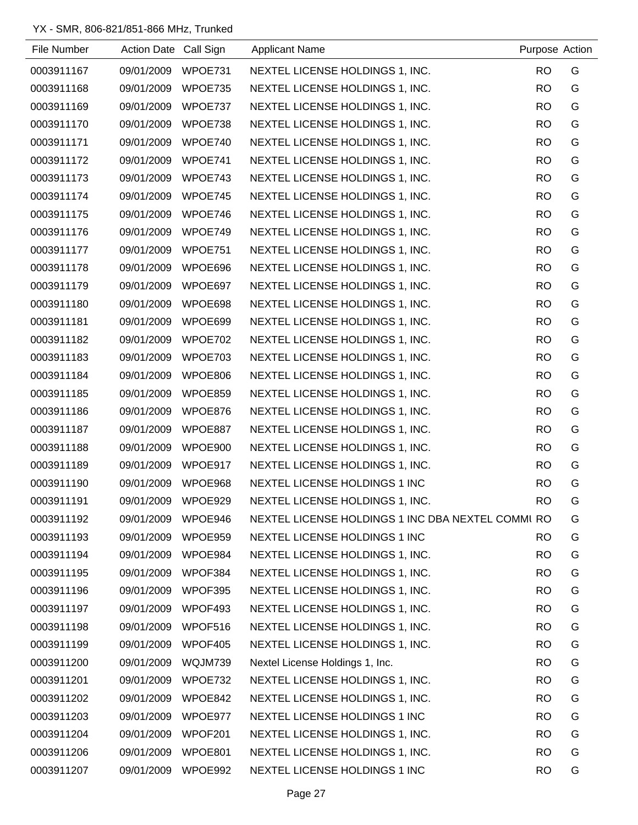| File Number | Action Date Call Sign |         | <b>Applicant Name</b>                             | Purpose Action |   |
|-------------|-----------------------|---------|---------------------------------------------------|----------------|---|
| 0003911167  | 09/01/2009            | WPOE731 | NEXTEL LICENSE HOLDINGS 1, INC.                   | <b>RO</b>      | G |
| 0003911168  | 09/01/2009            | WPOE735 | NEXTEL LICENSE HOLDINGS 1, INC.                   | <b>RO</b>      | G |
| 0003911169  | 09/01/2009 WPOE737    |         | NEXTEL LICENSE HOLDINGS 1, INC.                   | <b>RO</b>      | G |
| 0003911170  | 09/01/2009            | WPOE738 | NEXTEL LICENSE HOLDINGS 1, INC.                   | <b>RO</b>      | G |
| 0003911171  | 09/01/2009            | WPOE740 | NEXTEL LICENSE HOLDINGS 1, INC.                   | <b>RO</b>      | G |
| 0003911172  | 09/01/2009 WPOE741    |         | NEXTEL LICENSE HOLDINGS 1, INC.                   | <b>RO</b>      | G |
| 0003911173  | 09/01/2009            | WPOE743 | NEXTEL LICENSE HOLDINGS 1, INC.                   | <b>RO</b>      | G |
| 0003911174  | 09/01/2009            | WPOE745 | NEXTEL LICENSE HOLDINGS 1, INC.                   | <b>RO</b>      | G |
| 0003911175  | 09/01/2009            | WPOE746 | NEXTEL LICENSE HOLDINGS 1, INC.                   | <b>RO</b>      | G |
| 0003911176  | 09/01/2009 WPOE749    |         | NEXTEL LICENSE HOLDINGS 1, INC.                   | <b>RO</b>      | G |
| 0003911177  | 09/01/2009 WPOE751    |         | NEXTEL LICENSE HOLDINGS 1, INC.                   | <b>RO</b>      | G |
| 0003911178  | 09/01/2009            | WPOE696 | NEXTEL LICENSE HOLDINGS 1, INC.                   | <b>RO</b>      | G |
| 0003911179  | 09/01/2009 WPOE697    |         | NEXTEL LICENSE HOLDINGS 1, INC.                   | <b>RO</b>      | G |
| 0003911180  | 09/01/2009            | WPOE698 | NEXTEL LICENSE HOLDINGS 1, INC.                   | <b>RO</b>      | G |
| 0003911181  | 09/01/2009            | WPOE699 | NEXTEL LICENSE HOLDINGS 1, INC.                   | <b>RO</b>      | G |
| 0003911182  | 09/01/2009            | WPOE702 | NEXTEL LICENSE HOLDINGS 1, INC.                   | <b>RO</b>      | G |
| 0003911183  | 09/01/2009 WPOE703    |         | NEXTEL LICENSE HOLDINGS 1, INC.                   | <b>RO</b>      | G |
| 0003911184  | 09/01/2009            | WPOE806 | NEXTEL LICENSE HOLDINGS 1, INC.                   | <b>RO</b>      | G |
| 0003911185  | 09/01/2009 WPOE859    |         | NEXTEL LICENSE HOLDINGS 1, INC.                   | <b>RO</b>      | G |
| 0003911186  | 09/01/2009            | WPOE876 | NEXTEL LICENSE HOLDINGS 1, INC.                   | <b>RO</b>      | G |
| 0003911187  | 09/01/2009            | WPOE887 | NEXTEL LICENSE HOLDINGS 1, INC.                   | <b>RO</b>      | G |
| 0003911188  | 09/01/2009            | WPOE900 | NEXTEL LICENSE HOLDINGS 1, INC.                   | <b>RO</b>      | G |
| 0003911189  | 09/01/2009            | WPOE917 | NEXTEL LICENSE HOLDINGS 1, INC.                   | <b>RO</b>      | G |
| 0003911190  | 09/01/2009            | WPOE968 | NEXTEL LICENSE HOLDINGS 1 INC                     | <b>RO</b>      | G |
| 0003911191  | 09/01/2009            | WPOE929 | NEXTEL LICENSE HOLDINGS 1, INC.                   | <b>RO</b>      | G |
| 0003911192  | 09/01/2009            | WPOE946 | NEXTEL LICENSE HOLDINGS 1 INC DBA NEXTEL COMMI RO |                | G |
| 0003911193  | 09/01/2009            | WPOE959 | NEXTEL LICENSE HOLDINGS 1 INC                     | <b>RO</b>      | G |
| 0003911194  | 09/01/2009            | WPOE984 | NEXTEL LICENSE HOLDINGS 1, INC.                   | <b>RO</b>      | G |
| 0003911195  | 09/01/2009            | WPOF384 | NEXTEL LICENSE HOLDINGS 1, INC.                   | <b>RO</b>      | G |
| 0003911196  | 09/01/2009            | WPOF395 | NEXTEL LICENSE HOLDINGS 1, INC.                   | <b>RO</b>      | G |
| 0003911197  | 09/01/2009            | WPOF493 | NEXTEL LICENSE HOLDINGS 1, INC.                   | <b>RO</b>      | G |
| 0003911198  | 09/01/2009            | WPOF516 | NEXTEL LICENSE HOLDINGS 1, INC.                   | <b>RO</b>      | G |
| 0003911199  | 09/01/2009            | WPOF405 | NEXTEL LICENSE HOLDINGS 1, INC.                   | <b>RO</b>      | G |
| 0003911200  | 09/01/2009            | WQJM739 | Nextel License Holdings 1, Inc.                   | <b>RO</b>      | G |
| 0003911201  | 09/01/2009            | WPOE732 | NEXTEL LICENSE HOLDINGS 1, INC.                   | <b>RO</b>      | G |
| 0003911202  | 09/01/2009            | WPOE842 | NEXTEL LICENSE HOLDINGS 1, INC.                   | <b>RO</b>      | G |
| 0003911203  | 09/01/2009 WPOE977    |         | NEXTEL LICENSE HOLDINGS 1 INC                     | <b>RO</b>      | G |
| 0003911204  | 09/01/2009            | WPOF201 | NEXTEL LICENSE HOLDINGS 1, INC.                   | <b>RO</b>      | G |
| 0003911206  | 09/01/2009            | WPOE801 | NEXTEL LICENSE HOLDINGS 1, INC.                   | <b>RO</b>      | G |
| 0003911207  | 09/01/2009            | WPOE992 | NEXTEL LICENSE HOLDINGS 1 INC                     | <b>RO</b>      | G |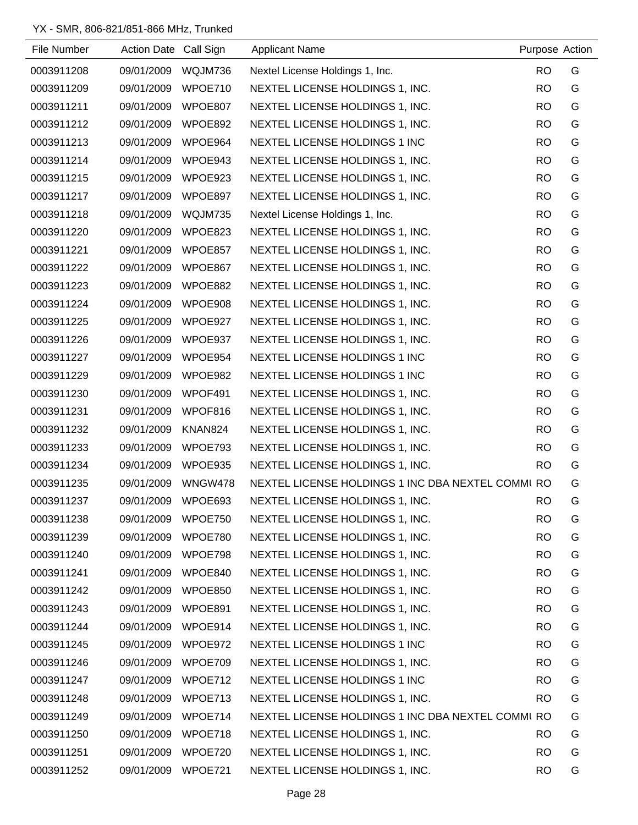| File Number | Action Date Call Sign |         | <b>Applicant Name</b>                             | Purpose Action |   |
|-------------|-----------------------|---------|---------------------------------------------------|----------------|---|
| 0003911208  | 09/01/2009            | WQJM736 | Nextel License Holdings 1, Inc.                   | <b>RO</b>      | G |
| 0003911209  | 09/01/2009            | WPOE710 | NEXTEL LICENSE HOLDINGS 1, INC.                   | <b>RO</b>      | G |
| 0003911211  | 09/01/2009            | WPOE807 | NEXTEL LICENSE HOLDINGS 1, INC.                   | <b>RO</b>      | G |
| 0003911212  | 09/01/2009            | WPOE892 | NEXTEL LICENSE HOLDINGS 1, INC.                   | <b>RO</b>      | G |
| 0003911213  | 09/01/2009            | WPOE964 | NEXTEL LICENSE HOLDINGS 1 INC                     | <b>RO</b>      | G |
| 0003911214  | 09/01/2009            | WPOE943 | NEXTEL LICENSE HOLDINGS 1, INC.                   | <b>RO</b>      | G |
| 0003911215  | 09/01/2009            | WPOE923 | NEXTEL LICENSE HOLDINGS 1, INC.                   | <b>RO</b>      | G |
| 0003911217  | 09/01/2009            | WPOE897 | NEXTEL LICENSE HOLDINGS 1, INC.                   | <b>RO</b>      | G |
| 0003911218  | 09/01/2009            | WQJM735 | Nextel License Holdings 1, Inc.                   | <b>RO</b>      | G |
| 0003911220  | 09/01/2009            | WPOE823 | NEXTEL LICENSE HOLDINGS 1, INC.                   | <b>RO</b>      | G |
| 0003911221  | 09/01/2009            | WPOE857 | NEXTEL LICENSE HOLDINGS 1, INC.                   | <b>RO</b>      | G |
| 0003911222  | 09/01/2009            | WPOE867 | NEXTEL LICENSE HOLDINGS 1, INC.                   | <b>RO</b>      | G |
| 0003911223  | 09/01/2009            | WPOE882 | NEXTEL LICENSE HOLDINGS 1, INC.                   | <b>RO</b>      | G |
| 0003911224  | 09/01/2009            | WPOE908 | NEXTEL LICENSE HOLDINGS 1, INC.                   | <b>RO</b>      | G |
| 0003911225  | 09/01/2009            | WPOE927 | NEXTEL LICENSE HOLDINGS 1, INC.                   | <b>RO</b>      | G |
| 0003911226  | 09/01/2009            | WPOE937 | NEXTEL LICENSE HOLDINGS 1, INC.                   | <b>RO</b>      | G |
| 0003911227  | 09/01/2009            | WPOE954 | NEXTEL LICENSE HOLDINGS 1 INC                     | <b>RO</b>      | G |
| 0003911229  | 09/01/2009            | WPOE982 | NEXTEL LICENSE HOLDINGS 1 INC                     | <b>RO</b>      | G |
| 0003911230  | 09/01/2009            | WPOF491 | NEXTEL LICENSE HOLDINGS 1, INC.                   | <b>RO</b>      | G |
| 0003911231  | 09/01/2009            | WPOF816 | NEXTEL LICENSE HOLDINGS 1, INC.                   | <b>RO</b>      | G |
| 0003911232  | 09/01/2009            | KNAN824 | NEXTEL LICENSE HOLDINGS 1, INC.                   | <b>RO</b>      | G |
| 0003911233  | 09/01/2009            | WPOE793 | NEXTEL LICENSE HOLDINGS 1, INC.                   | <b>RO</b>      | G |
| 0003911234  | 09/01/2009            | WPOE935 | NEXTEL LICENSE HOLDINGS 1, INC.                   | <b>RO</b>      | G |
| 0003911235  | 09/01/2009            | WNGW478 | NEXTEL LICENSE HOLDINGS 1 INC DBA NEXTEL COMMI RO |                | G |
| 0003911237  | 09/01/2009            | WPOE693 | NEXTEL LICENSE HOLDINGS 1, INC.                   | <b>RO</b>      | G |
| 0003911238  | 09/01/2009            | WPOE750 | NEXTEL LICENSE HOLDINGS 1, INC.                   | <b>RO</b>      | G |
| 0003911239  | 09/01/2009            | WPOE780 | NEXTEL LICENSE HOLDINGS 1, INC.                   | <b>RO</b>      | G |
| 0003911240  | 09/01/2009            | WPOE798 | NEXTEL LICENSE HOLDINGS 1, INC.                   | <b>RO</b>      | G |
| 0003911241  | 09/01/2009            | WPOE840 | NEXTEL LICENSE HOLDINGS 1, INC.                   | <b>RO</b>      | G |
| 0003911242  | 09/01/2009            | WPOE850 | NEXTEL LICENSE HOLDINGS 1, INC.                   | <b>RO</b>      | G |
| 0003911243  | 09/01/2009            | WPOE891 | NEXTEL LICENSE HOLDINGS 1, INC.                   | <b>RO</b>      | G |
| 0003911244  | 09/01/2009            | WPOE914 | NEXTEL LICENSE HOLDINGS 1, INC.                   | <b>RO</b>      | G |
| 0003911245  | 09/01/2009            | WPOE972 | NEXTEL LICENSE HOLDINGS 1 INC                     | <b>RO</b>      | G |
| 0003911246  | 09/01/2009            | WPOE709 | NEXTEL LICENSE HOLDINGS 1, INC.                   | <b>RO</b>      | G |
| 0003911247  | 09/01/2009            | WPOE712 | NEXTEL LICENSE HOLDINGS 1 INC                     | <b>RO</b>      | G |
| 0003911248  | 09/01/2009            | WPOE713 | NEXTEL LICENSE HOLDINGS 1, INC.                   | <b>RO</b>      | G |
| 0003911249  | 09/01/2009            | WPOE714 | NEXTEL LICENSE HOLDINGS 1 INC DBA NEXTEL COMMI RO |                | G |
| 0003911250  | 09/01/2009            | WPOE718 | NEXTEL LICENSE HOLDINGS 1, INC.                   | <b>RO</b>      | G |
| 0003911251  | 09/01/2009            | WPOE720 | NEXTEL LICENSE HOLDINGS 1, INC.                   | <b>RO</b>      | G |
| 0003911252  | 09/01/2009            | WPOE721 | NEXTEL LICENSE HOLDINGS 1, INC.                   | <b>RO</b>      | G |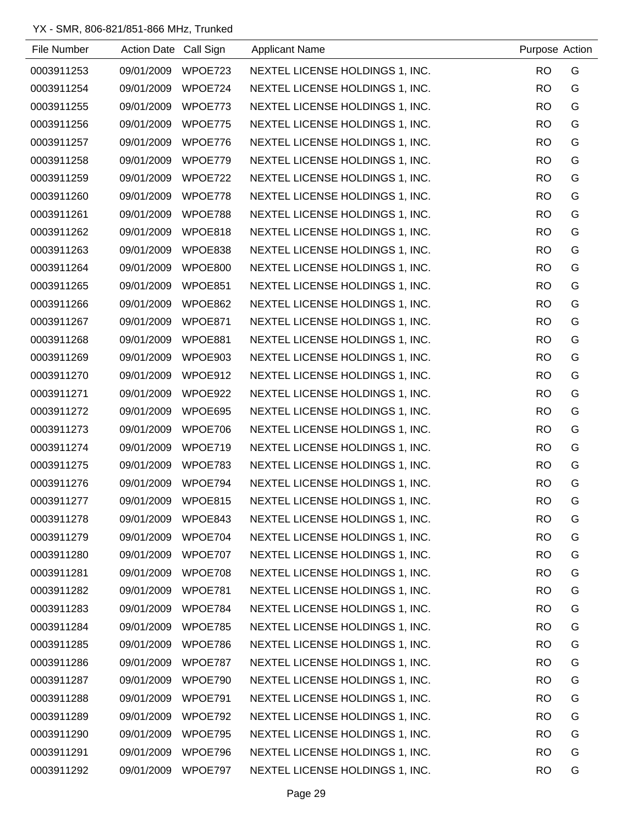| File Number | Action Date Call Sign |         | <b>Applicant Name</b>           | Purpose Action |   |
|-------------|-----------------------|---------|---------------------------------|----------------|---|
| 0003911253  | 09/01/2009            | WPOE723 | NEXTEL LICENSE HOLDINGS 1, INC. | <b>RO</b>      | G |
| 0003911254  | 09/01/2009            | WPOE724 | NEXTEL LICENSE HOLDINGS 1, INC. | <b>RO</b>      | G |
| 0003911255  | 09/01/2009            | WPOE773 | NEXTEL LICENSE HOLDINGS 1, INC. | <b>RO</b>      | G |
| 0003911256  | 09/01/2009            | WPOE775 | NEXTEL LICENSE HOLDINGS 1, INC. | <b>RO</b>      | G |
| 0003911257  | 09/01/2009            | WPOE776 | NEXTEL LICENSE HOLDINGS 1, INC. | <b>RO</b>      | G |
| 0003911258  | 09/01/2009            | WPOE779 | NEXTEL LICENSE HOLDINGS 1, INC. | <b>RO</b>      | G |
| 0003911259  | 09/01/2009            | WPOE722 | NEXTEL LICENSE HOLDINGS 1, INC. | <b>RO</b>      | G |
| 0003911260  | 09/01/2009            | WPOE778 | NEXTEL LICENSE HOLDINGS 1, INC. | <b>RO</b>      | G |
| 0003911261  | 09/01/2009            | WPOE788 | NEXTEL LICENSE HOLDINGS 1, INC. | <b>RO</b>      | G |
| 0003911262  | 09/01/2009            | WPOE818 | NEXTEL LICENSE HOLDINGS 1, INC. | <b>RO</b>      | G |
| 0003911263  | 09/01/2009            | WPOE838 | NEXTEL LICENSE HOLDINGS 1, INC. | <b>RO</b>      | G |
| 0003911264  | 09/01/2009            | WPOE800 | NEXTEL LICENSE HOLDINGS 1, INC. | <b>RO</b>      | G |
| 0003911265  | 09/01/2009            | WPOE851 | NEXTEL LICENSE HOLDINGS 1, INC. | <b>RO</b>      | G |
| 0003911266  | 09/01/2009            | WPOE862 | NEXTEL LICENSE HOLDINGS 1, INC. | <b>RO</b>      | G |
| 0003911267  | 09/01/2009            | WPOE871 | NEXTEL LICENSE HOLDINGS 1, INC. | <b>RO</b>      | G |
| 0003911268  | 09/01/2009            | WPOE881 | NEXTEL LICENSE HOLDINGS 1, INC. | <b>RO</b>      | G |
| 0003911269  | 09/01/2009            | WPOE903 | NEXTEL LICENSE HOLDINGS 1, INC. | <b>RO</b>      | G |
| 0003911270  | 09/01/2009            | WPOE912 | NEXTEL LICENSE HOLDINGS 1, INC. | <b>RO</b>      | G |
| 0003911271  | 09/01/2009            | WPOE922 | NEXTEL LICENSE HOLDINGS 1, INC. | <b>RO</b>      | G |
| 0003911272  | 09/01/2009            | WPOE695 | NEXTEL LICENSE HOLDINGS 1, INC. | <b>RO</b>      | G |
| 0003911273  | 09/01/2009            | WPOE706 | NEXTEL LICENSE HOLDINGS 1, INC. | <b>RO</b>      | G |
| 0003911274  | 09/01/2009            | WPOE719 | NEXTEL LICENSE HOLDINGS 1, INC. | <b>RO</b>      | G |
| 0003911275  | 09/01/2009            | WPOE783 | NEXTEL LICENSE HOLDINGS 1, INC. | <b>RO</b>      | G |
| 0003911276  | 09/01/2009            | WPOE794 | NEXTEL LICENSE HOLDINGS 1, INC. | <b>RO</b>      | G |
| 0003911277  | 09/01/2009            | WPOE815 | NEXTEL LICENSE HOLDINGS 1, INC. | <b>RO</b>      | G |
| 0003911278  | 09/01/2009            | WPOE843 | NEXTEL LICENSE HOLDINGS 1, INC. | <b>RO</b>      | G |
| 0003911279  | 09/01/2009            | WPOE704 | NEXTEL LICENSE HOLDINGS 1, INC. | <b>RO</b>      | G |
| 0003911280  | 09/01/2009            | WPOE707 | NEXTEL LICENSE HOLDINGS 1, INC. | <b>RO</b>      | G |
| 0003911281  | 09/01/2009            | WPOE708 | NEXTEL LICENSE HOLDINGS 1, INC. | <b>RO</b>      | G |
| 0003911282  | 09/01/2009            | WPOE781 | NEXTEL LICENSE HOLDINGS 1, INC. | <b>RO</b>      | G |
| 0003911283  | 09/01/2009            | WPOE784 | NEXTEL LICENSE HOLDINGS 1, INC. | <b>RO</b>      | G |
| 0003911284  | 09/01/2009            | WPOE785 | NEXTEL LICENSE HOLDINGS 1, INC. | <b>RO</b>      | G |
| 0003911285  | 09/01/2009            | WPOE786 | NEXTEL LICENSE HOLDINGS 1, INC. | <b>RO</b>      | G |
| 0003911286  | 09/01/2009            | WPOE787 | NEXTEL LICENSE HOLDINGS 1, INC. | <b>RO</b>      | G |
| 0003911287  | 09/01/2009            | WPOE790 | NEXTEL LICENSE HOLDINGS 1, INC. | <b>RO</b>      | G |
| 0003911288  | 09/01/2009            | WPOE791 | NEXTEL LICENSE HOLDINGS 1, INC. | <b>RO</b>      | G |
| 0003911289  | 09/01/2009            | WPOE792 | NEXTEL LICENSE HOLDINGS 1, INC. | <b>RO</b>      | G |
| 0003911290  | 09/01/2009            | WPOE795 | NEXTEL LICENSE HOLDINGS 1, INC. | <b>RO</b>      | G |
| 0003911291  | 09/01/2009            | WPOE796 | NEXTEL LICENSE HOLDINGS 1, INC. | <b>RO</b>      | G |
| 0003911292  | 09/01/2009            | WPOE797 | NEXTEL LICENSE HOLDINGS 1, INC. | <b>RO</b>      | G |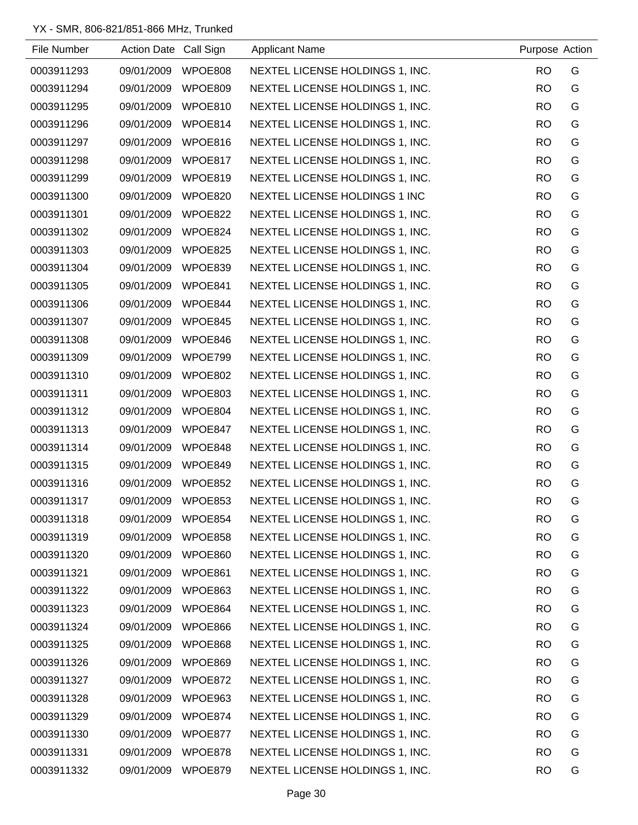| File Number | Action Date Call Sign |         | <b>Applicant Name</b>           | Purpose Action |   |
|-------------|-----------------------|---------|---------------------------------|----------------|---|
| 0003911293  | 09/01/2009            | WPOE808 | NEXTEL LICENSE HOLDINGS 1, INC. | <b>RO</b>      | G |
| 0003911294  | 09/01/2009            | WPOE809 | NEXTEL LICENSE HOLDINGS 1, INC. | <b>RO</b>      | G |
| 0003911295  | 09/01/2009            | WPOE810 | NEXTEL LICENSE HOLDINGS 1, INC. | <b>RO</b>      | G |
| 0003911296  | 09/01/2009            | WPOE814 | NEXTEL LICENSE HOLDINGS 1, INC. | <b>RO</b>      | G |
| 0003911297  | 09/01/2009            | WPOE816 | NEXTEL LICENSE HOLDINGS 1, INC. | <b>RO</b>      | G |
| 0003911298  | 09/01/2009            | WPOE817 | NEXTEL LICENSE HOLDINGS 1, INC. | <b>RO</b>      | G |
| 0003911299  | 09/01/2009            | WPOE819 | NEXTEL LICENSE HOLDINGS 1, INC. | <b>RO</b>      | G |
| 0003911300  | 09/01/2009            | WPOE820 | NEXTEL LICENSE HOLDINGS 1 INC   | <b>RO</b>      | G |
| 0003911301  | 09/01/2009            | WPOE822 | NEXTEL LICENSE HOLDINGS 1, INC. | <b>RO</b>      | G |
| 0003911302  | 09/01/2009            | WPOE824 | NEXTEL LICENSE HOLDINGS 1, INC. | <b>RO</b>      | G |
| 0003911303  | 09/01/2009            | WPOE825 | NEXTEL LICENSE HOLDINGS 1, INC. | <b>RO</b>      | G |
| 0003911304  | 09/01/2009            | WPOE839 | NEXTEL LICENSE HOLDINGS 1, INC. | <b>RO</b>      | G |
| 0003911305  | 09/01/2009            | WPOE841 | NEXTEL LICENSE HOLDINGS 1, INC. | <b>RO</b>      | G |
| 0003911306  | 09/01/2009            | WPOE844 | NEXTEL LICENSE HOLDINGS 1, INC. | <b>RO</b>      | G |
| 0003911307  | 09/01/2009            | WPOE845 | NEXTEL LICENSE HOLDINGS 1, INC. | <b>RO</b>      | G |
| 0003911308  | 09/01/2009            | WPOE846 | NEXTEL LICENSE HOLDINGS 1, INC. | <b>RO</b>      | G |
| 0003911309  | 09/01/2009            | WPOE799 | NEXTEL LICENSE HOLDINGS 1, INC. | <b>RO</b>      | G |
| 0003911310  | 09/01/2009            | WPOE802 | NEXTEL LICENSE HOLDINGS 1, INC. | <b>RO</b>      | G |
| 0003911311  | 09/01/2009            | WPOE803 | NEXTEL LICENSE HOLDINGS 1, INC. | <b>RO</b>      | G |
| 0003911312  | 09/01/2009            | WPOE804 | NEXTEL LICENSE HOLDINGS 1, INC. | <b>RO</b>      | G |
| 0003911313  | 09/01/2009            | WPOE847 | NEXTEL LICENSE HOLDINGS 1, INC. | <b>RO</b>      | G |
| 0003911314  | 09/01/2009            | WPOE848 | NEXTEL LICENSE HOLDINGS 1, INC. | <b>RO</b>      | G |
| 0003911315  | 09/01/2009            | WPOE849 | NEXTEL LICENSE HOLDINGS 1, INC. | <b>RO</b>      | G |
| 0003911316  | 09/01/2009            | WPOE852 | NEXTEL LICENSE HOLDINGS 1, INC. | <b>RO</b>      | G |
| 0003911317  | 09/01/2009            | WPOE853 | NEXTEL LICENSE HOLDINGS 1, INC. | <b>RO</b>      | G |
| 0003911318  | 09/01/2009            | WPOE854 | NEXTEL LICENSE HOLDINGS 1, INC. | <b>RO</b>      | G |
| 0003911319  | 09/01/2009            | WPOE858 | NEXTEL LICENSE HOLDINGS 1, INC. | <b>RO</b>      | G |
| 0003911320  | 09/01/2009            | WPOE860 | NEXTEL LICENSE HOLDINGS 1, INC. | <b>RO</b>      | G |
| 0003911321  | 09/01/2009            | WPOE861 | NEXTEL LICENSE HOLDINGS 1, INC. | <b>RO</b>      | G |
| 0003911322  | 09/01/2009            | WPOE863 | NEXTEL LICENSE HOLDINGS 1, INC. | <b>RO</b>      | G |
| 0003911323  | 09/01/2009            | WPOE864 | NEXTEL LICENSE HOLDINGS 1, INC. | <b>RO</b>      | G |
| 0003911324  | 09/01/2009            | WPOE866 | NEXTEL LICENSE HOLDINGS 1, INC. | <b>RO</b>      | G |
| 0003911325  | 09/01/2009            | WPOE868 | NEXTEL LICENSE HOLDINGS 1, INC. | <b>RO</b>      | G |
| 0003911326  | 09/01/2009            | WPOE869 | NEXTEL LICENSE HOLDINGS 1, INC. | <b>RO</b>      | G |
| 0003911327  | 09/01/2009            | WPOE872 | NEXTEL LICENSE HOLDINGS 1, INC. | <b>RO</b>      | G |
| 0003911328  | 09/01/2009            | WPOE963 | NEXTEL LICENSE HOLDINGS 1, INC. | <b>RO</b>      | G |
| 0003911329  | 09/01/2009            | WPOE874 | NEXTEL LICENSE HOLDINGS 1, INC. | <b>RO</b>      | G |
| 0003911330  | 09/01/2009            | WPOE877 | NEXTEL LICENSE HOLDINGS 1, INC. | <b>RO</b>      | G |
| 0003911331  | 09/01/2009            | WPOE878 | NEXTEL LICENSE HOLDINGS 1, INC. | <b>RO</b>      | G |
| 0003911332  | 09/01/2009            | WPOE879 | NEXTEL LICENSE HOLDINGS 1, INC. | <b>RO</b>      | G |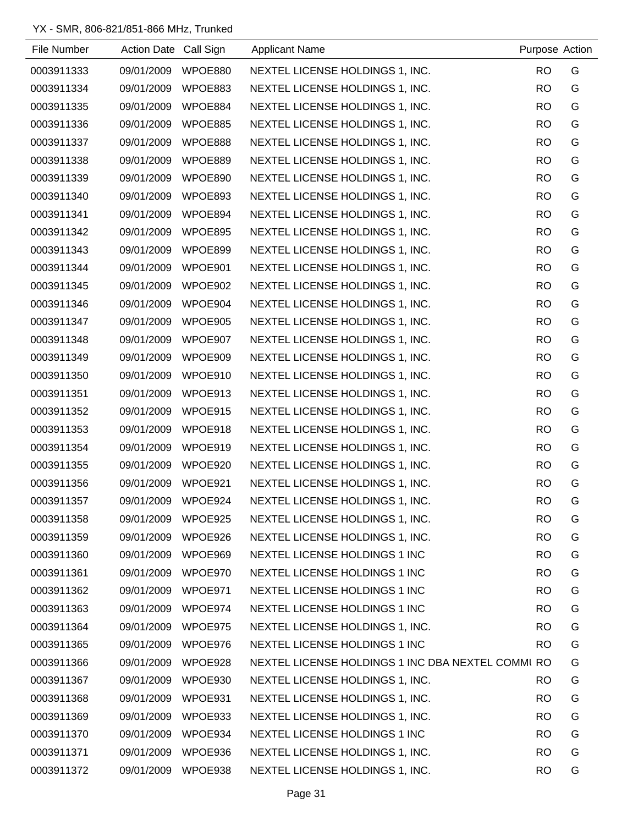| File Number | Action Date Call Sign |         | <b>Applicant Name</b>                             | Purpose Action |   |
|-------------|-----------------------|---------|---------------------------------------------------|----------------|---|
| 0003911333  | 09/01/2009            | WPOE880 | NEXTEL LICENSE HOLDINGS 1, INC.                   | <b>RO</b>      | G |
| 0003911334  | 09/01/2009            | WPOE883 | NEXTEL LICENSE HOLDINGS 1, INC.                   | <b>RO</b>      | G |
| 0003911335  | 09/01/2009            | WPOE884 | NEXTEL LICENSE HOLDINGS 1, INC.                   | <b>RO</b>      | G |
| 0003911336  | 09/01/2009            | WPOE885 | NEXTEL LICENSE HOLDINGS 1, INC.                   | <b>RO</b>      | G |
| 0003911337  | 09/01/2009            | WPOE888 | NEXTEL LICENSE HOLDINGS 1, INC.                   | <b>RO</b>      | G |
| 0003911338  | 09/01/2009            | WPOE889 | NEXTEL LICENSE HOLDINGS 1, INC.                   | <b>RO</b>      | G |
| 0003911339  | 09/01/2009            | WPOE890 | NEXTEL LICENSE HOLDINGS 1, INC.                   | <b>RO</b>      | G |
| 0003911340  | 09/01/2009            | WPOE893 | NEXTEL LICENSE HOLDINGS 1, INC.                   | <b>RO</b>      | G |
| 0003911341  | 09/01/2009            | WPOE894 | NEXTEL LICENSE HOLDINGS 1, INC.                   | <b>RO</b>      | G |
| 0003911342  | 09/01/2009            | WPOE895 | NEXTEL LICENSE HOLDINGS 1, INC.                   | <b>RO</b>      | G |
| 0003911343  | 09/01/2009 WPOE899    |         | NEXTEL LICENSE HOLDINGS 1, INC.                   | <b>RO</b>      | G |
| 0003911344  | 09/01/2009            | WPOE901 | NEXTEL LICENSE HOLDINGS 1, INC.                   | <b>RO</b>      | G |
| 0003911345  | 09/01/2009            | WPOE902 | NEXTEL LICENSE HOLDINGS 1, INC.                   | <b>RO</b>      | G |
| 0003911346  | 09/01/2009            | WPOE904 | NEXTEL LICENSE HOLDINGS 1, INC.                   | <b>RO</b>      | G |
| 0003911347  | 09/01/2009            | WPOE905 | NEXTEL LICENSE HOLDINGS 1, INC.                   | <b>RO</b>      | G |
| 0003911348  | 09/01/2009            | WPOE907 | NEXTEL LICENSE HOLDINGS 1, INC.                   | <b>RO</b>      | G |
| 0003911349  | 09/01/2009 WPOE909    |         | NEXTEL LICENSE HOLDINGS 1, INC.                   | <b>RO</b>      | G |
| 0003911350  | 09/01/2009            | WPOE910 | NEXTEL LICENSE HOLDINGS 1, INC.                   | <b>RO</b>      | G |
| 0003911351  | 09/01/2009 WPOE913    |         | NEXTEL LICENSE HOLDINGS 1, INC.                   | <b>RO</b>      | G |
| 0003911352  | 09/01/2009            | WPOE915 | NEXTEL LICENSE HOLDINGS 1, INC.                   | <b>RO</b>      | G |
| 0003911353  | 09/01/2009            | WPOE918 | NEXTEL LICENSE HOLDINGS 1, INC.                   | <b>RO</b>      | G |
| 0003911354  | 09/01/2009            | WPOE919 | NEXTEL LICENSE HOLDINGS 1, INC.                   | <b>RO</b>      | G |
| 0003911355  | 09/01/2009            | WPOE920 | NEXTEL LICENSE HOLDINGS 1, INC.                   | <b>RO</b>      | G |
| 0003911356  | 09/01/2009            | WPOE921 | NEXTEL LICENSE HOLDINGS 1, INC.                   | <b>RO</b>      | G |
| 0003911357  | 09/01/2009            | WPOE924 | NEXTEL LICENSE HOLDINGS 1, INC.                   | <b>RO</b>      | G |
| 0003911358  | 09/01/2009            | WPOE925 | NEXTEL LICENSE HOLDINGS 1, INC.                   | <b>RO</b>      | G |
| 0003911359  | 09/01/2009            | WPOE926 | NEXTEL LICENSE HOLDINGS 1, INC.                   | <b>RO</b>      | G |
| 0003911360  | 09/01/2009            | WPOE969 | NEXTEL LICENSE HOLDINGS 1 INC                     | <b>RO</b>      | G |
| 0003911361  | 09/01/2009            | WPOE970 | NEXTEL LICENSE HOLDINGS 1 INC                     | <b>RO</b>      | G |
| 0003911362  | 09/01/2009            | WPOE971 | NEXTEL LICENSE HOLDINGS 1 INC                     | <b>RO</b>      | G |
| 0003911363  | 09/01/2009            | WPOE974 | NEXTEL LICENSE HOLDINGS 1 INC                     | <b>RO</b>      | G |
| 0003911364  | 09/01/2009            | WPOE975 | NEXTEL LICENSE HOLDINGS 1, INC.                   | <b>RO</b>      | G |
| 0003911365  | 09/01/2009            | WPOE976 | NEXTEL LICENSE HOLDINGS 1 INC                     | <b>RO</b>      | G |
| 0003911366  | 09/01/2009            | WPOE928 | NEXTEL LICENSE HOLDINGS 1 INC DBA NEXTEL COMMI RO |                | G |
| 0003911367  | 09/01/2009            | WPOE930 | NEXTEL LICENSE HOLDINGS 1, INC.                   | <b>RO</b>      | G |
| 0003911368  | 09/01/2009            | WPOE931 | NEXTEL LICENSE HOLDINGS 1, INC.                   | <b>RO</b>      | G |
| 0003911369  | 09/01/2009            | WPOE933 | NEXTEL LICENSE HOLDINGS 1, INC.                   | <b>RO</b>      | G |
| 0003911370  | 09/01/2009            | WPOE934 | NEXTEL LICENSE HOLDINGS 1 INC                     | <b>RO</b>      | G |
| 0003911371  | 09/01/2009            | WPOE936 | NEXTEL LICENSE HOLDINGS 1, INC.                   | <b>RO</b>      | G |
| 0003911372  | 09/01/2009            | WPOE938 | NEXTEL LICENSE HOLDINGS 1, INC.                   | <b>RO</b>      | G |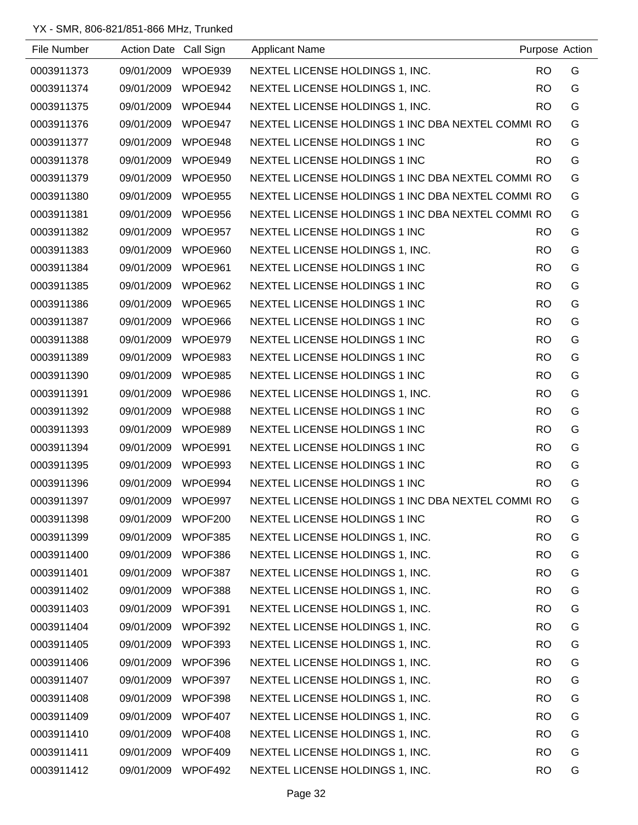| File Number | <b>Action Date</b> | Call Sign | <b>Applicant Name</b>                             |           | Purpose Action |
|-------------|--------------------|-----------|---------------------------------------------------|-----------|----------------|
| 0003911373  | 09/01/2009         | WPOE939   | NEXTEL LICENSE HOLDINGS 1, INC.                   | <b>RO</b> | G              |
| 0003911374  | 09/01/2009         | WPOE942   | NEXTEL LICENSE HOLDINGS 1, INC.                   | <b>RO</b> | G              |
| 0003911375  | 09/01/2009         | WPOE944   | NEXTEL LICENSE HOLDINGS 1, INC.                   | <b>RO</b> | G              |
| 0003911376  | 09/01/2009         | WPOE947   | NEXTEL LICENSE HOLDINGS 1 INC DBA NEXTEL COMMI RO |           | G              |
| 0003911377  | 09/01/2009         | WPOE948   | NEXTEL LICENSE HOLDINGS 1 INC                     | <b>RO</b> | G              |
| 0003911378  | 09/01/2009         | WPOE949   | NEXTEL LICENSE HOLDINGS 1 INC                     | <b>RO</b> | G              |
| 0003911379  | 09/01/2009         | WPOE950   | NEXTEL LICENSE HOLDINGS 1 INC DBA NEXTEL COMMI RO |           | G              |
| 0003911380  | 09/01/2009         | WPOE955   | NEXTEL LICENSE HOLDINGS 1 INC DBA NEXTEL COMMI RO |           | G              |
| 0003911381  | 09/01/2009         | WPOE956   | NEXTEL LICENSE HOLDINGS 1 INC DBA NEXTEL COMMI RO |           | G              |
| 0003911382  | 09/01/2009         | WPOE957   | NEXTEL LICENSE HOLDINGS 1 INC                     | RO.       | G              |
| 0003911383  | 09/01/2009         | WPOE960   | NEXTEL LICENSE HOLDINGS 1, INC.                   | <b>RO</b> | G              |
| 0003911384  | 09/01/2009         | WPOE961   | NEXTEL LICENSE HOLDINGS 1 INC                     | <b>RO</b> | G              |
| 0003911385  | 09/01/2009         | WPOE962   | NEXTEL LICENSE HOLDINGS 1 INC                     | <b>RO</b> | G              |
| 0003911386  | 09/01/2009         | WPOE965   | NEXTEL LICENSE HOLDINGS 1 INC                     | <b>RO</b> | G              |
| 0003911387  | 09/01/2009         | WPOE966   | NEXTEL LICENSE HOLDINGS 1 INC                     | <b>RO</b> | G              |
| 0003911388  | 09/01/2009         | WPOE979   | NEXTEL LICENSE HOLDINGS 1 INC                     | <b>RO</b> | G              |
| 0003911389  | 09/01/2009         | WPOE983   | NEXTEL LICENSE HOLDINGS 1 INC                     | <b>RO</b> | G              |
| 0003911390  | 09/01/2009         | WPOE985   | NEXTEL LICENSE HOLDINGS 1 INC                     | <b>RO</b> | G              |
| 0003911391  | 09/01/2009         | WPOE986   | NEXTEL LICENSE HOLDINGS 1, INC.                   | <b>RO</b> | G              |
| 0003911392  | 09/01/2009         | WPOE988   | NEXTEL LICENSE HOLDINGS 1 INC                     | <b>RO</b> | G              |
| 0003911393  | 09/01/2009         | WPOE989   | NEXTEL LICENSE HOLDINGS 1 INC                     | <b>RO</b> | G              |
| 0003911394  | 09/01/2009         | WPOE991   | <b>NEXTEL LICENSE HOLDINGS 1 INC</b>              | <b>RO</b> | G              |
| 0003911395  | 09/01/2009         | WPOE993   | NEXTEL LICENSE HOLDINGS 1 INC                     | <b>RO</b> | G              |
| 0003911396  | 09/01/2009         | WPOE994   | NEXTEL LICENSE HOLDINGS 1 INC                     | <b>RO</b> | G              |
| 0003911397  | 09/01/2009         | WPOE997   | NEXTEL LICENSE HOLDINGS 1 INC DBA NEXTEL COMMI RO |           | G              |
| 0003911398  | 09/01/2009         | WPOF200   | NEXTEL LICENSE HOLDINGS 1 INC                     | <b>RO</b> | G              |
| 0003911399  | 09/01/2009         | WPOF385   | NEXTEL LICENSE HOLDINGS 1, INC.                   | <b>RO</b> | G              |
| 0003911400  | 09/01/2009         | WPOF386   | NEXTEL LICENSE HOLDINGS 1, INC.                   | <b>RO</b> | G              |
| 0003911401  | 09/01/2009         | WPOF387   | NEXTEL LICENSE HOLDINGS 1, INC.                   | <b>RO</b> | G              |
| 0003911402  | 09/01/2009         | WPOF388   | NEXTEL LICENSE HOLDINGS 1, INC.                   | <b>RO</b> | G              |
| 0003911403  | 09/01/2009         | WPOF391   | NEXTEL LICENSE HOLDINGS 1, INC.                   | <b>RO</b> | G              |
| 0003911404  | 09/01/2009         | WPOF392   | NEXTEL LICENSE HOLDINGS 1, INC.                   | <b>RO</b> | G              |
| 0003911405  | 09/01/2009         | WPOF393   | NEXTEL LICENSE HOLDINGS 1, INC.                   | <b>RO</b> | G              |
| 0003911406  | 09/01/2009         | WPOF396   | NEXTEL LICENSE HOLDINGS 1, INC.                   | <b>RO</b> | G              |
| 0003911407  | 09/01/2009         | WPOF397   | NEXTEL LICENSE HOLDINGS 1, INC.                   | <b>RO</b> | G              |
| 0003911408  | 09/01/2009         | WPOF398   | NEXTEL LICENSE HOLDINGS 1, INC.                   | <b>RO</b> | G              |
| 0003911409  | 09/01/2009         | WPOF407   | NEXTEL LICENSE HOLDINGS 1, INC.                   | <b>RO</b> | G              |
| 0003911410  | 09/01/2009         | WPOF408   | NEXTEL LICENSE HOLDINGS 1, INC.                   | <b>RO</b> | G              |
| 0003911411  | 09/01/2009         | WPOF409   | NEXTEL LICENSE HOLDINGS 1, INC.                   | <b>RO</b> | G              |
| 0003911412  | 09/01/2009         | WPOF492   | NEXTEL LICENSE HOLDINGS 1, INC.                   | <b>RO</b> | G              |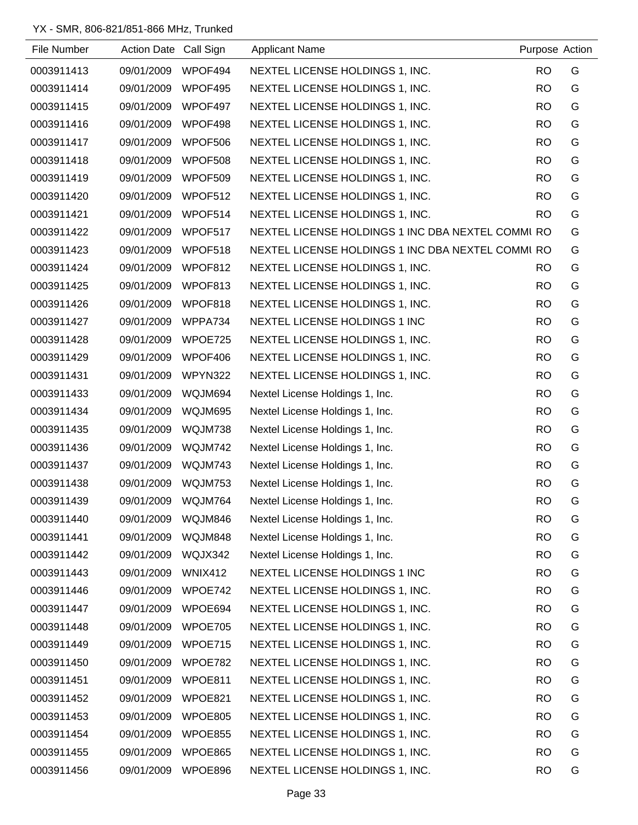| File Number | Action Date Call Sign |                | <b>Applicant Name</b>                             | Purpose Action |   |
|-------------|-----------------------|----------------|---------------------------------------------------|----------------|---|
| 0003911413  | 09/01/2009            | WPOF494        | NEXTEL LICENSE HOLDINGS 1, INC.                   | <b>RO</b>      | G |
| 0003911414  | 09/01/2009            | WPOF495        | NEXTEL LICENSE HOLDINGS 1, INC.                   | <b>RO</b>      | G |
| 0003911415  | 09/01/2009            | WPOF497        | NEXTEL LICENSE HOLDINGS 1, INC.                   | <b>RO</b>      | G |
| 0003911416  | 09/01/2009            | WPOF498        | NEXTEL LICENSE HOLDINGS 1, INC.                   | <b>RO</b>      | G |
| 0003911417  | 09/01/2009            | WPOF506        | NEXTEL LICENSE HOLDINGS 1, INC.                   | <b>RO</b>      | G |
| 0003911418  | 09/01/2009            | WPOF508        | NEXTEL LICENSE HOLDINGS 1, INC.                   | <b>RO</b>      | G |
| 0003911419  | 09/01/2009            | WPOF509        | NEXTEL LICENSE HOLDINGS 1, INC.                   | <b>RO</b>      | G |
| 0003911420  | 09/01/2009            | WPOF512        | NEXTEL LICENSE HOLDINGS 1, INC.                   | <b>RO</b>      | G |
| 0003911421  | 09/01/2009            | WPOF514        | NEXTEL LICENSE HOLDINGS 1, INC.                   | <b>RO</b>      | G |
| 0003911422  | 09/01/2009            | WPOF517        | NEXTEL LICENSE HOLDINGS 1 INC DBA NEXTEL COMMI RO |                | G |
| 0003911423  | 09/01/2009            | WPOF518        | NEXTEL LICENSE HOLDINGS 1 INC DBA NEXTEL COMMI RO |                | G |
| 0003911424  | 09/01/2009            | WPOF812        | NEXTEL LICENSE HOLDINGS 1, INC.                   | <b>RO</b>      | G |
| 0003911425  | 09/01/2009            | WPOF813        | NEXTEL LICENSE HOLDINGS 1, INC.                   | <b>RO</b>      | G |
| 0003911426  | 09/01/2009            | WPOF818        | NEXTEL LICENSE HOLDINGS 1, INC.                   | <b>RO</b>      | G |
| 0003911427  | 09/01/2009            | WPPA734        | NEXTEL LICENSE HOLDINGS 1 INC                     | <b>RO</b>      | G |
| 0003911428  | 09/01/2009            | WPOE725        | NEXTEL LICENSE HOLDINGS 1, INC.                   | <b>RO</b>      | G |
| 0003911429  | 09/01/2009            | WPOF406        | NEXTEL LICENSE HOLDINGS 1, INC.                   | <b>RO</b>      | G |
| 0003911431  | 09/01/2009            | WPYN322        | NEXTEL LICENSE HOLDINGS 1, INC.                   | <b>RO</b>      | G |
| 0003911433  | 09/01/2009            | WQJM694        | Nextel License Holdings 1, Inc.                   | <b>RO</b>      | G |
| 0003911434  | 09/01/2009            | WQJM695        | Nextel License Holdings 1, Inc.                   | <b>RO</b>      | G |
| 0003911435  | 09/01/2009            | WQJM738        | Nextel License Holdings 1, Inc.                   | <b>RO</b>      | G |
| 0003911436  | 09/01/2009            | WQJM742        | Nextel License Holdings 1, Inc.                   | <b>RO</b>      | G |
| 0003911437  | 09/01/2009            | WQJM743        | Nextel License Holdings 1, Inc.                   | <b>RO</b>      | G |
| 0003911438  | 09/01/2009            | WQJM753        | Nextel License Holdings 1, Inc.                   | <b>RO</b>      | G |
| 0003911439  | 09/01/2009            | WQJM764        | Nextel License Holdings 1, Inc.                   | <b>RO</b>      | G |
| 0003911440  | 09/01/2009            | WQJM846        | Nextel License Holdings 1, Inc.                   | <b>RO</b>      | G |
| 0003911441  | 09/01/2009            | WQJM848        | Nextel License Holdings 1, Inc.                   | <b>RO</b>      | G |
| 0003911442  | 09/01/2009            | WQJX342        | Nextel License Holdings 1, Inc.                   | <b>RO</b>      | G |
| 0003911443  | 09/01/2009            | <b>WNIX412</b> | NEXTEL LICENSE HOLDINGS 1 INC                     | <b>RO</b>      | G |
| 0003911446  | 09/01/2009            | WPOE742        | NEXTEL LICENSE HOLDINGS 1, INC.                   | <b>RO</b>      | G |
| 0003911447  | 09/01/2009            | WPOE694        | NEXTEL LICENSE HOLDINGS 1, INC.                   | <b>RO</b>      | G |
| 0003911448  | 09/01/2009            | WPOE705        | NEXTEL LICENSE HOLDINGS 1, INC.                   | <b>RO</b>      | G |
| 0003911449  | 09/01/2009            | WPOE715        | NEXTEL LICENSE HOLDINGS 1, INC.                   | <b>RO</b>      | G |
| 0003911450  | 09/01/2009            | WPOE782        | NEXTEL LICENSE HOLDINGS 1, INC.                   | <b>RO</b>      | G |
| 0003911451  | 09/01/2009            | WPOE811        | NEXTEL LICENSE HOLDINGS 1, INC.                   | <b>RO</b>      | G |
| 0003911452  | 09/01/2009            | WPOE821        | NEXTEL LICENSE HOLDINGS 1, INC.                   | <b>RO</b>      | G |
| 0003911453  | 09/01/2009            | WPOE805        | NEXTEL LICENSE HOLDINGS 1, INC.                   | <b>RO</b>      | G |
| 0003911454  | 09/01/2009            | WPOE855        | NEXTEL LICENSE HOLDINGS 1, INC.                   | <b>RO</b>      | G |
| 0003911455  | 09/01/2009            | WPOE865        | NEXTEL LICENSE HOLDINGS 1, INC.                   | <b>RO</b>      | G |
| 0003911456  | 09/01/2009            | WPOE896        | NEXTEL LICENSE HOLDINGS 1, INC.                   | <b>RO</b>      | G |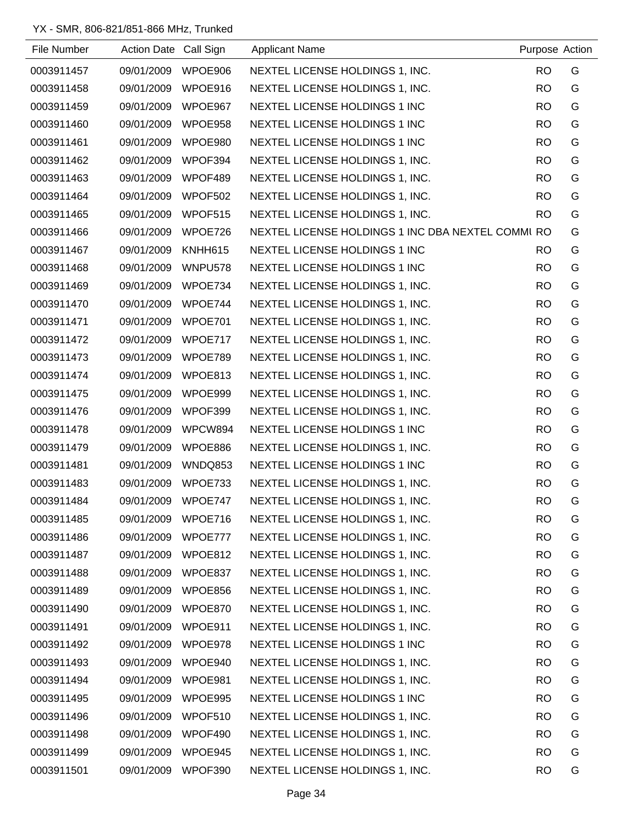| File Number | Action Date Call Sign |         | <b>Applicant Name</b>                             | Purpose Action |   |
|-------------|-----------------------|---------|---------------------------------------------------|----------------|---|
| 0003911457  | 09/01/2009            | WPOE906 | NEXTEL LICENSE HOLDINGS 1, INC.                   | <b>RO</b>      | G |
| 0003911458  | 09/01/2009            | WPOE916 | NEXTEL LICENSE HOLDINGS 1, INC.                   | <b>RO</b>      | G |
| 0003911459  | 09/01/2009            | WPOE967 | NEXTEL LICENSE HOLDINGS 1 INC                     | <b>RO</b>      | G |
| 0003911460  | 09/01/2009            | WPOE958 | NEXTEL LICENSE HOLDINGS 1 INC                     | <b>RO</b>      | G |
| 0003911461  | 09/01/2009            | WPOE980 | NEXTEL LICENSE HOLDINGS 1 INC                     | <b>RO</b>      | G |
| 0003911462  | 09/01/2009            | WPOF394 | NEXTEL LICENSE HOLDINGS 1, INC.                   | <b>RO</b>      | G |
| 0003911463  | 09/01/2009            | WPOF489 | NEXTEL LICENSE HOLDINGS 1, INC.                   | <b>RO</b>      | G |
| 0003911464  | 09/01/2009            | WPOF502 | NEXTEL LICENSE HOLDINGS 1, INC.                   | <b>RO</b>      | G |
| 0003911465  | 09/01/2009            | WPOF515 | NEXTEL LICENSE HOLDINGS 1, INC.                   | <b>RO</b>      | G |
| 0003911466  | 09/01/2009            | WPOE726 | NEXTEL LICENSE HOLDINGS 1 INC DBA NEXTEL COMMI RO |                | G |
| 0003911467  | 09/01/2009            | KNHH615 | NEXTEL LICENSE HOLDINGS 1 INC                     | <b>RO</b>      | G |
| 0003911468  | 09/01/2009            | WNPU578 | NEXTEL LICENSE HOLDINGS 1 INC                     | <b>RO</b>      | G |
| 0003911469  | 09/01/2009            | WPOE734 | NEXTEL LICENSE HOLDINGS 1, INC.                   | <b>RO</b>      | G |
| 0003911470  | 09/01/2009            | WPOE744 | NEXTEL LICENSE HOLDINGS 1, INC.                   | <b>RO</b>      | G |
| 0003911471  | 09/01/2009            | WPOE701 | NEXTEL LICENSE HOLDINGS 1, INC.                   | <b>RO</b>      | G |
| 0003911472  | 09/01/2009            | WPOE717 | NEXTEL LICENSE HOLDINGS 1, INC.                   | <b>RO</b>      | G |
| 0003911473  | 09/01/2009            | WPOE789 | NEXTEL LICENSE HOLDINGS 1, INC.                   | <b>RO</b>      | G |
| 0003911474  | 09/01/2009            | WPOE813 | NEXTEL LICENSE HOLDINGS 1, INC.                   | <b>RO</b>      | G |
| 0003911475  | 09/01/2009            | WPOE999 | NEXTEL LICENSE HOLDINGS 1, INC.                   | <b>RO</b>      | G |
| 0003911476  | 09/01/2009            | WPOF399 | NEXTEL LICENSE HOLDINGS 1, INC.                   | <b>RO</b>      | G |
| 0003911478  | 09/01/2009            | WPCW894 | NEXTEL LICENSE HOLDINGS 1 INC                     | <b>RO</b>      | G |
| 0003911479  | 09/01/2009            | WPOE886 | NEXTEL LICENSE HOLDINGS 1, INC.                   | <b>RO</b>      | G |
| 0003911481  | 09/01/2009            | WNDQ853 | NEXTEL LICENSE HOLDINGS 1 INC                     | <b>RO</b>      | G |
| 0003911483  | 09/01/2009            | WPOE733 | NEXTEL LICENSE HOLDINGS 1, INC.                   | <b>RO</b>      | G |
| 0003911484  | 09/01/2009            | WPOE747 | NEXTEL LICENSE HOLDINGS 1, INC.                   | <b>RO</b>      | G |
| 0003911485  | 09/01/2009            | WPOE716 | NEXTEL LICENSE HOLDINGS 1, INC.                   | <b>RO</b>      | G |
| 0003911486  | 09/01/2009            | WPOE777 | NEXTEL LICENSE HOLDINGS 1, INC.                   | <b>RO</b>      | G |
| 0003911487  | 09/01/2009            | WPOE812 | NEXTEL LICENSE HOLDINGS 1, INC.                   | <b>RO</b>      | G |
| 0003911488  | 09/01/2009            | WPOE837 | NEXTEL LICENSE HOLDINGS 1, INC.                   | <b>RO</b>      | G |
| 0003911489  | 09/01/2009            | WPOE856 | NEXTEL LICENSE HOLDINGS 1, INC.                   | <b>RO</b>      | G |
| 0003911490  | 09/01/2009            | WPOE870 | NEXTEL LICENSE HOLDINGS 1, INC.                   | <b>RO</b>      | G |
| 0003911491  | 09/01/2009            | WPOE911 | NEXTEL LICENSE HOLDINGS 1, INC.                   | <b>RO</b>      | G |
| 0003911492  | 09/01/2009            | WPOE978 | NEXTEL LICENSE HOLDINGS 1 INC                     | <b>RO</b>      | G |
| 0003911493  | 09/01/2009            | WPOE940 | NEXTEL LICENSE HOLDINGS 1, INC.                   | <b>RO</b>      | G |
| 0003911494  | 09/01/2009            | WPOE981 | NEXTEL LICENSE HOLDINGS 1, INC.                   | <b>RO</b>      | G |
| 0003911495  | 09/01/2009            | WPOE995 | NEXTEL LICENSE HOLDINGS 1 INC                     | <b>RO</b>      | G |
| 0003911496  | 09/01/2009            | WPOF510 | NEXTEL LICENSE HOLDINGS 1, INC.                   | <b>RO</b>      | G |
| 0003911498  | 09/01/2009            | WPOF490 | NEXTEL LICENSE HOLDINGS 1, INC.                   | <b>RO</b>      | G |
| 0003911499  | 09/01/2009            | WPOE945 | NEXTEL LICENSE HOLDINGS 1, INC.                   | <b>RO</b>      | G |
| 0003911501  | 09/01/2009            | WPOF390 | NEXTEL LICENSE HOLDINGS 1, INC.                   | <b>RO</b>      | G |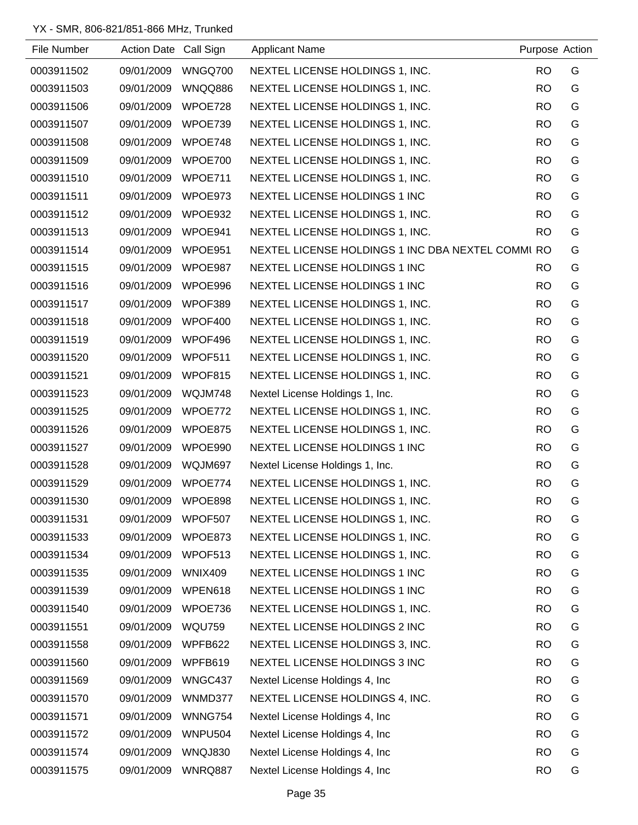| File Number | Action Date Call Sign |                | <b>Applicant Name</b>                             | Purpose Action |   |
|-------------|-----------------------|----------------|---------------------------------------------------|----------------|---|
| 0003911502  | 09/01/2009            | WNGQ700        | NEXTEL LICENSE HOLDINGS 1, INC.                   | <b>RO</b>      | G |
| 0003911503  | 09/01/2009            | WNQQ886        | NEXTEL LICENSE HOLDINGS 1, INC.                   | <b>RO</b>      | G |
| 0003911506  | 09/01/2009            | WPOE728        | NEXTEL LICENSE HOLDINGS 1, INC.                   | <b>RO</b>      | G |
| 0003911507  | 09/01/2009            | WPOE739        | NEXTEL LICENSE HOLDINGS 1, INC.                   | <b>RO</b>      | G |
| 0003911508  | 09/01/2009            | WPOE748        | NEXTEL LICENSE HOLDINGS 1, INC.                   | <b>RO</b>      | G |
| 0003911509  | 09/01/2009            | WPOE700        | NEXTEL LICENSE HOLDINGS 1, INC.                   | <b>RO</b>      | G |
| 0003911510  | 09/01/2009            | WPOE711        | NEXTEL LICENSE HOLDINGS 1, INC.                   | <b>RO</b>      | G |
| 0003911511  | 09/01/2009            | WPOE973        | NEXTEL LICENSE HOLDINGS 1 INC                     | <b>RO</b>      | G |
| 0003911512  | 09/01/2009            | WPOE932        | NEXTEL LICENSE HOLDINGS 1, INC.                   | <b>RO</b>      | G |
| 0003911513  | 09/01/2009            | WPOE941        | NEXTEL LICENSE HOLDINGS 1, INC.                   | <b>RO</b>      | G |
| 0003911514  | 09/01/2009            | WPOE951        | NEXTEL LICENSE HOLDINGS 1 INC DBA NEXTEL COMMI RO |                | G |
| 0003911515  | 09/01/2009            | WPOE987        | NEXTEL LICENSE HOLDINGS 1 INC                     | <b>RO</b>      | G |
| 0003911516  | 09/01/2009            | WPOE996        | NEXTEL LICENSE HOLDINGS 1 INC                     | <b>RO</b>      | G |
| 0003911517  | 09/01/2009            | WPOF389        | NEXTEL LICENSE HOLDINGS 1, INC.                   | <b>RO</b>      | G |
| 0003911518  | 09/01/2009            | WPOF400        | NEXTEL LICENSE HOLDINGS 1, INC.                   | <b>RO</b>      | G |
| 0003911519  | 09/01/2009            | WPOF496        | NEXTEL LICENSE HOLDINGS 1, INC.                   | <b>RO</b>      | G |
| 0003911520  | 09/01/2009            | WPOF511        | NEXTEL LICENSE HOLDINGS 1, INC.                   | <b>RO</b>      | G |
| 0003911521  | 09/01/2009            | WPOF815        | NEXTEL LICENSE HOLDINGS 1, INC.                   | <b>RO</b>      | G |
| 0003911523  | 09/01/2009            | WQJM748        | Nextel License Holdings 1, Inc.                   | <b>RO</b>      | G |
| 0003911525  | 09/01/2009            | WPOE772        | NEXTEL LICENSE HOLDINGS 1, INC.                   | <b>RO</b>      | G |
| 0003911526  | 09/01/2009            | WPOE875        | NEXTEL LICENSE HOLDINGS 1, INC.                   | <b>RO</b>      | G |
| 0003911527  | 09/01/2009            | WPOE990        | NEXTEL LICENSE HOLDINGS 1 INC                     | <b>RO</b>      | G |
| 0003911528  | 09/01/2009            | WQJM697        | Nextel License Holdings 1, Inc.                   | <b>RO</b>      | G |
| 0003911529  | 09/01/2009            | WPOE774        | NEXTEL LICENSE HOLDINGS 1, INC.                   | <b>RO</b>      | G |
| 0003911530  | 09/01/2009            | WPOE898        | NEXTEL LICENSE HOLDINGS 1, INC.                   | <b>RO</b>      | G |
| 0003911531  | 09/01/2009            | WPOF507        | NEXTEL LICENSE HOLDINGS 1, INC.                   | <b>RO</b>      | G |
| 0003911533  | 09/01/2009            | WPOE873        | NEXTEL LICENSE HOLDINGS 1, INC.                   | <b>RO</b>      | G |
| 0003911534  | 09/01/2009            | WPOF513        | NEXTEL LICENSE HOLDINGS 1, INC.                   | <b>RO</b>      | G |
| 0003911535  | 09/01/2009            | <b>WNIX409</b> | NEXTEL LICENSE HOLDINGS 1 INC                     | <b>RO</b>      | G |
| 0003911539  | 09/01/2009            | WPEN618        | NEXTEL LICENSE HOLDINGS 1 INC                     | <b>RO</b>      | G |
| 0003911540  | 09/01/2009            | WPOE736        | NEXTEL LICENSE HOLDINGS 1, INC.                   | <b>RO</b>      | G |
| 0003911551  | 09/01/2009            | <b>WQU759</b>  | NEXTEL LICENSE HOLDINGS 2 INC                     | <b>RO</b>      | G |
| 0003911558  | 09/01/2009            | WPFB622        | NEXTEL LICENSE HOLDINGS 3, INC.                   | <b>RO</b>      | G |
| 0003911560  | 09/01/2009            | WPFB619        | NEXTEL LICENSE HOLDINGS 3 INC                     | <b>RO</b>      | G |
| 0003911569  | 09/01/2009            | WNGC437        | Nextel License Holdings 4, Inc.                   | <b>RO</b>      | G |
| 0003911570  | 09/01/2009            | WNMD377        | NEXTEL LICENSE HOLDINGS 4, INC.                   | <b>RO</b>      | G |
| 0003911571  | 09/01/2009            | <b>WNNG754</b> | Nextel License Holdings 4, Inc.                   | <b>RO</b>      | G |
| 0003911572  | 09/01/2009            | WNPU504        | Nextel License Holdings 4, Inc                    | <b>RO</b>      | G |
| 0003911574  | 09/01/2009            | WNQJ830        | Nextel License Holdings 4, Inc                    | <b>RO</b>      | G |
| 0003911575  | 09/01/2009            | WNRQ887        | Nextel License Holdings 4, Inc                    | <b>RO</b>      | G |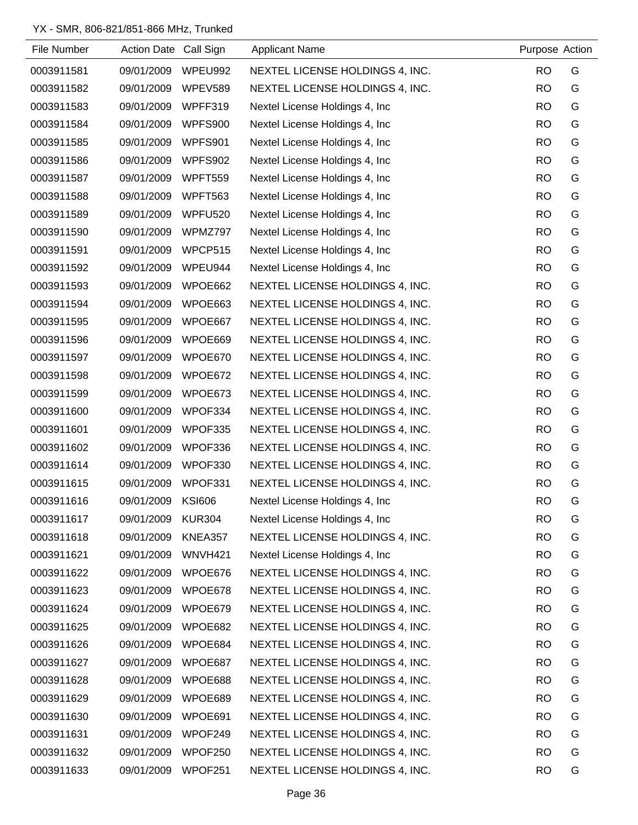| File Number | Action Date Call Sign |                | <b>Applicant Name</b>           | Purpose Action |   |
|-------------|-----------------------|----------------|---------------------------------|----------------|---|
| 0003911581  | 09/01/2009            | WPEU992        | NEXTEL LICENSE HOLDINGS 4, INC. | <b>RO</b>      | G |
| 0003911582  | 09/01/2009            | <b>WPEV589</b> | NEXTEL LICENSE HOLDINGS 4, INC. | <b>RO</b>      | G |
| 0003911583  | 09/01/2009            | WPFF319        | Nextel License Holdings 4, Inc. | <b>RO</b>      | G |
| 0003911584  | 09/01/2009            | WPFS900        | Nextel License Holdings 4, Inc. | <b>RO</b>      | G |
| 0003911585  | 09/01/2009            | WPFS901        | Nextel License Holdings 4, Inc. | <b>RO</b>      | G |
| 0003911586  | 09/01/2009            | WPFS902        | Nextel License Holdings 4, Inc. | <b>RO</b>      | G |
| 0003911587  | 09/01/2009            | WPFT559        | Nextel License Holdings 4, Inc. | <b>RO</b>      | G |
| 0003911588  | 09/01/2009            | WPFT563        | Nextel License Holdings 4, Inc. | <b>RO</b>      | G |
| 0003911589  | 09/01/2009            | <b>WPFU520</b> | Nextel License Holdings 4, Inc. | <b>RO</b>      | G |
| 0003911590  | 09/01/2009            | WPMZ797        | Nextel License Holdings 4, Inc. | <b>RO</b>      | G |
| 0003911591  | 09/01/2009            | WPCP515        | Nextel License Holdings 4, Inc. | <b>RO</b>      | G |
| 0003911592  | 09/01/2009            | WPEU944        | Nextel License Holdings 4, Inc. | <b>RO</b>      | G |
| 0003911593  | 09/01/2009            | WPOE662        | NEXTEL LICENSE HOLDINGS 4, INC. | <b>RO</b>      | G |
| 0003911594  | 09/01/2009            | WPOE663        | NEXTEL LICENSE HOLDINGS 4, INC. | <b>RO</b>      | G |
| 0003911595  | 09/01/2009            | WPOE667        | NEXTEL LICENSE HOLDINGS 4, INC. | <b>RO</b>      | G |
| 0003911596  | 09/01/2009            | WPOE669        | NEXTEL LICENSE HOLDINGS 4, INC. | <b>RO</b>      | G |
| 0003911597  | 09/01/2009            | WPOE670        | NEXTEL LICENSE HOLDINGS 4, INC. | <b>RO</b>      | G |
| 0003911598  | 09/01/2009            | WPOE672        | NEXTEL LICENSE HOLDINGS 4, INC. | <b>RO</b>      | G |
| 0003911599  | 09/01/2009            | WPOE673        | NEXTEL LICENSE HOLDINGS 4, INC. | <b>RO</b>      | G |
| 0003911600  | 09/01/2009            | WPOF334        | NEXTEL LICENSE HOLDINGS 4, INC. | <b>RO</b>      | G |
| 0003911601  | 09/01/2009            | WPOF335        | NEXTEL LICENSE HOLDINGS 4, INC. | <b>RO</b>      | G |
| 0003911602  | 09/01/2009            | WPOF336        | NEXTEL LICENSE HOLDINGS 4, INC. | <b>RO</b>      | G |
| 0003911614  | 09/01/2009            | WPOF330        | NEXTEL LICENSE HOLDINGS 4, INC. | <b>RO</b>      | G |
| 0003911615  | 09/01/2009            | WPOF331        | NEXTEL LICENSE HOLDINGS 4, INC. | <b>RO</b>      | G |
| 0003911616  | 09/01/2009            | <b>KSI606</b>  | Nextel License Holdings 4, Inc. | <b>RO</b>      | G |
| 0003911617  | 09/01/2009            | <b>KUR304</b>  | Nextel License Holdings 4, Inc. | <b>RO</b>      | G |
| 0003911618  | 09/01/2009            | KNEA357        | NEXTEL LICENSE HOLDINGS 4, INC. | <b>RO</b>      | G |
| 0003911621  | 09/01/2009            | WNVH421        | Nextel License Holdings 4, Inc. | <b>RO</b>      | G |
| 0003911622  | 09/01/2009            | WPOE676        | NEXTEL LICENSE HOLDINGS 4, INC. | <b>RO</b>      | G |
| 0003911623  | 09/01/2009            | WPOE678        | NEXTEL LICENSE HOLDINGS 4, INC. | <b>RO</b>      | G |
| 0003911624  | 09/01/2009            | WPOE679        | NEXTEL LICENSE HOLDINGS 4, INC. | <b>RO</b>      | G |
| 0003911625  | 09/01/2009            | WPOE682        | NEXTEL LICENSE HOLDINGS 4, INC. | <b>RO</b>      | G |
| 0003911626  | 09/01/2009            | WPOE684        | NEXTEL LICENSE HOLDINGS 4, INC. | <b>RO</b>      | G |
| 0003911627  | 09/01/2009            | WPOE687        | NEXTEL LICENSE HOLDINGS 4, INC. | <b>RO</b>      | G |
| 0003911628  | 09/01/2009            | WPOE688        | NEXTEL LICENSE HOLDINGS 4, INC. | <b>RO</b>      | G |
| 0003911629  | 09/01/2009            | WPOE689        | NEXTEL LICENSE HOLDINGS 4, INC. | <b>RO</b>      | G |
| 0003911630  | 09/01/2009            | WPOE691        | NEXTEL LICENSE HOLDINGS 4, INC. | <b>RO</b>      | G |
| 0003911631  | 09/01/2009            | WPOF249        | NEXTEL LICENSE HOLDINGS 4, INC. | <b>RO</b>      | G |
| 0003911632  | 09/01/2009            | WPOF250        | NEXTEL LICENSE HOLDINGS 4, INC. | <b>RO</b>      | G |
| 0003911633  | 09/01/2009            | WPOF251        | NEXTEL LICENSE HOLDINGS 4, INC. | <b>RO</b>      | G |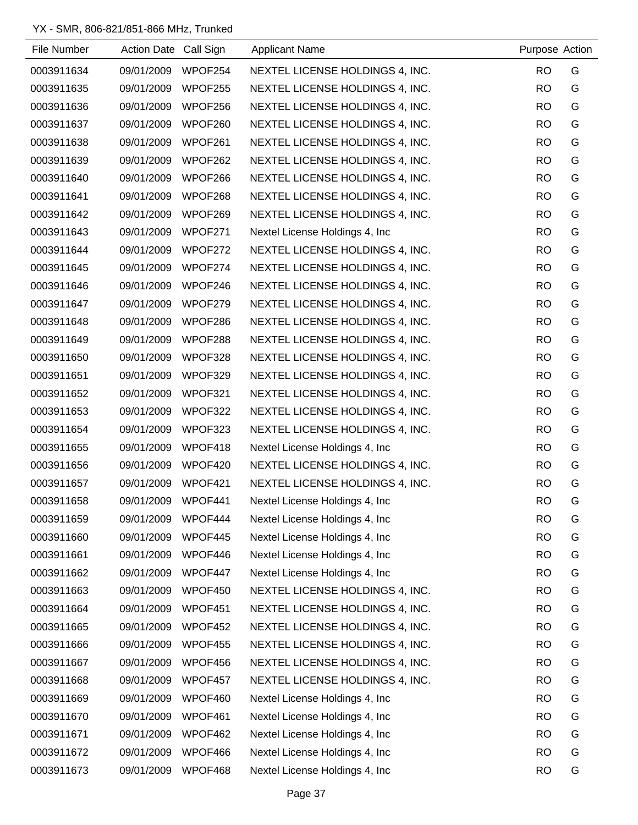| File Number | Action Date Call Sign |         | <b>Applicant Name</b>           | Purpose Action |   |
|-------------|-----------------------|---------|---------------------------------|----------------|---|
| 0003911634  | 09/01/2009            | WPOF254 | NEXTEL LICENSE HOLDINGS 4, INC. | <b>RO</b>      | G |
| 0003911635  | 09/01/2009            | WPOF255 | NEXTEL LICENSE HOLDINGS 4, INC. | <b>RO</b>      | G |
| 0003911636  | 09/01/2009            | WPOF256 | NEXTEL LICENSE HOLDINGS 4, INC. | <b>RO</b>      | G |
| 0003911637  | 09/01/2009            | WPOF260 | NEXTEL LICENSE HOLDINGS 4, INC. | <b>RO</b>      | G |
| 0003911638  | 09/01/2009            | WPOF261 | NEXTEL LICENSE HOLDINGS 4, INC. | <b>RO</b>      | G |
| 0003911639  | 09/01/2009            | WPOF262 | NEXTEL LICENSE HOLDINGS 4, INC. | <b>RO</b>      | G |
| 0003911640  | 09/01/2009            | WPOF266 | NEXTEL LICENSE HOLDINGS 4, INC. | <b>RO</b>      | G |
| 0003911641  | 09/01/2009            | WPOF268 | NEXTEL LICENSE HOLDINGS 4, INC. | <b>RO</b>      | G |
| 0003911642  | 09/01/2009            | WPOF269 | NEXTEL LICENSE HOLDINGS 4, INC. | <b>RO</b>      | G |
| 0003911643  | 09/01/2009            | WPOF271 | Nextel License Holdings 4, Inc. | <b>RO</b>      | G |
| 0003911644  | 09/01/2009            | WPOF272 | NEXTEL LICENSE HOLDINGS 4, INC. | <b>RO</b>      | G |
| 0003911645  | 09/01/2009            | WPOF274 | NEXTEL LICENSE HOLDINGS 4, INC. | <b>RO</b>      | G |
| 0003911646  | 09/01/2009            | WPOF246 | NEXTEL LICENSE HOLDINGS 4, INC. | <b>RO</b>      | G |
| 0003911647  | 09/01/2009            | WPOF279 | NEXTEL LICENSE HOLDINGS 4, INC. | <b>RO</b>      | G |
| 0003911648  | 09/01/2009            | WPOF286 | NEXTEL LICENSE HOLDINGS 4, INC. | <b>RO</b>      | G |
| 0003911649  | 09/01/2009            | WPOF288 | NEXTEL LICENSE HOLDINGS 4, INC. | <b>RO</b>      | G |
| 0003911650  | 09/01/2009            | WPOF328 | NEXTEL LICENSE HOLDINGS 4, INC. | <b>RO</b>      | G |
| 0003911651  | 09/01/2009            | WPOF329 | NEXTEL LICENSE HOLDINGS 4, INC. | <b>RO</b>      | G |
| 0003911652  | 09/01/2009            | WPOF321 | NEXTEL LICENSE HOLDINGS 4, INC. | <b>RO</b>      | G |
| 0003911653  | 09/01/2009            | WPOF322 | NEXTEL LICENSE HOLDINGS 4, INC. | <b>RO</b>      | G |
| 0003911654  | 09/01/2009            | WPOF323 | NEXTEL LICENSE HOLDINGS 4, INC. | <b>RO</b>      | G |
| 0003911655  | 09/01/2009            | WPOF418 | Nextel License Holdings 4, Inc. | <b>RO</b>      | G |
| 0003911656  | 09/01/2009            | WPOF420 | NEXTEL LICENSE HOLDINGS 4, INC. | <b>RO</b>      | G |
| 0003911657  | 09/01/2009            | WPOF421 | NEXTEL LICENSE HOLDINGS 4, INC. | <b>RO</b>      | G |
| 0003911658  | 09/01/2009            | WPOF441 | Nextel License Holdings 4, Inc  | <b>RO</b>      | G |
| 0003911659  | 09/01/2009            | WPOF444 | Nextel License Holdings 4, Inc. | <b>RO</b>      | G |
| 0003911660  | 09/01/2009            | WPOF445 | Nextel License Holdings 4, Inc  | <b>RO</b>      | G |
| 0003911661  | 09/01/2009            | WPOF446 | Nextel License Holdings 4, Inc. | <b>RO</b>      | G |
| 0003911662  | 09/01/2009            | WPOF447 | Nextel License Holdings 4, Inc. | <b>RO</b>      | G |
| 0003911663  | 09/01/2009            | WPOF450 | NEXTEL LICENSE HOLDINGS 4, INC. | <b>RO</b>      | G |
| 0003911664  | 09/01/2009            | WPOF451 | NEXTEL LICENSE HOLDINGS 4, INC. | <b>RO</b>      | G |
| 0003911665  | 09/01/2009            | WPOF452 | NEXTEL LICENSE HOLDINGS 4, INC. | <b>RO</b>      | G |
| 0003911666  | 09/01/2009            | WPOF455 | NEXTEL LICENSE HOLDINGS 4, INC. | <b>RO</b>      | G |
| 0003911667  | 09/01/2009            | WPOF456 | NEXTEL LICENSE HOLDINGS 4, INC. | <b>RO</b>      | G |
| 0003911668  | 09/01/2009            | WPOF457 | NEXTEL LICENSE HOLDINGS 4, INC. | <b>RO</b>      | G |
| 0003911669  | 09/01/2009            | WPOF460 | Nextel License Holdings 4, Inc. | <b>RO</b>      | G |
| 0003911670  | 09/01/2009            | WPOF461 | Nextel License Holdings 4, Inc. | <b>RO</b>      | G |
| 0003911671  | 09/01/2009            | WPOF462 | Nextel License Holdings 4, Inc  | <b>RO</b>      | G |
| 0003911672  | 09/01/2009            | WPOF466 | Nextel License Holdings 4, Inc  | <b>RO</b>      | G |
| 0003911673  | 09/01/2009            | WPOF468 | Nextel License Holdings 4, Inc  | <b>RO</b>      | G |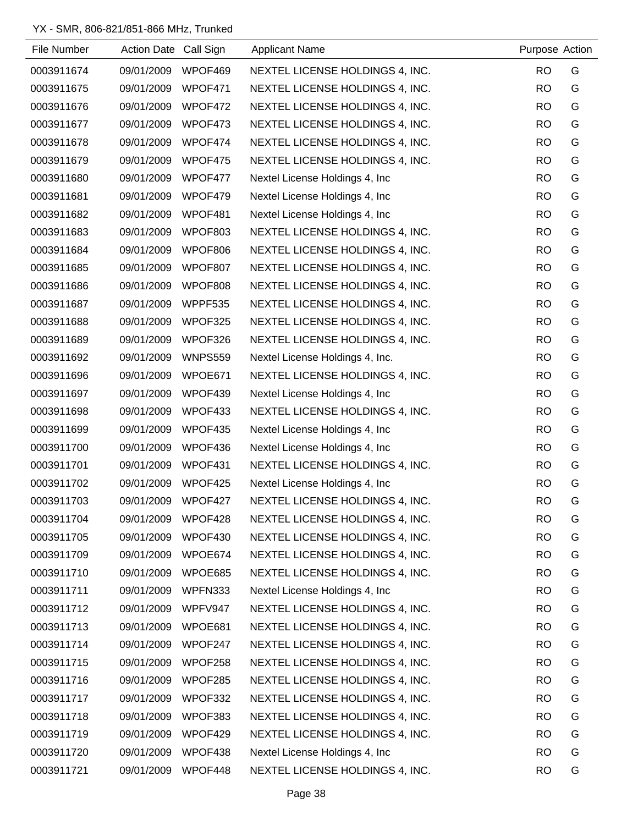| File Number | Action Date Call Sign |                | <b>Applicant Name</b>           | Purpose Action |   |
|-------------|-----------------------|----------------|---------------------------------|----------------|---|
| 0003911674  | 09/01/2009            | WPOF469        | NEXTEL LICENSE HOLDINGS 4, INC. | <b>RO</b>      | G |
| 0003911675  | 09/01/2009            | WPOF471        | NEXTEL LICENSE HOLDINGS 4, INC. | <b>RO</b>      | G |
| 0003911676  | 09/01/2009            | WPOF472        | NEXTEL LICENSE HOLDINGS 4, INC. | <b>RO</b>      | G |
| 0003911677  | 09/01/2009            | WPOF473        | NEXTEL LICENSE HOLDINGS 4, INC. | <b>RO</b>      | G |
| 0003911678  | 09/01/2009            | WPOF474        | NEXTEL LICENSE HOLDINGS 4, INC. | <b>RO</b>      | G |
| 0003911679  | 09/01/2009            | WPOF475        | NEXTEL LICENSE HOLDINGS 4, INC. | <b>RO</b>      | G |
| 0003911680  | 09/01/2009            | WPOF477        | Nextel License Holdings 4, Inc. | <b>RO</b>      | G |
| 0003911681  | 09/01/2009            | WPOF479        | Nextel License Holdings 4, Inc. | <b>RO</b>      | G |
| 0003911682  | 09/01/2009            | WPOF481        | Nextel License Holdings 4, Inc. | <b>RO</b>      | G |
| 0003911683  | 09/01/2009            | WPOF803        | NEXTEL LICENSE HOLDINGS 4, INC. | <b>RO</b>      | G |
| 0003911684  | 09/01/2009            | WPOF806        | NEXTEL LICENSE HOLDINGS 4, INC. | <b>RO</b>      | G |
| 0003911685  | 09/01/2009            | WPOF807        | NEXTEL LICENSE HOLDINGS 4, INC. | <b>RO</b>      | G |
| 0003911686  | 09/01/2009            | WPOF808        | NEXTEL LICENSE HOLDINGS 4, INC. | <b>RO</b>      | G |
| 0003911687  | 09/01/2009            | WPPF535        | NEXTEL LICENSE HOLDINGS 4, INC. | <b>RO</b>      | G |
| 0003911688  | 09/01/2009            | WPOF325        | NEXTEL LICENSE HOLDINGS 4, INC. | <b>RO</b>      | G |
| 0003911689  | 09/01/2009            | WPOF326        | NEXTEL LICENSE HOLDINGS 4, INC. | <b>RO</b>      | G |
| 0003911692  | 09/01/2009            | <b>WNPS559</b> | Nextel License Holdings 4, Inc. | <b>RO</b>      | G |
| 0003911696  | 09/01/2009            | WPOE671        | NEXTEL LICENSE HOLDINGS 4, INC. | <b>RO</b>      | G |
| 0003911697  | 09/01/2009            | WPOF439        | Nextel License Holdings 4, Inc. | <b>RO</b>      | G |
| 0003911698  | 09/01/2009            | WPOF433        | NEXTEL LICENSE HOLDINGS 4, INC. | <b>RO</b>      | G |
| 0003911699  | 09/01/2009            | WPOF435        | Nextel License Holdings 4, Inc  | <b>RO</b>      | G |
| 0003911700  | 09/01/2009            | WPOF436        | Nextel License Holdings 4, Inc. | <b>RO</b>      | G |
| 0003911701  | 09/01/2009            | WPOF431        | NEXTEL LICENSE HOLDINGS 4, INC. | <b>RO</b>      | G |
| 0003911702  | 09/01/2009            | WPOF425        | Nextel License Holdings 4, Inc. | <b>RO</b>      | G |
| 0003911703  | 09/01/2009            | WPOF427        | NEXTEL LICENSE HOLDINGS 4, INC. | <b>RO</b>      | G |
| 0003911704  | 09/01/2009            | WPOF428        | NEXTEL LICENSE HOLDINGS 4, INC. | <b>RO</b>      | G |
| 0003911705  | 09/01/2009            | WPOF430        | NEXTEL LICENSE HOLDINGS 4, INC. | <b>RO</b>      | G |
| 0003911709  | 09/01/2009            | WPOE674        | NEXTEL LICENSE HOLDINGS 4, INC. | <b>RO</b>      | G |
| 0003911710  | 09/01/2009            | WPOE685        | NEXTEL LICENSE HOLDINGS 4, INC. | <b>RO</b>      | G |
| 0003911711  | 09/01/2009            | WPFN333        | Nextel License Holdings 4, Inc. | <b>RO</b>      | G |
| 0003911712  | 09/01/2009            | WPFV947        | NEXTEL LICENSE HOLDINGS 4, INC. | <b>RO</b>      | G |
| 0003911713  | 09/01/2009            | WPOE681        | NEXTEL LICENSE HOLDINGS 4, INC. | <b>RO</b>      | G |
| 0003911714  | 09/01/2009            | WPOF247        | NEXTEL LICENSE HOLDINGS 4, INC. | <b>RO</b>      | G |
| 0003911715  | 09/01/2009            | WPOF258        | NEXTEL LICENSE HOLDINGS 4, INC. | <b>RO</b>      | G |
| 0003911716  | 09/01/2009            | WPOF285        | NEXTEL LICENSE HOLDINGS 4, INC. | <b>RO</b>      | G |
| 0003911717  | 09/01/2009            | WPOF332        | NEXTEL LICENSE HOLDINGS 4, INC. | <b>RO</b>      | G |
| 0003911718  | 09/01/2009            | WPOF383        | NEXTEL LICENSE HOLDINGS 4, INC. | <b>RO</b>      | G |
| 0003911719  | 09/01/2009            | WPOF429        | NEXTEL LICENSE HOLDINGS 4, INC. | <b>RO</b>      | G |
| 0003911720  | 09/01/2009            | WPOF438        | Nextel License Holdings 4, Inc  | <b>RO</b>      | G |
| 0003911721  | 09/01/2009            | WPOF448        | NEXTEL LICENSE HOLDINGS 4, INC. | <b>RO</b>      | G |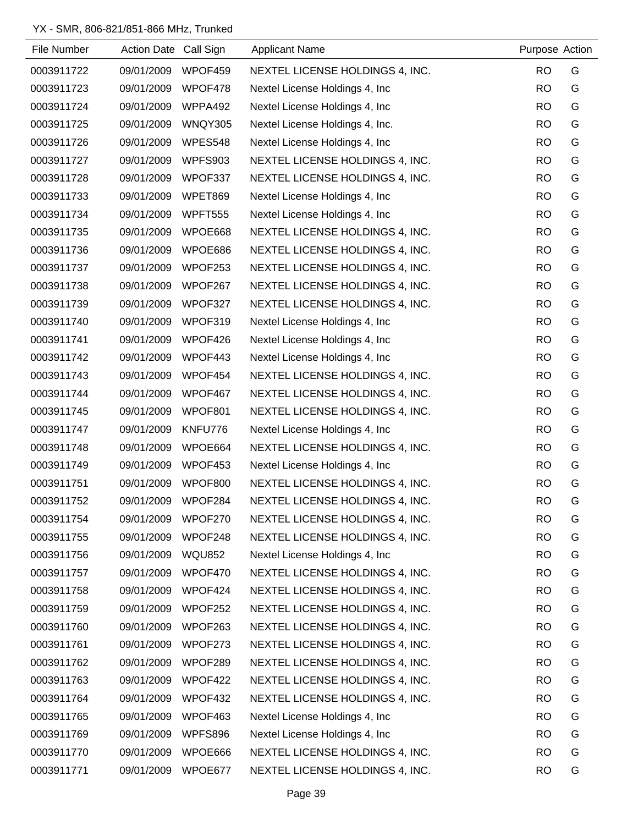| File Number | Action Date Call Sign |                | <b>Applicant Name</b>           | Purpose Action |   |
|-------------|-----------------------|----------------|---------------------------------|----------------|---|
| 0003911722  | 09/01/2009            | WPOF459        | NEXTEL LICENSE HOLDINGS 4, INC. | <b>RO</b>      | G |
| 0003911723  | 09/01/2009            | WPOF478        | Nextel License Holdings 4, Inc. | <b>RO</b>      | G |
| 0003911724  | 09/01/2009            | WPPA492        | Nextel License Holdings 4, Inc. | <b>RO</b>      | G |
| 0003911725  | 09/01/2009            | WNQY305        | Nextel License Holdings 4, Inc. | <b>RO</b>      | G |
| 0003911726  | 09/01/2009            | WPES548        | Nextel License Holdings 4, Inc. | <b>RO</b>      | G |
| 0003911727  | 09/01/2009            | WPFS903        | NEXTEL LICENSE HOLDINGS 4, INC. | <b>RO</b>      | G |
| 0003911728  | 09/01/2009            | WPOF337        | NEXTEL LICENSE HOLDINGS 4, INC. | <b>RO</b>      | G |
| 0003911733  | 09/01/2009            | WPET869        | Nextel License Holdings 4, Inc. | <b>RO</b>      | G |
| 0003911734  | 09/01/2009            | <b>WPFT555</b> | Nextel License Holdings 4, Inc. | <b>RO</b>      | G |
| 0003911735  | 09/01/2009            | WPOE668        | NEXTEL LICENSE HOLDINGS 4, INC. | <b>RO</b>      | G |
| 0003911736  | 09/01/2009            | WPOE686        | NEXTEL LICENSE HOLDINGS 4, INC. | <b>RO</b>      | G |
| 0003911737  | 09/01/2009            | WPOF253        | NEXTEL LICENSE HOLDINGS 4, INC. | <b>RO</b>      | G |
| 0003911738  | 09/01/2009            | WPOF267        | NEXTEL LICENSE HOLDINGS 4, INC. | <b>RO</b>      | G |
| 0003911739  | 09/01/2009            | WPOF327        | NEXTEL LICENSE HOLDINGS 4, INC. | <b>RO</b>      | G |
| 0003911740  | 09/01/2009            | WPOF319        | Nextel License Holdings 4, Inc. | <b>RO</b>      | G |
| 0003911741  | 09/01/2009            | WPOF426        | Nextel License Holdings 4, Inc. | <b>RO</b>      | G |
| 0003911742  | 09/01/2009            | WPOF443        | Nextel License Holdings 4, Inc. | <b>RO</b>      | G |
| 0003911743  | 09/01/2009            | WPOF454        | NEXTEL LICENSE HOLDINGS 4, INC. | <b>RO</b>      | G |
| 0003911744  | 09/01/2009            | WPOF467        | NEXTEL LICENSE HOLDINGS 4, INC. | <b>RO</b>      | G |
| 0003911745  | 09/01/2009            | WPOF801        | NEXTEL LICENSE HOLDINGS 4, INC. | <b>RO</b>      | G |
| 0003911747  | 09/01/2009            | KNFU776        | Nextel License Holdings 4, Inc. | <b>RO</b>      | G |
| 0003911748  | 09/01/2009            | WPOE664        | NEXTEL LICENSE HOLDINGS 4, INC. | <b>RO</b>      | G |
| 0003911749  | 09/01/2009            | WPOF453        | Nextel License Holdings 4, Inc. | <b>RO</b>      | G |
| 0003911751  | 09/01/2009            | WPOF800        | NEXTEL LICENSE HOLDINGS 4, INC. | <b>RO</b>      | G |
| 0003911752  | 09/01/2009            | WPOF284        | NEXTEL LICENSE HOLDINGS 4, INC. | <b>RO</b>      | G |
| 0003911754  | 09/01/2009            | WPOF270        | NEXTEL LICENSE HOLDINGS 4, INC. | <b>RO</b>      | G |
| 0003911755  | 09/01/2009            | WPOF248        | NEXTEL LICENSE HOLDINGS 4, INC. | <b>RO</b>      | G |
| 0003911756  | 09/01/2009            | <b>WQU852</b>  | Nextel License Holdings 4, Inc. | <b>RO</b>      | G |
| 0003911757  | 09/01/2009            | WPOF470        | NEXTEL LICENSE HOLDINGS 4, INC. | <b>RO</b>      | G |
| 0003911758  | 09/01/2009            | WPOF424        | NEXTEL LICENSE HOLDINGS 4, INC. | <b>RO</b>      | G |
| 0003911759  | 09/01/2009            | WPOF252        | NEXTEL LICENSE HOLDINGS 4, INC. | <b>RO</b>      | G |
| 0003911760  | 09/01/2009            | WPOF263        | NEXTEL LICENSE HOLDINGS 4, INC. | <b>RO</b>      | G |
| 0003911761  | 09/01/2009            | WPOF273        | NEXTEL LICENSE HOLDINGS 4, INC. | <b>RO</b>      | G |
| 0003911762  | 09/01/2009            | WPOF289        | NEXTEL LICENSE HOLDINGS 4, INC. | <b>RO</b>      | G |
| 0003911763  | 09/01/2009            | WPOF422        | NEXTEL LICENSE HOLDINGS 4, INC. | <b>RO</b>      | G |
| 0003911764  | 09/01/2009            | WPOF432        | NEXTEL LICENSE HOLDINGS 4, INC. | <b>RO</b>      | G |
| 0003911765  | 09/01/2009            | WPOF463        | Nextel License Holdings 4, Inc. | <b>RO</b>      | G |
| 0003911769  | 09/01/2009            | WPFS896        | Nextel License Holdings 4, Inc. | <b>RO</b>      | G |
| 0003911770  | 09/01/2009            | WPOE666        | NEXTEL LICENSE HOLDINGS 4, INC. | <b>RO</b>      | G |
| 0003911771  | 09/01/2009            | WPOE677        | NEXTEL LICENSE HOLDINGS 4, INC. | <b>RO</b>      | G |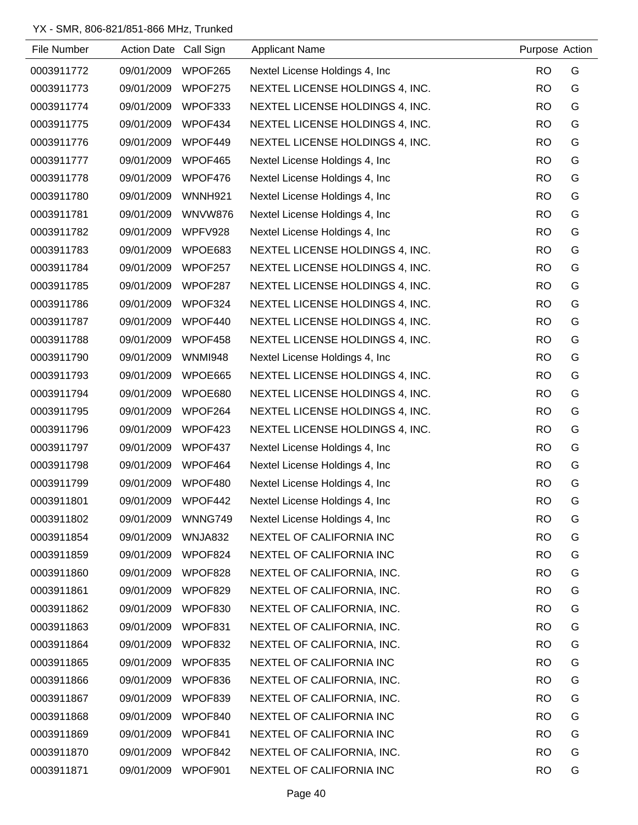| File Number | Action Date Call Sign |                | <b>Applicant Name</b>           | Purpose Action |   |
|-------------|-----------------------|----------------|---------------------------------|----------------|---|
| 0003911772  | 09/01/2009            | WPOF265        | Nextel License Holdings 4, Inc. | <b>RO</b>      | G |
| 0003911773  | 09/01/2009            | WPOF275        | NEXTEL LICENSE HOLDINGS 4, INC. | <b>RO</b>      | G |
| 0003911774  | 09/01/2009            | WPOF333        | NEXTEL LICENSE HOLDINGS 4, INC. | <b>RO</b>      | G |
| 0003911775  | 09/01/2009            | WPOF434        | NEXTEL LICENSE HOLDINGS 4, INC. | <b>RO</b>      | G |
| 0003911776  | 09/01/2009            | WPOF449        | NEXTEL LICENSE HOLDINGS 4, INC. | <b>RO</b>      | G |
| 0003911777  | 09/01/2009            | WPOF465        | Nextel License Holdings 4, Inc. | <b>RO</b>      | G |
| 0003911778  | 09/01/2009            | WPOF476        | Nextel License Holdings 4, Inc. | <b>RO</b>      | G |
| 0003911780  | 09/01/2009            | <b>WNNH921</b> | Nextel License Holdings 4, Inc. | <b>RO</b>      | G |
| 0003911781  | 09/01/2009            | <b>WNVW876</b> | Nextel License Holdings 4, Inc  | <b>RO</b>      | G |
| 0003911782  | 09/01/2009            | WPFV928        | Nextel License Holdings 4, Inc. | <b>RO</b>      | G |
| 0003911783  | 09/01/2009            | WPOE683        | NEXTEL LICENSE HOLDINGS 4, INC. | <b>RO</b>      | G |
| 0003911784  | 09/01/2009            | WPOF257        | NEXTEL LICENSE HOLDINGS 4, INC. | <b>RO</b>      | G |
| 0003911785  | 09/01/2009            | WPOF287        | NEXTEL LICENSE HOLDINGS 4, INC. | <b>RO</b>      | G |
| 0003911786  | 09/01/2009            | WPOF324        | NEXTEL LICENSE HOLDINGS 4, INC. | <b>RO</b>      | G |
| 0003911787  | 09/01/2009            | WPOF440        | NEXTEL LICENSE HOLDINGS 4, INC. | <b>RO</b>      | G |
| 0003911788  | 09/01/2009            | WPOF458        | NEXTEL LICENSE HOLDINGS 4, INC. | <b>RO</b>      | G |
| 0003911790  | 09/01/2009            | <b>WNMI948</b> | Nextel License Holdings 4, Inc. | <b>RO</b>      | G |
| 0003911793  | 09/01/2009            | WPOE665        | NEXTEL LICENSE HOLDINGS 4, INC. | <b>RO</b>      | G |
| 0003911794  | 09/01/2009            | WPOE680        | NEXTEL LICENSE HOLDINGS 4, INC. | <b>RO</b>      | G |
| 0003911795  | 09/01/2009            | WPOF264        | NEXTEL LICENSE HOLDINGS 4, INC. | <b>RO</b>      | G |
| 0003911796  | 09/01/2009            | WPOF423        | NEXTEL LICENSE HOLDINGS 4, INC. | <b>RO</b>      | G |
| 0003911797  | 09/01/2009            | WPOF437        | Nextel License Holdings 4, Inc. | <b>RO</b>      | G |
| 0003911798  | 09/01/2009            | WPOF464        | Nextel License Holdings 4, Inc. | <b>RO</b>      | G |
| 0003911799  | 09/01/2009            | WPOF480        | Nextel License Holdings 4, Inc. | <b>RO</b>      | G |
| 0003911801  | 09/01/2009            | WPOF442        | Nextel License Holdings 4, Inc  | <b>RO</b>      | G |
| 0003911802  | 09/01/2009            | WNNG749        | Nextel License Holdings 4, Inc. | <b>RO</b>      | G |
| 0003911854  | 09/01/2009            | WNJA832        | NEXTEL OF CALIFORNIA INC        | <b>RO</b>      | G |
| 0003911859  | 09/01/2009            | WPOF824        | NEXTEL OF CALIFORNIA INC        | <b>RO</b>      | G |
| 0003911860  | 09/01/2009            | WPOF828        | NEXTEL OF CALIFORNIA, INC.      | <b>RO</b>      | G |
| 0003911861  | 09/01/2009            | WPOF829        | NEXTEL OF CALIFORNIA, INC.      | <b>RO</b>      | G |
| 0003911862  | 09/01/2009            | WPOF830        | NEXTEL OF CALIFORNIA, INC.      | <b>RO</b>      | G |
| 0003911863  | 09/01/2009            | WPOF831        | NEXTEL OF CALIFORNIA, INC.      | <b>RO</b>      | G |
| 0003911864  | 09/01/2009            | WPOF832        | NEXTEL OF CALIFORNIA, INC.      | <b>RO</b>      | G |
| 0003911865  | 09/01/2009            | WPOF835        | NEXTEL OF CALIFORNIA INC        | <b>RO</b>      | G |
| 0003911866  | 09/01/2009            | WPOF836        | NEXTEL OF CALIFORNIA, INC.      | <b>RO</b>      | G |
| 0003911867  | 09/01/2009            | WPOF839        | NEXTEL OF CALIFORNIA, INC.      | <b>RO</b>      | G |
| 0003911868  | 09/01/2009            | WPOF840        | NEXTEL OF CALIFORNIA INC        | <b>RO</b>      | G |
| 0003911869  | 09/01/2009            | WPOF841        | NEXTEL OF CALIFORNIA INC        | <b>RO</b>      | G |
| 0003911870  | 09/01/2009            | WPOF842        | NEXTEL OF CALIFORNIA, INC.      | <b>RO</b>      | G |
| 0003911871  | 09/01/2009            | WPOF901        | NEXTEL OF CALIFORNIA INC        | <b>RO</b>      | G |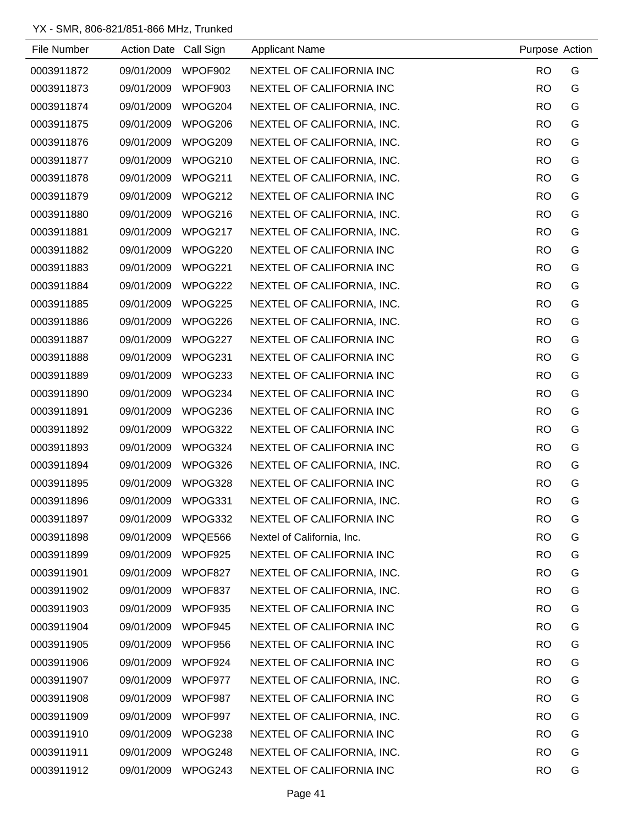| File Number | Action Date Call Sign |         | <b>Applicant Name</b>      | Purpose Action |   |
|-------------|-----------------------|---------|----------------------------|----------------|---|
| 0003911872  | 09/01/2009            | WPOF902 | NEXTEL OF CALIFORNIA INC   | <b>RO</b>      | G |
| 0003911873  | 09/01/2009            | WPOF903 | NEXTEL OF CALIFORNIA INC   | <b>RO</b>      | G |
| 0003911874  | 09/01/2009            | WPOG204 | NEXTEL OF CALIFORNIA, INC. | <b>RO</b>      | G |
| 0003911875  | 09/01/2009            | WPOG206 | NEXTEL OF CALIFORNIA, INC. | <b>RO</b>      | G |
| 0003911876  | 09/01/2009            | WPOG209 | NEXTEL OF CALIFORNIA, INC. | <b>RO</b>      | G |
| 0003911877  | 09/01/2009            | WPOG210 | NEXTEL OF CALIFORNIA, INC. | <b>RO</b>      | G |
| 0003911878  | 09/01/2009            | WPOG211 | NEXTEL OF CALIFORNIA, INC. | <b>RO</b>      | G |
| 0003911879  | 09/01/2009            | WPOG212 | NEXTEL OF CALIFORNIA INC   | <b>RO</b>      | G |
| 0003911880  | 09/01/2009            | WPOG216 | NEXTEL OF CALIFORNIA, INC. | <b>RO</b>      | G |
| 0003911881  | 09/01/2009            | WPOG217 | NEXTEL OF CALIFORNIA, INC. | <b>RO</b>      | G |
| 0003911882  | 09/01/2009            | WPOG220 | NEXTEL OF CALIFORNIA INC   | <b>RO</b>      | G |
| 0003911883  | 09/01/2009            | WPOG221 | NEXTEL OF CALIFORNIA INC   | <b>RO</b>      | G |
| 0003911884  | 09/01/2009            | WPOG222 | NEXTEL OF CALIFORNIA, INC. | <b>RO</b>      | G |
| 0003911885  | 09/01/2009            | WPOG225 | NEXTEL OF CALIFORNIA, INC. | <b>RO</b>      | G |
| 0003911886  | 09/01/2009            | WPOG226 | NEXTEL OF CALIFORNIA, INC. | <b>RO</b>      | G |
| 0003911887  | 09/01/2009            | WPOG227 | NEXTEL OF CALIFORNIA INC   | <b>RO</b>      | G |
| 0003911888  | 09/01/2009            | WPOG231 | NEXTEL OF CALIFORNIA INC   | <b>RO</b>      | G |
| 0003911889  | 09/01/2009            | WPOG233 | NEXTEL OF CALIFORNIA INC   | <b>RO</b>      | G |
| 0003911890  | 09/01/2009            | WPOG234 | NEXTEL OF CALIFORNIA INC   | <b>RO</b>      | G |
| 0003911891  | 09/01/2009            | WPOG236 | NEXTEL OF CALIFORNIA INC   | <b>RO</b>      | G |
| 0003911892  | 09/01/2009            | WPOG322 | NEXTEL OF CALIFORNIA INC   | <b>RO</b>      | G |
| 0003911893  | 09/01/2009            | WPOG324 | NEXTEL OF CALIFORNIA INC   | <b>RO</b>      | G |
| 0003911894  | 09/01/2009            | WPOG326 | NEXTEL OF CALIFORNIA, INC. | <b>RO</b>      | G |
| 0003911895  | 09/01/2009            | WPOG328 | NEXTEL OF CALIFORNIA INC   | <b>RO</b>      | G |
| 0003911896  | 09/01/2009            | WPOG331 | NEXTEL OF CALIFORNIA, INC. | <b>RO</b>      | G |
| 0003911897  | 09/01/2009            | WPOG332 | NEXTEL OF CALIFORNIA INC   | <b>RO</b>      | G |
| 0003911898  | 09/01/2009            | WPQE566 | Nextel of California, Inc. | <b>RO</b>      | G |
| 0003911899  | 09/01/2009            | WPOF925 | NEXTEL OF CALIFORNIA INC   | <b>RO</b>      | G |
| 0003911901  | 09/01/2009            | WPOF827 | NEXTEL OF CALIFORNIA, INC. | <b>RO</b>      | G |
| 0003911902  | 09/01/2009            | WPOF837 | NEXTEL OF CALIFORNIA, INC. | <b>RO</b>      | G |
| 0003911903  | 09/01/2009            | WPOF935 | NEXTEL OF CALIFORNIA INC   | <b>RO</b>      | G |
| 0003911904  | 09/01/2009            | WPOF945 | NEXTEL OF CALIFORNIA INC   | <b>RO</b>      | G |
| 0003911905  | 09/01/2009            | WPOF956 | NEXTEL OF CALIFORNIA INC   | <b>RO</b>      | G |
| 0003911906  | 09/01/2009            | WPOF924 | NEXTEL OF CALIFORNIA INC   | <b>RO</b>      | G |
| 0003911907  | 09/01/2009            | WPOF977 | NEXTEL OF CALIFORNIA, INC. | <b>RO</b>      | G |
| 0003911908  | 09/01/2009            | WPOF987 | NEXTEL OF CALIFORNIA INC   | <b>RO</b>      | G |
| 0003911909  | 09/01/2009            | WPOF997 | NEXTEL OF CALIFORNIA, INC. | <b>RO</b>      | G |
| 0003911910  | 09/01/2009            | WPOG238 | NEXTEL OF CALIFORNIA INC   | <b>RO</b>      | G |
| 0003911911  | 09/01/2009            | WPOG248 | NEXTEL OF CALIFORNIA, INC. | <b>RO</b>      | G |
| 0003911912  | 09/01/2009            | WPOG243 | NEXTEL OF CALIFORNIA INC   | <b>RO</b>      | G |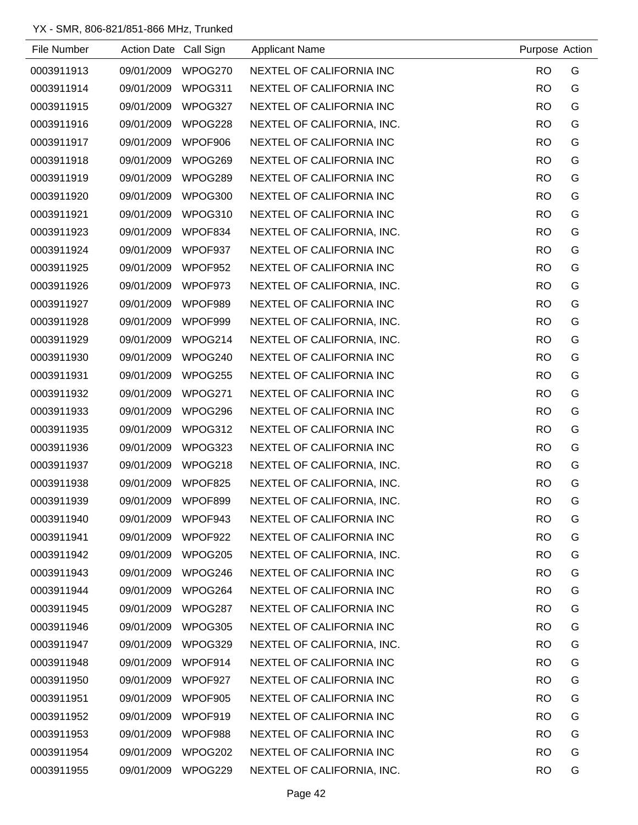| File Number | Action Date Call Sign |         | <b>Applicant Name</b>      | Purpose Action |   |
|-------------|-----------------------|---------|----------------------------|----------------|---|
| 0003911913  | 09/01/2009            | WPOG270 | NEXTEL OF CALIFORNIA INC   | <b>RO</b>      | G |
| 0003911914  | 09/01/2009            | WPOG311 | NEXTEL OF CALIFORNIA INC   | <b>RO</b>      | G |
| 0003911915  | 09/01/2009            | WPOG327 | NEXTEL OF CALIFORNIA INC   | <b>RO</b>      | G |
| 0003911916  | 09/01/2009            | WPOG228 | NEXTEL OF CALIFORNIA, INC. | <b>RO</b>      | G |
| 0003911917  | 09/01/2009            | WPOF906 | NEXTEL OF CALIFORNIA INC   | <b>RO</b>      | G |
| 0003911918  | 09/01/2009            | WPOG269 | NEXTEL OF CALIFORNIA INC   | <b>RO</b>      | G |
| 0003911919  | 09/01/2009            | WPOG289 | NEXTEL OF CALIFORNIA INC   | <b>RO</b>      | G |
| 0003911920  | 09/01/2009            | WPOG300 | NEXTEL OF CALIFORNIA INC   | <b>RO</b>      | G |
| 0003911921  | 09/01/2009            | WPOG310 | NEXTEL OF CALIFORNIA INC   | <b>RO</b>      | G |
| 0003911923  | 09/01/2009            | WPOF834 | NEXTEL OF CALIFORNIA, INC. | <b>RO</b>      | G |
| 0003911924  | 09/01/2009            | WPOF937 | NEXTEL OF CALIFORNIA INC   | <b>RO</b>      | G |
| 0003911925  | 09/01/2009            | WPOF952 | NEXTEL OF CALIFORNIA INC   | <b>RO</b>      | G |
| 0003911926  | 09/01/2009            | WPOF973 | NEXTEL OF CALIFORNIA, INC. | <b>RO</b>      | G |
| 0003911927  | 09/01/2009            | WPOF989 | NEXTEL OF CALIFORNIA INC   | <b>RO</b>      | G |
| 0003911928  | 09/01/2009            | WPOF999 | NEXTEL OF CALIFORNIA, INC. | <b>RO</b>      | G |
| 0003911929  | 09/01/2009            | WPOG214 | NEXTEL OF CALIFORNIA, INC. | <b>RO</b>      | G |
| 0003911930  | 09/01/2009            | WPOG240 | NEXTEL OF CALIFORNIA INC   | <b>RO</b>      | G |
| 0003911931  | 09/01/2009            | WPOG255 | NEXTEL OF CALIFORNIA INC   | <b>RO</b>      | G |
| 0003911932  | 09/01/2009            | WPOG271 | NEXTEL OF CALIFORNIA INC   | <b>RO</b>      | G |
| 0003911933  | 09/01/2009            | WPOG296 | NEXTEL OF CALIFORNIA INC   | <b>RO</b>      | G |
| 0003911935  | 09/01/2009            | WPOG312 | NEXTEL OF CALIFORNIA INC   | <b>RO</b>      | G |
| 0003911936  | 09/01/2009            | WPOG323 | NEXTEL OF CALIFORNIA INC   | <b>RO</b>      | G |
| 0003911937  | 09/01/2009            | WPOG218 | NEXTEL OF CALIFORNIA, INC. | <b>RO</b>      | G |
| 0003911938  | 09/01/2009            | WPOF825 | NEXTEL OF CALIFORNIA, INC. | <b>RO</b>      | G |
| 0003911939  | 09/01/2009            | WPOF899 | NEXTEL OF CALIFORNIA, INC. | <b>RO</b>      | G |
| 0003911940  | 09/01/2009            | WPOF943 | NEXTEL OF CALIFORNIA INC   | <b>RO</b>      | G |
| 0003911941  | 09/01/2009            | WPOF922 | NEXTEL OF CALIFORNIA INC   | <b>RO</b>      | G |
| 0003911942  | 09/01/2009            | WPOG205 | NEXTEL OF CALIFORNIA, INC. | <b>RO</b>      | G |
| 0003911943  | 09/01/2009            | WPOG246 | NEXTEL OF CALIFORNIA INC   | <b>RO</b>      | G |
| 0003911944  | 09/01/2009            | WPOG264 | NEXTEL OF CALIFORNIA INC   | <b>RO</b>      | G |
| 0003911945  | 09/01/2009            | WPOG287 | NEXTEL OF CALIFORNIA INC   | <b>RO</b>      | G |
| 0003911946  | 09/01/2009            | WPOG305 | NEXTEL OF CALIFORNIA INC   | <b>RO</b>      | G |
| 0003911947  | 09/01/2009            | WPOG329 | NEXTEL OF CALIFORNIA, INC. | <b>RO</b>      | G |
| 0003911948  | 09/01/2009            | WPOF914 | NEXTEL OF CALIFORNIA INC   | <b>RO</b>      | G |
| 0003911950  | 09/01/2009            | WPOF927 | NEXTEL OF CALIFORNIA INC   | <b>RO</b>      | G |
| 0003911951  | 09/01/2009            | WPOF905 | NEXTEL OF CALIFORNIA INC   | <b>RO</b>      | G |
| 0003911952  | 09/01/2009            | WPOF919 | NEXTEL OF CALIFORNIA INC   | <b>RO</b>      | G |
| 0003911953  | 09/01/2009            | WPOF988 | NEXTEL OF CALIFORNIA INC   | <b>RO</b>      | G |
| 0003911954  | 09/01/2009            | WPOG202 | NEXTEL OF CALIFORNIA INC   | <b>RO</b>      | G |
| 0003911955  | 09/01/2009            | WPOG229 | NEXTEL OF CALIFORNIA, INC. | <b>RO</b>      | G |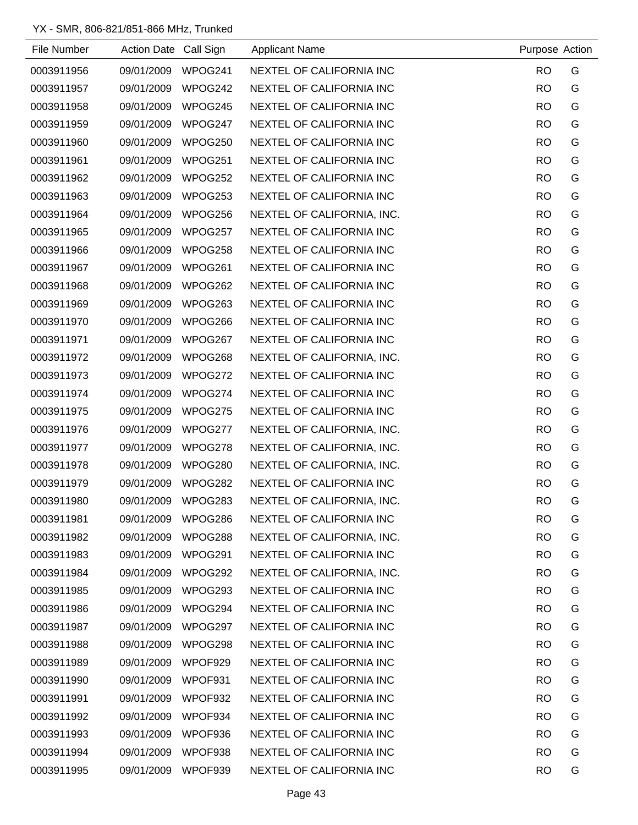| File Number | Action Date Call Sign |         | <b>Applicant Name</b>      | Purpose Action |   |
|-------------|-----------------------|---------|----------------------------|----------------|---|
| 0003911956  | 09/01/2009            | WPOG241 | NEXTEL OF CALIFORNIA INC   | <b>RO</b>      | G |
| 0003911957  | 09/01/2009            | WPOG242 | NEXTEL OF CALIFORNIA INC   | <b>RO</b>      | G |
| 0003911958  | 09/01/2009            | WPOG245 | NEXTEL OF CALIFORNIA INC   | <b>RO</b>      | G |
| 0003911959  | 09/01/2009            | WPOG247 | NEXTEL OF CALIFORNIA INC   | <b>RO</b>      | G |
| 0003911960  | 09/01/2009            | WPOG250 | NEXTEL OF CALIFORNIA INC   | <b>RO</b>      | G |
| 0003911961  | 09/01/2009            | WPOG251 | NEXTEL OF CALIFORNIA INC   | <b>RO</b>      | G |
| 0003911962  | 09/01/2009            | WPOG252 | NEXTEL OF CALIFORNIA INC   | <b>RO</b>      | G |
| 0003911963  | 09/01/2009            | WPOG253 | NEXTEL OF CALIFORNIA INC   | <b>RO</b>      | G |
| 0003911964  | 09/01/2009            | WPOG256 | NEXTEL OF CALIFORNIA, INC. | <b>RO</b>      | G |
| 0003911965  | 09/01/2009            | WPOG257 | NEXTEL OF CALIFORNIA INC   | <b>RO</b>      | G |
| 0003911966  | 09/01/2009            | WPOG258 | NEXTEL OF CALIFORNIA INC   | <b>RO</b>      | G |
| 0003911967  | 09/01/2009            | WPOG261 | NEXTEL OF CALIFORNIA INC   | <b>RO</b>      | G |
| 0003911968  | 09/01/2009            | WPOG262 | NEXTEL OF CALIFORNIA INC   | <b>RO</b>      | G |
| 0003911969  | 09/01/2009            | WPOG263 | NEXTEL OF CALIFORNIA INC   | <b>RO</b>      | G |
| 0003911970  | 09/01/2009            | WPOG266 | NEXTEL OF CALIFORNIA INC   | <b>RO</b>      | G |
| 0003911971  | 09/01/2009            | WPOG267 | NEXTEL OF CALIFORNIA INC   | <b>RO</b>      | G |
| 0003911972  | 09/01/2009            | WPOG268 | NEXTEL OF CALIFORNIA, INC. | <b>RO</b>      | G |
| 0003911973  | 09/01/2009            | WPOG272 | NEXTEL OF CALIFORNIA INC   | <b>RO</b>      | G |
| 0003911974  | 09/01/2009            | WPOG274 | NEXTEL OF CALIFORNIA INC   | <b>RO</b>      | G |
| 0003911975  | 09/01/2009            | WPOG275 | NEXTEL OF CALIFORNIA INC   | <b>RO</b>      | G |
| 0003911976  | 09/01/2009            | WPOG277 | NEXTEL OF CALIFORNIA, INC. | <b>RO</b>      | G |
| 0003911977  | 09/01/2009            | WPOG278 | NEXTEL OF CALIFORNIA, INC. | <b>RO</b>      | G |
| 0003911978  | 09/01/2009            | WPOG280 | NEXTEL OF CALIFORNIA, INC. | <b>RO</b>      | G |
| 0003911979  | 09/01/2009            | WPOG282 | NEXTEL OF CALIFORNIA INC   | <b>RO</b>      | G |
| 0003911980  | 09/01/2009            | WPOG283 | NEXTEL OF CALIFORNIA, INC. | <b>RO</b>      | G |
| 0003911981  | 09/01/2009            | WPOG286 | NEXTEL OF CALIFORNIA INC   | <b>RO</b>      | G |
| 0003911982  | 09/01/2009            | WPOG288 | NEXTEL OF CALIFORNIA, INC. | <b>RO</b>      | G |
| 0003911983  | 09/01/2009            | WPOG291 | NEXTEL OF CALIFORNIA INC   | <b>RO</b>      | G |
| 0003911984  | 09/01/2009            | WPOG292 | NEXTEL OF CALIFORNIA, INC. | <b>RO</b>      | G |
| 0003911985  | 09/01/2009            | WPOG293 | NEXTEL OF CALIFORNIA INC   | <b>RO</b>      | G |
| 0003911986  | 09/01/2009            | WPOG294 | NEXTEL OF CALIFORNIA INC   | <b>RO</b>      | G |
| 0003911987  | 09/01/2009            | WPOG297 | NEXTEL OF CALIFORNIA INC   | <b>RO</b>      | G |
| 0003911988  | 09/01/2009            | WPOG298 | NEXTEL OF CALIFORNIA INC   | <b>RO</b>      | G |
| 0003911989  | 09/01/2009            | WPOF929 | NEXTEL OF CALIFORNIA INC   | <b>RO</b>      | G |
| 0003911990  | 09/01/2009            | WPOF931 | NEXTEL OF CALIFORNIA INC   | <b>RO</b>      | G |
| 0003911991  | 09/01/2009            | WPOF932 | NEXTEL OF CALIFORNIA INC   | <b>RO</b>      | G |
| 0003911992  | 09/01/2009            | WPOF934 | NEXTEL OF CALIFORNIA INC   | <b>RO</b>      | G |
| 0003911993  | 09/01/2009            | WPOF936 | NEXTEL OF CALIFORNIA INC   | <b>RO</b>      | G |
| 0003911994  | 09/01/2009            | WPOF938 | NEXTEL OF CALIFORNIA INC   | <b>RO</b>      | G |
| 0003911995  | 09/01/2009            | WPOF939 | NEXTEL OF CALIFORNIA INC   | <b>RO</b>      | G |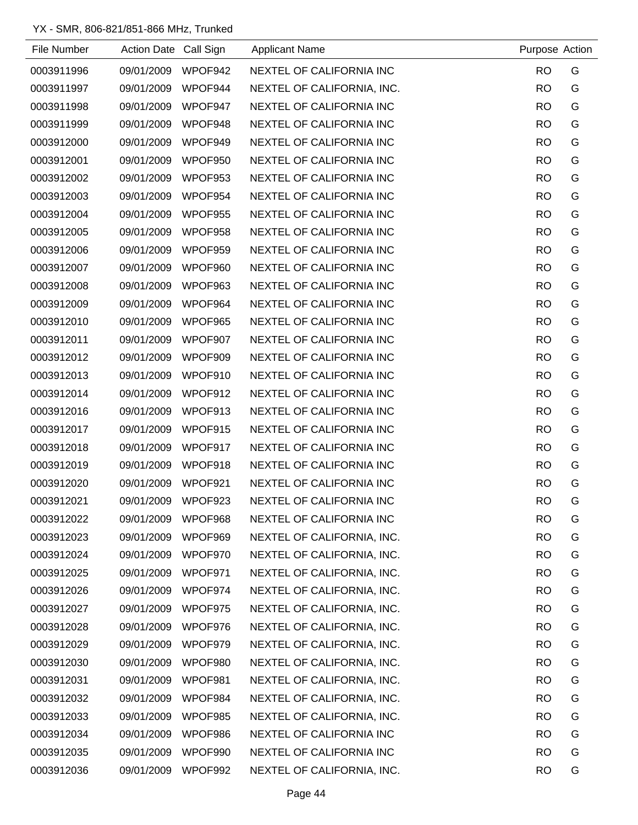| File Number | Action Date Call Sign |         | <b>Applicant Name</b>      | Purpose Action |   |
|-------------|-----------------------|---------|----------------------------|----------------|---|
| 0003911996  | 09/01/2009            | WPOF942 | NEXTEL OF CALIFORNIA INC   | <b>RO</b>      | G |
| 0003911997  | 09/01/2009            | WPOF944 | NEXTEL OF CALIFORNIA, INC. | <b>RO</b>      | G |
| 0003911998  | 09/01/2009            | WPOF947 | NEXTEL OF CALIFORNIA INC   | <b>RO</b>      | G |
| 0003911999  | 09/01/2009            | WPOF948 | NEXTEL OF CALIFORNIA INC   | <b>RO</b>      | G |
| 0003912000  | 09/01/2009            | WPOF949 | NEXTEL OF CALIFORNIA INC   | <b>RO</b>      | G |
| 0003912001  | 09/01/2009            | WPOF950 | NEXTEL OF CALIFORNIA INC   | <b>RO</b>      | G |
| 0003912002  | 09/01/2009            | WPOF953 | NEXTEL OF CALIFORNIA INC   | <b>RO</b>      | G |
| 0003912003  | 09/01/2009            | WPOF954 | NEXTEL OF CALIFORNIA INC   | <b>RO</b>      | G |
| 0003912004  | 09/01/2009            | WPOF955 | NEXTEL OF CALIFORNIA INC   | <b>RO</b>      | G |
| 0003912005  | 09/01/2009            | WPOF958 | NEXTEL OF CALIFORNIA INC   | <b>RO</b>      | G |
| 0003912006  | 09/01/2009            | WPOF959 | NEXTEL OF CALIFORNIA INC   | <b>RO</b>      | G |
| 0003912007  | 09/01/2009            | WPOF960 | NEXTEL OF CALIFORNIA INC   | <b>RO</b>      | G |
| 0003912008  | 09/01/2009            | WPOF963 | NEXTEL OF CALIFORNIA INC   | <b>RO</b>      | G |
| 0003912009  | 09/01/2009            | WPOF964 | NEXTEL OF CALIFORNIA INC   | <b>RO</b>      | G |
| 0003912010  | 09/01/2009            | WPOF965 | NEXTEL OF CALIFORNIA INC   | <b>RO</b>      | G |
| 0003912011  | 09/01/2009            | WPOF907 | NEXTEL OF CALIFORNIA INC   | <b>RO</b>      | G |
| 0003912012  | 09/01/2009            | WPOF909 | NEXTEL OF CALIFORNIA INC   | <b>RO</b>      | G |
| 0003912013  | 09/01/2009            | WPOF910 | NEXTEL OF CALIFORNIA INC   | <b>RO</b>      | G |
| 0003912014  | 09/01/2009            | WPOF912 | NEXTEL OF CALIFORNIA INC   | <b>RO</b>      | G |
| 0003912016  | 09/01/2009            | WPOF913 | NEXTEL OF CALIFORNIA INC   | <b>RO</b>      | G |
| 0003912017  | 09/01/2009            | WPOF915 | NEXTEL OF CALIFORNIA INC   | <b>RO</b>      | G |
| 0003912018  | 09/01/2009            | WPOF917 | NEXTEL OF CALIFORNIA INC   | <b>RO</b>      | G |
| 0003912019  | 09/01/2009            | WPOF918 | NEXTEL OF CALIFORNIA INC   | <b>RO</b>      | G |
| 0003912020  | 09/01/2009            | WPOF921 | NEXTEL OF CALIFORNIA INC   | <b>RO</b>      | G |
| 0003912021  | 09/01/2009            | WPOF923 | NEXTEL OF CALIFORNIA INC   | <b>RO</b>      | G |
| 0003912022  | 09/01/2009            | WPOF968 | NEXTEL OF CALIFORNIA INC   | <b>RO</b>      | G |
| 0003912023  | 09/01/2009            | WPOF969 | NEXTEL OF CALIFORNIA, INC. | <b>RO</b>      | G |
| 0003912024  | 09/01/2009            | WPOF970 | NEXTEL OF CALIFORNIA, INC. | <b>RO</b>      | G |
| 0003912025  | 09/01/2009            | WPOF971 | NEXTEL OF CALIFORNIA, INC. | <b>RO</b>      | G |
| 0003912026  | 09/01/2009            | WPOF974 | NEXTEL OF CALIFORNIA, INC. | <b>RO</b>      | G |
| 0003912027  | 09/01/2009            | WPOF975 | NEXTEL OF CALIFORNIA, INC. | <b>RO</b>      | G |
| 0003912028  | 09/01/2009            | WPOF976 | NEXTEL OF CALIFORNIA, INC. | <b>RO</b>      | G |
| 0003912029  | 09/01/2009            | WPOF979 | NEXTEL OF CALIFORNIA, INC. | <b>RO</b>      | G |
| 0003912030  | 09/01/2009            | WPOF980 | NEXTEL OF CALIFORNIA, INC. | <b>RO</b>      | G |
| 0003912031  | 09/01/2009            | WPOF981 | NEXTEL OF CALIFORNIA, INC. | <b>RO</b>      | G |
| 0003912032  | 09/01/2009            | WPOF984 | NEXTEL OF CALIFORNIA, INC. | <b>RO</b>      | G |
| 0003912033  | 09/01/2009            | WPOF985 | NEXTEL OF CALIFORNIA, INC. | <b>RO</b>      | G |
| 0003912034  | 09/01/2009            | WPOF986 | NEXTEL OF CALIFORNIA INC   | <b>RO</b>      | G |
| 0003912035  | 09/01/2009            | WPOF990 | NEXTEL OF CALIFORNIA INC   | <b>RO</b>      | G |
| 0003912036  | 09/01/2009            | WPOF992 | NEXTEL OF CALIFORNIA, INC. | <b>RO</b>      | G |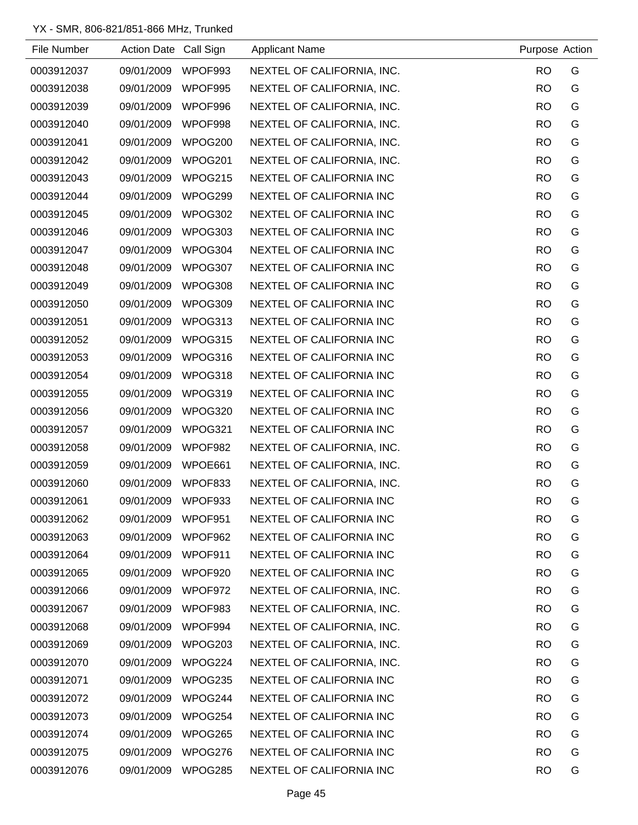| File Number | Action Date Call Sign |         | <b>Applicant Name</b>      | Purpose Action |   |
|-------------|-----------------------|---------|----------------------------|----------------|---|
| 0003912037  | 09/01/2009            | WPOF993 | NEXTEL OF CALIFORNIA, INC. | <b>RO</b>      | G |
| 0003912038  | 09/01/2009            | WPOF995 | NEXTEL OF CALIFORNIA, INC. | <b>RO</b>      | G |
| 0003912039  | 09/01/2009            | WPOF996 | NEXTEL OF CALIFORNIA, INC. | <b>RO</b>      | G |
| 0003912040  | 09/01/2009            | WPOF998 | NEXTEL OF CALIFORNIA, INC. | <b>RO</b>      | G |
| 0003912041  | 09/01/2009            | WPOG200 | NEXTEL OF CALIFORNIA, INC. | <b>RO</b>      | G |
| 0003912042  | 09/01/2009            | WPOG201 | NEXTEL OF CALIFORNIA, INC. | <b>RO</b>      | G |
| 0003912043  | 09/01/2009            | WPOG215 | NEXTEL OF CALIFORNIA INC   | <b>RO</b>      | G |
| 0003912044  | 09/01/2009            | WPOG299 | NEXTEL OF CALIFORNIA INC   | <b>RO</b>      | G |
| 0003912045  | 09/01/2009            | WPOG302 | NEXTEL OF CALIFORNIA INC   | <b>RO</b>      | G |
| 0003912046  | 09/01/2009            | WPOG303 | NEXTEL OF CALIFORNIA INC   | <b>RO</b>      | G |
| 0003912047  | 09/01/2009            | WPOG304 | NEXTEL OF CALIFORNIA INC   | <b>RO</b>      | G |
| 0003912048  | 09/01/2009            | WPOG307 | NEXTEL OF CALIFORNIA INC   | <b>RO</b>      | G |
| 0003912049  | 09/01/2009            | WPOG308 | NEXTEL OF CALIFORNIA INC   | <b>RO</b>      | G |
| 0003912050  | 09/01/2009            | WPOG309 | NEXTEL OF CALIFORNIA INC   | <b>RO</b>      | G |
| 0003912051  | 09/01/2009            | WPOG313 | NEXTEL OF CALIFORNIA INC   | <b>RO</b>      | G |
| 0003912052  | 09/01/2009            | WPOG315 | NEXTEL OF CALIFORNIA INC   | <b>RO</b>      | G |
| 0003912053  | 09/01/2009            | WPOG316 | NEXTEL OF CALIFORNIA INC   | <b>RO</b>      | G |
| 0003912054  | 09/01/2009            | WPOG318 | NEXTEL OF CALIFORNIA INC   | <b>RO</b>      | G |
| 0003912055  | 09/01/2009            | WPOG319 | NEXTEL OF CALIFORNIA INC   | <b>RO</b>      | G |
| 0003912056  | 09/01/2009            | WPOG320 | NEXTEL OF CALIFORNIA INC   | <b>RO</b>      | G |
| 0003912057  | 09/01/2009            | WPOG321 | NEXTEL OF CALIFORNIA INC   | <b>RO</b>      | G |
| 0003912058  | 09/01/2009            | WPOF982 | NEXTEL OF CALIFORNIA, INC. | <b>RO</b>      | G |
| 0003912059  | 09/01/2009            | WPOE661 | NEXTEL OF CALIFORNIA, INC. | <b>RO</b>      | G |
| 0003912060  | 09/01/2009            | WPOF833 | NEXTEL OF CALIFORNIA, INC. | <b>RO</b>      | G |
| 0003912061  | 09/01/2009            | WPOF933 | NEXTEL OF CALIFORNIA INC   | <b>RO</b>      | G |
| 0003912062  | 09/01/2009            | WPOF951 | NEXTEL OF CALIFORNIA INC   | <b>RO</b>      | G |
| 0003912063  | 09/01/2009            | WPOF962 | NEXTEL OF CALIFORNIA INC   | <b>RO</b>      | G |
| 0003912064  | 09/01/2009            | WPOF911 | NEXTEL OF CALIFORNIA INC   | <b>RO</b>      | G |
| 0003912065  | 09/01/2009            | WPOF920 | NEXTEL OF CALIFORNIA INC   | <b>RO</b>      | G |
| 0003912066  | 09/01/2009            | WPOF972 | NEXTEL OF CALIFORNIA, INC. | <b>RO</b>      | G |
| 0003912067  | 09/01/2009            | WPOF983 | NEXTEL OF CALIFORNIA, INC. | <b>RO</b>      | G |
| 0003912068  | 09/01/2009            | WPOF994 | NEXTEL OF CALIFORNIA, INC. | <b>RO</b>      | G |
| 0003912069  | 09/01/2009            | WPOG203 | NEXTEL OF CALIFORNIA, INC. | <b>RO</b>      | G |
| 0003912070  | 09/01/2009            | WPOG224 | NEXTEL OF CALIFORNIA, INC. | <b>RO</b>      | G |
| 0003912071  | 09/01/2009            | WPOG235 | NEXTEL OF CALIFORNIA INC   | <b>RO</b>      | G |
| 0003912072  | 09/01/2009            | WPOG244 | NEXTEL OF CALIFORNIA INC   | <b>RO</b>      | G |
| 0003912073  | 09/01/2009            | WPOG254 | NEXTEL OF CALIFORNIA INC   | <b>RO</b>      | G |
| 0003912074  | 09/01/2009            | WPOG265 | NEXTEL OF CALIFORNIA INC   | <b>RO</b>      | G |
| 0003912075  | 09/01/2009            | WPOG276 | NEXTEL OF CALIFORNIA INC   | <b>RO</b>      | G |
| 0003912076  | 09/01/2009            | WPOG285 | NEXTEL OF CALIFORNIA INC   | <b>RO</b>      | G |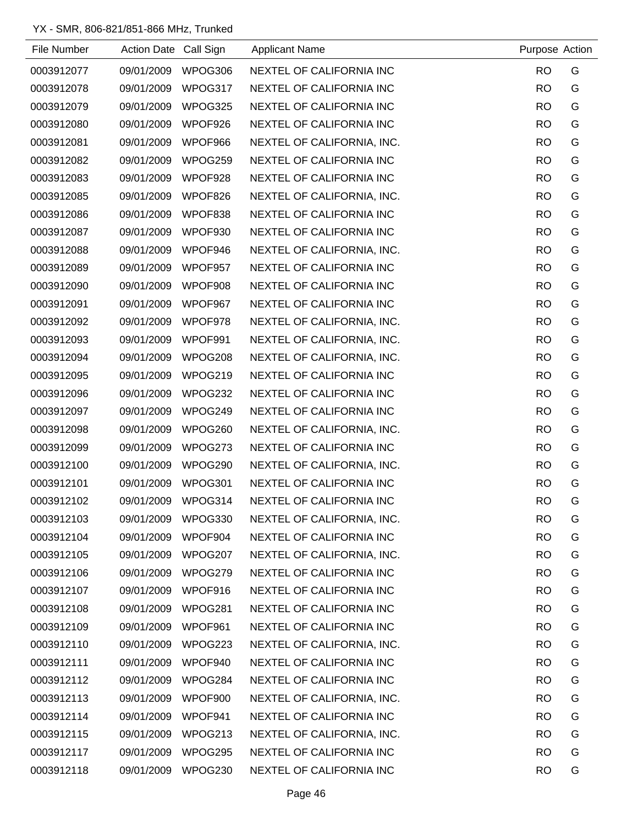| File Number | Action Date Call Sign |         | <b>Applicant Name</b>      | Purpose Action |   |
|-------------|-----------------------|---------|----------------------------|----------------|---|
| 0003912077  | 09/01/2009            | WPOG306 | NEXTEL OF CALIFORNIA INC   | <b>RO</b>      | G |
| 0003912078  | 09/01/2009            | WPOG317 | NEXTEL OF CALIFORNIA INC   | <b>RO</b>      | G |
| 0003912079  | 09/01/2009            | WPOG325 | NEXTEL OF CALIFORNIA INC   | <b>RO</b>      | G |
| 0003912080  | 09/01/2009            | WPOF926 | NEXTEL OF CALIFORNIA INC   | <b>RO</b>      | G |
| 0003912081  | 09/01/2009            | WPOF966 | NEXTEL OF CALIFORNIA, INC. | <b>RO</b>      | G |
| 0003912082  | 09/01/2009            | WPOG259 | NEXTEL OF CALIFORNIA INC   | <b>RO</b>      | G |
| 0003912083  | 09/01/2009            | WPOF928 | NEXTEL OF CALIFORNIA INC   | <b>RO</b>      | G |
| 0003912085  | 09/01/2009            | WPOF826 | NEXTEL OF CALIFORNIA, INC. | <b>RO</b>      | G |
| 0003912086  | 09/01/2009            | WPOF838 | NEXTEL OF CALIFORNIA INC   | <b>RO</b>      | G |
| 0003912087  | 09/01/2009            | WPOF930 | NEXTEL OF CALIFORNIA INC   | <b>RO</b>      | G |
| 0003912088  | 09/01/2009            | WPOF946 | NEXTEL OF CALIFORNIA, INC. | <b>RO</b>      | G |
| 0003912089  | 09/01/2009            | WPOF957 | NEXTEL OF CALIFORNIA INC   | <b>RO</b>      | G |
| 0003912090  | 09/01/2009            | WPOF908 | NEXTEL OF CALIFORNIA INC   | <b>RO</b>      | G |
| 0003912091  | 09/01/2009            | WPOF967 | NEXTEL OF CALIFORNIA INC   | <b>RO</b>      | G |
| 0003912092  | 09/01/2009            | WPOF978 | NEXTEL OF CALIFORNIA, INC. | <b>RO</b>      | G |
| 0003912093  | 09/01/2009            | WPOF991 | NEXTEL OF CALIFORNIA, INC. | <b>RO</b>      | G |
| 0003912094  | 09/01/2009            | WPOG208 | NEXTEL OF CALIFORNIA, INC. | <b>RO</b>      | G |
| 0003912095  | 09/01/2009            | WPOG219 | NEXTEL OF CALIFORNIA INC   | <b>RO</b>      | G |
| 0003912096  | 09/01/2009            | WPOG232 | NEXTEL OF CALIFORNIA INC   | <b>RO</b>      | G |
| 0003912097  | 09/01/2009            | WPOG249 | NEXTEL OF CALIFORNIA INC   | <b>RO</b>      | G |
| 0003912098  | 09/01/2009            | WPOG260 | NEXTEL OF CALIFORNIA, INC. | <b>RO</b>      | G |
| 0003912099  | 09/01/2009            | WPOG273 | NEXTEL OF CALIFORNIA INC   | <b>RO</b>      | G |
| 0003912100  | 09/01/2009            | WPOG290 | NEXTEL OF CALIFORNIA, INC. | <b>RO</b>      | G |
| 0003912101  | 09/01/2009            | WPOG301 | NEXTEL OF CALIFORNIA INC   | <b>RO</b>      | G |
| 0003912102  | 09/01/2009            | WPOG314 | NEXTEL OF CALIFORNIA INC   | <b>RO</b>      | G |
| 0003912103  | 09/01/2009            | WPOG330 | NEXTEL OF CALIFORNIA, INC. | <b>RO</b>      | G |
| 0003912104  | 09/01/2009            | WPOF904 | NEXTEL OF CALIFORNIA INC   | <b>RO</b>      | G |
| 0003912105  | 09/01/2009            | WPOG207 | NEXTEL OF CALIFORNIA, INC. | <b>RO</b>      | G |
| 0003912106  | 09/01/2009            | WPOG279 | NEXTEL OF CALIFORNIA INC   | <b>RO</b>      | G |
| 0003912107  | 09/01/2009            | WPOF916 | NEXTEL OF CALIFORNIA INC   | <b>RO</b>      | G |
| 0003912108  | 09/01/2009            | WPOG281 | NEXTEL OF CALIFORNIA INC   | <b>RO</b>      | G |
| 0003912109  | 09/01/2009            | WPOF961 | NEXTEL OF CALIFORNIA INC   | <b>RO</b>      | G |
| 0003912110  | 09/01/2009            | WPOG223 | NEXTEL OF CALIFORNIA, INC. | <b>RO</b>      | G |
| 0003912111  | 09/01/2009            | WPOF940 | NEXTEL OF CALIFORNIA INC   | <b>RO</b>      | G |
| 0003912112  | 09/01/2009            | WPOG284 | NEXTEL OF CALIFORNIA INC   | <b>RO</b>      | G |
| 0003912113  | 09/01/2009            | WPOF900 | NEXTEL OF CALIFORNIA, INC. | <b>RO</b>      | G |
| 0003912114  | 09/01/2009            | WPOF941 | NEXTEL OF CALIFORNIA INC   | <b>RO</b>      | G |
| 0003912115  | 09/01/2009            | WPOG213 | NEXTEL OF CALIFORNIA, INC. | <b>RO</b>      | G |
| 0003912117  | 09/01/2009            | WPOG295 | NEXTEL OF CALIFORNIA INC   | <b>RO</b>      | G |
| 0003912118  | 09/01/2009            | WPOG230 | NEXTEL OF CALIFORNIA INC   | <b>RO</b>      | G |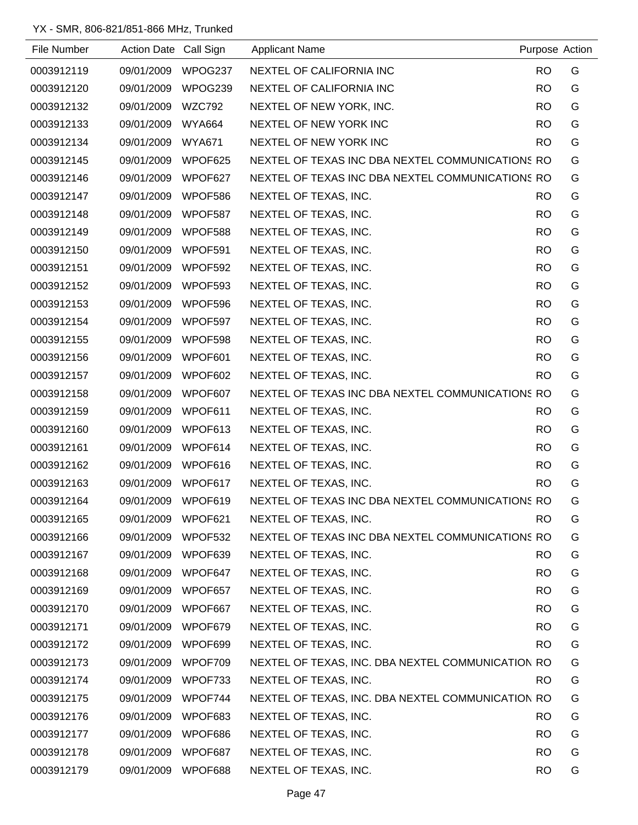| File Number | Action Date Call Sign |               | <b>Applicant Name</b>                             |           | Purpose Action |
|-------------|-----------------------|---------------|---------------------------------------------------|-----------|----------------|
| 0003912119  | 09/01/2009            | WPOG237       | NEXTEL OF CALIFORNIA INC                          | <b>RO</b> | G              |
| 0003912120  | 09/01/2009            | WPOG239       | NEXTEL OF CALIFORNIA INC                          | <b>RO</b> | G              |
| 0003912132  | 09/01/2009            | <b>WZC792</b> | NEXTEL OF NEW YORK, INC.                          | <b>RO</b> | G              |
| 0003912133  | 09/01/2009            | <b>WYA664</b> | NEXTEL OF NEW YORK INC                            | <b>RO</b> | G              |
| 0003912134  | 09/01/2009            | <b>WYA671</b> | NEXTEL OF NEW YORK INC                            | <b>RO</b> | G              |
| 0003912145  | 09/01/2009            | WPOF625       | NEXTEL OF TEXAS INC DBA NEXTEL COMMUNICATIONS RO  |           | G              |
| 0003912146  | 09/01/2009            | WPOF627       | NEXTEL OF TEXAS INC DBA NEXTEL COMMUNICATIONS RO  |           | G              |
| 0003912147  | 09/01/2009            | WPOF586       | NEXTEL OF TEXAS, INC.                             | <b>RO</b> | G              |
| 0003912148  | 09/01/2009            | WPOF587       | NEXTEL OF TEXAS, INC.                             | <b>RO</b> | G              |
| 0003912149  | 09/01/2009            | WPOF588       | NEXTEL OF TEXAS, INC.                             | <b>RO</b> | G              |
| 0003912150  | 09/01/2009            | WPOF591       | NEXTEL OF TEXAS, INC.                             | <b>RO</b> | G              |
| 0003912151  | 09/01/2009            | WPOF592       | NEXTEL OF TEXAS, INC.                             | <b>RO</b> | G              |
| 0003912152  | 09/01/2009            | WPOF593       | NEXTEL OF TEXAS, INC.                             | <b>RO</b> | G              |
| 0003912153  | 09/01/2009            | WPOF596       | NEXTEL OF TEXAS, INC.                             | <b>RO</b> | G              |
| 0003912154  | 09/01/2009            | WPOF597       | NEXTEL OF TEXAS, INC.                             | <b>RO</b> | G              |
| 0003912155  | 09/01/2009            | WPOF598       | NEXTEL OF TEXAS, INC.                             | <b>RO</b> | G              |
| 0003912156  | 09/01/2009            | WPOF601       | NEXTEL OF TEXAS, INC.                             | <b>RO</b> | G              |
| 0003912157  | 09/01/2009            | WPOF602       | NEXTEL OF TEXAS, INC.                             | <b>RO</b> | G              |
| 0003912158  | 09/01/2009            | WPOF607       | NEXTEL OF TEXAS INC DBA NEXTEL COMMUNICATIONS RO  |           | G              |
| 0003912159  | 09/01/2009            | WPOF611       | NEXTEL OF TEXAS, INC.                             | <b>RO</b> | G              |
| 0003912160  | 09/01/2009            | WPOF613       | NEXTEL OF TEXAS, INC.                             | <b>RO</b> | G              |
| 0003912161  | 09/01/2009            | WPOF614       | NEXTEL OF TEXAS, INC.                             | <b>RO</b> | G              |
| 0003912162  | 09/01/2009            | WPOF616       | NEXTEL OF TEXAS, INC.                             | <b>RO</b> | G              |
| 0003912163  | 09/01/2009            | WPOF617       | NEXTEL OF TEXAS, INC.                             | <b>RO</b> | G              |
| 0003912164  | 09/01/2009            | WPOF619       | NEXTEL OF TEXAS INC DBA NEXTEL COMMUNICATIONS RO  |           | G              |
| 0003912165  | 09/01/2009            | WPOF621       | NEXTEL OF TEXAS, INC.                             | <b>RO</b> | G              |
| 0003912166  | 09/01/2009            | WPOF532       | NEXTEL OF TEXAS INC DBA NEXTEL COMMUNICATIONS RO  |           | G              |
| 0003912167  | 09/01/2009            | WPOF639       | NEXTEL OF TEXAS, INC.                             | <b>RO</b> | G              |
| 0003912168  | 09/01/2009            | WPOF647       | NEXTEL OF TEXAS, INC.                             | <b>RO</b> | G              |
| 0003912169  | 09/01/2009            | WPOF657       | NEXTEL OF TEXAS, INC.                             | <b>RO</b> | G              |
| 0003912170  | 09/01/2009            | WPOF667       | NEXTEL OF TEXAS, INC.                             | <b>RO</b> | G              |
| 0003912171  | 09/01/2009            | WPOF679       | NEXTEL OF TEXAS, INC.                             | <b>RO</b> | G              |
| 0003912172  | 09/01/2009            | WPOF699       | NEXTEL OF TEXAS, INC.                             | <b>RO</b> | G              |
| 0003912173  | 09/01/2009            | WPOF709       | NEXTEL OF TEXAS, INC. DBA NEXTEL COMMUNICATION RO |           | G              |
| 0003912174  | 09/01/2009            | WPOF733       | NEXTEL OF TEXAS, INC.                             | <b>RO</b> | G              |
| 0003912175  | 09/01/2009            | WPOF744       | NEXTEL OF TEXAS, INC. DBA NEXTEL COMMUNICATION RO |           | G              |
| 0003912176  | 09/01/2009            | WPOF683       | NEXTEL OF TEXAS, INC.                             | <b>RO</b> | G              |
| 0003912177  | 09/01/2009            | WPOF686       | NEXTEL OF TEXAS, INC.                             | <b>RO</b> | G              |
| 0003912178  | 09/01/2009            | WPOF687       | NEXTEL OF TEXAS, INC.                             | <b>RO</b> | G              |
| 0003912179  | 09/01/2009            | WPOF688       | NEXTEL OF TEXAS, INC.                             | <b>RO</b> | G              |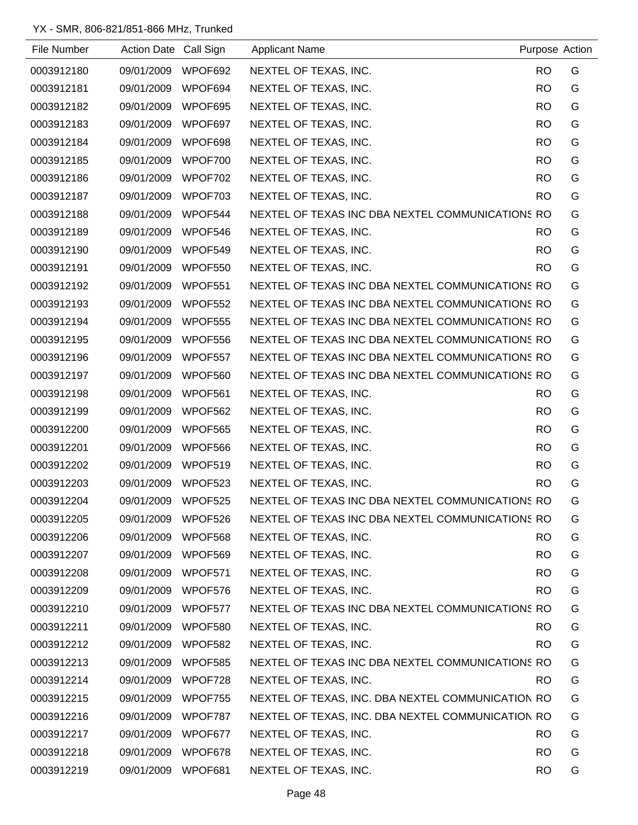| File Number | Action Date Call Sign |         | <b>Applicant Name</b>                             | Purpose Action |   |
|-------------|-----------------------|---------|---------------------------------------------------|----------------|---|
| 0003912180  | 09/01/2009            | WPOF692 | NEXTEL OF TEXAS, INC.                             | <b>RO</b>      | G |
| 0003912181  | 09/01/2009            | WPOF694 | NEXTEL OF TEXAS, INC.                             | RO.            | G |
| 0003912182  | 09/01/2009            | WPOF695 | NEXTEL OF TEXAS, INC.                             | RO.            | G |
| 0003912183  | 09/01/2009            | WPOF697 | NEXTEL OF TEXAS, INC.                             | <b>RO</b>      | G |
| 0003912184  | 09/01/2009            | WPOF698 | NEXTEL OF TEXAS, INC.                             | RO.            | G |
| 0003912185  | 09/01/2009            | WPOF700 | NEXTEL OF TEXAS, INC.                             | RO.            | G |
| 0003912186  | 09/01/2009            | WPOF702 | NEXTEL OF TEXAS, INC.                             | <b>RO</b>      | G |
| 0003912187  | 09/01/2009            | WPOF703 | NEXTEL OF TEXAS, INC.                             | <b>RO</b>      | G |
| 0003912188  | 09/01/2009            | WPOF544 | NEXTEL OF TEXAS INC DBA NEXTEL COMMUNICATIONS RO  |                | G |
| 0003912189  | 09/01/2009            | WPOF546 | NEXTEL OF TEXAS, INC.                             | RO.            | G |
| 0003912190  | 09/01/2009            | WPOF549 | NEXTEL OF TEXAS, INC.                             | <b>RO</b>      | G |
| 0003912191  | 09/01/2009            | WPOF550 | NEXTEL OF TEXAS, INC.                             | RO.            | G |
| 0003912192  | 09/01/2009            | WPOF551 | NEXTEL OF TEXAS INC DBA NEXTEL COMMUNICATIONS RO  |                | G |
| 0003912193  | 09/01/2009            | WPOF552 | NEXTEL OF TEXAS INC DBA NEXTEL COMMUNICATIONS RO  |                | G |
| 0003912194  | 09/01/2009            | WPOF555 | NEXTEL OF TEXAS INC DBA NEXTEL COMMUNICATIONS RO  |                | G |
| 0003912195  | 09/01/2009            | WPOF556 | NEXTEL OF TEXAS INC DBA NEXTEL COMMUNICATIONS RO  |                | G |
| 0003912196  | 09/01/2009            | WPOF557 | NEXTEL OF TEXAS INC DBA NEXTEL COMMUNICATIONS RO  |                | G |
| 0003912197  | 09/01/2009            | WPOF560 | NEXTEL OF TEXAS INC DBA NEXTEL COMMUNICATIONS RO  |                | G |
| 0003912198  | 09/01/2009            | WPOF561 | NEXTEL OF TEXAS, INC.                             | RO.            | G |
| 0003912199  | 09/01/2009            | WPOF562 | NEXTEL OF TEXAS, INC.                             | RO.            | G |
| 0003912200  | 09/01/2009            | WPOF565 | NEXTEL OF TEXAS, INC.                             | RO.            | G |
| 0003912201  | 09/01/2009            | WPOF566 | NEXTEL OF TEXAS, INC.                             | <b>RO</b>      | G |
| 0003912202  | 09/01/2009            | WPOF519 | NEXTEL OF TEXAS, INC.                             | <b>RO</b>      | G |
| 0003912203  | 09/01/2009            | WPOF523 | NEXTEL OF TEXAS, INC.                             | RO.            | G |
| 0003912204  | 09/01/2009 WPOF525    |         | NEXTEL OF TEXAS INC DBA NEXTEL COMMUNICATIONS RO  |                | G |
| 0003912205  | 09/01/2009            | WPOF526 | NEXTEL OF TEXAS INC DBA NEXTEL COMMUNICATIONS RO  |                | G |
| 0003912206  | 09/01/2009            | WPOF568 | NEXTEL OF TEXAS, INC.                             | RO.            | G |
| 0003912207  | 09/01/2009            | WPOF569 | NEXTEL OF TEXAS, INC.                             | RO.            | G |
| 0003912208  | 09/01/2009            | WPOF571 | NEXTEL OF TEXAS, INC.                             | RO.            | G |
| 0003912209  | 09/01/2009            | WPOF576 | NEXTEL OF TEXAS, INC.                             | RO.            | G |
| 0003912210  | 09/01/2009            | WPOF577 | NEXTEL OF TEXAS INC DBA NEXTEL COMMUNICATIONS RO  |                | G |
| 0003912211  | 09/01/2009            | WPOF580 | NEXTEL OF TEXAS, INC.                             | RO.            | G |
| 0003912212  | 09/01/2009            | WPOF582 | NEXTEL OF TEXAS, INC.                             | RO.            | G |
| 0003912213  | 09/01/2009            | WPOF585 | NEXTEL OF TEXAS INC DBA NEXTEL COMMUNICATIONS RO  |                | G |
| 0003912214  | 09/01/2009            | WPOF728 | NEXTEL OF TEXAS, INC.                             | RO.            | G |
| 0003912215  | 09/01/2009            | WPOF755 | NEXTEL OF TEXAS, INC. DBA NEXTEL COMMUNICATION RO |                | G |
| 0003912216  | 09/01/2009            | WPOF787 | NEXTEL OF TEXAS, INC. DBA NEXTEL COMMUNICATION RO |                | G |
| 0003912217  | 09/01/2009            | WPOF677 | NEXTEL OF TEXAS, INC.                             | <b>RO</b>      | G |
| 0003912218  | 09/01/2009            | WPOF678 | NEXTEL OF TEXAS, INC.                             | <b>RO</b>      | G |
| 0003912219  | 09/01/2009            | WPOF681 | NEXTEL OF TEXAS, INC.                             | <b>RO</b>      | G |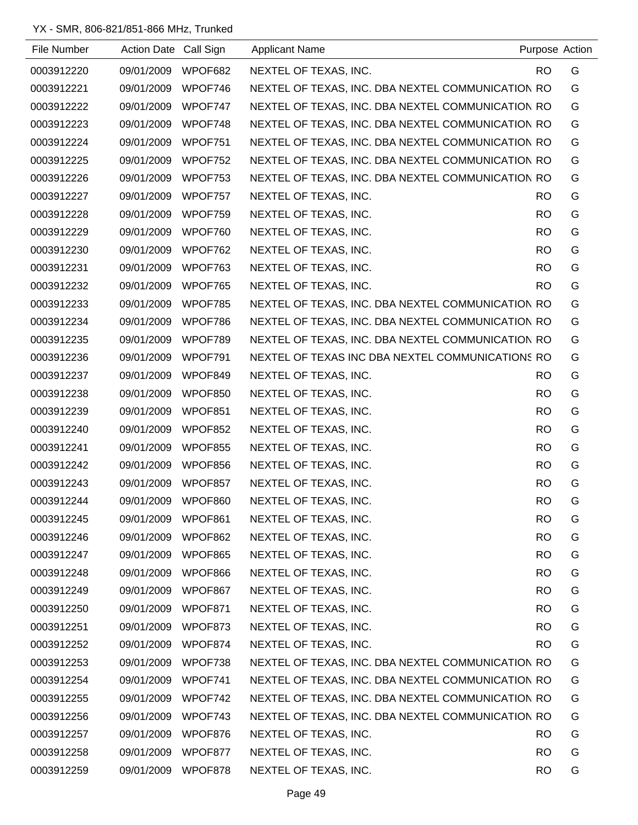| File Number | Action Date Call Sign |         | <b>Applicant Name</b>                             |           | Purpose Action |
|-------------|-----------------------|---------|---------------------------------------------------|-----------|----------------|
| 0003912220  | 09/01/2009            | WPOF682 | NEXTEL OF TEXAS, INC.                             | RO.       | G              |
| 0003912221  | 09/01/2009            | WPOF746 | NEXTEL OF TEXAS, INC. DBA NEXTEL COMMUNICATION RO |           | G              |
| 0003912222  | 09/01/2009            | WPOF747 | NEXTEL OF TEXAS, INC. DBA NEXTEL COMMUNICATION RO |           | G              |
| 0003912223  | 09/01/2009            | WPOF748 | NEXTEL OF TEXAS, INC. DBA NEXTEL COMMUNICATION RO |           | G              |
| 0003912224  | 09/01/2009            | WPOF751 | NEXTEL OF TEXAS, INC. DBA NEXTEL COMMUNICATION RO |           | G              |
| 0003912225  | 09/01/2009            | WPOF752 | NEXTEL OF TEXAS, INC. DBA NEXTEL COMMUNICATION RO |           | G              |
| 0003912226  | 09/01/2009            | WPOF753 | NEXTEL OF TEXAS, INC. DBA NEXTEL COMMUNICATION RO |           | G              |
| 0003912227  | 09/01/2009            | WPOF757 | NEXTEL OF TEXAS, INC.                             | RO.       | G              |
| 0003912228  | 09/01/2009            | WPOF759 | NEXTEL OF TEXAS, INC.                             | <b>RO</b> | G              |
| 0003912229  | 09/01/2009            | WPOF760 | NEXTEL OF TEXAS, INC.                             | RO.       | G              |
| 0003912230  | 09/01/2009            | WPOF762 | NEXTEL OF TEXAS, INC.                             | RO.       | G              |
| 0003912231  | 09/01/2009            | WPOF763 | NEXTEL OF TEXAS, INC.                             | <b>RO</b> | G              |
| 0003912232  | 09/01/2009            | WPOF765 | NEXTEL OF TEXAS, INC.                             | RO.       | G              |
| 0003912233  | 09/01/2009            | WPOF785 | NEXTEL OF TEXAS, INC. DBA NEXTEL COMMUNICATION RO |           | G              |
| 0003912234  | 09/01/2009            | WPOF786 | NEXTEL OF TEXAS, INC. DBA NEXTEL COMMUNICATION RO |           | G              |
| 0003912235  | 09/01/2009            | WPOF789 | NEXTEL OF TEXAS, INC. DBA NEXTEL COMMUNICATION RO |           | G              |
| 0003912236  | 09/01/2009            | WPOF791 | NEXTEL OF TEXAS INC DBA NEXTEL COMMUNICATIONS RO  |           | G              |
| 0003912237  | 09/01/2009            | WPOF849 | NEXTEL OF TEXAS, INC.                             | RO.       | G              |
| 0003912238  | 09/01/2009            | WPOF850 | NEXTEL OF TEXAS, INC.                             | <b>RO</b> | G              |
| 0003912239  | 09/01/2009            | WPOF851 | NEXTEL OF TEXAS, INC.                             | <b>RO</b> | G              |
| 0003912240  | 09/01/2009            | WPOF852 | NEXTEL OF TEXAS, INC.                             | <b>RO</b> | G              |
| 0003912241  | 09/01/2009            | WPOF855 | NEXTEL OF TEXAS, INC.                             | <b>RO</b> | G              |
| 0003912242  | 09/01/2009            | WPOF856 | NEXTEL OF TEXAS, INC.                             | <b>RO</b> | G              |
| 0003912243  | 09/01/2009            | WPOF857 | NEXTEL OF TEXAS, INC.                             | <b>RO</b> | G              |
| 0003912244  | 09/01/2009            | WPOF860 | NEXTEL OF TEXAS, INC.                             | <b>RO</b> | G              |
| 0003912245  | 09/01/2009 WPOF861    |         | NEXTEL OF TEXAS, INC.                             | <b>RO</b> | G              |
| 0003912246  | 09/01/2009            | WPOF862 | NEXTEL OF TEXAS, INC.                             | <b>RO</b> | G              |
| 0003912247  | 09/01/2009            | WPOF865 | NEXTEL OF TEXAS, INC.                             | <b>RO</b> | G              |
| 0003912248  | 09/01/2009            | WPOF866 | NEXTEL OF TEXAS, INC.                             | <b>RO</b> | G              |
| 0003912249  | 09/01/2009            | WPOF867 | NEXTEL OF TEXAS, INC.                             | <b>RO</b> | G              |
| 0003912250  | 09/01/2009            | WPOF871 | NEXTEL OF TEXAS, INC.                             | <b>RO</b> | G              |
| 0003912251  | 09/01/2009            | WPOF873 | NEXTEL OF TEXAS, INC.                             | <b>RO</b> | G              |
| 0003912252  | 09/01/2009            | WPOF874 | NEXTEL OF TEXAS, INC.                             | <b>RO</b> | G              |
| 0003912253  | 09/01/2009            | WPOF738 | NEXTEL OF TEXAS, INC. DBA NEXTEL COMMUNICATION RO |           | G              |
| 0003912254  | 09/01/2009            | WPOF741 | NEXTEL OF TEXAS, INC. DBA NEXTEL COMMUNICATION RO |           | G              |
| 0003912255  | 09/01/2009            | WPOF742 | NEXTEL OF TEXAS, INC. DBA NEXTEL COMMUNICATION RO |           | G              |
| 0003912256  | 09/01/2009            | WPOF743 | NEXTEL OF TEXAS, INC. DBA NEXTEL COMMUNICATION RO |           | G              |
| 0003912257  | 09/01/2009            | WPOF876 | NEXTEL OF TEXAS, INC.                             | <b>RO</b> | G              |
| 0003912258  | 09/01/2009            | WPOF877 | NEXTEL OF TEXAS, INC.                             | <b>RO</b> | G              |
| 0003912259  | 09/01/2009            | WPOF878 | NEXTEL OF TEXAS, INC.                             | <b>RO</b> | G              |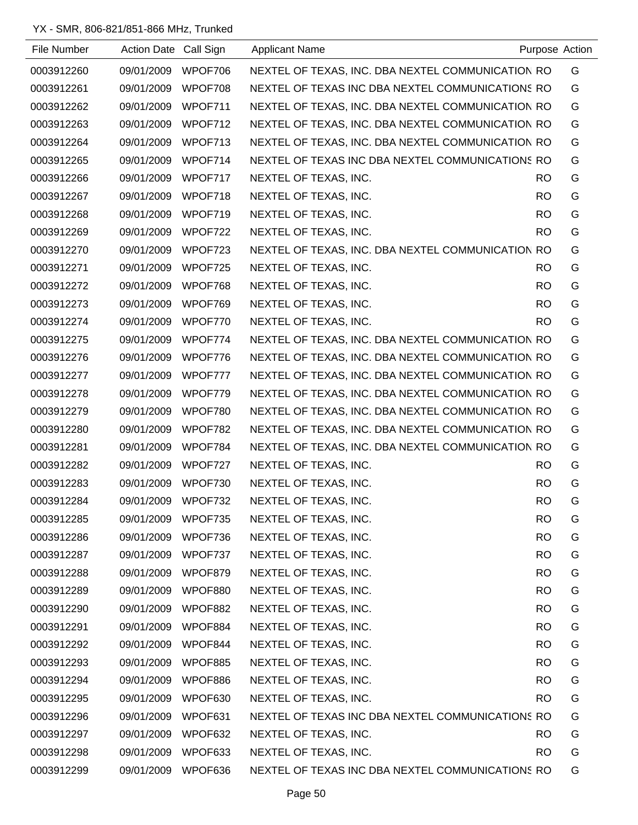| File Number | Action Date Call Sign |         | <b>Applicant Name</b>                             |           | Purpose Action |
|-------------|-----------------------|---------|---------------------------------------------------|-----------|----------------|
| 0003912260  | 09/01/2009            | WPOF706 | NEXTEL OF TEXAS, INC. DBA NEXTEL COMMUNICATION RO |           | G              |
| 0003912261  | 09/01/2009            | WPOF708 | NEXTEL OF TEXAS INC DBA NEXTEL COMMUNICATIONS RO  |           | G              |
| 0003912262  | 09/01/2009            | WPOF711 | NEXTEL OF TEXAS, INC. DBA NEXTEL COMMUNICATION RO |           | G              |
| 0003912263  | 09/01/2009            | WPOF712 | NEXTEL OF TEXAS, INC. DBA NEXTEL COMMUNICATION RO |           | G              |
| 0003912264  | 09/01/2009            | WPOF713 | NEXTEL OF TEXAS, INC. DBA NEXTEL COMMUNICATION RO |           | G              |
| 0003912265  | 09/01/2009            | WPOF714 | NEXTEL OF TEXAS INC DBA NEXTEL COMMUNICATIONS RO  |           | G              |
| 0003912266  | 09/01/2009            | WPOF717 | NEXTEL OF TEXAS, INC.                             | RO.       | G              |
| 0003912267  | 09/01/2009            | WPOF718 | NEXTEL OF TEXAS, INC.                             | RO.       | G              |
| 0003912268  | 09/01/2009            | WPOF719 | NEXTEL OF TEXAS, INC.                             | RO.       | G              |
| 0003912269  | 09/01/2009            | WPOF722 | NEXTEL OF TEXAS, INC.                             | RO.       | G              |
| 0003912270  | 09/01/2009            | WPOF723 | NEXTEL OF TEXAS, INC. DBA NEXTEL COMMUNICATION RO |           | G              |
| 0003912271  | 09/01/2009            | WPOF725 | NEXTEL OF TEXAS, INC.                             | RO.       | G              |
| 0003912272  | 09/01/2009            | WPOF768 | NEXTEL OF TEXAS, INC.                             | RO.       | G              |
| 0003912273  | 09/01/2009            | WPOF769 | NEXTEL OF TEXAS, INC.                             | <b>RO</b> | G              |
| 0003912274  | 09/01/2009            | WPOF770 | NEXTEL OF TEXAS, INC.                             | RO.       | G              |
| 0003912275  | 09/01/2009            | WPOF774 | NEXTEL OF TEXAS, INC. DBA NEXTEL COMMUNICATION RO |           | G              |
| 0003912276  | 09/01/2009            | WPOF776 | NEXTEL OF TEXAS, INC. DBA NEXTEL COMMUNICATION RO |           | G              |
| 0003912277  | 09/01/2009            | WPOF777 | NEXTEL OF TEXAS, INC. DBA NEXTEL COMMUNICATION RO |           | G              |
| 0003912278  | 09/01/2009            | WPOF779 | NEXTEL OF TEXAS, INC. DBA NEXTEL COMMUNICATION RO |           | G              |
| 0003912279  | 09/01/2009            | WPOF780 | NEXTEL OF TEXAS, INC. DBA NEXTEL COMMUNICATION RO |           | G              |
| 0003912280  | 09/01/2009            | WPOF782 | NEXTEL OF TEXAS, INC. DBA NEXTEL COMMUNICATION RO |           | G              |
| 0003912281  | 09/01/2009            | WPOF784 | NEXTEL OF TEXAS, INC. DBA NEXTEL COMMUNICATION RO |           | G              |
| 0003912282  | 09/01/2009            | WPOF727 | NEXTEL OF TEXAS, INC.                             | RO.       | G              |
| 0003912283  | 09/01/2009            | WPOF730 | NEXTEL OF TEXAS, INC.                             | <b>RO</b> | G              |
| 0003912284  | 09/01/2009            | WPOF732 | NEXTEL OF TEXAS, INC.                             | <b>RO</b> | G              |
| 0003912285  | 09/01/2009            | WPOF735 | NEXTEL OF TEXAS, INC.                             | <b>RO</b> | G              |
| 0003912286  | 09/01/2009            | WPOF736 | NEXTEL OF TEXAS, INC.                             | <b>RO</b> | G              |
| 0003912287  | 09/01/2009            | WPOF737 | NEXTEL OF TEXAS, INC.                             | <b>RO</b> | G              |
| 0003912288  | 09/01/2009            | WPOF879 | NEXTEL OF TEXAS, INC.                             | <b>RO</b> | G              |
| 0003912289  | 09/01/2009            | WPOF880 | NEXTEL OF TEXAS, INC.                             | <b>RO</b> | G              |
| 0003912290  | 09/01/2009            | WPOF882 | NEXTEL OF TEXAS, INC.                             | <b>RO</b> | G              |
| 0003912291  | 09/01/2009            | WPOF884 | NEXTEL OF TEXAS, INC.                             | <b>RO</b> | G              |
| 0003912292  | 09/01/2009            | WPOF844 | NEXTEL OF TEXAS, INC.                             | <b>RO</b> | G              |
| 0003912293  | 09/01/2009            | WPOF885 | NEXTEL OF TEXAS, INC.                             | <b>RO</b> | G              |
| 0003912294  | 09/01/2009            | WPOF886 | NEXTEL OF TEXAS, INC.                             | <b>RO</b> | G              |
| 0003912295  | 09/01/2009            | WPOF630 | NEXTEL OF TEXAS, INC.                             | <b>RO</b> | G              |
| 0003912296  | 09/01/2009            | WPOF631 | NEXTEL OF TEXAS INC DBA NEXTEL COMMUNICATIONS RO  |           | G              |
| 0003912297  | 09/01/2009            | WPOF632 | NEXTEL OF TEXAS, INC.                             | <b>RO</b> | G              |
| 0003912298  | 09/01/2009            | WPOF633 | NEXTEL OF TEXAS, INC.                             | RO.       | G              |
| 0003912299  | 09/01/2009            | WPOF636 | NEXTEL OF TEXAS INC DBA NEXTEL COMMUNICATIONS RO  |           | G              |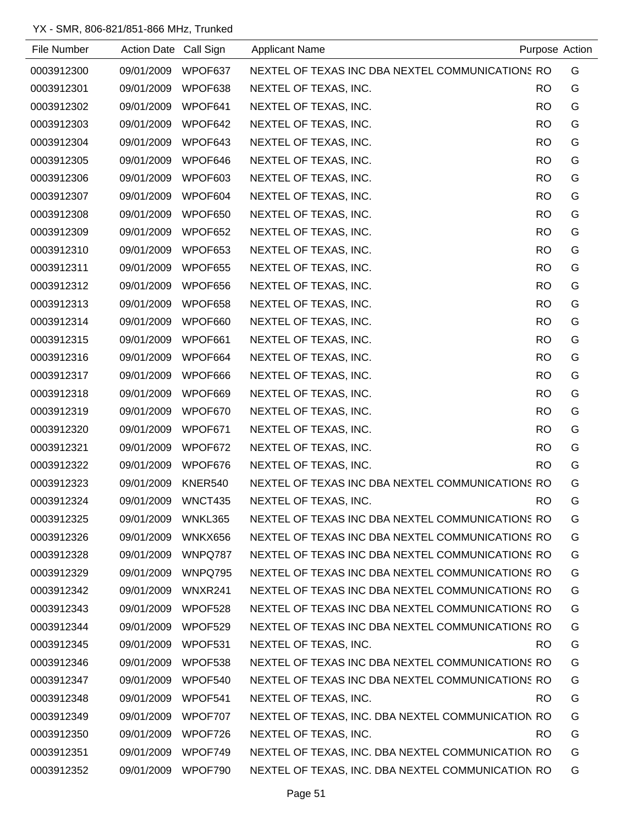| File Number | Action Date Call Sign |         | <b>Applicant Name</b>                             |           | Purpose Action |
|-------------|-----------------------|---------|---------------------------------------------------|-----------|----------------|
| 0003912300  | 09/01/2009            | WPOF637 | NEXTEL OF TEXAS INC DBA NEXTEL COMMUNICATIONS RO  |           | G              |
| 0003912301  | 09/01/2009            | WPOF638 | NEXTEL OF TEXAS, INC.                             | <b>RO</b> | G              |
| 0003912302  | 09/01/2009            | WPOF641 | NEXTEL OF TEXAS, INC.                             | RO.       | G              |
| 0003912303  | 09/01/2009            | WPOF642 | NEXTEL OF TEXAS, INC.                             | RO.       | G              |
| 0003912304  | 09/01/2009            | WPOF643 | NEXTEL OF TEXAS, INC.                             | <b>RO</b> | G              |
| 0003912305  | 09/01/2009            | WPOF646 | NEXTEL OF TEXAS, INC.                             | <b>RO</b> | G              |
| 0003912306  | 09/01/2009            | WPOF603 | NEXTEL OF TEXAS, INC.                             | <b>RO</b> | G              |
| 0003912307  | 09/01/2009            | WPOF604 | NEXTEL OF TEXAS, INC.                             | <b>RO</b> | G              |
| 0003912308  | 09/01/2009            | WPOF650 | NEXTEL OF TEXAS, INC.                             | <b>RO</b> | G              |
| 0003912309  | 09/01/2009            | WPOF652 | NEXTEL OF TEXAS, INC.                             | <b>RO</b> | G              |
| 0003912310  | 09/01/2009            | WPOF653 | NEXTEL OF TEXAS, INC.                             | <b>RO</b> | G              |
| 0003912311  | 09/01/2009            | WPOF655 | NEXTEL OF TEXAS, INC.                             | <b>RO</b> | G              |
| 0003912312  | 09/01/2009            | WPOF656 | NEXTEL OF TEXAS, INC.                             | <b>RO</b> | G              |
| 0003912313  | 09/01/2009            | WPOF658 | NEXTEL OF TEXAS, INC.                             | <b>RO</b> | G              |
| 0003912314  | 09/01/2009            | WPOF660 | NEXTEL OF TEXAS, INC.                             | <b>RO</b> | G              |
| 0003912315  | 09/01/2009            | WPOF661 | NEXTEL OF TEXAS, INC.                             | <b>RO</b> | G              |
| 0003912316  | 09/01/2009            | WPOF664 | NEXTEL OF TEXAS, INC.                             | <b>RO</b> | G              |
| 0003912317  | 09/01/2009            | WPOF666 | NEXTEL OF TEXAS, INC.                             | <b>RO</b> | G              |
| 0003912318  | 09/01/2009            | WPOF669 | NEXTEL OF TEXAS, INC.                             | <b>RO</b> | G              |
| 0003912319  | 09/01/2009            | WPOF670 | NEXTEL OF TEXAS, INC.                             | <b>RO</b> | G              |
| 0003912320  | 09/01/2009            | WPOF671 | NEXTEL OF TEXAS, INC.                             | <b>RO</b> | G              |
| 0003912321  | 09/01/2009            | WPOF672 | NEXTEL OF TEXAS, INC.                             | <b>RO</b> | G              |
| 0003912322  | 09/01/2009            | WPOF676 | NEXTEL OF TEXAS, INC.                             | <b>RO</b> | G              |
| 0003912323  | 09/01/2009            | KNER540 | NEXTEL OF TEXAS INC DBA NEXTEL COMMUNICATIONS RO  |           | G              |
| 0003912324  | 09/01/2009            | WNCT435 | NEXTEL OF TEXAS, INC.                             | <b>RO</b> | G              |
| 0003912325  | 09/01/2009            | WNKL365 | NEXTEL OF TEXAS INC DBA NEXTEL COMMUNICATIONS RO  |           | G              |
| 0003912326  | 09/01/2009            | WNKX656 | NEXTEL OF TEXAS INC DBA NEXTEL COMMUNICATIONS RO  |           | G              |
| 0003912328  | 09/01/2009            | WNPQ787 | NEXTEL OF TEXAS INC DBA NEXTEL COMMUNICATIONS RO  |           | G              |
| 0003912329  | 09/01/2009            | WNPQ795 | NEXTEL OF TEXAS INC DBA NEXTEL COMMUNICATIONS RO  |           | G              |
| 0003912342  | 09/01/2009            | WNXR241 | NEXTEL OF TEXAS INC DBA NEXTEL COMMUNICATIONS RO  |           | G              |
| 0003912343  | 09/01/2009            | WPOF528 | NEXTEL OF TEXAS INC DBA NEXTEL COMMUNICATIONS RO  |           | G              |
| 0003912344  | 09/01/2009            | WPOF529 | NEXTEL OF TEXAS INC DBA NEXTEL COMMUNICATIONS RO  |           | G              |
| 0003912345  | 09/01/2009            | WPOF531 | NEXTEL OF TEXAS, INC.                             | <b>RO</b> | G              |
| 0003912346  | 09/01/2009            | WPOF538 | NEXTEL OF TEXAS INC DBA NEXTEL COMMUNICATIONS RO  |           | G              |
| 0003912347  | 09/01/2009            | WPOF540 | NEXTEL OF TEXAS INC DBA NEXTEL COMMUNICATIONS RO  |           | G              |
| 0003912348  | 09/01/2009            | WPOF541 | NEXTEL OF TEXAS, INC.                             | RO.       | G              |
| 0003912349  | 09/01/2009            | WPOF707 | NEXTEL OF TEXAS, INC. DBA NEXTEL COMMUNICATION RO |           | G              |
| 0003912350  | 09/01/2009            | WPOF726 | NEXTEL OF TEXAS, INC.                             | RO.       | G              |
| 0003912351  | 09/01/2009            | WPOF749 | NEXTEL OF TEXAS, INC. DBA NEXTEL COMMUNICATION RO |           | G              |
| 0003912352  | 09/01/2009            | WPOF790 | NEXTEL OF TEXAS, INC. DBA NEXTEL COMMUNICATION RO |           | G              |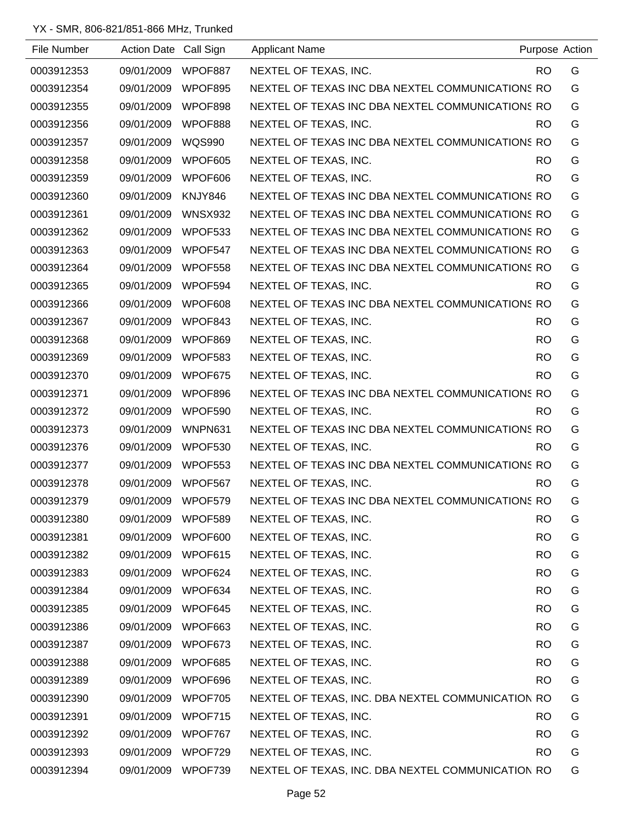| File Number | Action Date Call Sign |                | <b>Applicant Name</b>                             | Purpose Action |   |
|-------------|-----------------------|----------------|---------------------------------------------------|----------------|---|
| 0003912353  | 09/01/2009            | WPOF887        | NEXTEL OF TEXAS, INC.                             | RO.            | G |
| 0003912354  | 09/01/2009            | WPOF895        | NEXTEL OF TEXAS INC DBA NEXTEL COMMUNICATIONS RO  |                | G |
| 0003912355  | 09/01/2009            | WPOF898        | NEXTEL OF TEXAS INC DBA NEXTEL COMMUNICATIONS RO  |                | G |
| 0003912356  | 09/01/2009            | WPOF888        | NEXTEL OF TEXAS, INC.                             | RO.            | G |
| 0003912357  | 09/01/2009            | <b>WQS990</b>  | NEXTEL OF TEXAS INC DBA NEXTEL COMMUNICATIONS RO  |                | G |
| 0003912358  | 09/01/2009            | WPOF605        | NEXTEL OF TEXAS, INC.                             | RO.            | G |
| 0003912359  | 09/01/2009            | WPOF606        | NEXTEL OF TEXAS, INC.                             | <b>RO</b>      | G |
| 0003912360  | 09/01/2009            | KNJY846        | NEXTEL OF TEXAS INC DBA NEXTEL COMMUNICATIONS RO  |                | G |
| 0003912361  | 09/01/2009            | <b>WNSX932</b> | NEXTEL OF TEXAS INC DBA NEXTEL COMMUNICATIONS RO  |                | G |
| 0003912362  | 09/01/2009            | WPOF533        | NEXTEL OF TEXAS INC DBA NEXTEL COMMUNICATIONS RO  |                | G |
| 0003912363  | 09/01/2009            | WPOF547        | NEXTEL OF TEXAS INC DBA NEXTEL COMMUNICATIONS RO  |                | G |
| 0003912364  | 09/01/2009            | WPOF558        | NEXTEL OF TEXAS INC DBA NEXTEL COMMUNICATIONS RO  |                | G |
| 0003912365  | 09/01/2009            | WPOF594        | NEXTEL OF TEXAS, INC.                             | RO.            | G |
| 0003912366  | 09/01/2009            | WPOF608        | NEXTEL OF TEXAS INC DBA NEXTEL COMMUNICATIONS RO  |                | G |
| 0003912367  | 09/01/2009            | WPOF843        | NEXTEL OF TEXAS, INC.                             | RO.            | G |
| 0003912368  | 09/01/2009            | WPOF869        | NEXTEL OF TEXAS, INC.                             | <b>RO</b>      | G |
| 0003912369  | 09/01/2009            | WPOF583        | NEXTEL OF TEXAS, INC.                             | RO.            | G |
| 0003912370  | 09/01/2009            | WPOF675        | NEXTEL OF TEXAS, INC.                             | <b>RO</b>      | G |
| 0003912371  | 09/01/2009            | WPOF896        | NEXTEL OF TEXAS INC DBA NEXTEL COMMUNICATIONS RO  |                | G |
| 0003912372  | 09/01/2009            | WPOF590        | NEXTEL OF TEXAS, INC.                             | RO.            | G |
| 0003912373  | 09/01/2009            | WNPN631        | NEXTEL OF TEXAS INC DBA NEXTEL COMMUNICATIONS RO  |                | G |
| 0003912376  | 09/01/2009            | WPOF530        | NEXTEL OF TEXAS, INC.                             | RO.            | G |
| 0003912377  | 09/01/2009            | WPOF553        | NEXTEL OF TEXAS INC DBA NEXTEL COMMUNICATIONS RO  |                | G |
| 0003912378  | 09/01/2009            | WPOF567        | NEXTEL OF TEXAS, INC.                             | <b>RO</b>      | G |
| 0003912379  | 09/01/2009            | WPOF579        | NEXTEL OF TEXAS INC DBA NEXTEL COMMUNICATIONS RO  |                | G |
| 0003912380  | 09/01/2009            | WPOF589        | NEXTEL OF TEXAS, INC.                             | <b>RO</b>      | G |
| 0003912381  | 09/01/2009            | WPOF600        | NEXTEL OF TEXAS, INC.                             | <b>RO</b>      | G |
| 0003912382  | 09/01/2009            | WPOF615        | NEXTEL OF TEXAS, INC.                             | <b>RO</b>      | G |
| 0003912383  | 09/01/2009            | WPOF624        | NEXTEL OF TEXAS, INC.                             | <b>RO</b>      | G |
| 0003912384  | 09/01/2009            | WPOF634        | NEXTEL OF TEXAS, INC.                             | <b>RO</b>      | G |
| 0003912385  | 09/01/2009            | WPOF645        | NEXTEL OF TEXAS, INC.                             | <b>RO</b>      | G |
| 0003912386  | 09/01/2009            | WPOF663        | NEXTEL OF TEXAS, INC.                             | <b>RO</b>      | G |
| 0003912387  | 09/01/2009            | WPOF673        | NEXTEL OF TEXAS, INC.                             | <b>RO</b>      | G |
| 0003912388  | 09/01/2009            | WPOF685        | NEXTEL OF TEXAS, INC.                             | <b>RO</b>      | G |
| 0003912389  | 09/01/2009            | WPOF696        | NEXTEL OF TEXAS, INC.                             | RO.            | G |
| 0003912390  | 09/01/2009            | WPOF705        | NEXTEL OF TEXAS, INC. DBA NEXTEL COMMUNICATION RO |                | G |
| 0003912391  | 09/01/2009            | WPOF715        | NEXTEL OF TEXAS, INC.                             | <b>RO</b>      | G |
| 0003912392  | 09/01/2009            | WPOF767        | NEXTEL OF TEXAS, INC.                             | <b>RO</b>      | G |
| 0003912393  | 09/01/2009            | WPOF729        | NEXTEL OF TEXAS, INC.                             | RO.            | G |
| 0003912394  | 09/01/2009            | WPOF739        | NEXTEL OF TEXAS, INC. DBA NEXTEL COMMUNICATION RO |                | G |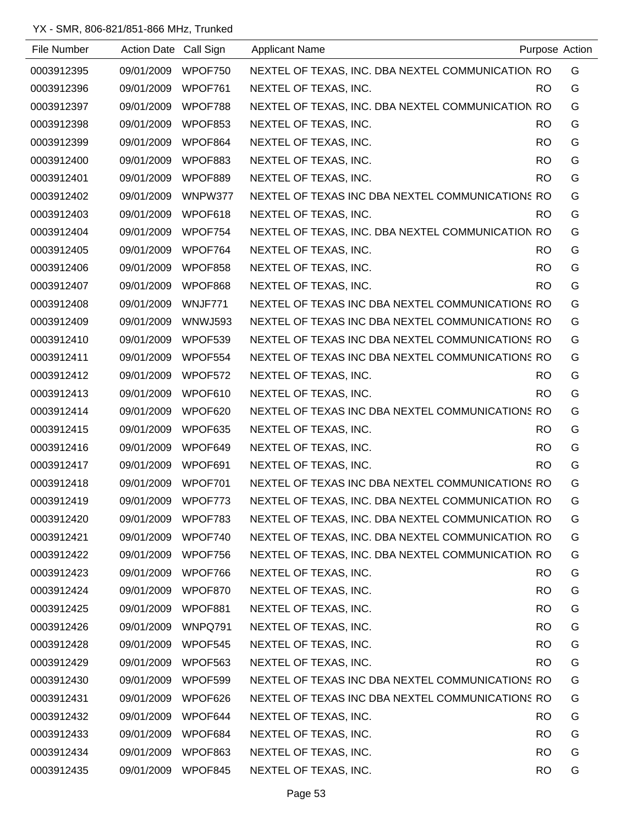| File Number | Action Date Call Sign |                | <b>Applicant Name</b>                             |           | Purpose Action |
|-------------|-----------------------|----------------|---------------------------------------------------|-----------|----------------|
| 0003912395  | 09/01/2009            | WPOF750        | NEXTEL OF TEXAS, INC. DBA NEXTEL COMMUNICATION RO |           | G              |
| 0003912396  | 09/01/2009            | WPOF761        | NEXTEL OF TEXAS, INC.                             | RO.       | G              |
| 0003912397  | 09/01/2009            | WPOF788        | NEXTEL OF TEXAS, INC. DBA NEXTEL COMMUNICATION RO |           | G              |
| 0003912398  | 09/01/2009            | WPOF853        | NEXTEL OF TEXAS, INC.                             | RO.       | G              |
| 0003912399  | 09/01/2009            | WPOF864        | NEXTEL OF TEXAS, INC.                             | RO.       | G              |
| 0003912400  | 09/01/2009            | WPOF883        | NEXTEL OF TEXAS, INC.                             | RO.       | G              |
| 0003912401  | 09/01/2009            | WPOF889        | NEXTEL OF TEXAS, INC.                             | RO.       | G              |
| 0003912402  | 09/01/2009            | WNPW377        | NEXTEL OF TEXAS INC DBA NEXTEL COMMUNICATIONS RO  |           | G              |
| 0003912403  | 09/01/2009            | WPOF618        | NEXTEL OF TEXAS, INC.                             | RO.       | G              |
| 0003912404  | 09/01/2009            | WPOF754        | NEXTEL OF TEXAS, INC. DBA NEXTEL COMMUNICATION RO |           | G              |
| 0003912405  | 09/01/2009            | WPOF764        | NEXTEL OF TEXAS, INC.                             | RO.       | G              |
| 0003912406  | 09/01/2009            | WPOF858        | NEXTEL OF TEXAS, INC.                             | RO.       | G              |
| 0003912407  | 09/01/2009            | WPOF868        | NEXTEL OF TEXAS, INC.                             | RO.       | G              |
| 0003912408  | 09/01/2009            | WNJF771        | NEXTEL OF TEXAS INC DBA NEXTEL COMMUNICATIONS RO  |           | G              |
| 0003912409  | 09/01/2009            | <b>WNWJ593</b> | NEXTEL OF TEXAS INC DBA NEXTEL COMMUNICATIONS RO  |           | G              |
| 0003912410  | 09/01/2009            | WPOF539        | NEXTEL OF TEXAS INC DBA NEXTEL COMMUNICATIONS RO  |           | G              |
| 0003912411  | 09/01/2009            | WPOF554        | NEXTEL OF TEXAS INC DBA NEXTEL COMMUNICATIONS RO  |           | G              |
| 0003912412  | 09/01/2009            | WPOF572        | NEXTEL OF TEXAS, INC.                             | RO.       | G              |
| 0003912413  | 09/01/2009            | WPOF610        | NEXTEL OF TEXAS, INC.                             | RO.       | G              |
| 0003912414  | 09/01/2009            | WPOF620        | NEXTEL OF TEXAS INC DBA NEXTEL COMMUNICATIONS RO  |           | G              |
| 0003912415  | 09/01/2009            | WPOF635        | NEXTEL OF TEXAS, INC.                             | RO.       | G              |
| 0003912416  | 09/01/2009            | WPOF649        | NEXTEL OF TEXAS, INC.                             | RO.       | G              |
| 0003912417  | 09/01/2009            | WPOF691        | NEXTEL OF TEXAS, INC.                             | RO.       | G              |
| 0003912418  | 09/01/2009            | WPOF701        | NEXTEL OF TEXAS INC DBA NEXTEL COMMUNICATIONS RO  |           | G              |
| 0003912419  | 09/01/2009            | WPOF773        | NEXTEL OF TEXAS, INC. DBA NEXTEL COMMUNICATION RO |           | G              |
| 0003912420  | 09/01/2009            | WPOF783        | NEXTEL OF TEXAS, INC. DBA NEXTEL COMMUNICATION RO |           | G              |
| 0003912421  | 09/01/2009            | WPOF740        | NEXTEL OF TEXAS, INC. DBA NEXTEL COMMUNICATION RO |           | G              |
| 0003912422  | 09/01/2009            | WPOF756        | NEXTEL OF TEXAS, INC. DBA NEXTEL COMMUNICATION RO |           | G              |
| 0003912423  | 09/01/2009            | WPOF766        | NEXTEL OF TEXAS, INC.                             | RO.       | G              |
| 0003912424  | 09/01/2009            | WPOF870        | NEXTEL OF TEXAS, INC.                             | <b>RO</b> | G              |
| 0003912425  | 09/01/2009            | WPOF881        | NEXTEL OF TEXAS, INC.                             | RO.       | G              |
| 0003912426  | 09/01/2009            | WNPQ791        | NEXTEL OF TEXAS, INC.                             | <b>RO</b> | G              |
| 0003912428  | 09/01/2009            | WPOF545        | NEXTEL OF TEXAS, INC.                             | <b>RO</b> | G              |
| 0003912429  | 09/01/2009            | WPOF563        | NEXTEL OF TEXAS, INC.                             | <b>RO</b> | G              |
| 0003912430  | 09/01/2009            | WPOF599        | NEXTEL OF TEXAS INC DBA NEXTEL COMMUNICATIONS RO  |           | G              |
| 0003912431  | 09/01/2009            | WPOF626        | NEXTEL OF TEXAS INC DBA NEXTEL COMMUNICATIONS RO  |           | G              |
| 0003912432  | 09/01/2009            | WPOF644        | NEXTEL OF TEXAS, INC.                             | RO.       | G              |
| 0003912433  | 09/01/2009            | WPOF684        | NEXTEL OF TEXAS, INC.                             | <b>RO</b> | G              |
| 0003912434  | 09/01/2009            | WPOF863        | NEXTEL OF TEXAS, INC.                             | <b>RO</b> | G              |
| 0003912435  | 09/01/2009            | WPOF845        | NEXTEL OF TEXAS, INC.                             | <b>RO</b> | G              |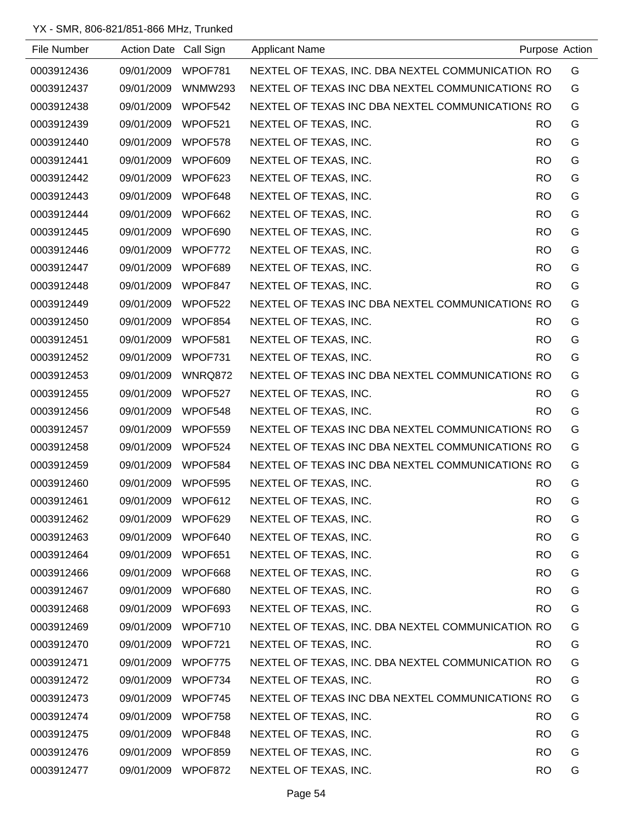| File Number | Action Date Call Sign |                | <b>Applicant Name</b>                             |           | Purpose Action |
|-------------|-----------------------|----------------|---------------------------------------------------|-----------|----------------|
| 0003912436  | 09/01/2009            | WPOF781        | NEXTEL OF TEXAS, INC. DBA NEXTEL COMMUNICATION RO |           | G              |
| 0003912437  | 09/01/2009            | <b>WNMW293</b> | NEXTEL OF TEXAS INC DBA NEXTEL COMMUNICATIONS RO  |           | G              |
| 0003912438  | 09/01/2009            | WPOF542        | NEXTEL OF TEXAS INC DBA NEXTEL COMMUNICATIONS RO  |           | G              |
| 0003912439  | 09/01/2009            | WPOF521        | NEXTEL OF TEXAS, INC.                             | RO.       | G              |
| 0003912440  | 09/01/2009            | WPOF578        | NEXTEL OF TEXAS, INC.                             | RO.       | G              |
| 0003912441  | 09/01/2009            | WPOF609        | NEXTEL OF TEXAS, INC.                             | <b>RO</b> | G              |
| 0003912442  | 09/01/2009            | WPOF623        | NEXTEL OF TEXAS, INC.                             | <b>RO</b> | G              |
| 0003912443  | 09/01/2009            | WPOF648        | NEXTEL OF TEXAS, INC.                             | <b>RO</b> | G              |
| 0003912444  | 09/01/2009            | WPOF662        | NEXTEL OF TEXAS, INC.                             | <b>RO</b> | G              |
| 0003912445  | 09/01/2009            | WPOF690        | NEXTEL OF TEXAS, INC.                             | RO.       | G              |
| 0003912446  | 09/01/2009            | WPOF772        | NEXTEL OF TEXAS, INC.                             | RO.       | G              |
| 0003912447  | 09/01/2009            | WPOF689        | NEXTEL OF TEXAS, INC.                             | RO.       | G              |
| 0003912448  | 09/01/2009            | WPOF847        | NEXTEL OF TEXAS, INC.                             | RO.       | G              |
| 0003912449  | 09/01/2009            | WPOF522        | NEXTEL OF TEXAS INC DBA NEXTEL COMMUNICATIONS RO  |           | G              |
| 0003912450  | 09/01/2009            | WPOF854        | NEXTEL OF TEXAS, INC.                             | <b>RO</b> | G              |
| 0003912451  | 09/01/2009            | WPOF581        | NEXTEL OF TEXAS, INC.                             | RO.       | G              |
| 0003912452  | 09/01/2009            | WPOF731        | NEXTEL OF TEXAS, INC.                             | <b>RO</b> | G              |
| 0003912453  | 09/01/2009            | WNRQ872        | NEXTEL OF TEXAS INC DBA NEXTEL COMMUNICATIONS RO  |           | G              |
| 0003912455  | 09/01/2009            | WPOF527        | NEXTEL OF TEXAS, INC.                             | RO.       | G              |
| 0003912456  | 09/01/2009            | WPOF548        | NEXTEL OF TEXAS, INC.                             | <b>RO</b> | G              |
| 0003912457  | 09/01/2009            | WPOF559        | NEXTEL OF TEXAS INC DBA NEXTEL COMMUNICATIONS RO  |           | G              |
| 0003912458  | 09/01/2009            | WPOF524        | NEXTEL OF TEXAS INC DBA NEXTEL COMMUNICATIONS RO  |           | G              |
| 0003912459  | 09/01/2009            | WPOF584        | NEXTEL OF TEXAS INC DBA NEXTEL COMMUNICATIONS RO  |           | G              |
| 0003912460  | 09/01/2009            | WPOF595        | NEXTEL OF TEXAS, INC.                             | <b>RO</b> | G              |
| 0003912461  | 09/01/2009            | WPOF612        | NEXTEL OF TEXAS, INC.                             | <b>RO</b> | G              |
| 0003912462  | 09/01/2009            | WPOF629        | NEXTEL OF TEXAS, INC.                             | <b>RO</b> | G              |
| 0003912463  | 09/01/2009 WPOF640    |                | NEXTEL OF TEXAS, INC.                             | <b>RO</b> | G              |
| 0003912464  | 09/01/2009            | WPOF651        | NEXTEL OF TEXAS, INC.                             | <b>RO</b> | G              |
| 0003912466  | 09/01/2009            | WPOF668        | NEXTEL OF TEXAS, INC.                             | <b>RO</b> | G              |
| 0003912467  | 09/01/2009            | WPOF680        | NEXTEL OF TEXAS, INC.                             | <b>RO</b> | G              |
| 0003912468  | 09/01/2009            | WPOF693        | NEXTEL OF TEXAS, INC.                             | RO.       | G              |
| 0003912469  | 09/01/2009            | WPOF710        | NEXTEL OF TEXAS, INC. DBA NEXTEL COMMUNICATION RO |           | G              |
| 0003912470  | 09/01/2009            | WPOF721        | NEXTEL OF TEXAS, INC.                             | <b>RO</b> | G              |
| 0003912471  | 09/01/2009            | WPOF775        | NEXTEL OF TEXAS, INC. DBA NEXTEL COMMUNICATION RO |           | G              |
| 0003912472  | 09/01/2009            | WPOF734        | NEXTEL OF TEXAS, INC.                             | <b>RO</b> | G              |
| 0003912473  | 09/01/2009            | WPOF745        | NEXTEL OF TEXAS INC DBA NEXTEL COMMUNICATIONS RO  |           | G              |
| 0003912474  | 09/01/2009            | WPOF758        | NEXTEL OF TEXAS, INC.                             | RO.       | G              |
| 0003912475  | 09/01/2009            | WPOF848        | NEXTEL OF TEXAS, INC.                             | <b>RO</b> | G              |
| 0003912476  | 09/01/2009            | WPOF859        | NEXTEL OF TEXAS, INC.                             | <b>RO</b> | G              |
| 0003912477  | 09/01/2009            | WPOF872        | NEXTEL OF TEXAS, INC.                             | <b>RO</b> | G              |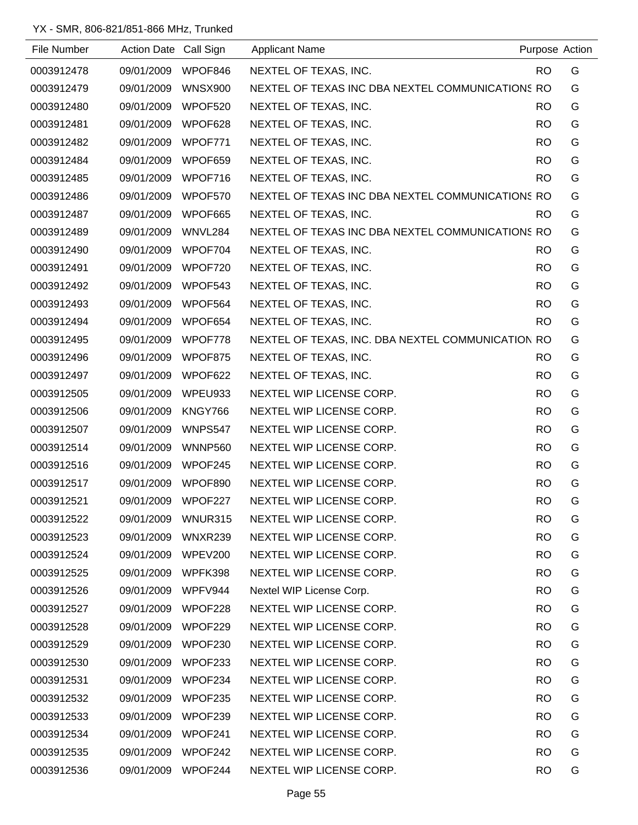| File Number | Action Date Call Sign |                | <b>Applicant Name</b>                             |           | Purpose Action |
|-------------|-----------------------|----------------|---------------------------------------------------|-----------|----------------|
| 0003912478  | 09/01/2009            | WPOF846        | NEXTEL OF TEXAS, INC.                             | <b>RO</b> | G              |
| 0003912479  | 09/01/2009            | <b>WNSX900</b> | NEXTEL OF TEXAS INC DBA NEXTEL COMMUNICATIONS RO  |           | G              |
| 0003912480  | 09/01/2009            | WPOF520        | NEXTEL OF TEXAS, INC.                             | <b>RO</b> | G              |
| 0003912481  | 09/01/2009            | WPOF628        | NEXTEL OF TEXAS, INC.                             | <b>RO</b> | G              |
| 0003912482  | 09/01/2009            | WPOF771        | NEXTEL OF TEXAS, INC.                             | <b>RO</b> | G              |
| 0003912484  | 09/01/2009            | WPOF659        | NEXTEL OF TEXAS, INC.                             | <b>RO</b> | G              |
| 0003912485  | 09/01/2009            | WPOF716        | NEXTEL OF TEXAS, INC.                             | <b>RO</b> | G              |
| 0003912486  | 09/01/2009            | WPOF570        | NEXTEL OF TEXAS INC DBA NEXTEL COMMUNICATIONS RO  |           | G              |
| 0003912487  | 09/01/2009            | WPOF665        | NEXTEL OF TEXAS, INC.                             | <b>RO</b> | G              |
| 0003912489  | 09/01/2009            | WNVL284        | NEXTEL OF TEXAS INC DBA NEXTEL COMMUNICATIONS RO  |           | G              |
| 0003912490  | 09/01/2009            | WPOF704        | NEXTEL OF TEXAS, INC.                             | <b>RO</b> | G              |
| 0003912491  | 09/01/2009            | WPOF720        | NEXTEL OF TEXAS, INC.                             | <b>RO</b> | G              |
| 0003912492  | 09/01/2009            | WPOF543        | NEXTEL OF TEXAS, INC.                             | <b>RO</b> | G              |
| 0003912493  | 09/01/2009            | WPOF564        | NEXTEL OF TEXAS, INC.                             | <b>RO</b> | G              |
| 0003912494  | 09/01/2009            | WPOF654        | NEXTEL OF TEXAS, INC.                             | <b>RO</b> | G              |
| 0003912495  | 09/01/2009            | WPOF778        | NEXTEL OF TEXAS, INC. DBA NEXTEL COMMUNICATION RO |           | G              |
| 0003912496  | 09/01/2009            | WPOF875        | NEXTEL OF TEXAS, INC.                             | <b>RO</b> | G              |
| 0003912497  | 09/01/2009            | WPOF622        | NEXTEL OF TEXAS, INC.                             | <b>RO</b> | G              |
| 0003912505  | 09/01/2009            | WPEU933        | NEXTEL WIP LICENSE CORP.                          | <b>RO</b> | G              |
| 0003912506  | 09/01/2009            | KNGY766        | NEXTEL WIP LICENSE CORP.                          | <b>RO</b> | G              |
| 0003912507  | 09/01/2009            | WNPS547        | NEXTEL WIP LICENSE CORP.                          | <b>RO</b> | G              |
| 0003912514  | 09/01/2009            | <b>WNNP560</b> | NEXTEL WIP LICENSE CORP.                          | <b>RO</b> | G              |
| 0003912516  | 09/01/2009            | WPOF245        | NEXTEL WIP LICENSE CORP.                          | <b>RO</b> | G              |
| 0003912517  | 09/01/2009            | WPOF890        | NEXTEL WIP LICENSE CORP.                          | <b>RO</b> | G              |
| 0003912521  | 09/01/2009            | WPOF227        | NEXTEL WIP LICENSE CORP.                          | <b>RO</b> | G              |
| 0003912522  | 09/01/2009            | WNUR315        | NEXTEL WIP LICENSE CORP.                          | <b>RO</b> | G              |
| 0003912523  | 09/01/2009            | WNXR239        | NEXTEL WIP LICENSE CORP.                          | <b>RO</b> | G              |
| 0003912524  | 09/01/2009            | WPEV200        | NEXTEL WIP LICENSE CORP.                          | <b>RO</b> | G              |
| 0003912525  | 09/01/2009            | WPFK398        | NEXTEL WIP LICENSE CORP.                          | RO.       | G              |
| 0003912526  | 09/01/2009            | WPFV944        | Nextel WIP License Corp.                          | <b>RO</b> | G              |
| 0003912527  | 09/01/2009            | WPOF228        | NEXTEL WIP LICENSE CORP.                          | <b>RO</b> | G              |
| 0003912528  | 09/01/2009            | WPOF229        | NEXTEL WIP LICENSE CORP.                          | <b>RO</b> | G              |
| 0003912529  | 09/01/2009            | WPOF230        | NEXTEL WIP LICENSE CORP.                          | <b>RO</b> | G              |
| 0003912530  | 09/01/2009            | WPOF233        | NEXTEL WIP LICENSE CORP.                          | <b>RO</b> | G              |
| 0003912531  | 09/01/2009            | WPOF234        | NEXTEL WIP LICENSE CORP.                          | <b>RO</b> | G              |
| 0003912532  | 09/01/2009            | WPOF235        | NEXTEL WIP LICENSE CORP.                          | <b>RO</b> | G              |
| 0003912533  | 09/01/2009            | WPOF239        | NEXTEL WIP LICENSE CORP.                          | <b>RO</b> | G              |
| 0003912534  | 09/01/2009            | WPOF241        | NEXTEL WIP LICENSE CORP.                          | <b>RO</b> | G              |
| 0003912535  | 09/01/2009            | WPOF242        | NEXTEL WIP LICENSE CORP.                          | <b>RO</b> | G              |
| 0003912536  | 09/01/2009            | WPOF244        | NEXTEL WIP LICENSE CORP.                          | <b>RO</b> | G              |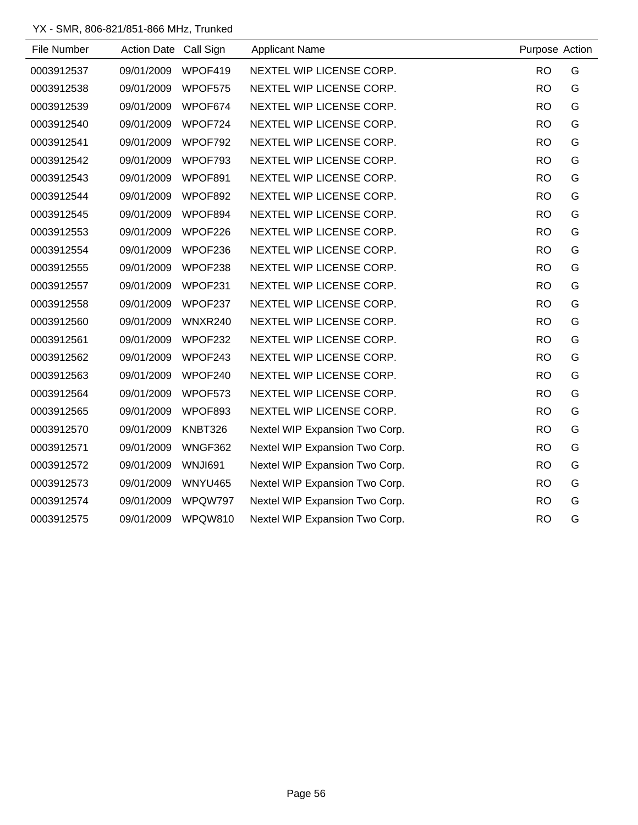| File Number | Action Date Call Sign |                | <b>Applicant Name</b>          | Purpose Action |   |
|-------------|-----------------------|----------------|--------------------------------|----------------|---|
| 0003912537  | 09/01/2009            | WPOF419        | NEXTEL WIP LICENSE CORP.       | <b>RO</b>      | G |
| 0003912538  | 09/01/2009            | WPOF575        | NEXTEL WIP LICENSE CORP.       | <b>RO</b>      | G |
| 0003912539  | 09/01/2009            | WPOF674        | NEXTEL WIP LICENSE CORP.       | <b>RO</b>      | G |
| 0003912540  | 09/01/2009            | WPOF724        | NEXTEL WIP LICENSE CORP.       | <b>RO</b>      | G |
| 0003912541  | 09/01/2009            | WPOF792        | NEXTEL WIP LICENSE CORP.       | <b>RO</b>      | G |
| 0003912542  | 09/01/2009            | WPOF793        | NEXTEL WIP LICENSE CORP.       | <b>RO</b>      | G |
| 0003912543  | 09/01/2009            | WPOF891        | NEXTEL WIP LICENSE CORP.       | <b>RO</b>      | G |
| 0003912544  | 09/01/2009            | WPOF892        | NEXTEL WIP LICENSE CORP.       | <b>RO</b>      | G |
| 0003912545  | 09/01/2009            | WPOF894        | NEXTEL WIP LICENSE CORP.       | <b>RO</b>      | G |
| 0003912553  | 09/01/2009            | WPOF226        | NEXTEL WIP LICENSE CORP.       | <b>RO</b>      | G |
| 0003912554  | 09/01/2009            | WPOF236        | NEXTEL WIP LICENSE CORP.       | <b>RO</b>      | G |
| 0003912555  | 09/01/2009            | WPOF238        | NEXTEL WIP LICENSE CORP.       | <b>RO</b>      | G |
| 0003912557  | 09/01/2009            | WPOF231        | NEXTEL WIP LICENSE CORP.       | <b>RO</b>      | G |
| 0003912558  | 09/01/2009            | WPOF237        | NEXTEL WIP LICENSE CORP.       | <b>RO</b>      | G |
| 0003912560  | 09/01/2009            | WNXR240        | NEXTEL WIP LICENSE CORP.       | <b>RO</b>      | G |
| 0003912561  | 09/01/2009            | WPOF232        | NEXTEL WIP LICENSE CORP.       | <b>RO</b>      | G |
| 0003912562  | 09/01/2009            | WPOF243        | NEXTEL WIP LICENSE CORP.       | <b>RO</b>      | G |
| 0003912563  | 09/01/2009            | WPOF240        | NEXTEL WIP LICENSE CORP.       | <b>RO</b>      | G |
| 0003912564  | 09/01/2009            | WPOF573        | NEXTEL WIP LICENSE CORP.       | <b>RO</b>      | G |
| 0003912565  | 09/01/2009            | WPOF893        | NEXTEL WIP LICENSE CORP.       | <b>RO</b>      | G |
| 0003912570  | 09/01/2009            | KNBT326        | Nextel WIP Expansion Two Corp. | <b>RO</b>      | G |
| 0003912571  | 09/01/2009            | WNGF362        | Nextel WIP Expansion Two Corp. | <b>RO</b>      | G |
| 0003912572  | 09/01/2009            | WNJI691        | Nextel WIP Expansion Two Corp. | <b>RO</b>      | G |
| 0003912573  | 09/01/2009            | <b>WNYU465</b> | Nextel WIP Expansion Two Corp. | <b>RO</b>      | G |
| 0003912574  | 09/01/2009            | WPQW797        | Nextel WIP Expansion Two Corp. | <b>RO</b>      | G |
| 0003912575  | 09/01/2009            | <b>WPQW810</b> | Nextel WIP Expansion Two Corp. | <b>RO</b>      | G |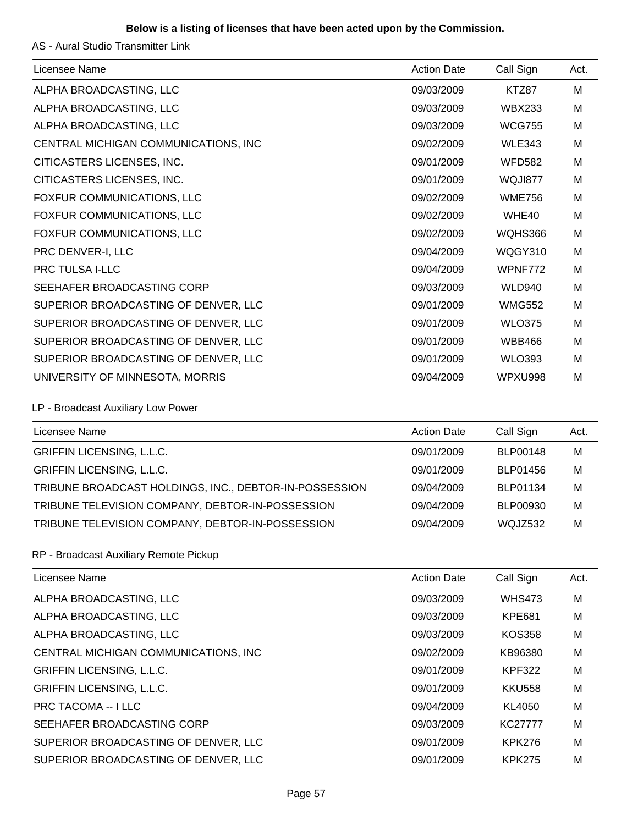#### **Below is a listing of licenses that have been acted upon by the Commission.**

AS - Aural Studio Transmitter Link

| Licensee Name                        | <b>Action Date</b> | Call Sign     | Act. |
|--------------------------------------|--------------------|---------------|------|
| ALPHA BROADCASTING, LLC              | 09/03/2009         | KTZ87         | м    |
| ALPHA BROADCASTING, LLC              | 09/03/2009         | <b>WBX233</b> | M    |
| ALPHA BROADCASTING, LLC              | 09/03/2009         | <b>WCG755</b> | M    |
| CENTRAL MICHIGAN COMMUNICATIONS, INC | 09/02/2009         | <b>WLE343</b> | M    |
| CITICASTERS LICENSES, INC.           | 09/01/2009         | <b>WFD582</b> | M    |
| CITICASTERS LICENSES, INC.           | 09/01/2009         | WQJI877       | M    |
| FOXFUR COMMUNICATIONS, LLC           | 09/02/2009         | <b>WME756</b> | M    |
| FOXFUR COMMUNICATIONS, LLC           | 09/02/2009         | WHE40         | M    |
| FOXFUR COMMUNICATIONS, LLC           | 09/02/2009         | WQHS366       | M    |
| PRC DENVER-I, LLC                    | 09/04/2009         | WQGY310       | M    |
| <b>PRC TULSA I-LLC</b>               | 09/04/2009         | WPNF772       | M    |
| SEEHAFER BROADCASTING CORP           | 09/03/2009         | <b>WLD940</b> | M    |
| SUPERIOR BROADCASTING OF DENVER, LLC | 09/01/2009         | <b>WMG552</b> | M    |
| SUPERIOR BROADCASTING OF DENVER, LLC | 09/01/2009         | <b>WLO375</b> | M    |
| SUPERIOR BROADCASTING OF DENVER, LLC | 09/01/2009         | <b>WBB466</b> | M    |
| SUPERIOR BROADCASTING OF DENVER, LLC | 09/01/2009         | <b>WLO393</b> | M    |
| UNIVERSITY OF MINNESOTA, MORRIS      | 09/04/2009         | WPXU998       | M    |

LP - Broadcast Auxiliary Low Power

| Licensee Name                                          | <b>Action Date</b> | Call Sign      | Act. |
|--------------------------------------------------------|--------------------|----------------|------|
| <b>GRIFFIN LICENSING, L.L.C.</b>                       | 09/01/2009         | BLP00148       | M    |
| <b>GRIFFIN LICENSING, L.L.C.</b>                       | 09/01/2009         | BLP01456       | M    |
| TRIBUNE BROADCAST HOLDINGS, INC., DEBTOR-IN-POSSESSION | 09/04/2009         | BLP01134       | M    |
| TRIBUNE TELEVISION COMPANY, DEBTOR-IN-POSSESSION       | 09/04/2009         | BLP00930       | M    |
| TRIBUNE TELEVISION COMPANY, DEBTOR-IN-POSSESSION       | 09/04/2009         | <b>WOJZ532</b> | М    |

#### RP - Broadcast Auxiliary Remote Pickup

| Licensee Name                        | <b>Action Date</b> | Call Sign      | Act. |
|--------------------------------------|--------------------|----------------|------|
| ALPHA BROADCASTING, LLC              | 09/03/2009         | <b>WHS473</b>  | M    |
| ALPHA BROADCASTING, LLC              | 09/03/2009         | <b>KPE681</b>  | M    |
| ALPHA BROADCASTING, LLC              | 09/03/2009         | <b>KOS358</b>  | M    |
| CENTRAL MICHIGAN COMMUNICATIONS, INC | 09/02/2009         | KB96380        | M    |
| <b>GRIFFIN LICENSING, L.L.C.</b>     | 09/01/2009         | <b>KPF322</b>  | M    |
| <b>GRIFFIN LICENSING, L.L.C.</b>     | 09/01/2009         | <b>KKU558</b>  | M    |
| <b>PRC TACOMA -- I LLC</b>           | 09/04/2009         | KL4050         | M    |
| SEEHAFER BROADCASTING CORP           | 09/03/2009         | <b>KC27777</b> | M    |
| SUPERIOR BROADCASTING OF DENVER, LLC | 09/01/2009         | <b>KPK276</b>  | M    |
| SUPERIOR BROADCASTING OF DENVER, LLC | 09/01/2009         | <b>KPK275</b>  | M    |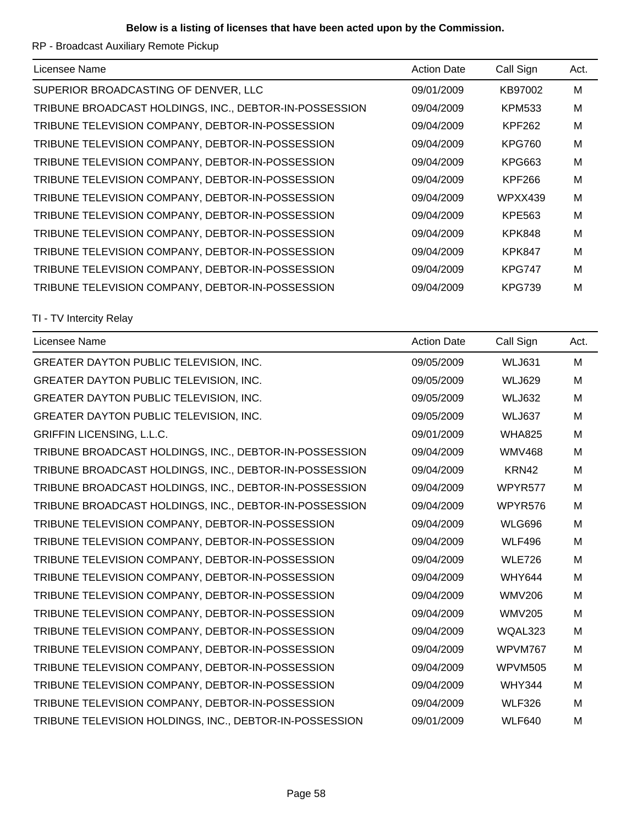RP - Broadcast Auxiliary Remote Pickup

| Licensee Name                                          | <b>Action Date</b> | Call Sign     | Act. |
|--------------------------------------------------------|--------------------|---------------|------|
| SUPERIOR BROADCASTING OF DENVER, LLC                   | 09/01/2009         | KB97002       | M    |
| TRIBUNE BROADCAST HOLDINGS, INC., DEBTOR-IN-POSSESSION | 09/04/2009         | <b>KPM533</b> | M    |
| TRIBUNE TELEVISION COMPANY, DEBTOR-IN-POSSESSION       | 09/04/2009         | <b>KPF262</b> | M    |
| TRIBUNE TELEVISION COMPANY, DEBTOR-IN-POSSESSION       | 09/04/2009         | <b>KPG760</b> | M    |
| TRIBUNE TELEVISION COMPANY, DEBTOR-IN-POSSESSION       | 09/04/2009         | KPG663        | M    |
| TRIBUNE TELEVISION COMPANY, DEBTOR-IN-POSSESSION       | 09/04/2009         | <b>KPF266</b> | M    |
| TRIBUNE TELEVISION COMPANY, DEBTOR-IN-POSSESSION       | 09/04/2009         | WPXX439       | M    |
| TRIBUNE TELEVISION COMPANY, DEBTOR-IN-POSSESSION       | 09/04/2009         | KPE563        | M    |
| TRIBUNE TELEVISION COMPANY, DEBTOR-IN-POSSESSION       | 09/04/2009         | <b>KPK848</b> | M    |
| TRIBUNE TELEVISION COMPANY, DEBTOR-IN-POSSESSION       | 09/04/2009         | <b>KPK847</b> | M    |
| TRIBUNE TELEVISION COMPANY, DEBTOR-IN-POSSESSION       | 09/04/2009         | <b>KPG747</b> | M    |
| TRIBUNE TELEVISION COMPANY, DEBTOR-IN-POSSESSION       | 09/04/2009         | <b>KPG739</b> | M    |

## TI - TV Intercity Relay

| Licensee Name                                           | <b>Action Date</b> | Call Sign      | Act. |
|---------------------------------------------------------|--------------------|----------------|------|
| GREATER DAYTON PUBLIC TELEVISION, INC.                  | 09/05/2009         | <b>WLJ631</b>  | M    |
| GREATER DAYTON PUBLIC TELEVISION, INC.                  | 09/05/2009         | <b>WLJ629</b>  | M    |
| GREATER DAYTON PUBLIC TELEVISION, INC.                  | 09/05/2009         | <b>WLJ632</b>  | M    |
| GREATER DAYTON PUBLIC TELEVISION, INC.                  | 09/05/2009         | <b>WLJ637</b>  | M    |
| <b>GRIFFIN LICENSING, L.L.C.</b>                        | 09/01/2009         | <b>WHA825</b>  | M    |
| TRIBUNE BROADCAST HOLDINGS, INC., DEBTOR-IN-POSSESSION  | 09/04/2009         | <b>WMV468</b>  | M    |
| TRIBUNE BROADCAST HOLDINGS, INC., DEBTOR-IN-POSSESSION  | 09/04/2009         | KRN42          | M    |
| TRIBUNE BROADCAST HOLDINGS, INC., DEBTOR-IN-POSSESSION  | 09/04/2009         | WPYR577        | M    |
| TRIBUNE BROADCAST HOLDINGS, INC., DEBTOR-IN-POSSESSION  | 09/04/2009         | WPYR576        | M    |
| TRIBUNE TELEVISION COMPANY, DEBTOR-IN-POSSESSION        | 09/04/2009         | <b>WLG696</b>  | M    |
| TRIBUNE TELEVISION COMPANY, DEBTOR-IN-POSSESSION        | 09/04/2009         | <b>WLF496</b>  | M    |
| TRIBUNE TELEVISION COMPANY, DEBTOR-IN-POSSESSION        | 09/04/2009         | <b>WLE726</b>  | M    |
| TRIBUNE TELEVISION COMPANY, DEBTOR-IN-POSSESSION        | 09/04/2009         | <b>WHY644</b>  | M    |
| TRIBUNE TELEVISION COMPANY, DEBTOR-IN-POSSESSION        | 09/04/2009         | <b>WMV206</b>  | M    |
| TRIBUNE TELEVISION COMPANY, DEBTOR-IN-POSSESSION        | 09/04/2009         | <b>WMV205</b>  | M    |
| TRIBUNE TELEVISION COMPANY, DEBTOR-IN-POSSESSION        | 09/04/2009         | WQAL323        | M    |
| TRIBUNE TELEVISION COMPANY, DEBTOR-IN-POSSESSION        | 09/04/2009         | WPVM767        | M    |
| TRIBUNE TELEVISION COMPANY, DEBTOR-IN-POSSESSION        | 09/04/2009         | <b>WPVM505</b> | M    |
| TRIBUNE TELEVISION COMPANY, DEBTOR-IN-POSSESSION        | 09/04/2009         | <b>WHY344</b>  | M    |
| TRIBUNE TELEVISION COMPANY, DEBTOR-IN-POSSESSION        | 09/04/2009         | <b>WLF326</b>  | M    |
| TRIBUNE TELEVISION HOLDINGS, INC., DEBTOR-IN-POSSESSION | 09/01/2009         | <b>WLF640</b>  | M    |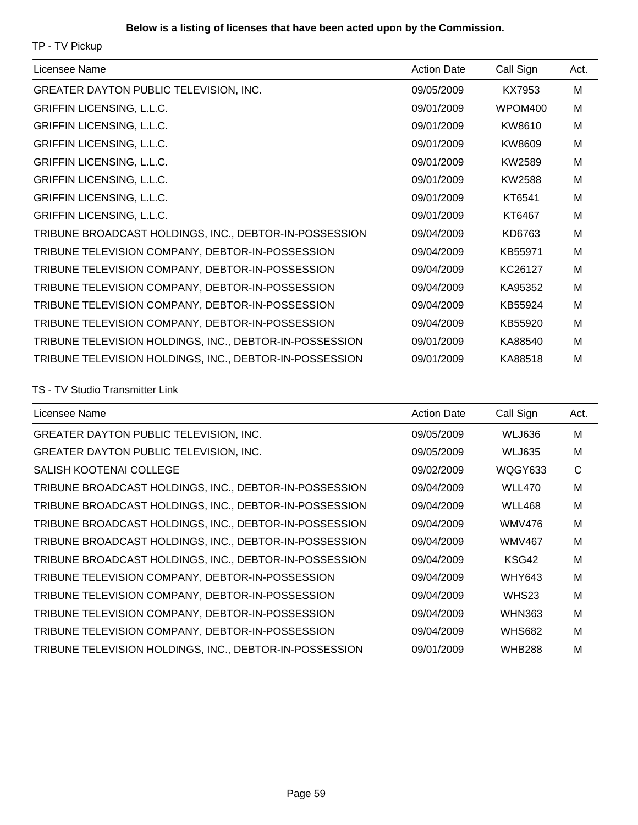TP - TV Pickup

| Licensee Name                                           | <b>Action Date</b> | Call Sign | Act. |
|---------------------------------------------------------|--------------------|-----------|------|
| <b>GREATER DAYTON PUBLIC TELEVISION, INC.</b>           | 09/05/2009         | KX7953    | M    |
| <b>GRIFFIN LICENSING, L.L.C.</b>                        | 09/01/2009         | WPOM400   | M    |
| <b>GRIFFIN LICENSING, L.L.C.</b>                        | 09/01/2009         | KW8610    | M    |
| <b>GRIFFIN LICENSING, L.L.C.</b>                        | 09/01/2009         | KW8609    | M    |
| <b>GRIFFIN LICENSING, L.L.C.</b>                        | 09/01/2009         | KW2589    | M    |
| <b>GRIFFIN LICENSING, L.L.C.</b>                        | 09/01/2009         | KW2588    | M    |
| <b>GRIFFIN LICENSING, L.L.C.</b>                        | 09/01/2009         | KT6541    | M    |
| <b>GRIFFIN LICENSING, L.L.C.</b>                        | 09/01/2009         | KT6467    | M    |
| TRIBUNE BROADCAST HOLDINGS, INC., DEBTOR-IN-POSSESSION  | 09/04/2009         | KD6763    | M    |
| TRIBUNE TELEVISION COMPANY, DEBTOR-IN-POSSESSION        | 09/04/2009         | KB55971   | M    |
| TRIBUNE TELEVISION COMPANY, DEBTOR-IN-POSSESSION        | 09/04/2009         | KC26127   | M    |
| TRIBUNE TELEVISION COMPANY, DEBTOR-IN-POSSESSION        | 09/04/2009         | KA95352   | M    |
| TRIBUNE TELEVISION COMPANY, DEBTOR-IN-POSSESSION        | 09/04/2009         | KB55924   | M    |
| TRIBUNE TELEVISION COMPANY, DEBTOR-IN-POSSESSION        | 09/04/2009         | KB55920   | M    |
| TRIBUNE TELEVISION HOLDINGS, INC., DEBTOR-IN-POSSESSION | 09/01/2009         | KA88540   | M    |
| TRIBUNE TELEVISION HOLDINGS, INC., DEBTOR-IN-POSSESSION | 09/01/2009         | KA88518   | M    |

#### TS - TV Studio Transmitter Link

| Licensee Name                                           | <b>Action Date</b> | Call Sign     | Act. |
|---------------------------------------------------------|--------------------|---------------|------|
| <b>GREATER DAYTON PUBLIC TELEVISION, INC.</b>           | 09/05/2009         | <b>WLJ636</b> | M    |
| <b>GREATER DAYTON PUBLIC TELEVISION, INC.</b>           | 09/05/2009         | <b>WLJ635</b> | M    |
| SALISH KOOTENAI COLLEGE                                 | 09/02/2009         | WQGY633       | C    |
| TRIBUNE BROADCAST HOLDINGS, INC., DEBTOR-IN-POSSESSION  | 09/04/2009         | <b>WLL470</b> | M    |
| TRIBUNE BROADCAST HOLDINGS, INC., DEBTOR-IN-POSSESSION  | 09/04/2009         | <b>WLL468</b> | M    |
| TRIBUNE BROADCAST HOLDINGS, INC., DEBTOR-IN-POSSESSION  | 09/04/2009         | <b>WMV476</b> | M    |
| TRIBUNE BROADCAST HOLDINGS, INC., DEBTOR-IN-POSSESSION  | 09/04/2009         | <b>WMV467</b> | M    |
| TRIBUNE BROADCAST HOLDINGS, INC., DEBTOR-IN-POSSESSION  | 09/04/2009         | KSG42         | M    |
| TRIBUNE TELEVISION COMPANY, DEBTOR-IN-POSSESSION        | 09/04/2009         | WHY643        | M    |
| TRIBUNE TELEVISION COMPANY, DEBTOR-IN-POSSESSION        | 09/04/2009         | WHS23         | M    |
| TRIBUNE TELEVISION COMPANY, DEBTOR-IN-POSSESSION        | 09/04/2009         | <b>WHN363</b> | M    |
| TRIBUNE TELEVISION COMPANY, DEBTOR-IN-POSSESSION        | 09/04/2009         | <b>WHS682</b> | M    |
| TRIBUNE TELEVISION HOLDINGS, INC., DEBTOR-IN-POSSESSION | 09/01/2009         | <b>WHB288</b> | M    |